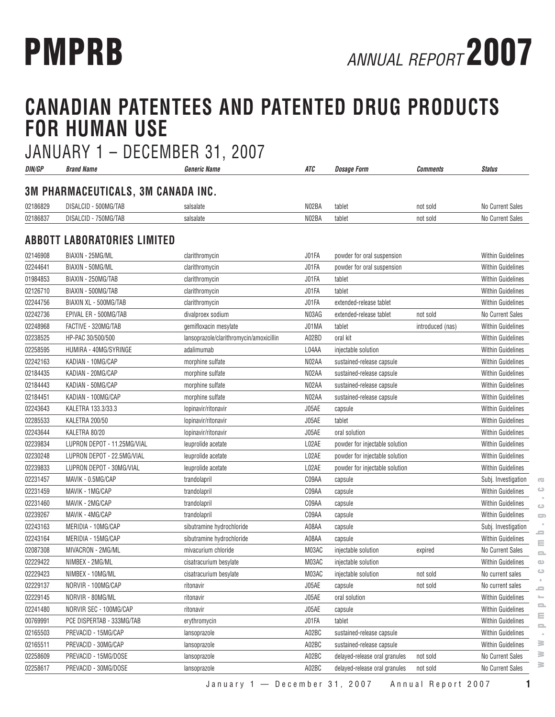# **CANADIAN PATENTEES AND PATENTED DRUG PRODUCTS FOR HUMAN USE**

| DIN/GP               | <b>Brand Name</b>                  | <b>Generic Name</b>                     | ATC            | <b>Dosage Form</b>                | Comments         | <b>Status</b>                                        |
|----------------------|------------------------------------|-----------------------------------------|----------------|-----------------------------------|------------------|------------------------------------------------------|
|                      | 3M PHARMACEUTICALS, 3M CANADA INC. |                                         |                |                                   |                  |                                                      |
| 02186829             | DISALCID - 500MG/TAB               | salsalate                               | N02BA          | tablet                            | not sold         | No Current Sales                                     |
| 02186837             | DISALCID - 750MG/TAB               | salsalate                               | N02BA          | tablet                            | not sold         | No Current Sales                                     |
|                      | <b>ABBOTT LABORATORIES LIMITED</b> |                                         |                |                                   |                  |                                                      |
|                      | BIAXIN - 25MG/ML                   |                                         | J01FA          |                                   |                  |                                                      |
| 02146908<br>02244641 | BIAXIN - 50MG/ML                   | clarithromycin                          | J01FA          | powder for oral suspension        |                  | <b>Within Guidelines</b><br><b>Within Guidelines</b> |
|                      | BIAXIN - 250MG/TAB                 | clarithromycin                          |                | powder for oral suspension        |                  |                                                      |
| 01984853             | BIAXIN - 500MG/TAB                 | clarithromycin                          | J01FA          | tablet                            |                  | <b>Within Guidelines</b><br><b>Within Guidelines</b> |
| 02126710<br>02244756 | BIAXIN XL - 500MG/TAB              | clarithromycin<br>clarithromycin        | J01FA<br>J01FA | tablet<br>extended-release tablet |                  | <b>Within Guidelines</b>                             |
|                      |                                    |                                         | N03AG          |                                   |                  |                                                      |
| 02242736             | EPIVAL ER - 500MG/TAB              | divalproex sodium                       |                | extended-release tablet           | not sold         | No Current Sales                                     |
| 02248968             | FACTIVE - 320MG/TAB                | gemifloxacin mesylate                   | J01MA          | tablet                            | introduced (nas) | <b>Within Guidelines</b>                             |
| 02238525             | HP-PAC 30/500/500                  | lansoprazole/clarithromycin/amoxicillin | A02BD          | oral kit                          |                  | <b>Within Guidelines</b>                             |
| 02258595             | HUMIRA - 40MG/SYRINGE              | adalimumab                              | L04AA          | injectable solution               |                  | <b>Within Guidelines</b>                             |
| 02242163             | KADIAN - 10MG/CAP                  | morphine sulfate                        | N02AA          | sustained-release capsule         |                  | <b>Within Guidelines</b>                             |
| 02184435             | KADIAN - 20MG/CAP                  | morphine sulfate                        | N02AA          | sustained-release capsule         |                  | <b>Within Guidelines</b>                             |
| 02184443             | KADIAN - 50MG/CAP                  | morphine sulfate                        | N02AA          | sustained-release capsule         |                  | <b>Within Guidelines</b>                             |
| 02184451             | KADIAN - 100MG/CAP                 | morphine sulfate                        | N02AA          | sustained-release capsule         |                  | <b>Within Guidelines</b>                             |
| 02243643             | KALETRA 133.3/33.3                 | lopinavir/ritonavir                     | J05AE          | capsule                           |                  | <b>Within Guidelines</b>                             |
| 02285533             | KALETRA 200/50                     | lopinavir/ritonavir                     | J05AE          | tablet                            |                  | <b>Within Guidelines</b>                             |
| 02243644             | KALETRA 80/20                      | lopinavir/ritonavir                     | J05AE          | oral solution                     |                  | <b>Within Guidelines</b>                             |
| 02239834             | LUPRON DEPOT - 11.25MG/VIAL        | leuprolide acetate                      | L02AE          | powder for injectable solution    |                  | <b>Within Guidelines</b>                             |
| 02230248             | LUPRON DEPOT - 22.5MG/VIAL         | leuprolide acetate                      | L02AE          | powder for injectable solution    |                  | <b>Within Guidelines</b>                             |
| 02239833             | LUPRON DEPOT - 30MG/VIAL           | leuprolide acetate                      | L02AE          | powder for injectable solution    |                  | <b>Within Guidelines</b>                             |
| 02231457             | MAVIK - 0.5MG/CAP                  | trandolapril                            | C09AA          | capsule                           |                  | Subj. Investigation                                  |
| 02231459             | MAVIK - 1MG/CAP                    | trandolapril                            | C09AA          | capsule                           |                  | <b>Within Guidelines</b>                             |
| 02231460             | MAVIK - 2MG/CAP                    | trandolapril                            | C09AA          | capsule                           |                  | <b>Within Guidelines</b>                             |
| 02239267             | MAVIK - 4MG/CAP                    | trandolapril                            | C09AA          | capsule                           |                  | <b>Within Guidelines</b>                             |
| 02243163             | MERIDIA - 10MG/CAP                 | sibutramine hydrochloride               | A08AA          | capsule                           |                  | Subj. Investigation                                  |
| 02243164             | MERIDIA - 15MG/CAP                 | sibutramine hydrochloride               | A08AA          | capsule                           |                  | <b>Within Guidelines</b>                             |
| 02087308             | MIVACRON - 2MG/ML                  | mivacurium chloride                     | M03AC          | injectable solution               | expired          | No Current Sales                                     |
| 02229422             | NIMBEX - 2MG/ML                    | cisatracurium besylate                  | M03AC          | injectable solution               |                  | <b>Within Guidelines</b>                             |
| 02229423             | NIMBEX - 10MG/ML                   | cisatracurium besylate                  | M03AC          | injectable solution               | not sold         | No current sales                                     |
| 02229137             | NORVIR - 100MG/CAP                 | ritonavir                               | J05AE          | capsule                           | not sold         | No current sales                                     |
| 02229145             | NORVIR - 80MG/ML                   | ritonavir                               | J05AE          | oral solution                     |                  | <b>Within Guidelines</b>                             |
| 02241480             | NORVIR SEC - 100MG/CAP             | ritonavir                               | J05AE          | capsule                           |                  | <b>Within Guidelines</b>                             |
| 00769991             | PCE DISPERTAB - 333MG/TAB          | erythromycin                            | J01FA          | tablet                            |                  | <b>Within Guidelines</b>                             |
| 02165503             | PREVACID - 15MG/CAP                | lansoprazole                            | A02BC          | sustained-release capsule         |                  | Within Guidelines                                    |
| 02165511             | PREVACID - 30MG/CAP                | lansoprazole                            | A02BC          | sustained-release capsule         |                  | <b>Within Guidelines</b>                             |
| 02258609             | PREVACID - 15MG/DOSE               | lansoprazole                            | A02BC          | delayed-release oral granules     | not sold         | No Current Sales                                     |
| 02258617             | PREVACID - 30MG/DOSE               | lansoprazole                            | A02BC          | delayed-release oral granules     | not sold         | No Current Sales                                     |

**www.pmprb-cepmb.gc.ca**

 $\overline{\infty}$  $\circlearrowright$  $\sim$  $\bigcirc$  $\qquad \qquad \Longrightarrow$  $\sim$  $\equiv$  $\equiv$  $\equiv$  $\omega$  $\bigcirc$  $\mathbb{R}^2$  $\equiv$  $\bar{a}$  $\equiv$  $\equiv$  $\equiv$  $\sim$  $\geq$  $\geq$  $\geq$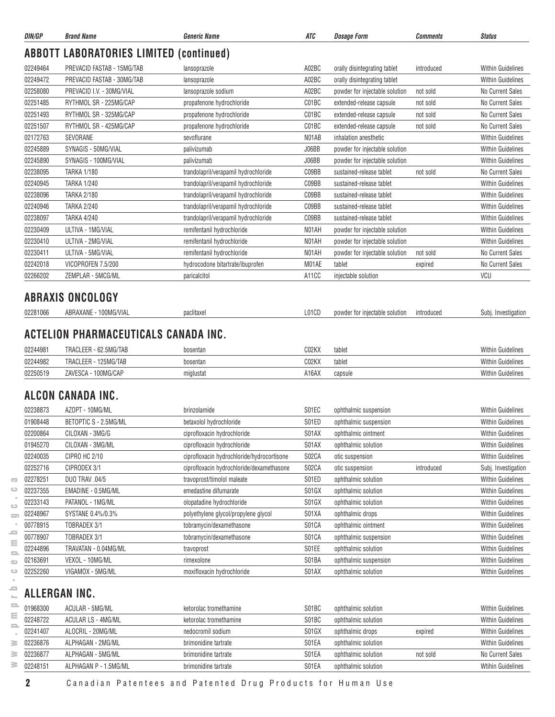| <b>ABBOTT LABORATORIES LIMITED (continued)</b><br>02249464<br>PREVACID FASTAB - 15MG/TAB<br>lansoprazole<br>A02BC<br>orally disintegrating tablet<br>introduced<br>A02BC<br>02249472<br>PREVACID FASTAB - 30MG/TAB<br>lansoprazole<br>orally disintegrating tablet<br>02258080<br>PREVACID I.V. - 30MG/VIAL<br>lansoprazole sodium<br>A02BC<br>powder for injectable solution<br>not sold<br>RYTHMOL SR - 225MG/CAP<br>C01BC<br>02251485<br>propafenone hydrochloride<br>extended-release capsule<br>not sold<br>RYTHMOL SR - 325MG/CAP<br>02251493<br>propafenone hydrochloride<br>C01BC<br>extended-release capsule<br>not sold<br>02251507<br>RYTHMOL SR - 425MG/CAP<br>C01BC<br>propafenone hydrochloride<br>not sold<br>extended-release capsule<br>02172763<br>SEVORANE<br>sevoflurane<br>N01AB<br>inhalation anesthetic<br>02245889<br>SYNAGIS - 50MG/VIAL<br>J06BB<br>palivizumab<br>powder for injectable solution<br>02245890<br>SYNAGIS - 100MG/VIAL<br>J06BB<br>palivizumab<br>powder for injectable solution<br>02238095<br><b>TARKA 1/180</b><br>trandolapril/verapamil hydrochloride<br>C09BB<br>sustained-release tablet<br>not sold<br>C09BB<br>02240945<br><b>TARKA 1/240</b><br>trandolapril/verapamil hydrochloride<br>sustained-release tablet<br>02238096<br>trandolapril/verapamil hydrochloride<br>C09BB<br><b>TARKA 2/180</b><br>sustained-release tablet<br>02240946<br>C09BB<br><b>TARKA 2/240</b><br>trandolapril/verapamil hydrochloride<br>sustained-release tablet<br>02238097<br><b>TARKA 4/240</b><br>C09BB<br>trandolapril/verapamil hydrochloride<br>sustained-release tablet<br>02230409<br>N01AH<br>ULTIVA - 1MG/VIAL<br>remifentanil hydrochloride<br>powder for injectable solution<br>02230410<br>ULTIVA - 2MG/VIAL<br>remifentanil hydrochloride<br>N01AH<br>powder for injectable solution<br>02230411<br>ULTIVA - 5MG/VIAL<br>N01AH<br>remifentanil hydrochloride<br>powder for injectable solution<br>not sold<br>02242018<br>VICOPROFEN 7.5/200<br>hydrocodone bitartrate/ibuprofen<br>M01AE<br>tablet<br>expired<br>VCU<br>02266202<br>ZEMPLAR - 5MCG/ML<br>A11CC<br>injectable solution<br>paricalcitol<br><b>ABRAXIS ONCOLOGY</b><br>02281066<br>L01CD<br>ABRAXANE - 100MG/VIAL<br>powder for injectable solution<br>paclitaxel<br>introduced<br>ACTELION PHARMACEUTICALS CANADA INC.<br>C02KX<br>02244981<br>TRACLEER - 62.5MG/TAB<br>tablet<br>bosentan<br>02244982<br>TRACLEER - 125MG/TAB<br>C02KX<br>tablet<br>bosentan<br>02250519<br>ZAVESCA - 100MG/CAP<br>A16AX<br>miglustat<br>capsule<br>ALCON CANADA INC.<br>02238873<br>AZOPT - 10MG/ML<br>S01EC<br>brinzolamide<br>ophthalmic suspension<br>01908448<br>BETOPTIC S - 2.5MG/ML<br>betaxolol hydrochloride<br>S01ED<br>ophthalmic suspension<br>02200864<br>CILOXAN - 3MG/G<br>S01AX<br>ciprofloxacin hydrochloride<br>ophthalmic ointment<br>01945270<br>CILOXAN - 3MG/ML<br>S01AX<br>ciprofloxacin hydrochloride<br>ophthalmic solution<br>S02CA<br>02240035<br>CIPRO HC 2/10<br>ciprofloxacin hydrochloride/hydrocortisone<br>otic suspension<br>02252716<br>CIPRODEX 3/1<br>S02CA<br>ciprofloxacin hydrochloride/dexamethasone<br>otic suspension<br>introduced<br>02278251<br>S01ED<br><b>DUO TRAV .04/5</b><br>travoprost/timolol maleate<br>ophthalmic solution<br>$\overline{\mathcal{C}}$<br>ت<br>02237355<br>EMADINE - 0.5MG/ML<br>S01GX<br>emedastine difumarate<br>ophthalmic solution<br>02233143<br>PATANOL - 1MG/ML<br>S01GX<br>olopatadine hydrochloride<br>ophthalmic solution<br>$\circ$<br>02248967<br>SYSTANE 0.4%/0.3%<br>polyethylene glycol/propylene glycol<br>S01XA<br>ophthalmic drops<br>5<br>00778915<br>TOBRADEX 3/1<br>S01CA<br>tobramycin/dexamethasone<br>ophthalmic ointment<br>≏<br>S01CA<br>00778907<br>TOBRADEX 3/1<br>tobramycin/dexamethasone<br>ophthalmic suspension<br>ε<br>S01EE<br>02244896<br>TRAVATAN - 0.04MG/ML<br>travoprost<br>ophthalmic solution<br>$\equiv$<br>VEXOL - 10MG/ML<br>S01BA<br>02163691<br>rimexolone<br>ophthalmic suspension<br>$\mathbf{u}$<br>02252260<br>VIGAMOX - 5MG/ML<br>moxifloxacin hydrochloride<br>S01AX<br>ophthalmic solution<br>ت<br>⋍<br>ALLERGAN INC.<br>$\mathbb{R}^n$<br>Ξ<br>01968300<br>ACULAR - 5MG/ML<br>S01BC<br>ketorolac tromethamine<br>ophthalmic solution<br>Ξ<br>02248722<br><b>ACULAR LS - 4MG/ML</b><br>S01BC<br>ketorolac tromethamine<br>ophthalmic solution<br>$\equiv$<br>02241407<br>ALOCRIL - 20MG/ML<br>nedocromil sodium<br>S01GX<br>ophthalmic drops<br>expired | DIN/GP | <b>Brand Name</b> | <b>Generic Name</b> | ATC | <b>Dosage Form</b> | <b>Comments</b> | <b>Status</b>                                 |
|---------------------------------------------------------------------------------------------------------------------------------------------------------------------------------------------------------------------------------------------------------------------------------------------------------------------------------------------------------------------------------------------------------------------------------------------------------------------------------------------------------------------------------------------------------------------------------------------------------------------------------------------------------------------------------------------------------------------------------------------------------------------------------------------------------------------------------------------------------------------------------------------------------------------------------------------------------------------------------------------------------------------------------------------------------------------------------------------------------------------------------------------------------------------------------------------------------------------------------------------------------------------------------------------------------------------------------------------------------------------------------------------------------------------------------------------------------------------------------------------------------------------------------------------------------------------------------------------------------------------------------------------------------------------------------------------------------------------------------------------------------------------------------------------------------------------------------------------------------------------------------------------------------------------------------------------------------------------------------------------------------------------------------------------------------------------------------------------------------------------------------------------------------------------------------------------------------------------------------------------------------------------------------------------------------------------------------------------------------------------------------------------------------------------------------------------------------------------------------------------------------------------------------------------------------------------------------------------------------------------------------------------------------------------------------------------------------------------------------------------------------------------------------------------------------------------------------------------------------------------------------------------------------------------------------------------------------------------------------------------------------------------------------------------------------------------------------------------------------------------------------------------------------------------------------------------------------------------------------------------------------------------------------------------------------------------------------------------------------------------------------------------------------------------------------------------------------------------------------------------------------------------------------------------------------------------------------------------------------------------------------------------------------------------------------------------------------------------------------------------------------------------------------------------------------------------------------------------------------------------------------------------------------------------------------------------------------------------------------------------------------------------------------------------------------------------------------------------------------------------------------------------------------------------------------------------------------------------------------------------------------------------------------------------------------------------------------------------------------------------------------------------------------------------------------------------------------------------------------------|--------|-------------------|---------------------|-----|--------------------|-----------------|-----------------------------------------------|
|                                                                                                                                                                                                                                                                                                                                                                                                                                                                                                                                                                                                                                                                                                                                                                                                                                                                                                                                                                                                                                                                                                                                                                                                                                                                                                                                                                                                                                                                                                                                                                                                                                                                                                                                                                                                                                                                                                                                                                                                                                                                                                                                                                                                                                                                                                                                                                                                                                                                                                                                                                                                                                                                                                                                                                                                                                                                                                                                                                                                                                                                                                                                                                                                                                                                                                                                                                                                                                                                                                                                                                                                                                                                                                                                                                                                                                                                                                                                                                                                                                                                                                                                                                                                                                                                                                                                                                                                                                                                                       |        |                   |                     |     |                    |                 |                                               |
|                                                                                                                                                                                                                                                                                                                                                                                                                                                                                                                                                                                                                                                                                                                                                                                                                                                                                                                                                                                                                                                                                                                                                                                                                                                                                                                                                                                                                                                                                                                                                                                                                                                                                                                                                                                                                                                                                                                                                                                                                                                                                                                                                                                                                                                                                                                                                                                                                                                                                                                                                                                                                                                                                                                                                                                                                                                                                                                                                                                                                                                                                                                                                                                                                                                                                                                                                                                                                                                                                                                                                                                                                                                                                                                                                                                                                                                                                                                                                                                                                                                                                                                                                                                                                                                                                                                                                                                                                                                                                       |        |                   |                     |     |                    |                 | <b>Within Guidelines</b>                      |
|                                                                                                                                                                                                                                                                                                                                                                                                                                                                                                                                                                                                                                                                                                                                                                                                                                                                                                                                                                                                                                                                                                                                                                                                                                                                                                                                                                                                                                                                                                                                                                                                                                                                                                                                                                                                                                                                                                                                                                                                                                                                                                                                                                                                                                                                                                                                                                                                                                                                                                                                                                                                                                                                                                                                                                                                                                                                                                                                                                                                                                                                                                                                                                                                                                                                                                                                                                                                                                                                                                                                                                                                                                                                                                                                                                                                                                                                                                                                                                                                                                                                                                                                                                                                                                                                                                                                                                                                                                                                                       |        |                   |                     |     |                    |                 | <b>Within Guidelines</b>                      |
|                                                                                                                                                                                                                                                                                                                                                                                                                                                                                                                                                                                                                                                                                                                                                                                                                                                                                                                                                                                                                                                                                                                                                                                                                                                                                                                                                                                                                                                                                                                                                                                                                                                                                                                                                                                                                                                                                                                                                                                                                                                                                                                                                                                                                                                                                                                                                                                                                                                                                                                                                                                                                                                                                                                                                                                                                                                                                                                                                                                                                                                                                                                                                                                                                                                                                                                                                                                                                                                                                                                                                                                                                                                                                                                                                                                                                                                                                                                                                                                                                                                                                                                                                                                                                                                                                                                                                                                                                                                                                       |        |                   |                     |     |                    |                 | No Current Sales                              |
|                                                                                                                                                                                                                                                                                                                                                                                                                                                                                                                                                                                                                                                                                                                                                                                                                                                                                                                                                                                                                                                                                                                                                                                                                                                                                                                                                                                                                                                                                                                                                                                                                                                                                                                                                                                                                                                                                                                                                                                                                                                                                                                                                                                                                                                                                                                                                                                                                                                                                                                                                                                                                                                                                                                                                                                                                                                                                                                                                                                                                                                                                                                                                                                                                                                                                                                                                                                                                                                                                                                                                                                                                                                                                                                                                                                                                                                                                                                                                                                                                                                                                                                                                                                                                                                                                                                                                                                                                                                                                       |        |                   |                     |     |                    |                 | No Current Sales                              |
|                                                                                                                                                                                                                                                                                                                                                                                                                                                                                                                                                                                                                                                                                                                                                                                                                                                                                                                                                                                                                                                                                                                                                                                                                                                                                                                                                                                                                                                                                                                                                                                                                                                                                                                                                                                                                                                                                                                                                                                                                                                                                                                                                                                                                                                                                                                                                                                                                                                                                                                                                                                                                                                                                                                                                                                                                                                                                                                                                                                                                                                                                                                                                                                                                                                                                                                                                                                                                                                                                                                                                                                                                                                                                                                                                                                                                                                                                                                                                                                                                                                                                                                                                                                                                                                                                                                                                                                                                                                                                       |        |                   |                     |     |                    |                 | No Current Sales                              |
|                                                                                                                                                                                                                                                                                                                                                                                                                                                                                                                                                                                                                                                                                                                                                                                                                                                                                                                                                                                                                                                                                                                                                                                                                                                                                                                                                                                                                                                                                                                                                                                                                                                                                                                                                                                                                                                                                                                                                                                                                                                                                                                                                                                                                                                                                                                                                                                                                                                                                                                                                                                                                                                                                                                                                                                                                                                                                                                                                                                                                                                                                                                                                                                                                                                                                                                                                                                                                                                                                                                                                                                                                                                                                                                                                                                                                                                                                                                                                                                                                                                                                                                                                                                                                                                                                                                                                                                                                                                                                       |        |                   |                     |     |                    |                 | No Current Sales                              |
|                                                                                                                                                                                                                                                                                                                                                                                                                                                                                                                                                                                                                                                                                                                                                                                                                                                                                                                                                                                                                                                                                                                                                                                                                                                                                                                                                                                                                                                                                                                                                                                                                                                                                                                                                                                                                                                                                                                                                                                                                                                                                                                                                                                                                                                                                                                                                                                                                                                                                                                                                                                                                                                                                                                                                                                                                                                                                                                                                                                                                                                                                                                                                                                                                                                                                                                                                                                                                                                                                                                                                                                                                                                                                                                                                                                                                                                                                                                                                                                                                                                                                                                                                                                                                                                                                                                                                                                                                                                                                       |        |                   |                     |     |                    |                 | <b>Within Guidelines</b>                      |
|                                                                                                                                                                                                                                                                                                                                                                                                                                                                                                                                                                                                                                                                                                                                                                                                                                                                                                                                                                                                                                                                                                                                                                                                                                                                                                                                                                                                                                                                                                                                                                                                                                                                                                                                                                                                                                                                                                                                                                                                                                                                                                                                                                                                                                                                                                                                                                                                                                                                                                                                                                                                                                                                                                                                                                                                                                                                                                                                                                                                                                                                                                                                                                                                                                                                                                                                                                                                                                                                                                                                                                                                                                                                                                                                                                                                                                                                                                                                                                                                                                                                                                                                                                                                                                                                                                                                                                                                                                                                                       |        |                   |                     |     |                    |                 | <b>Within Guidelines</b>                      |
|                                                                                                                                                                                                                                                                                                                                                                                                                                                                                                                                                                                                                                                                                                                                                                                                                                                                                                                                                                                                                                                                                                                                                                                                                                                                                                                                                                                                                                                                                                                                                                                                                                                                                                                                                                                                                                                                                                                                                                                                                                                                                                                                                                                                                                                                                                                                                                                                                                                                                                                                                                                                                                                                                                                                                                                                                                                                                                                                                                                                                                                                                                                                                                                                                                                                                                                                                                                                                                                                                                                                                                                                                                                                                                                                                                                                                                                                                                                                                                                                                                                                                                                                                                                                                                                                                                                                                                                                                                                                                       |        |                   |                     |     |                    |                 | <b>Within Guidelines</b>                      |
|                                                                                                                                                                                                                                                                                                                                                                                                                                                                                                                                                                                                                                                                                                                                                                                                                                                                                                                                                                                                                                                                                                                                                                                                                                                                                                                                                                                                                                                                                                                                                                                                                                                                                                                                                                                                                                                                                                                                                                                                                                                                                                                                                                                                                                                                                                                                                                                                                                                                                                                                                                                                                                                                                                                                                                                                                                                                                                                                                                                                                                                                                                                                                                                                                                                                                                                                                                                                                                                                                                                                                                                                                                                                                                                                                                                                                                                                                                                                                                                                                                                                                                                                                                                                                                                                                                                                                                                                                                                                                       |        |                   |                     |     |                    |                 | No Current Sales                              |
|                                                                                                                                                                                                                                                                                                                                                                                                                                                                                                                                                                                                                                                                                                                                                                                                                                                                                                                                                                                                                                                                                                                                                                                                                                                                                                                                                                                                                                                                                                                                                                                                                                                                                                                                                                                                                                                                                                                                                                                                                                                                                                                                                                                                                                                                                                                                                                                                                                                                                                                                                                                                                                                                                                                                                                                                                                                                                                                                                                                                                                                                                                                                                                                                                                                                                                                                                                                                                                                                                                                                                                                                                                                                                                                                                                                                                                                                                                                                                                                                                                                                                                                                                                                                                                                                                                                                                                                                                                                                                       |        |                   |                     |     |                    |                 | <b>Within Guidelines</b>                      |
|                                                                                                                                                                                                                                                                                                                                                                                                                                                                                                                                                                                                                                                                                                                                                                                                                                                                                                                                                                                                                                                                                                                                                                                                                                                                                                                                                                                                                                                                                                                                                                                                                                                                                                                                                                                                                                                                                                                                                                                                                                                                                                                                                                                                                                                                                                                                                                                                                                                                                                                                                                                                                                                                                                                                                                                                                                                                                                                                                                                                                                                                                                                                                                                                                                                                                                                                                                                                                                                                                                                                                                                                                                                                                                                                                                                                                                                                                                                                                                                                                                                                                                                                                                                                                                                                                                                                                                                                                                                                                       |        |                   |                     |     |                    |                 | <b>Within Guidelines</b>                      |
|                                                                                                                                                                                                                                                                                                                                                                                                                                                                                                                                                                                                                                                                                                                                                                                                                                                                                                                                                                                                                                                                                                                                                                                                                                                                                                                                                                                                                                                                                                                                                                                                                                                                                                                                                                                                                                                                                                                                                                                                                                                                                                                                                                                                                                                                                                                                                                                                                                                                                                                                                                                                                                                                                                                                                                                                                                                                                                                                                                                                                                                                                                                                                                                                                                                                                                                                                                                                                                                                                                                                                                                                                                                                                                                                                                                                                                                                                                                                                                                                                                                                                                                                                                                                                                                                                                                                                                                                                                                                                       |        |                   |                     |     |                    |                 | <b>Within Guidelines</b>                      |
|                                                                                                                                                                                                                                                                                                                                                                                                                                                                                                                                                                                                                                                                                                                                                                                                                                                                                                                                                                                                                                                                                                                                                                                                                                                                                                                                                                                                                                                                                                                                                                                                                                                                                                                                                                                                                                                                                                                                                                                                                                                                                                                                                                                                                                                                                                                                                                                                                                                                                                                                                                                                                                                                                                                                                                                                                                                                                                                                                                                                                                                                                                                                                                                                                                                                                                                                                                                                                                                                                                                                                                                                                                                                                                                                                                                                                                                                                                                                                                                                                                                                                                                                                                                                                                                                                                                                                                                                                                                                                       |        |                   |                     |     |                    |                 | <b>Within Guidelines</b>                      |
|                                                                                                                                                                                                                                                                                                                                                                                                                                                                                                                                                                                                                                                                                                                                                                                                                                                                                                                                                                                                                                                                                                                                                                                                                                                                                                                                                                                                                                                                                                                                                                                                                                                                                                                                                                                                                                                                                                                                                                                                                                                                                                                                                                                                                                                                                                                                                                                                                                                                                                                                                                                                                                                                                                                                                                                                                                                                                                                                                                                                                                                                                                                                                                                                                                                                                                                                                                                                                                                                                                                                                                                                                                                                                                                                                                                                                                                                                                                                                                                                                                                                                                                                                                                                                                                                                                                                                                                                                                                                                       |        |                   |                     |     |                    |                 | <b>Within Guidelines</b>                      |
|                                                                                                                                                                                                                                                                                                                                                                                                                                                                                                                                                                                                                                                                                                                                                                                                                                                                                                                                                                                                                                                                                                                                                                                                                                                                                                                                                                                                                                                                                                                                                                                                                                                                                                                                                                                                                                                                                                                                                                                                                                                                                                                                                                                                                                                                                                                                                                                                                                                                                                                                                                                                                                                                                                                                                                                                                                                                                                                                                                                                                                                                                                                                                                                                                                                                                                                                                                                                                                                                                                                                                                                                                                                                                                                                                                                                                                                                                                                                                                                                                                                                                                                                                                                                                                                                                                                                                                                                                                                                                       |        |                   |                     |     |                    |                 | <b>Within Guidelines</b>                      |
|                                                                                                                                                                                                                                                                                                                                                                                                                                                                                                                                                                                                                                                                                                                                                                                                                                                                                                                                                                                                                                                                                                                                                                                                                                                                                                                                                                                                                                                                                                                                                                                                                                                                                                                                                                                                                                                                                                                                                                                                                                                                                                                                                                                                                                                                                                                                                                                                                                                                                                                                                                                                                                                                                                                                                                                                                                                                                                                                                                                                                                                                                                                                                                                                                                                                                                                                                                                                                                                                                                                                                                                                                                                                                                                                                                                                                                                                                                                                                                                                                                                                                                                                                                                                                                                                                                                                                                                                                                                                                       |        |                   |                     |     |                    |                 | No Current Sales                              |
|                                                                                                                                                                                                                                                                                                                                                                                                                                                                                                                                                                                                                                                                                                                                                                                                                                                                                                                                                                                                                                                                                                                                                                                                                                                                                                                                                                                                                                                                                                                                                                                                                                                                                                                                                                                                                                                                                                                                                                                                                                                                                                                                                                                                                                                                                                                                                                                                                                                                                                                                                                                                                                                                                                                                                                                                                                                                                                                                                                                                                                                                                                                                                                                                                                                                                                                                                                                                                                                                                                                                                                                                                                                                                                                                                                                                                                                                                                                                                                                                                                                                                                                                                                                                                                                                                                                                                                                                                                                                                       |        |                   |                     |     |                    |                 | No Current Sales                              |
|                                                                                                                                                                                                                                                                                                                                                                                                                                                                                                                                                                                                                                                                                                                                                                                                                                                                                                                                                                                                                                                                                                                                                                                                                                                                                                                                                                                                                                                                                                                                                                                                                                                                                                                                                                                                                                                                                                                                                                                                                                                                                                                                                                                                                                                                                                                                                                                                                                                                                                                                                                                                                                                                                                                                                                                                                                                                                                                                                                                                                                                                                                                                                                                                                                                                                                                                                                                                                                                                                                                                                                                                                                                                                                                                                                                                                                                                                                                                                                                                                                                                                                                                                                                                                                                                                                                                                                                                                                                                                       |        |                   |                     |     |                    |                 |                                               |
|                                                                                                                                                                                                                                                                                                                                                                                                                                                                                                                                                                                                                                                                                                                                                                                                                                                                                                                                                                                                                                                                                                                                                                                                                                                                                                                                                                                                                                                                                                                                                                                                                                                                                                                                                                                                                                                                                                                                                                                                                                                                                                                                                                                                                                                                                                                                                                                                                                                                                                                                                                                                                                                                                                                                                                                                                                                                                                                                                                                                                                                                                                                                                                                                                                                                                                                                                                                                                                                                                                                                                                                                                                                                                                                                                                                                                                                                                                                                                                                                                                                                                                                                                                                                                                                                                                                                                                                                                                                                                       |        |                   |                     |     |                    |                 |                                               |
|                                                                                                                                                                                                                                                                                                                                                                                                                                                                                                                                                                                                                                                                                                                                                                                                                                                                                                                                                                                                                                                                                                                                                                                                                                                                                                                                                                                                                                                                                                                                                                                                                                                                                                                                                                                                                                                                                                                                                                                                                                                                                                                                                                                                                                                                                                                                                                                                                                                                                                                                                                                                                                                                                                                                                                                                                                                                                                                                                                                                                                                                                                                                                                                                                                                                                                                                                                                                                                                                                                                                                                                                                                                                                                                                                                                                                                                                                                                                                                                                                                                                                                                                                                                                                                                                                                                                                                                                                                                                                       |        |                   |                     |     |                    |                 |                                               |
|                                                                                                                                                                                                                                                                                                                                                                                                                                                                                                                                                                                                                                                                                                                                                                                                                                                                                                                                                                                                                                                                                                                                                                                                                                                                                                                                                                                                                                                                                                                                                                                                                                                                                                                                                                                                                                                                                                                                                                                                                                                                                                                                                                                                                                                                                                                                                                                                                                                                                                                                                                                                                                                                                                                                                                                                                                                                                                                                                                                                                                                                                                                                                                                                                                                                                                                                                                                                                                                                                                                                                                                                                                                                                                                                                                                                                                                                                                                                                                                                                                                                                                                                                                                                                                                                                                                                                                                                                                                                                       |        |                   |                     |     |                    |                 | Subj. Investigation                           |
|                                                                                                                                                                                                                                                                                                                                                                                                                                                                                                                                                                                                                                                                                                                                                                                                                                                                                                                                                                                                                                                                                                                                                                                                                                                                                                                                                                                                                                                                                                                                                                                                                                                                                                                                                                                                                                                                                                                                                                                                                                                                                                                                                                                                                                                                                                                                                                                                                                                                                                                                                                                                                                                                                                                                                                                                                                                                                                                                                                                                                                                                                                                                                                                                                                                                                                                                                                                                                                                                                                                                                                                                                                                                                                                                                                                                                                                                                                                                                                                                                                                                                                                                                                                                                                                                                                                                                                                                                                                                                       |        |                   |                     |     |                    |                 |                                               |
|                                                                                                                                                                                                                                                                                                                                                                                                                                                                                                                                                                                                                                                                                                                                                                                                                                                                                                                                                                                                                                                                                                                                                                                                                                                                                                                                                                                                                                                                                                                                                                                                                                                                                                                                                                                                                                                                                                                                                                                                                                                                                                                                                                                                                                                                                                                                                                                                                                                                                                                                                                                                                                                                                                                                                                                                                                                                                                                                                                                                                                                                                                                                                                                                                                                                                                                                                                                                                                                                                                                                                                                                                                                                                                                                                                                                                                                                                                                                                                                                                                                                                                                                                                                                                                                                                                                                                                                                                                                                                       |        |                   |                     |     |                    |                 | <b>Within Guidelines</b>                      |
|                                                                                                                                                                                                                                                                                                                                                                                                                                                                                                                                                                                                                                                                                                                                                                                                                                                                                                                                                                                                                                                                                                                                                                                                                                                                                                                                                                                                                                                                                                                                                                                                                                                                                                                                                                                                                                                                                                                                                                                                                                                                                                                                                                                                                                                                                                                                                                                                                                                                                                                                                                                                                                                                                                                                                                                                                                                                                                                                                                                                                                                                                                                                                                                                                                                                                                                                                                                                                                                                                                                                                                                                                                                                                                                                                                                                                                                                                                                                                                                                                                                                                                                                                                                                                                                                                                                                                                                                                                                                                       |        |                   |                     |     |                    |                 | <b>Within Guidelines</b>                      |
|                                                                                                                                                                                                                                                                                                                                                                                                                                                                                                                                                                                                                                                                                                                                                                                                                                                                                                                                                                                                                                                                                                                                                                                                                                                                                                                                                                                                                                                                                                                                                                                                                                                                                                                                                                                                                                                                                                                                                                                                                                                                                                                                                                                                                                                                                                                                                                                                                                                                                                                                                                                                                                                                                                                                                                                                                                                                                                                                                                                                                                                                                                                                                                                                                                                                                                                                                                                                                                                                                                                                                                                                                                                                                                                                                                                                                                                                                                                                                                                                                                                                                                                                                                                                                                                                                                                                                                                                                                                                                       |        |                   |                     |     |                    |                 | <b>Within Guidelines</b>                      |
|                                                                                                                                                                                                                                                                                                                                                                                                                                                                                                                                                                                                                                                                                                                                                                                                                                                                                                                                                                                                                                                                                                                                                                                                                                                                                                                                                                                                                                                                                                                                                                                                                                                                                                                                                                                                                                                                                                                                                                                                                                                                                                                                                                                                                                                                                                                                                                                                                                                                                                                                                                                                                                                                                                                                                                                                                                                                                                                                                                                                                                                                                                                                                                                                                                                                                                                                                                                                                                                                                                                                                                                                                                                                                                                                                                                                                                                                                                                                                                                                                                                                                                                                                                                                                                                                                                                                                                                                                                                                                       |        |                   |                     |     |                    |                 |                                               |
|                                                                                                                                                                                                                                                                                                                                                                                                                                                                                                                                                                                                                                                                                                                                                                                                                                                                                                                                                                                                                                                                                                                                                                                                                                                                                                                                                                                                                                                                                                                                                                                                                                                                                                                                                                                                                                                                                                                                                                                                                                                                                                                                                                                                                                                                                                                                                                                                                                                                                                                                                                                                                                                                                                                                                                                                                                                                                                                                                                                                                                                                                                                                                                                                                                                                                                                                                                                                                                                                                                                                                                                                                                                                                                                                                                                                                                                                                                                                                                                                                                                                                                                                                                                                                                                                                                                                                                                                                                                                                       |        |                   |                     |     |                    |                 |                                               |
|                                                                                                                                                                                                                                                                                                                                                                                                                                                                                                                                                                                                                                                                                                                                                                                                                                                                                                                                                                                                                                                                                                                                                                                                                                                                                                                                                                                                                                                                                                                                                                                                                                                                                                                                                                                                                                                                                                                                                                                                                                                                                                                                                                                                                                                                                                                                                                                                                                                                                                                                                                                                                                                                                                                                                                                                                                                                                                                                                                                                                                                                                                                                                                                                                                                                                                                                                                                                                                                                                                                                                                                                                                                                                                                                                                                                                                                                                                                                                                                                                                                                                                                                                                                                                                                                                                                                                                                                                                                                                       |        |                   |                     |     |                    |                 | <b>Within Guidelines</b>                      |
|                                                                                                                                                                                                                                                                                                                                                                                                                                                                                                                                                                                                                                                                                                                                                                                                                                                                                                                                                                                                                                                                                                                                                                                                                                                                                                                                                                                                                                                                                                                                                                                                                                                                                                                                                                                                                                                                                                                                                                                                                                                                                                                                                                                                                                                                                                                                                                                                                                                                                                                                                                                                                                                                                                                                                                                                                                                                                                                                                                                                                                                                                                                                                                                                                                                                                                                                                                                                                                                                                                                                                                                                                                                                                                                                                                                                                                                                                                                                                                                                                                                                                                                                                                                                                                                                                                                                                                                                                                                                                       |        |                   |                     |     |                    |                 | <b>Within Guidelines</b>                      |
|                                                                                                                                                                                                                                                                                                                                                                                                                                                                                                                                                                                                                                                                                                                                                                                                                                                                                                                                                                                                                                                                                                                                                                                                                                                                                                                                                                                                                                                                                                                                                                                                                                                                                                                                                                                                                                                                                                                                                                                                                                                                                                                                                                                                                                                                                                                                                                                                                                                                                                                                                                                                                                                                                                                                                                                                                                                                                                                                                                                                                                                                                                                                                                                                                                                                                                                                                                                                                                                                                                                                                                                                                                                                                                                                                                                                                                                                                                                                                                                                                                                                                                                                                                                                                                                                                                                                                                                                                                                                                       |        |                   |                     |     |                    |                 | <b>Within Guidelines</b>                      |
|                                                                                                                                                                                                                                                                                                                                                                                                                                                                                                                                                                                                                                                                                                                                                                                                                                                                                                                                                                                                                                                                                                                                                                                                                                                                                                                                                                                                                                                                                                                                                                                                                                                                                                                                                                                                                                                                                                                                                                                                                                                                                                                                                                                                                                                                                                                                                                                                                                                                                                                                                                                                                                                                                                                                                                                                                                                                                                                                                                                                                                                                                                                                                                                                                                                                                                                                                                                                                                                                                                                                                                                                                                                                                                                                                                                                                                                                                                                                                                                                                                                                                                                                                                                                                                                                                                                                                                                                                                                                                       |        |                   |                     |     |                    |                 | <b>Within Guidelines</b>                      |
|                                                                                                                                                                                                                                                                                                                                                                                                                                                                                                                                                                                                                                                                                                                                                                                                                                                                                                                                                                                                                                                                                                                                                                                                                                                                                                                                                                                                                                                                                                                                                                                                                                                                                                                                                                                                                                                                                                                                                                                                                                                                                                                                                                                                                                                                                                                                                                                                                                                                                                                                                                                                                                                                                                                                                                                                                                                                                                                                                                                                                                                                                                                                                                                                                                                                                                                                                                                                                                                                                                                                                                                                                                                                                                                                                                                                                                                                                                                                                                                                                                                                                                                                                                                                                                                                                                                                                                                                                                                                                       |        |                   |                     |     |                    |                 | <b>Within Guidelines</b>                      |
|                                                                                                                                                                                                                                                                                                                                                                                                                                                                                                                                                                                                                                                                                                                                                                                                                                                                                                                                                                                                                                                                                                                                                                                                                                                                                                                                                                                                                                                                                                                                                                                                                                                                                                                                                                                                                                                                                                                                                                                                                                                                                                                                                                                                                                                                                                                                                                                                                                                                                                                                                                                                                                                                                                                                                                                                                                                                                                                                                                                                                                                                                                                                                                                                                                                                                                                                                                                                                                                                                                                                                                                                                                                                                                                                                                                                                                                                                                                                                                                                                                                                                                                                                                                                                                                                                                                                                                                                                                                                                       |        |                   |                     |     |                    |                 | Subj. Investigation                           |
|                                                                                                                                                                                                                                                                                                                                                                                                                                                                                                                                                                                                                                                                                                                                                                                                                                                                                                                                                                                                                                                                                                                                                                                                                                                                                                                                                                                                                                                                                                                                                                                                                                                                                                                                                                                                                                                                                                                                                                                                                                                                                                                                                                                                                                                                                                                                                                                                                                                                                                                                                                                                                                                                                                                                                                                                                                                                                                                                                                                                                                                                                                                                                                                                                                                                                                                                                                                                                                                                                                                                                                                                                                                                                                                                                                                                                                                                                                                                                                                                                                                                                                                                                                                                                                                                                                                                                                                                                                                                                       |        |                   |                     |     |                    |                 | <b>Within Guidelines</b>                      |
|                                                                                                                                                                                                                                                                                                                                                                                                                                                                                                                                                                                                                                                                                                                                                                                                                                                                                                                                                                                                                                                                                                                                                                                                                                                                                                                                                                                                                                                                                                                                                                                                                                                                                                                                                                                                                                                                                                                                                                                                                                                                                                                                                                                                                                                                                                                                                                                                                                                                                                                                                                                                                                                                                                                                                                                                                                                                                                                                                                                                                                                                                                                                                                                                                                                                                                                                                                                                                                                                                                                                                                                                                                                                                                                                                                                                                                                                                                                                                                                                                                                                                                                                                                                                                                                                                                                                                                                                                                                                                       |        |                   |                     |     |                    |                 | <b>Within Guidelines</b>                      |
|                                                                                                                                                                                                                                                                                                                                                                                                                                                                                                                                                                                                                                                                                                                                                                                                                                                                                                                                                                                                                                                                                                                                                                                                                                                                                                                                                                                                                                                                                                                                                                                                                                                                                                                                                                                                                                                                                                                                                                                                                                                                                                                                                                                                                                                                                                                                                                                                                                                                                                                                                                                                                                                                                                                                                                                                                                                                                                                                                                                                                                                                                                                                                                                                                                                                                                                                                                                                                                                                                                                                                                                                                                                                                                                                                                                                                                                                                                                                                                                                                                                                                                                                                                                                                                                                                                                                                                                                                                                                                       |        |                   |                     |     |                    |                 | <b>Within Guidelines</b>                      |
|                                                                                                                                                                                                                                                                                                                                                                                                                                                                                                                                                                                                                                                                                                                                                                                                                                                                                                                                                                                                                                                                                                                                                                                                                                                                                                                                                                                                                                                                                                                                                                                                                                                                                                                                                                                                                                                                                                                                                                                                                                                                                                                                                                                                                                                                                                                                                                                                                                                                                                                                                                                                                                                                                                                                                                                                                                                                                                                                                                                                                                                                                                                                                                                                                                                                                                                                                                                                                                                                                                                                                                                                                                                                                                                                                                                                                                                                                                                                                                                                                                                                                                                                                                                                                                                                                                                                                                                                                                                                                       |        |                   |                     |     |                    |                 | Within Guidelines                             |
|                                                                                                                                                                                                                                                                                                                                                                                                                                                                                                                                                                                                                                                                                                                                                                                                                                                                                                                                                                                                                                                                                                                                                                                                                                                                                                                                                                                                                                                                                                                                                                                                                                                                                                                                                                                                                                                                                                                                                                                                                                                                                                                                                                                                                                                                                                                                                                                                                                                                                                                                                                                                                                                                                                                                                                                                                                                                                                                                                                                                                                                                                                                                                                                                                                                                                                                                                                                                                                                                                                                                                                                                                                                                                                                                                                                                                                                                                                                                                                                                                                                                                                                                                                                                                                                                                                                                                                                                                                                                                       |        |                   |                     |     |                    |                 | Within Guidelines                             |
|                                                                                                                                                                                                                                                                                                                                                                                                                                                                                                                                                                                                                                                                                                                                                                                                                                                                                                                                                                                                                                                                                                                                                                                                                                                                                                                                                                                                                                                                                                                                                                                                                                                                                                                                                                                                                                                                                                                                                                                                                                                                                                                                                                                                                                                                                                                                                                                                                                                                                                                                                                                                                                                                                                                                                                                                                                                                                                                                                                                                                                                                                                                                                                                                                                                                                                                                                                                                                                                                                                                                                                                                                                                                                                                                                                                                                                                                                                                                                                                                                                                                                                                                                                                                                                                                                                                                                                                                                                                                                       |        |                   |                     |     |                    |                 | <b>Within Guidelines</b>                      |
|                                                                                                                                                                                                                                                                                                                                                                                                                                                                                                                                                                                                                                                                                                                                                                                                                                                                                                                                                                                                                                                                                                                                                                                                                                                                                                                                                                                                                                                                                                                                                                                                                                                                                                                                                                                                                                                                                                                                                                                                                                                                                                                                                                                                                                                                                                                                                                                                                                                                                                                                                                                                                                                                                                                                                                                                                                                                                                                                                                                                                                                                                                                                                                                                                                                                                                                                                                                                                                                                                                                                                                                                                                                                                                                                                                                                                                                                                                                                                                                                                                                                                                                                                                                                                                                                                                                                                                                                                                                                                       |        |                   |                     |     |                    |                 | <b>Within Guidelines</b>                      |
|                                                                                                                                                                                                                                                                                                                                                                                                                                                                                                                                                                                                                                                                                                                                                                                                                                                                                                                                                                                                                                                                                                                                                                                                                                                                                                                                                                                                                                                                                                                                                                                                                                                                                                                                                                                                                                                                                                                                                                                                                                                                                                                                                                                                                                                                                                                                                                                                                                                                                                                                                                                                                                                                                                                                                                                                                                                                                                                                                                                                                                                                                                                                                                                                                                                                                                                                                                                                                                                                                                                                                                                                                                                                                                                                                                                                                                                                                                                                                                                                                                                                                                                                                                                                                                                                                                                                                                                                                                                                                       |        |                   |                     |     |                    |                 | <b>Within Guidelines</b>                      |
|                                                                                                                                                                                                                                                                                                                                                                                                                                                                                                                                                                                                                                                                                                                                                                                                                                                                                                                                                                                                                                                                                                                                                                                                                                                                                                                                                                                                                                                                                                                                                                                                                                                                                                                                                                                                                                                                                                                                                                                                                                                                                                                                                                                                                                                                                                                                                                                                                                                                                                                                                                                                                                                                                                                                                                                                                                                                                                                                                                                                                                                                                                                                                                                                                                                                                                                                                                                                                                                                                                                                                                                                                                                                                                                                                                                                                                                                                                                                                                                                                                                                                                                                                                                                                                                                                                                                                                                                                                                                                       |        |                   |                     |     |                    |                 | Within Guidelines                             |
|                                                                                                                                                                                                                                                                                                                                                                                                                                                                                                                                                                                                                                                                                                                                                                                                                                                                                                                                                                                                                                                                                                                                                                                                                                                                                                                                                                                                                                                                                                                                                                                                                                                                                                                                                                                                                                                                                                                                                                                                                                                                                                                                                                                                                                                                                                                                                                                                                                                                                                                                                                                                                                                                                                                                                                                                                                                                                                                                                                                                                                                                                                                                                                                                                                                                                                                                                                                                                                                                                                                                                                                                                                                                                                                                                                                                                                                                                                                                                                                                                                                                                                                                                                                                                                                                                                                                                                                                                                                                                       |        |                   |                     |     |                    |                 |                                               |
|                                                                                                                                                                                                                                                                                                                                                                                                                                                                                                                                                                                                                                                                                                                                                                                                                                                                                                                                                                                                                                                                                                                                                                                                                                                                                                                                                                                                                                                                                                                                                                                                                                                                                                                                                                                                                                                                                                                                                                                                                                                                                                                                                                                                                                                                                                                                                                                                                                                                                                                                                                                                                                                                                                                                                                                                                                                                                                                                                                                                                                                                                                                                                                                                                                                                                                                                                                                                                                                                                                                                                                                                                                                                                                                                                                                                                                                                                                                                                                                                                                                                                                                                                                                                                                                                                                                                                                                                                                                                                       |        |                   |                     |     |                    |                 |                                               |
|                                                                                                                                                                                                                                                                                                                                                                                                                                                                                                                                                                                                                                                                                                                                                                                                                                                                                                                                                                                                                                                                                                                                                                                                                                                                                                                                                                                                                                                                                                                                                                                                                                                                                                                                                                                                                                                                                                                                                                                                                                                                                                                                                                                                                                                                                                                                                                                                                                                                                                                                                                                                                                                                                                                                                                                                                                                                                                                                                                                                                                                                                                                                                                                                                                                                                                                                                                                                                                                                                                                                                                                                                                                                                                                                                                                                                                                                                                                                                                                                                                                                                                                                                                                                                                                                                                                                                                                                                                                                                       |        |                   |                     |     |                    |                 | <b>Within Guidelines</b>                      |
|                                                                                                                                                                                                                                                                                                                                                                                                                                                                                                                                                                                                                                                                                                                                                                                                                                                                                                                                                                                                                                                                                                                                                                                                                                                                                                                                                                                                                                                                                                                                                                                                                                                                                                                                                                                                                                                                                                                                                                                                                                                                                                                                                                                                                                                                                                                                                                                                                                                                                                                                                                                                                                                                                                                                                                                                                                                                                                                                                                                                                                                                                                                                                                                                                                                                                                                                                                                                                                                                                                                                                                                                                                                                                                                                                                                                                                                                                                                                                                                                                                                                                                                                                                                                                                                                                                                                                                                                                                                                                       |        |                   |                     |     |                    |                 | Within Guidelines                             |
| 02236876<br>ALPHAGAN - 2MG/ML<br>S01EA<br>brimonidine tartrate<br>ophthalmic solution                                                                                                                                                                                                                                                                                                                                                                                                                                                                                                                                                                                                                                                                                                                                                                                                                                                                                                                                                                                                                                                                                                                                                                                                                                                                                                                                                                                                                                                                                                                                                                                                                                                                                                                                                                                                                                                                                                                                                                                                                                                                                                                                                                                                                                                                                                                                                                                                                                                                                                                                                                                                                                                                                                                                                                                                                                                                                                                                                                                                                                                                                                                                                                                                                                                                                                                                                                                                                                                                                                                                                                                                                                                                                                                                                                                                                                                                                                                                                                                                                                                                                                                                                                                                                                                                                                                                                                                                 |        |                   |                     |     |                    |                 | <b>Within Guidelines</b><br>Within Guidelines |

**www.pmprb-cepmb.gc.ca**

 $\leq$ 

 $\bar{z}$  $\equiv$  $\equiv$  $\equiv$  $\bullet$  $\hskip1.6cm\hskip1.3cm\hskip1.3cm\hskip1.3cm\hskip1.3cm\hskip1.1cm\hskip1.1cm\hskip1.1cm\hskip1.1cm\hskip1.1cm\hskip1.1cm\hskip1.1cm\hskip1.1cm\hskip1.1cm\hskip1.1cm\hskip1.1cm\hskip1.1cm\hskip1.1cm\hskip1.1cm\hskip1.1cm\hskip1.1cm\hskip1.1cm\hskip1.1cm\hskip1.1cm\hskip1.1cm\hskip1.1cm\hskip1.1cm\hskip1.1cm\hskip1.1cm\hskip1.1cm\hskip1.1cm\hskip$  $\pm$  $\equiv$  $\overline{\phantom{a}}$ 

CO2236877 ALPHAGAN - 5MG/ML brimonidine tartrate S01EA ophthalmic solution not sold No Current Sales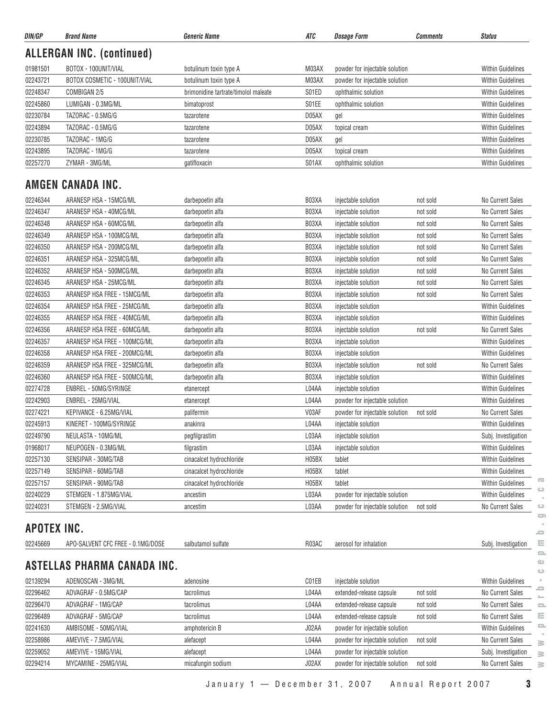| <b>ALLERGAN INC. (continued)</b><br>BOTOX - 100UNIT/VIAL<br>01981501<br>M03AX<br>powder for injectable solution<br><b>Within Guidelines</b><br>botulinum toxin type A<br>02243721<br>BOTOX COSMETIC - 100UNIT/VIAL<br><b>Within Guidelines</b><br>botulinum toxin type A<br>M03AX<br>powder for injectable solution<br>02248347<br>COMBIGAN 2/5<br>brimonidine tartrate/timolol maleate<br>S01ED<br><b>Within Guidelines</b><br>ophthalmic solution<br>02245860<br>LUMIGAN - 0.3MG/ML<br>S01EE<br>ophthalmic solution<br><b>Within Guidelines</b><br>bimatoprost<br>02230784<br>TAZORAC - 0.5MG/G<br>D05AX<br><b>Within Guidelines</b><br>tazarotene<br>gel<br>02243894<br>Within Guidelines<br>TAZORAC - 0.5MG/G<br>D05AX<br>tazarotene<br>topical cream<br>02230785<br>TAZORAC - 1MG/G<br>D05AX<br><b>Within Guidelines</b><br>tazarotene<br>gel<br>02243895<br>TAZORAC - 1MG/G<br><b>Within Guidelines</b><br>D05AX<br>tazarotene<br>topical cream<br>02257270<br>S01AX<br><b>Within Guidelines</b><br>ZYMAR - 3MG/ML<br>gatifloxacin<br>ophthalmic solution<br>AMGEN CANADA INC.<br>B03XA<br>02246344<br>ARANESP HSA - 15MCG/ML<br>darbepoetin alfa<br>injectable solution<br>No Current Sales<br>not sold<br>02246347<br>ARANESP HSA - 40MCG/ML<br>B03XA<br>No Current Sales<br>darbepoetin alfa<br>injectable solution<br>not sold<br>02246348<br>ARANESP HSA - 60MCG/ML<br>darbepoetin alfa<br>B03XA<br>No Current Sales<br>injectable solution<br>not sold<br>02246349<br>ARANESP HSA - 100MCG/ML<br>darbepoetin alfa<br>B03XA<br>injectable solution<br>No Current Sales<br>not sold<br>02246350<br>ARANESP HSA - 200MCG/ML<br>darbepoetin alfa<br>B03XA<br>No Current Sales<br>injectable solution<br>not sold<br>02246351<br>ARANESP HSA - 325MCG/ML<br>darbepoetin alfa<br>B03XA<br>No Current Sales<br>injectable solution<br>not sold<br>02246352<br>ARANESP HSA - 500MCG/ML<br>darbepoetin alfa<br>B03XA<br>injectable solution<br>No Current Sales<br>not sold<br>02246345<br>ARANESP HSA - 25MCG/ML<br>No Current Sales<br>darbepoetin alfa<br>B03XA<br>injectable solution<br>not sold<br>02246353<br>ARANESP HSA FREE - 15MCG/ML<br>B03XA<br>No Current Sales<br>darbepoetin alfa<br>injectable solution<br>not sold<br>02246354<br>ARANESP HSA FREE - 25MCG/ML<br>darbepoetin alfa<br>B03XA<br><b>Within Guidelines</b><br>injectable solution<br>02246355<br>ARANESP HSA FREE - 40MCG/ML<br>darbepoetin alfa<br>B03XA<br>injectable solution<br><b>Within Guidelines</b><br>02246356<br>ARANESP HSA FREE - 60MCG/ML<br>B03XA<br>No Current Sales<br>darbepoetin alfa<br>injectable solution<br>not sold<br>02246357<br>ARANESP HSA FREE - 100MCG/ML<br><b>Within Guidelines</b><br>darbepoetin alfa<br>B03XA<br>injectable solution<br>02246358<br>ARANESP HSA FREE - 200MCG/ML<br><b>Within Guidelines</b><br>darbepoetin alfa<br>B03XA<br>injectable solution<br>02246359<br>ARANESP HSA FREE - 325MCG/ML<br>darbepoetin alfa<br>B03XA<br>No Current Sales<br>injectable solution<br>not sold<br>02246360<br>ARANESP HSA FREE - 500MCG/ML<br>B03XA<br><b>Within Guidelines</b><br>darbepoetin alfa<br>injectable solution<br>02274728<br>ENBREL - 50MG/SYRINGE<br>L04AA<br>injectable solution<br><b>Within Guidelines</b><br>etanercept<br>02242903<br>ENBREL - 25MG/VIAL<br>L04AA<br>powder for injectable solution<br><b>Within Guidelines</b><br>etanercept<br>02274221<br>KEPIVANCE - 6.25MG/VIAL<br>V03AF<br>No Current Sales<br>powder for injectable solution<br>not sold<br>palifermin<br>02245913<br>KINERET - 100MG/SYRINGE<br><b>Within Guidelines</b><br>anakinra<br>L04AA<br>injectable solution<br>02249790<br>L03AA<br>NEULASTA - 10MG/ML<br>pegfilgrastim<br>injectable solution<br>Subj. Investigation<br>01968017<br>NEUPOGEN - 0.3MG/ML<br>L03AA<br>Within Guidelines<br>filgrastim<br>injectable solution<br>02257130<br>SENSIPAR - 30MG/TAB<br>cinacalcet hydrochloride<br>H05BX<br><b>Within Guidelines</b><br>tablet<br>02257149<br>H05BX<br>SENSIPAR - 60MG/TAB<br>cinacalcet hydrochloride<br><b>Within Guidelines</b><br>tablet<br>02257157<br>SENSIPAR - 90MG/TAB<br>H05BX<br>cinacalcet hydrochloride<br>tablet<br><b>Within Guidelines</b><br>02240229<br>STEMGEN - 1.875MG/VIAL<br><b>Within Guidelines</b><br>ancestim<br>L03AA<br>powder for injectable solution<br>02240231<br>L03AA<br>STEMGEN - 2.5MG/VIAL<br>powder for injectable solution<br>not sold<br>No Current Sales<br>ancestim<br><b>APOTEX INC.</b><br>02245669<br>APO-SALVENT CFC FREE - 0.1MG/DOSE<br>salbutamol sulfate<br>R03AC<br>aerosol for inhalation<br>Subj. Investigation<br>ASTELLAS PHARMA CANADA INC.<br>02139294<br>ADENOSCAN - 3MG/ML<br>C01EB<br>injectable solution<br><b>Within Guidelines</b><br>adenosine<br>02296462<br>ADVAGRAF - 0.5MG/CAP<br>L04AA<br>extended-release capsule<br>No Current Sales<br>tacrolimus<br>not sold<br>02296470<br>ADVAGRAF - 1MG/CAP<br>L04AA<br>extended-release capsule<br>No Current Sales<br>tacrolimus<br>not sold<br>02296489<br>ADVAGRAF - 5MG/CAP<br>L04AA<br>extended-release capsule<br>No Current Sales<br>tacrolimus<br>not sold<br>02241630<br>AMBISOME - 50MG/VIAL<br>J02AA<br>powder for injectable solution<br><b>Within Guidelines</b><br>amphotericin B<br>02258986<br>AMEVIVE - 7.5MG/VIAL<br>L04AA<br>powder for injectable solution<br>No Current Sales<br>alefacept<br>not sold<br>02259052<br>L04AA<br>AMEVIVE - 15MG/VIAL<br>alefacept<br>powder for injectable solution<br>Subj. Investigation<br>02294214<br>MYCAMINE - 25MG/VIAL<br>J02AX<br>No Current Sales<br>micafungin sodium<br>powder for injectable solution<br>not sold | DIN/GP | <b>Brand Name</b> | <b>Generic Name</b> | ATC | <b>Dosage Form</b> | <b>Comments</b> | <b>Status</b> |
|--------------------------------------------------------------------------------------------------------------------------------------------------------------------------------------------------------------------------------------------------------------------------------------------------------------------------------------------------------------------------------------------------------------------------------------------------------------------------------------------------------------------------------------------------------------------------------------------------------------------------------------------------------------------------------------------------------------------------------------------------------------------------------------------------------------------------------------------------------------------------------------------------------------------------------------------------------------------------------------------------------------------------------------------------------------------------------------------------------------------------------------------------------------------------------------------------------------------------------------------------------------------------------------------------------------------------------------------------------------------------------------------------------------------------------------------------------------------------------------------------------------------------------------------------------------------------------------------------------------------------------------------------------------------------------------------------------------------------------------------------------------------------------------------------------------------------------------------------------------------------------------------------------------------------------------------------------------------------------------------------------------------------------------------------------------------------------------------------------------------------------------------------------------------------------------------------------------------------------------------------------------------------------------------------------------------------------------------------------------------------------------------------------------------------------------------------------------------------------------------------------------------------------------------------------------------------------------------------------------------------------------------------------------------------------------------------------------------------------------------------------------------------------------------------------------------------------------------------------------------------------------------------------------------------------------------------------------------------------------------------------------------------------------------------------------------------------------------------------------------------------------------------------------------------------------------------------------------------------------------------------------------------------------------------------------------------------------------------------------------------------------------------------------------------------------------------------------------------------------------------------------------------------------------------------------------------------------------------------------------------------------------------------------------------------------------------------------------------------------------------------------------------------------------------------------------------------------------------------------------------------------------------------------------------------------------------------------------------------------------------------------------------------------------------------------------------------------------------------------------------------------------------------------------------------------------------------------------------------------------------------------------------------------------------------------------------------------------------------------------------------------------------------------------------------------------------------------------------------------------------------------------------------------------------------------------------------------------------------------------------------------------------------------------------------------------------------------------------------------------------------------------------------------------------------------------------------------------------------------------------------------------------------------------------------------------------------------------------------------------------------------------------------------------------------------------------------------------------------------------------------------------------------------------------------------------------------------------------------------------------------------------------------------------------------------------------------------------------------------------------------------------------------------------------------------------------------------------------------------------------------------------------------------------------------------------------------------------------------------------------------------|--------|-------------------|---------------------|-----|--------------------|-----------------|---------------|
|                                                                                                                                                                                                                                                                                                                                                                                                                                                                                                                                                                                                                                                                                                                                                                                                                                                                                                                                                                                                                                                                                                                                                                                                                                                                                                                                                                                                                                                                                                                                                                                                                                                                                                                                                                                                                                                                                                                                                                                                                                                                                                                                                                                                                                                                                                                                                                                                                                                                                                                                                                                                                                                                                                                                                                                                                                                                                                                                                                                                                                                                                                                                                                                                                                                                                                                                                                                                                                                                                                                                                                                                                                                                                                                                                                                                                                                                                                                                                                                                                                                                                                                                                                                                                                                                                                                                                                                                                                                                                                                                                                                                                                                                                                                                                                                                                                                                                                                                                                                                                                                                                                                                                                                                                                                                                                                                                                                                                                                                                                                                                                                                                                      |        |                   |                     |     |                    |                 |               |
|                                                                                                                                                                                                                                                                                                                                                                                                                                                                                                                                                                                                                                                                                                                                                                                                                                                                                                                                                                                                                                                                                                                                                                                                                                                                                                                                                                                                                                                                                                                                                                                                                                                                                                                                                                                                                                                                                                                                                                                                                                                                                                                                                                                                                                                                                                                                                                                                                                                                                                                                                                                                                                                                                                                                                                                                                                                                                                                                                                                                                                                                                                                                                                                                                                                                                                                                                                                                                                                                                                                                                                                                                                                                                                                                                                                                                                                                                                                                                                                                                                                                                                                                                                                                                                                                                                                                                                                                                                                                                                                                                                                                                                                                                                                                                                                                                                                                                                                                                                                                                                                                                                                                                                                                                                                                                                                                                                                                                                                                                                                                                                                                                                      |        |                   |                     |     |                    |                 |               |
|                                                                                                                                                                                                                                                                                                                                                                                                                                                                                                                                                                                                                                                                                                                                                                                                                                                                                                                                                                                                                                                                                                                                                                                                                                                                                                                                                                                                                                                                                                                                                                                                                                                                                                                                                                                                                                                                                                                                                                                                                                                                                                                                                                                                                                                                                                                                                                                                                                                                                                                                                                                                                                                                                                                                                                                                                                                                                                                                                                                                                                                                                                                                                                                                                                                                                                                                                                                                                                                                                                                                                                                                                                                                                                                                                                                                                                                                                                                                                                                                                                                                                                                                                                                                                                                                                                                                                                                                                                                                                                                                                                                                                                                                                                                                                                                                                                                                                                                                                                                                                                                                                                                                                                                                                                                                                                                                                                                                                                                                                                                                                                                                                                      |        |                   |                     |     |                    |                 |               |
|                                                                                                                                                                                                                                                                                                                                                                                                                                                                                                                                                                                                                                                                                                                                                                                                                                                                                                                                                                                                                                                                                                                                                                                                                                                                                                                                                                                                                                                                                                                                                                                                                                                                                                                                                                                                                                                                                                                                                                                                                                                                                                                                                                                                                                                                                                                                                                                                                                                                                                                                                                                                                                                                                                                                                                                                                                                                                                                                                                                                                                                                                                                                                                                                                                                                                                                                                                                                                                                                                                                                                                                                                                                                                                                                                                                                                                                                                                                                                                                                                                                                                                                                                                                                                                                                                                                                                                                                                                                                                                                                                                                                                                                                                                                                                                                                                                                                                                                                                                                                                                                                                                                                                                                                                                                                                                                                                                                                                                                                                                                                                                                                                                      |        |                   |                     |     |                    |                 |               |
|                                                                                                                                                                                                                                                                                                                                                                                                                                                                                                                                                                                                                                                                                                                                                                                                                                                                                                                                                                                                                                                                                                                                                                                                                                                                                                                                                                                                                                                                                                                                                                                                                                                                                                                                                                                                                                                                                                                                                                                                                                                                                                                                                                                                                                                                                                                                                                                                                                                                                                                                                                                                                                                                                                                                                                                                                                                                                                                                                                                                                                                                                                                                                                                                                                                                                                                                                                                                                                                                                                                                                                                                                                                                                                                                                                                                                                                                                                                                                                                                                                                                                                                                                                                                                                                                                                                                                                                                                                                                                                                                                                                                                                                                                                                                                                                                                                                                                                                                                                                                                                                                                                                                                                                                                                                                                                                                                                                                                                                                                                                                                                                                                                      |        |                   |                     |     |                    |                 |               |
|                                                                                                                                                                                                                                                                                                                                                                                                                                                                                                                                                                                                                                                                                                                                                                                                                                                                                                                                                                                                                                                                                                                                                                                                                                                                                                                                                                                                                                                                                                                                                                                                                                                                                                                                                                                                                                                                                                                                                                                                                                                                                                                                                                                                                                                                                                                                                                                                                                                                                                                                                                                                                                                                                                                                                                                                                                                                                                                                                                                                                                                                                                                                                                                                                                                                                                                                                                                                                                                                                                                                                                                                                                                                                                                                                                                                                                                                                                                                                                                                                                                                                                                                                                                                                                                                                                                                                                                                                                                                                                                                                                                                                                                                                                                                                                                                                                                                                                                                                                                                                                                                                                                                                                                                                                                                                                                                                                                                                                                                                                                                                                                                                                      |        |                   |                     |     |                    |                 |               |
|                                                                                                                                                                                                                                                                                                                                                                                                                                                                                                                                                                                                                                                                                                                                                                                                                                                                                                                                                                                                                                                                                                                                                                                                                                                                                                                                                                                                                                                                                                                                                                                                                                                                                                                                                                                                                                                                                                                                                                                                                                                                                                                                                                                                                                                                                                                                                                                                                                                                                                                                                                                                                                                                                                                                                                                                                                                                                                                                                                                                                                                                                                                                                                                                                                                                                                                                                                                                                                                                                                                                                                                                                                                                                                                                                                                                                                                                                                                                                                                                                                                                                                                                                                                                                                                                                                                                                                                                                                                                                                                                                                                                                                                                                                                                                                                                                                                                                                                                                                                                                                                                                                                                                                                                                                                                                                                                                                                                                                                                                                                                                                                                                                      |        |                   |                     |     |                    |                 |               |
|                                                                                                                                                                                                                                                                                                                                                                                                                                                                                                                                                                                                                                                                                                                                                                                                                                                                                                                                                                                                                                                                                                                                                                                                                                                                                                                                                                                                                                                                                                                                                                                                                                                                                                                                                                                                                                                                                                                                                                                                                                                                                                                                                                                                                                                                                                                                                                                                                                                                                                                                                                                                                                                                                                                                                                                                                                                                                                                                                                                                                                                                                                                                                                                                                                                                                                                                                                                                                                                                                                                                                                                                                                                                                                                                                                                                                                                                                                                                                                                                                                                                                                                                                                                                                                                                                                                                                                                                                                                                                                                                                                                                                                                                                                                                                                                                                                                                                                                                                                                                                                                                                                                                                                                                                                                                                                                                                                                                                                                                                                                                                                                                                                      |        |                   |                     |     |                    |                 |               |
|                                                                                                                                                                                                                                                                                                                                                                                                                                                                                                                                                                                                                                                                                                                                                                                                                                                                                                                                                                                                                                                                                                                                                                                                                                                                                                                                                                                                                                                                                                                                                                                                                                                                                                                                                                                                                                                                                                                                                                                                                                                                                                                                                                                                                                                                                                                                                                                                                                                                                                                                                                                                                                                                                                                                                                                                                                                                                                                                                                                                                                                                                                                                                                                                                                                                                                                                                                                                                                                                                                                                                                                                                                                                                                                                                                                                                                                                                                                                                                                                                                                                                                                                                                                                                                                                                                                                                                                                                                                                                                                                                                                                                                                                                                                                                                                                                                                                                                                                                                                                                                                                                                                                                                                                                                                                                                                                                                                                                                                                                                                                                                                                                                      |        |                   |                     |     |                    |                 |               |
|                                                                                                                                                                                                                                                                                                                                                                                                                                                                                                                                                                                                                                                                                                                                                                                                                                                                                                                                                                                                                                                                                                                                                                                                                                                                                                                                                                                                                                                                                                                                                                                                                                                                                                                                                                                                                                                                                                                                                                                                                                                                                                                                                                                                                                                                                                                                                                                                                                                                                                                                                                                                                                                                                                                                                                                                                                                                                                                                                                                                                                                                                                                                                                                                                                                                                                                                                                                                                                                                                                                                                                                                                                                                                                                                                                                                                                                                                                                                                                                                                                                                                                                                                                                                                                                                                                                                                                                                                                                                                                                                                                                                                                                                                                                                                                                                                                                                                                                                                                                                                                                                                                                                                                                                                                                                                                                                                                                                                                                                                                                                                                                                                                      |        |                   |                     |     |                    |                 |               |
|                                                                                                                                                                                                                                                                                                                                                                                                                                                                                                                                                                                                                                                                                                                                                                                                                                                                                                                                                                                                                                                                                                                                                                                                                                                                                                                                                                                                                                                                                                                                                                                                                                                                                                                                                                                                                                                                                                                                                                                                                                                                                                                                                                                                                                                                                                                                                                                                                                                                                                                                                                                                                                                                                                                                                                                                                                                                                                                                                                                                                                                                                                                                                                                                                                                                                                                                                                                                                                                                                                                                                                                                                                                                                                                                                                                                                                                                                                                                                                                                                                                                                                                                                                                                                                                                                                                                                                                                                                                                                                                                                                                                                                                                                                                                                                                                                                                                                                                                                                                                                                                                                                                                                                                                                                                                                                                                                                                                                                                                                                                                                                                                                                      |        |                   |                     |     |                    |                 |               |
|                                                                                                                                                                                                                                                                                                                                                                                                                                                                                                                                                                                                                                                                                                                                                                                                                                                                                                                                                                                                                                                                                                                                                                                                                                                                                                                                                                                                                                                                                                                                                                                                                                                                                                                                                                                                                                                                                                                                                                                                                                                                                                                                                                                                                                                                                                                                                                                                                                                                                                                                                                                                                                                                                                                                                                                                                                                                                                                                                                                                                                                                                                                                                                                                                                                                                                                                                                                                                                                                                                                                                                                                                                                                                                                                                                                                                                                                                                                                                                                                                                                                                                                                                                                                                                                                                                                                                                                                                                                                                                                                                                                                                                                                                                                                                                                                                                                                                                                                                                                                                                                                                                                                                                                                                                                                                                                                                                                                                                                                                                                                                                                                                                      |        |                   |                     |     |                    |                 |               |
|                                                                                                                                                                                                                                                                                                                                                                                                                                                                                                                                                                                                                                                                                                                                                                                                                                                                                                                                                                                                                                                                                                                                                                                                                                                                                                                                                                                                                                                                                                                                                                                                                                                                                                                                                                                                                                                                                                                                                                                                                                                                                                                                                                                                                                                                                                                                                                                                                                                                                                                                                                                                                                                                                                                                                                                                                                                                                                                                                                                                                                                                                                                                                                                                                                                                                                                                                                                                                                                                                                                                                                                                                                                                                                                                                                                                                                                                                                                                                                                                                                                                                                                                                                                                                                                                                                                                                                                                                                                                                                                                                                                                                                                                                                                                                                                                                                                                                                                                                                                                                                                                                                                                                                                                                                                                                                                                                                                                                                                                                                                                                                                                                                      |        |                   |                     |     |                    |                 |               |
|                                                                                                                                                                                                                                                                                                                                                                                                                                                                                                                                                                                                                                                                                                                                                                                                                                                                                                                                                                                                                                                                                                                                                                                                                                                                                                                                                                                                                                                                                                                                                                                                                                                                                                                                                                                                                                                                                                                                                                                                                                                                                                                                                                                                                                                                                                                                                                                                                                                                                                                                                                                                                                                                                                                                                                                                                                                                                                                                                                                                                                                                                                                                                                                                                                                                                                                                                                                                                                                                                                                                                                                                                                                                                                                                                                                                                                                                                                                                                                                                                                                                                                                                                                                                                                                                                                                                                                                                                                                                                                                                                                                                                                                                                                                                                                                                                                                                                                                                                                                                                                                                                                                                                                                                                                                                                                                                                                                                                                                                                                                                                                                                                                      |        |                   |                     |     |                    |                 |               |
|                                                                                                                                                                                                                                                                                                                                                                                                                                                                                                                                                                                                                                                                                                                                                                                                                                                                                                                                                                                                                                                                                                                                                                                                                                                                                                                                                                                                                                                                                                                                                                                                                                                                                                                                                                                                                                                                                                                                                                                                                                                                                                                                                                                                                                                                                                                                                                                                                                                                                                                                                                                                                                                                                                                                                                                                                                                                                                                                                                                                                                                                                                                                                                                                                                                                                                                                                                                                                                                                                                                                                                                                                                                                                                                                                                                                                                                                                                                                                                                                                                                                                                                                                                                                                                                                                                                                                                                                                                                                                                                                                                                                                                                                                                                                                                                                                                                                                                                                                                                                                                                                                                                                                                                                                                                                                                                                                                                                                                                                                                                                                                                                                                      |        |                   |                     |     |                    |                 |               |
|                                                                                                                                                                                                                                                                                                                                                                                                                                                                                                                                                                                                                                                                                                                                                                                                                                                                                                                                                                                                                                                                                                                                                                                                                                                                                                                                                                                                                                                                                                                                                                                                                                                                                                                                                                                                                                                                                                                                                                                                                                                                                                                                                                                                                                                                                                                                                                                                                                                                                                                                                                                                                                                                                                                                                                                                                                                                                                                                                                                                                                                                                                                                                                                                                                                                                                                                                                                                                                                                                                                                                                                                                                                                                                                                                                                                                                                                                                                                                                                                                                                                                                                                                                                                                                                                                                                                                                                                                                                                                                                                                                                                                                                                                                                                                                                                                                                                                                                                                                                                                                                                                                                                                                                                                                                                                                                                                                                                                                                                                                                                                                                                                                      |        |                   |                     |     |                    |                 |               |
|                                                                                                                                                                                                                                                                                                                                                                                                                                                                                                                                                                                                                                                                                                                                                                                                                                                                                                                                                                                                                                                                                                                                                                                                                                                                                                                                                                                                                                                                                                                                                                                                                                                                                                                                                                                                                                                                                                                                                                                                                                                                                                                                                                                                                                                                                                                                                                                                                                                                                                                                                                                                                                                                                                                                                                                                                                                                                                                                                                                                                                                                                                                                                                                                                                                                                                                                                                                                                                                                                                                                                                                                                                                                                                                                                                                                                                                                                                                                                                                                                                                                                                                                                                                                                                                                                                                                                                                                                                                                                                                                                                                                                                                                                                                                                                                                                                                                                                                                                                                                                                                                                                                                                                                                                                                                                                                                                                                                                                                                                                                                                                                                                                      |        |                   |                     |     |                    |                 |               |
|                                                                                                                                                                                                                                                                                                                                                                                                                                                                                                                                                                                                                                                                                                                                                                                                                                                                                                                                                                                                                                                                                                                                                                                                                                                                                                                                                                                                                                                                                                                                                                                                                                                                                                                                                                                                                                                                                                                                                                                                                                                                                                                                                                                                                                                                                                                                                                                                                                                                                                                                                                                                                                                                                                                                                                                                                                                                                                                                                                                                                                                                                                                                                                                                                                                                                                                                                                                                                                                                                                                                                                                                                                                                                                                                                                                                                                                                                                                                                                                                                                                                                                                                                                                                                                                                                                                                                                                                                                                                                                                                                                                                                                                                                                                                                                                                                                                                                                                                                                                                                                                                                                                                                                                                                                                                                                                                                                                                                                                                                                                                                                                                                                      |        |                   |                     |     |                    |                 |               |
|                                                                                                                                                                                                                                                                                                                                                                                                                                                                                                                                                                                                                                                                                                                                                                                                                                                                                                                                                                                                                                                                                                                                                                                                                                                                                                                                                                                                                                                                                                                                                                                                                                                                                                                                                                                                                                                                                                                                                                                                                                                                                                                                                                                                                                                                                                                                                                                                                                                                                                                                                                                                                                                                                                                                                                                                                                                                                                                                                                                                                                                                                                                                                                                                                                                                                                                                                                                                                                                                                                                                                                                                                                                                                                                                                                                                                                                                                                                                                                                                                                                                                                                                                                                                                                                                                                                                                                                                                                                                                                                                                                                                                                                                                                                                                                                                                                                                                                                                                                                                                                                                                                                                                                                                                                                                                                                                                                                                                                                                                                                                                                                                                                      |        |                   |                     |     |                    |                 |               |
|                                                                                                                                                                                                                                                                                                                                                                                                                                                                                                                                                                                                                                                                                                                                                                                                                                                                                                                                                                                                                                                                                                                                                                                                                                                                                                                                                                                                                                                                                                                                                                                                                                                                                                                                                                                                                                                                                                                                                                                                                                                                                                                                                                                                                                                                                                                                                                                                                                                                                                                                                                                                                                                                                                                                                                                                                                                                                                                                                                                                                                                                                                                                                                                                                                                                                                                                                                                                                                                                                                                                                                                                                                                                                                                                                                                                                                                                                                                                                                                                                                                                                                                                                                                                                                                                                                                                                                                                                                                                                                                                                                                                                                                                                                                                                                                                                                                                                                                                                                                                                                                                                                                                                                                                                                                                                                                                                                                                                                                                                                                                                                                                                                      |        |                   |                     |     |                    |                 |               |
|                                                                                                                                                                                                                                                                                                                                                                                                                                                                                                                                                                                                                                                                                                                                                                                                                                                                                                                                                                                                                                                                                                                                                                                                                                                                                                                                                                                                                                                                                                                                                                                                                                                                                                                                                                                                                                                                                                                                                                                                                                                                                                                                                                                                                                                                                                                                                                                                                                                                                                                                                                                                                                                                                                                                                                                                                                                                                                                                                                                                                                                                                                                                                                                                                                                                                                                                                                                                                                                                                                                                                                                                                                                                                                                                                                                                                                                                                                                                                                                                                                                                                                                                                                                                                                                                                                                                                                                                                                                                                                                                                                                                                                                                                                                                                                                                                                                                                                                                                                                                                                                                                                                                                                                                                                                                                                                                                                                                                                                                                                                                                                                                                                      |        |                   |                     |     |                    |                 |               |
|                                                                                                                                                                                                                                                                                                                                                                                                                                                                                                                                                                                                                                                                                                                                                                                                                                                                                                                                                                                                                                                                                                                                                                                                                                                                                                                                                                                                                                                                                                                                                                                                                                                                                                                                                                                                                                                                                                                                                                                                                                                                                                                                                                                                                                                                                                                                                                                                                                                                                                                                                                                                                                                                                                                                                                                                                                                                                                                                                                                                                                                                                                                                                                                                                                                                                                                                                                                                                                                                                                                                                                                                                                                                                                                                                                                                                                                                                                                                                                                                                                                                                                                                                                                                                                                                                                                                                                                                                                                                                                                                                                                                                                                                                                                                                                                                                                                                                                                                                                                                                                                                                                                                                                                                                                                                                                                                                                                                                                                                                                                                                                                                                                      |        |                   |                     |     |                    |                 |               |
|                                                                                                                                                                                                                                                                                                                                                                                                                                                                                                                                                                                                                                                                                                                                                                                                                                                                                                                                                                                                                                                                                                                                                                                                                                                                                                                                                                                                                                                                                                                                                                                                                                                                                                                                                                                                                                                                                                                                                                                                                                                                                                                                                                                                                                                                                                                                                                                                                                                                                                                                                                                                                                                                                                                                                                                                                                                                                                                                                                                                                                                                                                                                                                                                                                                                                                                                                                                                                                                                                                                                                                                                                                                                                                                                                                                                                                                                                                                                                                                                                                                                                                                                                                                                                                                                                                                                                                                                                                                                                                                                                                                                                                                                                                                                                                                                                                                                                                                                                                                                                                                                                                                                                                                                                                                                                                                                                                                                                                                                                                                                                                                                                                      |        |                   |                     |     |                    |                 |               |
|                                                                                                                                                                                                                                                                                                                                                                                                                                                                                                                                                                                                                                                                                                                                                                                                                                                                                                                                                                                                                                                                                                                                                                                                                                                                                                                                                                                                                                                                                                                                                                                                                                                                                                                                                                                                                                                                                                                                                                                                                                                                                                                                                                                                                                                                                                                                                                                                                                                                                                                                                                                                                                                                                                                                                                                                                                                                                                                                                                                                                                                                                                                                                                                                                                                                                                                                                                                                                                                                                                                                                                                                                                                                                                                                                                                                                                                                                                                                                                                                                                                                                                                                                                                                                                                                                                                                                                                                                                                                                                                                                                                                                                                                                                                                                                                                                                                                                                                                                                                                                                                                                                                                                                                                                                                                                                                                                                                                                                                                                                                                                                                                                                      |        |                   |                     |     |                    |                 |               |
|                                                                                                                                                                                                                                                                                                                                                                                                                                                                                                                                                                                                                                                                                                                                                                                                                                                                                                                                                                                                                                                                                                                                                                                                                                                                                                                                                                                                                                                                                                                                                                                                                                                                                                                                                                                                                                                                                                                                                                                                                                                                                                                                                                                                                                                                                                                                                                                                                                                                                                                                                                                                                                                                                                                                                                                                                                                                                                                                                                                                                                                                                                                                                                                                                                                                                                                                                                                                                                                                                                                                                                                                                                                                                                                                                                                                                                                                                                                                                                                                                                                                                                                                                                                                                                                                                                                                                                                                                                                                                                                                                                                                                                                                                                                                                                                                                                                                                                                                                                                                                                                                                                                                                                                                                                                                                                                                                                                                                                                                                                                                                                                                                                      |        |                   |                     |     |                    |                 |               |
|                                                                                                                                                                                                                                                                                                                                                                                                                                                                                                                                                                                                                                                                                                                                                                                                                                                                                                                                                                                                                                                                                                                                                                                                                                                                                                                                                                                                                                                                                                                                                                                                                                                                                                                                                                                                                                                                                                                                                                                                                                                                                                                                                                                                                                                                                                                                                                                                                                                                                                                                                                                                                                                                                                                                                                                                                                                                                                                                                                                                                                                                                                                                                                                                                                                                                                                                                                                                                                                                                                                                                                                                                                                                                                                                                                                                                                                                                                                                                                                                                                                                                                                                                                                                                                                                                                                                                                                                                                                                                                                                                                                                                                                                                                                                                                                                                                                                                                                                                                                                                                                                                                                                                                                                                                                                                                                                                                                                                                                                                                                                                                                                                                      |        |                   |                     |     |                    |                 |               |
|                                                                                                                                                                                                                                                                                                                                                                                                                                                                                                                                                                                                                                                                                                                                                                                                                                                                                                                                                                                                                                                                                                                                                                                                                                                                                                                                                                                                                                                                                                                                                                                                                                                                                                                                                                                                                                                                                                                                                                                                                                                                                                                                                                                                                                                                                                                                                                                                                                                                                                                                                                                                                                                                                                                                                                                                                                                                                                                                                                                                                                                                                                                                                                                                                                                                                                                                                                                                                                                                                                                                                                                                                                                                                                                                                                                                                                                                                                                                                                                                                                                                                                                                                                                                                                                                                                                                                                                                                                                                                                                                                                                                                                                                                                                                                                                                                                                                                                                                                                                                                                                                                                                                                                                                                                                                                                                                                                                                                                                                                                                                                                                                                                      |        |                   |                     |     |                    |                 |               |
|                                                                                                                                                                                                                                                                                                                                                                                                                                                                                                                                                                                                                                                                                                                                                                                                                                                                                                                                                                                                                                                                                                                                                                                                                                                                                                                                                                                                                                                                                                                                                                                                                                                                                                                                                                                                                                                                                                                                                                                                                                                                                                                                                                                                                                                                                                                                                                                                                                                                                                                                                                                                                                                                                                                                                                                                                                                                                                                                                                                                                                                                                                                                                                                                                                                                                                                                                                                                                                                                                                                                                                                                                                                                                                                                                                                                                                                                                                                                                                                                                                                                                                                                                                                                                                                                                                                                                                                                                                                                                                                                                                                                                                                                                                                                                                                                                                                                                                                                                                                                                                                                                                                                                                                                                                                                                                                                                                                                                                                                                                                                                                                                                                      |        |                   |                     |     |                    |                 |               |
|                                                                                                                                                                                                                                                                                                                                                                                                                                                                                                                                                                                                                                                                                                                                                                                                                                                                                                                                                                                                                                                                                                                                                                                                                                                                                                                                                                                                                                                                                                                                                                                                                                                                                                                                                                                                                                                                                                                                                                                                                                                                                                                                                                                                                                                                                                                                                                                                                                                                                                                                                                                                                                                                                                                                                                                                                                                                                                                                                                                                                                                                                                                                                                                                                                                                                                                                                                                                                                                                                                                                                                                                                                                                                                                                                                                                                                                                                                                                                                                                                                                                                                                                                                                                                                                                                                                                                                                                                                                                                                                                                                                                                                                                                                                                                                                                                                                                                                                                                                                                                                                                                                                                                                                                                                                                                                                                                                                                                                                                                                                                                                                                                                      |        |                   |                     |     |                    |                 |               |
|                                                                                                                                                                                                                                                                                                                                                                                                                                                                                                                                                                                                                                                                                                                                                                                                                                                                                                                                                                                                                                                                                                                                                                                                                                                                                                                                                                                                                                                                                                                                                                                                                                                                                                                                                                                                                                                                                                                                                                                                                                                                                                                                                                                                                                                                                                                                                                                                                                                                                                                                                                                                                                                                                                                                                                                                                                                                                                                                                                                                                                                                                                                                                                                                                                                                                                                                                                                                                                                                                                                                                                                                                                                                                                                                                                                                                                                                                                                                                                                                                                                                                                                                                                                                                                                                                                                                                                                                                                                                                                                                                                                                                                                                                                                                                                                                                                                                                                                                                                                                                                                                                                                                                                                                                                                                                                                                                                                                                                                                                                                                                                                                                                      |        |                   |                     |     |                    |                 |               |
|                                                                                                                                                                                                                                                                                                                                                                                                                                                                                                                                                                                                                                                                                                                                                                                                                                                                                                                                                                                                                                                                                                                                                                                                                                                                                                                                                                                                                                                                                                                                                                                                                                                                                                                                                                                                                                                                                                                                                                                                                                                                                                                                                                                                                                                                                                                                                                                                                                                                                                                                                                                                                                                                                                                                                                                                                                                                                                                                                                                                                                                                                                                                                                                                                                                                                                                                                                                                                                                                                                                                                                                                                                                                                                                                                                                                                                                                                                                                                                                                                                                                                                                                                                                                                                                                                                                                                                                                                                                                                                                                                                                                                                                                                                                                                                                                                                                                                                                                                                                                                                                                                                                                                                                                                                                                                                                                                                                                                                                                                                                                                                                                                                      |        |                   |                     |     |                    |                 |               |
|                                                                                                                                                                                                                                                                                                                                                                                                                                                                                                                                                                                                                                                                                                                                                                                                                                                                                                                                                                                                                                                                                                                                                                                                                                                                                                                                                                                                                                                                                                                                                                                                                                                                                                                                                                                                                                                                                                                                                                                                                                                                                                                                                                                                                                                                                                                                                                                                                                                                                                                                                                                                                                                                                                                                                                                                                                                                                                                                                                                                                                                                                                                                                                                                                                                                                                                                                                                                                                                                                                                                                                                                                                                                                                                                                                                                                                                                                                                                                                                                                                                                                                                                                                                                                                                                                                                                                                                                                                                                                                                                                                                                                                                                                                                                                                                                                                                                                                                                                                                                                                                                                                                                                                                                                                                                                                                                                                                                                                                                                                                                                                                                                                      |        |                   |                     |     |                    |                 |               |
|                                                                                                                                                                                                                                                                                                                                                                                                                                                                                                                                                                                                                                                                                                                                                                                                                                                                                                                                                                                                                                                                                                                                                                                                                                                                                                                                                                                                                                                                                                                                                                                                                                                                                                                                                                                                                                                                                                                                                                                                                                                                                                                                                                                                                                                                                                                                                                                                                                                                                                                                                                                                                                                                                                                                                                                                                                                                                                                                                                                                                                                                                                                                                                                                                                                                                                                                                                                                                                                                                                                                                                                                                                                                                                                                                                                                                                                                                                                                                                                                                                                                                                                                                                                                                                                                                                                                                                                                                                                                                                                                                                                                                                                                                                                                                                                                                                                                                                                                                                                                                                                                                                                                                                                                                                                                                                                                                                                                                                                                                                                                                                                                                                      |        |                   |                     |     |                    |                 |               |
|                                                                                                                                                                                                                                                                                                                                                                                                                                                                                                                                                                                                                                                                                                                                                                                                                                                                                                                                                                                                                                                                                                                                                                                                                                                                                                                                                                                                                                                                                                                                                                                                                                                                                                                                                                                                                                                                                                                                                                                                                                                                                                                                                                                                                                                                                                                                                                                                                                                                                                                                                                                                                                                                                                                                                                                                                                                                                                                                                                                                                                                                                                                                                                                                                                                                                                                                                                                                                                                                                                                                                                                                                                                                                                                                                                                                                                                                                                                                                                                                                                                                                                                                                                                                                                                                                                                                                                                                                                                                                                                                                                                                                                                                                                                                                                                                                                                                                                                                                                                                                                                                                                                                                                                                                                                                                                                                                                                                                                                                                                                                                                                                                                      |        |                   |                     |     |                    |                 |               |
|                                                                                                                                                                                                                                                                                                                                                                                                                                                                                                                                                                                                                                                                                                                                                                                                                                                                                                                                                                                                                                                                                                                                                                                                                                                                                                                                                                                                                                                                                                                                                                                                                                                                                                                                                                                                                                                                                                                                                                                                                                                                                                                                                                                                                                                                                                                                                                                                                                                                                                                                                                                                                                                                                                                                                                                                                                                                                                                                                                                                                                                                                                                                                                                                                                                                                                                                                                                                                                                                                                                                                                                                                                                                                                                                                                                                                                                                                                                                                                                                                                                                                                                                                                                                                                                                                                                                                                                                                                                                                                                                                                                                                                                                                                                                                                                                                                                                                                                                                                                                                                                                                                                                                                                                                                                                                                                                                                                                                                                                                                                                                                                                                                      |        |                   |                     |     |                    |                 |               |
|                                                                                                                                                                                                                                                                                                                                                                                                                                                                                                                                                                                                                                                                                                                                                                                                                                                                                                                                                                                                                                                                                                                                                                                                                                                                                                                                                                                                                                                                                                                                                                                                                                                                                                                                                                                                                                                                                                                                                                                                                                                                                                                                                                                                                                                                                                                                                                                                                                                                                                                                                                                                                                                                                                                                                                                                                                                                                                                                                                                                                                                                                                                                                                                                                                                                                                                                                                                                                                                                                                                                                                                                                                                                                                                                                                                                                                                                                                                                                                                                                                                                                                                                                                                                                                                                                                                                                                                                                                                                                                                                                                                                                                                                                                                                                                                                                                                                                                                                                                                                                                                                                                                                                                                                                                                                                                                                                                                                                                                                                                                                                                                                                                      |        |                   |                     |     |                    |                 |               |
|                                                                                                                                                                                                                                                                                                                                                                                                                                                                                                                                                                                                                                                                                                                                                                                                                                                                                                                                                                                                                                                                                                                                                                                                                                                                                                                                                                                                                                                                                                                                                                                                                                                                                                                                                                                                                                                                                                                                                                                                                                                                                                                                                                                                                                                                                                                                                                                                                                                                                                                                                                                                                                                                                                                                                                                                                                                                                                                                                                                                                                                                                                                                                                                                                                                                                                                                                                                                                                                                                                                                                                                                                                                                                                                                                                                                                                                                                                                                                                                                                                                                                                                                                                                                                                                                                                                                                                                                                                                                                                                                                                                                                                                                                                                                                                                                                                                                                                                                                                                                                                                                                                                                                                                                                                                                                                                                                                                                                                                                                                                                                                                                                                      |        |                   |                     |     |                    |                 |               |
|                                                                                                                                                                                                                                                                                                                                                                                                                                                                                                                                                                                                                                                                                                                                                                                                                                                                                                                                                                                                                                                                                                                                                                                                                                                                                                                                                                                                                                                                                                                                                                                                                                                                                                                                                                                                                                                                                                                                                                                                                                                                                                                                                                                                                                                                                                                                                                                                                                                                                                                                                                                                                                                                                                                                                                                                                                                                                                                                                                                                                                                                                                                                                                                                                                                                                                                                                                                                                                                                                                                                                                                                                                                                                                                                                                                                                                                                                                                                                                                                                                                                                                                                                                                                                                                                                                                                                                                                                                                                                                                                                                                                                                                                                                                                                                                                                                                                                                                                                                                                                                                                                                                                                                                                                                                                                                                                                                                                                                                                                                                                                                                                                                      |        |                   |                     |     |                    |                 |               |
|                                                                                                                                                                                                                                                                                                                                                                                                                                                                                                                                                                                                                                                                                                                                                                                                                                                                                                                                                                                                                                                                                                                                                                                                                                                                                                                                                                                                                                                                                                                                                                                                                                                                                                                                                                                                                                                                                                                                                                                                                                                                                                                                                                                                                                                                                                                                                                                                                                                                                                                                                                                                                                                                                                                                                                                                                                                                                                                                                                                                                                                                                                                                                                                                                                                                                                                                                                                                                                                                                                                                                                                                                                                                                                                                                                                                                                                                                                                                                                                                                                                                                                                                                                                                                                                                                                                                                                                                                                                                                                                                                                                                                                                                                                                                                                                                                                                                                                                                                                                                                                                                                                                                                                                                                                                                                                                                                                                                                                                                                                                                                                                                                                      |        |                   |                     |     |                    |                 |               |
|                                                                                                                                                                                                                                                                                                                                                                                                                                                                                                                                                                                                                                                                                                                                                                                                                                                                                                                                                                                                                                                                                                                                                                                                                                                                                                                                                                                                                                                                                                                                                                                                                                                                                                                                                                                                                                                                                                                                                                                                                                                                                                                                                                                                                                                                                                                                                                                                                                                                                                                                                                                                                                                                                                                                                                                                                                                                                                                                                                                                                                                                                                                                                                                                                                                                                                                                                                                                                                                                                                                                                                                                                                                                                                                                                                                                                                                                                                                                                                                                                                                                                                                                                                                                                                                                                                                                                                                                                                                                                                                                                                                                                                                                                                                                                                                                                                                                                                                                                                                                                                                                                                                                                                                                                                                                                                                                                                                                                                                                                                                                                                                                                                      |        |                   |                     |     |                    |                 |               |
|                                                                                                                                                                                                                                                                                                                                                                                                                                                                                                                                                                                                                                                                                                                                                                                                                                                                                                                                                                                                                                                                                                                                                                                                                                                                                                                                                                                                                                                                                                                                                                                                                                                                                                                                                                                                                                                                                                                                                                                                                                                                                                                                                                                                                                                                                                                                                                                                                                                                                                                                                                                                                                                                                                                                                                                                                                                                                                                                                                                                                                                                                                                                                                                                                                                                                                                                                                                                                                                                                                                                                                                                                                                                                                                                                                                                                                                                                                                                                                                                                                                                                                                                                                                                                                                                                                                                                                                                                                                                                                                                                                                                                                                                                                                                                                                                                                                                                                                                                                                                                                                                                                                                                                                                                                                                                                                                                                                                                                                                                                                                                                                                                                      |        |                   |                     |     |                    |                 |               |
|                                                                                                                                                                                                                                                                                                                                                                                                                                                                                                                                                                                                                                                                                                                                                                                                                                                                                                                                                                                                                                                                                                                                                                                                                                                                                                                                                                                                                                                                                                                                                                                                                                                                                                                                                                                                                                                                                                                                                                                                                                                                                                                                                                                                                                                                                                                                                                                                                                                                                                                                                                                                                                                                                                                                                                                                                                                                                                                                                                                                                                                                                                                                                                                                                                                                                                                                                                                                                                                                                                                                                                                                                                                                                                                                                                                                                                                                                                                                                                                                                                                                                                                                                                                                                                                                                                                                                                                                                                                                                                                                                                                                                                                                                                                                                                                                                                                                                                                                                                                                                                                                                                                                                                                                                                                                                                                                                                                                                                                                                                                                                                                                                                      |        |                   |                     |     |                    |                 |               |
|                                                                                                                                                                                                                                                                                                                                                                                                                                                                                                                                                                                                                                                                                                                                                                                                                                                                                                                                                                                                                                                                                                                                                                                                                                                                                                                                                                                                                                                                                                                                                                                                                                                                                                                                                                                                                                                                                                                                                                                                                                                                                                                                                                                                                                                                                                                                                                                                                                                                                                                                                                                                                                                                                                                                                                                                                                                                                                                                                                                                                                                                                                                                                                                                                                                                                                                                                                                                                                                                                                                                                                                                                                                                                                                                                                                                                                                                                                                                                                                                                                                                                                                                                                                                                                                                                                                                                                                                                                                                                                                                                                                                                                                                                                                                                                                                                                                                                                                                                                                                                                                                                                                                                                                                                                                                                                                                                                                                                                                                                                                                                                                                                                      |        |                   |                     |     |                    |                 |               |
|                                                                                                                                                                                                                                                                                                                                                                                                                                                                                                                                                                                                                                                                                                                                                                                                                                                                                                                                                                                                                                                                                                                                                                                                                                                                                                                                                                                                                                                                                                                                                                                                                                                                                                                                                                                                                                                                                                                                                                                                                                                                                                                                                                                                                                                                                                                                                                                                                                                                                                                                                                                                                                                                                                                                                                                                                                                                                                                                                                                                                                                                                                                                                                                                                                                                                                                                                                                                                                                                                                                                                                                                                                                                                                                                                                                                                                                                                                                                                                                                                                                                                                                                                                                                                                                                                                                                                                                                                                                                                                                                                                                                                                                                                                                                                                                                                                                                                                                                                                                                                                                                                                                                                                                                                                                                                                                                                                                                                                                                                                                                                                                                                                      |        |                   |                     |     |                    |                 |               |
|                                                                                                                                                                                                                                                                                                                                                                                                                                                                                                                                                                                                                                                                                                                                                                                                                                                                                                                                                                                                                                                                                                                                                                                                                                                                                                                                                                                                                                                                                                                                                                                                                                                                                                                                                                                                                                                                                                                                                                                                                                                                                                                                                                                                                                                                                                                                                                                                                                                                                                                                                                                                                                                                                                                                                                                                                                                                                                                                                                                                                                                                                                                                                                                                                                                                                                                                                                                                                                                                                                                                                                                                                                                                                                                                                                                                                                                                                                                                                                                                                                                                                                                                                                                                                                                                                                                                                                                                                                                                                                                                                                                                                                                                                                                                                                                                                                                                                                                                                                                                                                                                                                                                                                                                                                                                                                                                                                                                                                                                                                                                                                                                                                      |        |                   |                     |     |                    |                 |               |
|                                                                                                                                                                                                                                                                                                                                                                                                                                                                                                                                                                                                                                                                                                                                                                                                                                                                                                                                                                                                                                                                                                                                                                                                                                                                                                                                                                                                                                                                                                                                                                                                                                                                                                                                                                                                                                                                                                                                                                                                                                                                                                                                                                                                                                                                                                                                                                                                                                                                                                                                                                                                                                                                                                                                                                                                                                                                                                                                                                                                                                                                                                                                                                                                                                                                                                                                                                                                                                                                                                                                                                                                                                                                                                                                                                                                                                                                                                                                                                                                                                                                                                                                                                                                                                                                                                                                                                                                                                                                                                                                                                                                                                                                                                                                                                                                                                                                                                                                                                                                                                                                                                                                                                                                                                                                                                                                                                                                                                                                                                                                                                                                                                      |        |                   |                     |     |                    |                 |               |
|                                                                                                                                                                                                                                                                                                                                                                                                                                                                                                                                                                                                                                                                                                                                                                                                                                                                                                                                                                                                                                                                                                                                                                                                                                                                                                                                                                                                                                                                                                                                                                                                                                                                                                                                                                                                                                                                                                                                                                                                                                                                                                                                                                                                                                                                                                                                                                                                                                                                                                                                                                                                                                                                                                                                                                                                                                                                                                                                                                                                                                                                                                                                                                                                                                                                                                                                                                                                                                                                                                                                                                                                                                                                                                                                                                                                                                                                                                                                                                                                                                                                                                                                                                                                                                                                                                                                                                                                                                                                                                                                                                                                                                                                                                                                                                                                                                                                                                                                                                                                                                                                                                                                                                                                                                                                                                                                                                                                                                                                                                                                                                                                                                      |        |                   |                     |     |                    |                 |               |
|                                                                                                                                                                                                                                                                                                                                                                                                                                                                                                                                                                                                                                                                                                                                                                                                                                                                                                                                                                                                                                                                                                                                                                                                                                                                                                                                                                                                                                                                                                                                                                                                                                                                                                                                                                                                                                                                                                                                                                                                                                                                                                                                                                                                                                                                                                                                                                                                                                                                                                                                                                                                                                                                                                                                                                                                                                                                                                                                                                                                                                                                                                                                                                                                                                                                                                                                                                                                                                                                                                                                                                                                                                                                                                                                                                                                                                                                                                                                                                                                                                                                                                                                                                                                                                                                                                                                                                                                                                                                                                                                                                                                                                                                                                                                                                                                                                                                                                                                                                                                                                                                                                                                                                                                                                                                                                                                                                                                                                                                                                                                                                                                                                      |        |                   |                     |     |                    |                 |               |
|                                                                                                                                                                                                                                                                                                                                                                                                                                                                                                                                                                                                                                                                                                                                                                                                                                                                                                                                                                                                                                                                                                                                                                                                                                                                                                                                                                                                                                                                                                                                                                                                                                                                                                                                                                                                                                                                                                                                                                                                                                                                                                                                                                                                                                                                                                                                                                                                                                                                                                                                                                                                                                                                                                                                                                                                                                                                                                                                                                                                                                                                                                                                                                                                                                                                                                                                                                                                                                                                                                                                                                                                                                                                                                                                                                                                                                                                                                                                                                                                                                                                                                                                                                                                                                                                                                                                                                                                                                                                                                                                                                                                                                                                                                                                                                                                                                                                                                                                                                                                                                                                                                                                                                                                                                                                                                                                                                                                                                                                                                                                                                                                                                      |        |                   |                     |     |                    |                 |               |

 $\geq$  $\geq$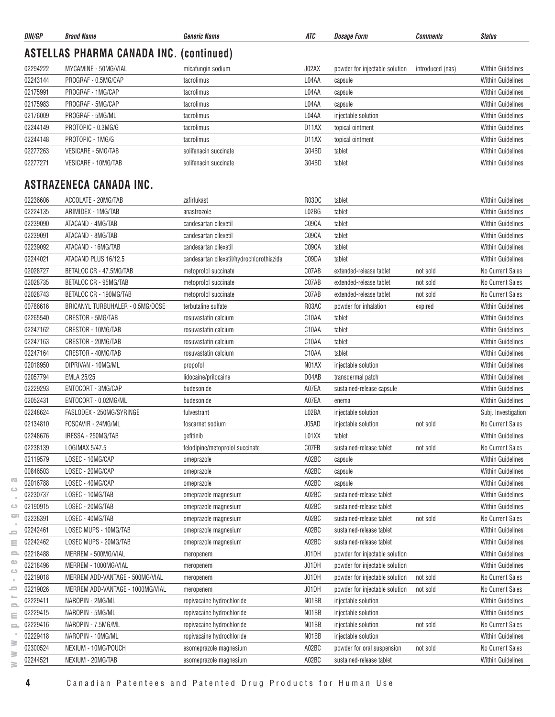| DIN/GP   | <b>Brand Name</b>                              | <i><b>Generic Name</b></i>                | ATC   | <i><b>Dosage Form</b></i>      | <b>Comments</b>  | <b>Status</b>            |
|----------|------------------------------------------------|-------------------------------------------|-------|--------------------------------|------------------|--------------------------|
|          | <b>ASTELLAS PHARMA CANADA INC. (continued)</b> |                                           |       |                                |                  |                          |
| 02294222 | MYCAMINE - 50MG/VIAL                           | micafungin sodium                         | J02AX | powder for injectable solution | introduced (nas) | <b>Within Guidelines</b> |
| 02243144 | PROGRAF - 0.5MG/CAP                            | tacrolimus                                | L04AA | capsule                        |                  | <b>Within Guidelines</b> |
| 02175991 | PROGRAF - 1MG/CAP                              | tacrolimus                                | L04AA | capsule                        |                  | <b>Within Guidelines</b> |
| 02175983 | PROGRAF - 5MG/CAP                              | tacrolimus                                | L04AA | capsule                        |                  | <b>Within Guidelines</b> |
| 02176009 | PROGRAF - 5MG/ML                               | tacrolimus                                | L04AA | injectable solution            |                  | <b>Within Guidelines</b> |
| 02244149 | PROTOPIC - 0.3MG/G                             | tacrolimus                                | D11AX | topical ointment               |                  | <b>Within Guidelines</b> |
| 02244148 | PROTOPIC - 1MG/G                               | tacrolimus                                | D11AX | topical ointment               |                  | <b>Within Guidelines</b> |
| 02277263 | VESICARE - 5MG/TAB                             | solifenacin succinate                     | G04BD | tablet                         |                  | <b>Within Guidelines</b> |
| 02277271 | VESICARE - 10MG/TAB                            | solifenacin succinate                     | G04BD | tablet                         |                  | <b>Within Guidelines</b> |
|          | ASTRAZENECA CANADA INC.                        |                                           |       |                                |                  |                          |
| 02236606 | ACCOLATE - 20MG/TAB                            | zafirlukast                               | R03DC | tablet                         |                  | <b>Within Guidelines</b> |
| 02224135 | ARIMIDEX - 1MG/TAB                             | anastrozole                               | L02BG | tablet                         |                  | <b>Within Guidelines</b> |
| 02239090 | ATACAND - 4MG/TAB                              | candesartan cilexetil                     | C09CA | tablet                         |                  | <b>Within Guidelines</b> |
| 02239091 | ATACAND - 8MG/TAB                              | candesartan cilexetil                     | C09CA | tablet                         |                  | <b>Within Guidelines</b> |
| 02239092 | ATACAND - 16MG/TAB                             | candesartan cilexetil                     | C09CA | tablet                         |                  | <b>Within Guidelines</b> |
| 02244021 | ATACAND PLUS 16/12.5                           | candesartan cilexetil/hydrochlorothiazide | C09DA | tablet                         |                  | <b>Within Guidelines</b> |
|          |                                                |                                           |       |                                |                  |                          |
| 02028727 | BETALOC CR - 47.5MG/TAB                        | metoprolol succinate                      | C07AB | extended-release tablet        | not sold         | No Current Sales         |
| 02028735 | BETALOC CR - 95MG/TAB                          | metoprolol succinate                      | C07AB | extended-release tablet        | not sold         | No Current Sales         |
| 02028743 | BETALOC CR - 190MG/TAB                         | metoprolol succinate                      | C07AB | extended-release tablet        | not sold         | No Current Sales         |
| 00786616 | BRICANYL TURBUHALER - 0.5MG/DOSE               | terbutaline sulfate                       | R03AC | powder for inhalation          | expired          | <b>Within Guidelines</b> |
| 02265540 | CRESTOR - 5MG/TAB                              | rosuvastatin calcium                      | C10AA | tablet                         |                  | <b>Within Guidelines</b> |
| 02247162 | CRESTOR - 10MG/TAB                             | rosuvastatin calcium                      | C10AA | tablet                         |                  | <b>Within Guidelines</b> |
| 02247163 | CRESTOR - 20MG/TAB                             | rosuvastatin calcium                      | C10AA | tablet                         |                  | <b>Within Guidelines</b> |
| 02247164 | CRESTOR - 40MG/TAB                             | rosuvastatin calcium                      | C10AA | tablet                         |                  | <b>Within Guidelines</b> |
| 02018950 | DIPRIVAN - 10MG/ML                             | propofol                                  | N01AX | injectable solution            |                  | <b>Within Guidelines</b> |
| 02057794 | <b>EMLA 25/25</b>                              | lidocaine/prilocaine                      | D04AB | transdermal patch              |                  | <b>Within Guidelines</b> |
| 02229293 | ENTOCORT - 3MG/CAP                             | budesonide                                | A07EA | sustained-release capsule      |                  | <b>Within Guidelines</b> |
| 02052431 | ENTOCORT - 0.02MG/ML                           | budesonide                                | A07EA | enema                          |                  | <b>Within Guidelines</b> |
| 02248624 | FASLODEX - 250MG/SYRINGE                       | fulvestrant                               | L02BA | injectable solution            |                  | Subj. Investigation      |
| 02134810 | FOSCAVIR - 24MG/ML                             | foscarnet sodium                          | J05AD | injectable solution            | not sold         | No Current Sales         |
| 02248676 | IRESSA - 250MG/TAB                             | gefitinib                                 | L01XX | tablet                         |                  | <b>Within Guidelines</b> |
| 02238139 | LOGIMAX 5/47.5                                 | felodipine/metoprolol succinate           | C07FB | sustained-release tablet       | not sold         | No Current Sales         |
| 02119579 | LOSEC - 10MG/CAP                               | omeprazole                                | A02BC | capsule                        |                  | Within Guidelines        |
| 00846503 | LOSEC - 20MG/CAP                               | omeprazole                                | A02BC | capsule                        |                  | Within Guidelines        |
| 02016788 | LOSEC - 40MG/CAP                               | omeprazole                                | A02BC | capsule                        |                  | <b>Within Guidelines</b> |
| 02230737 | LOSEC - 10MG/TAB                               | omeprazole magnesium                      | A02BC | sustained-release tablet       |                  | <b>Within Guidelines</b> |
| 02190915 | LOSEC - 20MG/TAB                               | omeprazole magnesium                      | A02BC | sustained-release tablet       |                  | <b>Within Guidelines</b> |
| 02238391 | LOSEC - 40MG/TAB                               | omeprazole magnesium                      | A02BC | sustained-release tablet       | not sold         | No Current Sales         |
| 02242461 | LOSEC MUPS - 10MG/TAB                          | omeprazole magnesium                      | A02BC | sustained-release tablet       |                  | <b>Within Guidelines</b> |
| 02242462 | LOSEC MUPS - 20MG/TAB                          | omeprazole magnesium                      | A02BC | sustained-release tablet       |                  | Within Guidelines        |
| 02218488 | MERREM - 500MG/VIAL                            | meropenem                                 | J01DH | powder for injectable solution |                  | <b>Within Guidelines</b> |
| 02218496 | MERREM - 1000MG/VIAL                           | meropenem                                 | J01DH | powder for injectable solution |                  | <b>Within Guidelines</b> |
| 02219018 | MERREM ADD-VANTAGE - 500MG/VIAL                | meropenem                                 | J01DH | powder for injectable solution | not sold         | No Current Sales         |
| 02219026 | MERREM ADD-VANTAGE - 1000MG/VIAL               | meropenem                                 | J01DH | powder for injectable solution | not sold         | No Current Sales         |
| 02229411 | NAROPIN - 2MG/ML                               | ropivacaine hydrochloride                 | N01BB | injectable solution            |                  | <b>Within Guidelines</b> |
| 02229415 | NAROPIN - 5MG/ML                               | ropivacaine hydrochloride                 | N01BB | injectable solution            |                  | Within Guidelines        |
| 02229416 | NAROPIN - 7.5MG/ML                             | ropivacaine hydrochloride                 | N01BB | injectable solution            | not sold         | No Current Sales         |
| 02229418 | NAROPIN - 10MG/ML                              | ropivacaine hydrochloride                 | N01BB | injectable solution            |                  | <b>Within Guidelines</b> |
| 02300524 | NEXIUM - 10MG/POUCH                            | esomeprazole magnesium                    | A02BC | powder for oral suspension     | not sold         | No Current Sales         |
| 02244521 | NEXIUM - 20MG/TAB                              | esomeprazole magnesium                    | A02BC | sustained-release tablet       |                  | Within Guidelines        |
|          |                                                |                                           |       |                                |                  |                          |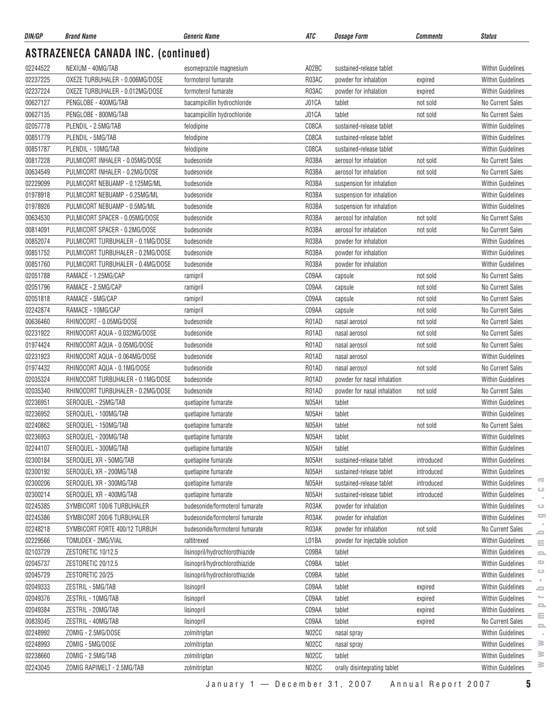| DIN/GP   | <b>Brand Name</b>                              | <b>Generic Name</b>                        | ATC            | <b>Dosage Form</b>                 | <b>Comments</b> | <b>Status</b>                            |
|----------|------------------------------------------------|--------------------------------------------|----------------|------------------------------------|-----------------|------------------------------------------|
|          | <b>ASTRAZENECA CANADA INC. (continued)</b>     |                                            |                |                                    |                 |                                          |
| 02244522 | NEXIUM - 40MG/TAB                              | esomeprazole magnesium                     | A02BC          | sustained-release tablet           |                 | <b>Within Guidelines</b>                 |
| 02237225 | OXEZE TURBUHALER - 0.006MG/DOSE                | formoterol fumarate                        | R03AC          | powder for inhalation              | expired         | <b>Within Guidelines</b>                 |
| 02237224 | OXEZE TURBUHALER - 0.012MG/DOSE                | formoterol fumarate                        | R03AC          | powder for inhalation              | expired         | <b>Within Guidelines</b>                 |
| 00627127 | PENGLOBE - 400MG/TAB                           | bacampicillin hydrochloride                | J01CA          | tablet                             | not sold        | No Current Sales                         |
| 00627135 | PENGLOBE - 800MG/TAB                           | bacampicillin hydrochloride                | J01CA          | tablet                             | not sold        | No Current Sales                         |
| 02057778 | PLENDIL - 2.5MG/TAB                            | felodipine                                 | C08CA          | sustained-release tablet           |                 | <b>Within Guidelines</b>                 |
| 00851779 | PLENDIL - 5MG/TAB                              | felodipine                                 | C08CA          | sustained-release tablet           |                 | <b>Within Guidelines</b>                 |
| 00851787 | PLENDIL - 10MG/TAB                             | felodipine                                 | C08CA          | sustained-release tablet           |                 | <b>Within Guidelines</b>                 |
| 00817228 | PULMICORT INHALER - 0.05MG/DOSE                | budesonide                                 | R03BA          | aerosol for inhalation             | not sold        | No Current Sales                         |
| 00634549 | PULMICORT INHALER - 0.2MG/DOSE                 | budesonide                                 | R03BA          | aerosol for inhalation             | not sold        | No Current Sales                         |
| 02229099 | PULMICORT NEBUAMP - 0.125MG/ML                 | budesonide                                 | R03BA          | suspension for inhalation          |                 | <b>Within Guidelines</b>                 |
| 01978918 | PULMICORT NEBUAMP - 0.25MG/ML                  | budesonide                                 | R03BA          | suspension for inhalation          |                 | <b>Within Guidelines</b>                 |
| 01978926 | PULMICORT NEBUAMP - 0.5MG/ML                   | budesonide                                 | R03BA          | suspension for inhalation          |                 | <b>Within Guidelines</b>                 |
| 00634530 | PULMICORT SPACER - 0.05MG/DOSE                 | budesonide                                 | R03BA          | aerosol for inhalation             | not sold        | No Current Sales                         |
| 00814091 | PULMICORT SPACER - 0.2MG/DOSE                  | budesonide                                 | R03BA          | aerosol for inhalation             | not sold        | No Current Sales                         |
| 00852074 | PULMICORT TURBUHALER - 0.1MG/DOSE              | budesonide                                 | R03BA          | powder for inhalation              |                 | Within Guidelines                        |
| 00851752 | PULMICORT TURBUHALER - 0.2MG/DOSE              | budesonide                                 | R03BA          | powder for inhalation              |                 | <b>Within Guidelines</b>                 |
| 00851760 | PULMICORT TURBUHALER - 0.4MG/DOSE              | budesonide                                 | R03BA          | powder for inhalation              |                 | <b>Within Guidelines</b>                 |
| 02051788 | RAMACE - 1.25MG/CAP                            | ramipril                                   | C09AA          | capsule                            | not sold        | No Current Sales                         |
| 02051796 | RAMACE - 2.5MG/CAP                             | ramipril                                   | C09AA          | capsule                            | not sold        | No Current Sales                         |
| 02051818 | RAMACE - 5MG/CAP                               | ramipril                                   | C09AA          | capsule                            | not sold        | No Current Sales                         |
| 02242874 | RAMACE - 10MG/CAP                              | ramipril                                   | C09AA          | capsule                            | not sold        | No Current Sales                         |
| 00636460 | RHINOCORT - 0.05MG/DOSE                        | budesonide                                 | R01AD          | nasal aerosol                      | not sold        | No Current Sales                         |
| 02231922 | RHINOCORT AQUA - 0.032MG/DOSE                  | budesonide                                 | R01AD          | nasal aerosol                      | not sold        | No Current Sales                         |
| 01974424 | RHINOCORT AQUA - 0.05MG/DOSE                   | budesonide                                 | R01AD          | nasal aerosol                      | not sold        | No Current Sales                         |
| 02231923 | RHINOCORT AQUA - 0.064MG/DOSE                  | budesonide                                 | R01AD          | nasal aerosol                      |                 | <b>Within Guidelines</b>                 |
| 01974432 | RHINOCORT AQUA - 0.1MG/DOSE                    | budesonide                                 | R01AD          | nasal aerosol                      | not sold        | No Current Sales                         |
| 02035324 | RHINOCORT TURBUHALER - 0.1MG/DOSE              | budesonide                                 | R01AD          | powder for nasal inhalation        |                 | <b>Within Guidelines</b>                 |
| 02035340 | RHINOCORT TURBUHALER - 0.2MG/DOSE              | budesonide                                 | R01AD          | powder for nasal inhalation        | not sold        | No Current Sales                         |
| 02236951 | SEROQUEL - 25MG/TAB                            | quetiapine fumarate                        | N05AH          | tablet                             |                 | <b>Within Guidelines</b>                 |
| 02236952 | SEROQUEL - 100MG/TAB                           | quetiapine fumarate                        | N05AH          | tablet                             |                 | <b>Within Guidelines</b>                 |
| 02240862 | SEROQUEL - 150MG/TAB                           |                                            | N05AH          | tablet                             | not sold        | No Current Sales                         |
|          | SEROQUEL - 200MG/TAB                           | quetiapine fumarate                        |                |                                    |                 | Within Guidelines                        |
| 02236953 |                                                | quetiapine fumarate                        | N05AH<br>N05AH | tablet                             |                 |                                          |
| 02244107 | SEROQUEL - 300MG/TAB<br>SEROQUEL XR - 50MG/TAB | quetiapine fumarate<br>quetiapine fumarate | N05AH          | tablet<br>sustained-release tablet | introduced      | <b>Within Guidelines</b>                 |
| 02300184 |                                                |                                            |                |                                    |                 | Within Guidelines                        |
| 02300192 | SEROQUEL XR - 200MG/TAB                        | quetiapine fumarate                        | N05AH          | sustained-release tablet           | introduced      | Within Guidelines<br>Œ                   |
| 02300206 | SEROQUEL XR - 300MG/TAB                        | quetiapine fumarate                        | N05AH          | sustained-release tablet           | introduced      | <b>Within Guidelines</b><br>$\circ$      |
| 02300214 | SEROQUEL XR - 400MG/TAB                        | quetiapine fumarate                        | N05AH          | sustained-release tablet           | introduced      | <b>Within Guidelines</b>                 |
| 02245385 | SYMBICORT 100/6 TURBUHALER                     | budesonide/formoterol fumarate             | R03AK          | powder for inhalation              |                 | <b>Within Guidelines</b><br>$\circ$<br>5 |
| 02245386 | SYMBICORT 200/6 TURBUHALER                     | budesonide/formoterol fumarate             | R03AK          | powder for inhalation              |                 | Within Guidelines                        |
| 02248218 | SYMBICORT FORTE 400/12 TURBUH                  | budesonide/formoterol fumarate             | R03AK          | powder for inhalation              | not sold        | No Current Sales<br>0                    |
| 02229566 | TOMUDEX - 2MG/VIAL                             | raltitrexed                                | L01BA          | powder for injectable solution     |                 | <b>Within Guidelines</b><br>$\equiv$     |
| 02103729 | ZESTORETIC 10/12.5                             | lisinopril/hydrochlorothiazide             | C09BA          | tablet                             |                 | Within Guidelines<br>$\equiv$            |
| 02045737 | ZESTORETIC 20/12.5                             | lisinopril/hydrochlorothiazide             | C09BA          | tablet                             |                 | $\circ$<br>Within Guidelines<br>ت        |
| 02045729 | ZESTORETIC 20/25                               | lisinopril/hydrochlorothiazide             | C09BA          | tablet                             |                 | Within Guidelines                        |
| 02049333 | ZESTRIL - 5MG/TAB                              | lisinopril                                 | C09AA          | tablet                             | expired         | <b>Within Guidelines</b><br>0            |
| 02049376 | ZESTRIL - 10MG/TAB                             | lisinopril                                 | C09AA          | tablet                             | expired         | ⊨<br><b>Within Guidelines</b><br>2       |
| 02049384 | ZESTRIL - 20MG/TAB                             | lisinopril                                 | C09AA          | tablet                             | expired         | Within Guidelines<br>Ξ                   |
| 00839345 | ZESTRIL - 40MG/TAB                             | lisinopril                                 | C09AA          | tablet                             | expired         | No Current Sales<br>$\equiv$             |
| 02248992 | ZOMIG - 2.5MG/DOSE                             | zolmitriptan                               | N02CC          | nasal spray                        |                 | Within Guidelines                        |
| 02248993 | ZOMIG - 5MG/DOSE                               | zolmitriptan                               | N02CC          | nasal spray                        |                 | ≧<br>Within Guidelines                   |
| 02238660 | ZOMIG - 2.5MG/TAB                              | zolmitriptan                               | N02CC          | tablet                             |                 | ≧<br>Within Guidelines                   |
| 02243045 | ZOMIG RAPIMELT - 2.5MG/TAB                     | zolmitriptan                               | N02CC          | orally disintegrating tablet       |                 | ≧<br><b>Within Guidelines</b>            |

 $\sim$  $\circ$  $\qquad \qquad \qquad \qquad \qquad$ 

January 1 — December 31, 2007 Annual Report 2007 **5**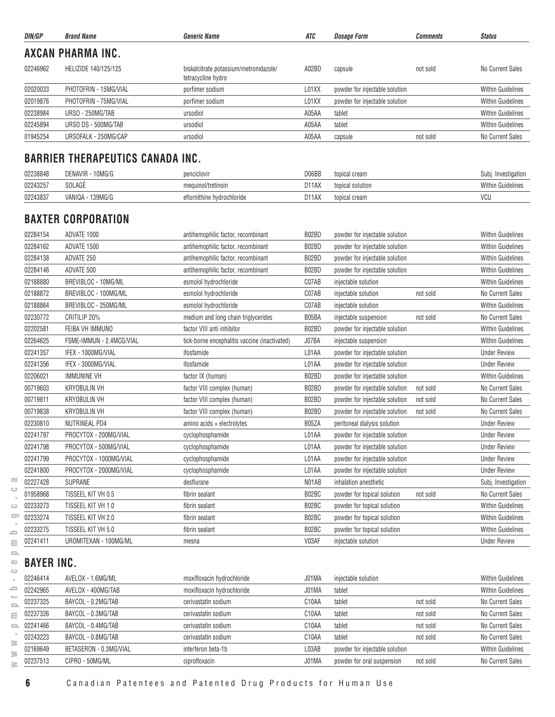| DIN/GP   | <b>Brand Name</b>        | <b>Generic Name</b>                                          | ATC   | <b>Dosage Form</b>             | Comments | <b>Status</b>            |
|----------|--------------------------|--------------------------------------------------------------|-------|--------------------------------|----------|--------------------------|
|          | <b>AXCAN PHARMA INC.</b> |                                                              |       |                                |          |                          |
| 02246962 | HELIZIDE 140/125/125     | biskalcitrate potassium/metronidazole/<br>tetracycline hydro | A02BD | capsule                        | not sold | No Current Sales         |
| 02020033 | PHOTOFRIN - 15MG/VIAL    | porfimer sodium                                              | L01XX | powder for injectable solution |          | <b>Within Guidelines</b> |
| 02019876 | PHOTOFRIN - 75MG/VIAL    | porfimer sodium                                              | L01XX | powder for injectable solution |          | <b>Within Guidelines</b> |
| 02238984 | URSO - 250MG/TAB         | ursodiol                                                     | A05AA | tablet                         |          | <b>Within Guidelines</b> |
| 02245894 | URSO DS - 500MG/TAB      | ursodiol                                                     | A05AA | tablet                         |          | <b>Within Guidelines</b> |
| 01945254 | URSOFALK - 250MG/CAP     | ursodiol                                                     | A05AA | capsule                        | not sold | No Current Sales         |

# **BARRIER THERAPEUTICS CANADA INC.**

| 02238848 | DENAVIR - 10MG/G    | penciclovir                | D06BB              | topical cream    | Investigation<br>Subi    |
|----------|---------------------|----------------------------|--------------------|------------------|--------------------------|
| 02243257 | <b>SOLAGE</b>       | mequinol/tretinoin         | D <sub>11</sub> AX | topical solution | <b>Within Guidelines</b> |
| 02243837 | 139MG/G<br>VANIQA - | eflornithine hvdrochloride | D <sub>11</sub> AX | topical cream    | VCU                      |

#### **BAXTER CORPORATION**

| 02284154 | ADVATE 1000              | antihemophilic factor, recombinant            | B02BD | powder for injectable solution |          | <b>Within Guidelines</b> |
|----------|--------------------------|-----------------------------------------------|-------|--------------------------------|----------|--------------------------|
| 02284162 | ADVATE 1500              | antihemophilic factor, recombinant            | B02BD | powder for injectable solution |          | <b>Within Guidelines</b> |
| 02284138 | ADVATE 250               | antihemophilic factor, recombinant            | B02BD | powder for injectable solution |          | <b>Within Guidelines</b> |
| 02284146 | ADVATE 500               | antihemophilic factor, recombinant            | B02BD | powder for injectable solution |          | <b>Within Guidelines</b> |
| 02188880 | BREVIBLOC - 10MG/ML      | esmolol hydrochloride                         | C07AB | injectable solution            |          | <b>Within Guidelines</b> |
| 02188872 | BREVIBLOC - 100MG/ML     | esmolol hydrochloride                         | C07AB | injectable solution            | not sold | No Current Sales         |
| 02188864 | BREVIBLOC - 250MG/ML     | esmolol hydrochloride                         | C07AB | injectable solution            |          | <b>Within Guidelines</b> |
| 02230772 | CRITILIP 20%             | medium and long chain triglycerides           | B05BA | injectable suspension          | not sold | No Current Sales         |
| 02202581 | FEIBA VH IMMUNO          | factor VIII anti inhibitor                    | B02BD | powder for injectable solution |          | <b>Within Guidelines</b> |
| 02264625 | FSME-IMMUN - 2.4MCG/VIAL | tick-borne encephalitis vaccine (inactivated) | J07BA | injectable suspension          |          | <b>Within Guidelines</b> |
| 02241357 | IFEX - 1000MG/VIAL       | ifosfamide                                    | L01AA | powder for injectable solution |          | <b>Under Review</b>      |
| 02241356 | IFEX - 3000MG/VIAL       | ifosfamide                                    | L01AA | powder for injectable solution |          | <b>Under Review</b>      |
| 02206021 | <b>IMMUNINE VH</b>       | factor IX (human)                             | B02BD | powder for injectable solution |          | <b>Within Guidelines</b> |
| 00719603 | <b>KRYOBULIN VH</b>      | factor VIII complex (human)                   | B02BD | powder for injectable solution | not sold | <b>No Current Sales</b>  |
| 00719811 | <b>KRYOBULIN VH</b>      | factor VIII complex (human)                   | B02BD | powder for injectable solution | not sold | No Current Sales         |
| 00719838 | <b>KRYOBULIN VH</b>      | factor VIII complex (human)                   | B02BD | powder for injectable solution | not sold | No Current Sales         |
| 02230810 | <b>NUTRINEAL PD4</b>     | amino acids + electrolytes                    | B05ZA | peritoneal dialysis solution   |          | <b>Under Review</b>      |
| 02241797 | PROCYTOX - 200MG/VIAL    | cyclophosphamide                              | L01AA | powder for injectable solution |          | <b>Under Review</b>      |
| 02241798 | PROCYTOX - 500MG/VIAL    | cyclophosphamide                              | L01AA | powder for injectable solution |          | <b>Under Review</b>      |
| 02241799 | PROCYTOX - 1000MG/VIAL   | cyclophosphamide                              | L01AA | powder for injectable solution |          | <b>Under Review</b>      |
| 02241800 | PROCYTOX - 2000MG/VIAL   | cyclophosphamide                              | L01AA | powder for injectable solution |          | <b>Under Review</b>      |
| 02227428 | <b>SUPRANE</b>           | desflurane                                    | N01AB | inhalation anesthetic          |          | Subj. Investigation      |
| 01958968 | TISSEEL KIT VH 0.5       | fibrin sealant                                | B02BC | powder for topical solution    | not sold | No Current Sales         |
| 02233273 | TISSEEL KIT VH 1.0       | fibrin sealant                                | B02BC | powder for topical solution    |          | <b>Within Guidelines</b> |
| 02233274 | TISSEEL KIT VH 2.0       | fibrin sealant                                | B02BC | powder for topical solution    |          | <b>Within Guidelines</b> |
| 02233275 | TISSEEL KIT VH 5.0       | fibrin sealant                                | B02BC | powder for topical solution    |          | <b>Within Guidelines</b> |
| 02241411 | UROMITEXAN - 100MG/ML    | mesna                                         | V03AF | injectable solution            |          | <b>Under Review</b>      |

# **BAYER INC.**

| 02246414 | AVELOX - 1.6MG/ML      | moxifloxacin hydrochloride | J01MA              | injectable solution            |          | <b>Within Guidelines</b> |
|----------|------------------------|----------------------------|--------------------|--------------------------------|----------|--------------------------|
| 02242965 | AVELOX - 400MG/TAB     | moxifloxacin hydrochloride | J01MA              | tablet                         |          | <b>Within Guidelines</b> |
| 02237325 | BAYCOL - 0.2MG/TAB     | cerivastatin sodium        | C <sub>10</sub> AA | tablet                         | not sold | No Current Sales         |
| 02237326 | BAYCOL - 0.3MG/TAB     | cerivastatin sodium        | C <sub>10</sub> AA | tablet                         | not sold | No Current Sales         |
| 02241466 | BAYCOL - 0.4MG/TAB     | cerivastatin sodium        | C <sub>10</sub> AA | tablet                         | not sold | No Current Sales         |
| 02243223 | BAYCOL - 0.8MG/TAB     | cerivastatin sodium        | C10AA              | tablet                         | not sold | No Current Sales         |
| 02169649 | BETASERON - 0.3MG/VIAL | interferon beta-1b         | L03AB              | powder for injectable solution |          | <b>Within Guidelines</b> |
| 02237513 | CIPRO - 50MG/ML        | ciprofloxacin              | J01MA              | powder for oral suspension     | not sold | No Current Sales         |
|          |                        |                            |                    |                                |          |                          |

 $\overline{\text{C}}$  $\qquad \qquad \qquad \Box$  $\sim$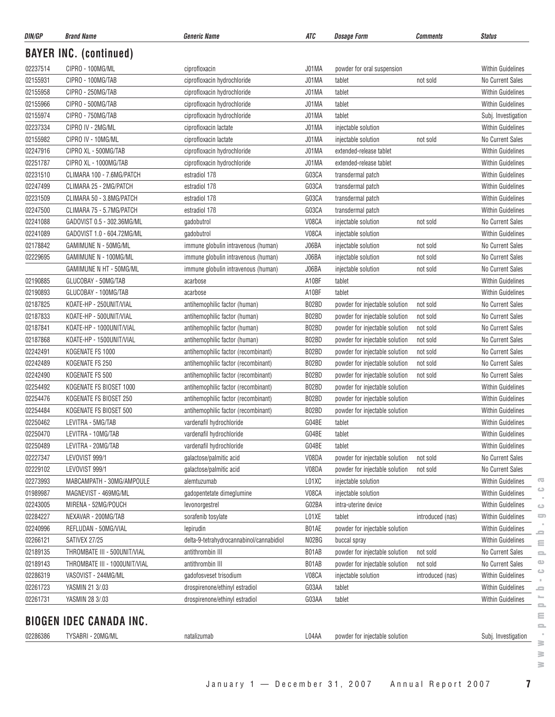| DIN/GP   | <b>Brand Name</b>                                | <b>Generic Name</b>                                                        | ATC            | <b>Dosage Form</b>                                               | <b>Comments</b>  | <b>Status</b>                          |
|----------|--------------------------------------------------|----------------------------------------------------------------------------|----------------|------------------------------------------------------------------|------------------|----------------------------------------|
|          | <b>BAYER INC. (continued)</b>                    |                                                                            |                |                                                                  |                  |                                        |
| 02237514 | CIPRO - 100MG/ML                                 | ciprofloxacin                                                              | J01MA          | powder for oral suspension                                       |                  | <b>Within Guidelines</b>               |
| 02155931 | CIPRO - 100MG/TAB                                | ciprofloxacin hydrochloride                                                | J01MA          | tablet                                                           | not sold         | No Current Sales                       |
| 02155958 | CIPRO - 250MG/TAB                                | ciprofloxacin hydrochloride                                                | J01MA          | tablet                                                           |                  | <b>Within Guidelines</b>               |
| 02155966 | CIPRO - 500MG/TAB                                | ciprofloxacin hydrochloride                                                | J01MA          | tablet                                                           |                  | <b>Within Guidelines</b>               |
| 02155974 | CIPRO - 750MG/TAB                                | ciprofloxacin hydrochloride                                                | J01MA          | tablet                                                           |                  | Subj. Investigation                    |
| 02237334 | CIPRO IV - 2MG/ML                                | ciprofloxacin lactate                                                      | J01MA          | injectable solution                                              |                  | <b>Within Guidelines</b>               |
| 02155982 | CIPRO IV - 10MG/ML                               | ciprofloxacin lactate                                                      | J01MA          | injectable solution                                              | not sold         | No Current Sales                       |
| 02247916 | CIPRO XL - 500MG/TAB                             | ciprofloxacin hydrochloride                                                | J01MA          | extended-release tablet                                          |                  | Within Guidelines                      |
| 02251787 | CIPRO XL - 1000MG/TAB                            | ciprofloxacin hydrochloride                                                | J01MA          | extended-release tablet                                          |                  | <b>Within Guidelines</b>               |
| 02231510 | CLIMARA 100 - 7.6MG/PATCH                        | estradiol 17 <sub>B</sub>                                                  | G03CA          | transdermal patch                                                |                  | Within Guidelines                      |
| 02247499 | CLIMARA 25 - 2MG/PATCH                           | estradiol 17B                                                              | G03CA          | transdermal patch                                                |                  | <b>Within Guidelines</b>               |
| 02231509 | CLIMARA 50 - 3.8MG/PATCH                         | estradiol 17 <sub>B</sub>                                                  | G03CA          | transdermal patch                                                |                  | <b>Within Guidelines</b>               |
| 02247500 | CLIMARA 75 - 5.7MG/PATCH                         | estradiol 17 <sub>B</sub>                                                  | G03CA          | transdermal patch                                                |                  | <b>Within Guidelines</b>               |
| 02241088 | GADOVIST 0.5 - 302.36MG/ML                       | gadobutrol                                                                 | V08CA          | injectable solution                                              | not sold         | No Current Sales                       |
| 02241089 | GADOVIST 1.0 - 604.72MG/ML                       | gadobutrol                                                                 | V08CA          | injectable solution                                              |                  | <b>Within Guidelines</b>               |
| 02178842 | GAMIMUNE N - 50MG/ML                             | immune globulin intravenous (human)                                        | J06BA          | injectable solution                                              | not sold         | No Current Sales                       |
| 02229695 | GAMIMUNE N - 100MG/ML                            | immune globulin intravenous (human)                                        | J06BA          | injectable solution                                              | not sold         | No Current Sales                       |
|          | GAMIMUNE N HT - 50MG/ML                          | immune globulin intravenous (human)                                        | J06BA          | injectable solution                                              | not sold         | No Current Sales                       |
| 02190885 | GLUCOBAY - 50MG/TAB                              | acarbose                                                                   | A10BF          | tablet                                                           |                  | <b>Within Guidelines</b>               |
| 02190893 | GLUCOBAY - 100MG/TAB                             | acarbose                                                                   | A10BF          | tablet                                                           |                  | <b>Within Guidelines</b>               |
| 02187825 | KOATE-HP - 250UNIT/VIAL                          | antihemophilic factor (human)                                              | B02BD          | powder for injectable solution                                   | not sold         | <b>No Current Sales</b>                |
| 02187833 | KOATE-HP - 500UNIT/VIAL                          | antihemophilic factor (human)                                              | B02BD          | powder for injectable solution                                   | not sold         | No Current Sales                       |
| 02187841 | KOATE-HP - 1000UNIT/VIAL                         | antihemophilic factor (human)                                              | B02BD          | powder for injectable solution                                   | not sold         | No Current Sales                       |
| 02187868 | KOATE-HP - 1500UNIT/VIAL                         | antihemophilic factor (human)                                              | B02BD          | powder for injectable solution                                   | not sold         | No Current Sales                       |
| 02242491 | KOGENATE FS 1000                                 | antihemophilic factor (recombinant)                                        | B02BD          |                                                                  | not sold         | No Current Sales                       |
| 02242489 | KOGENATE FS 250                                  | antihemophilic factor (recombinant)                                        | B02BD          | powder for injectable solution<br>powder for injectable solution | not sold         | No Current Sales                       |
| 02242490 | KOGENATE FS 500                                  |                                                                            | B02BD          |                                                                  |                  | No Current Sales                       |
| 02254492 | KOGENATE FS BIOSET 1000                          | antihemophilic factor (recombinant)<br>antihemophilic factor (recombinant) | B02BD          | powder for injectable solution                                   | not sold         | Within Guidelines                      |
|          |                                                  |                                                                            | B02BD          | powder for injectable solution                                   |                  | <b>Within Guidelines</b>               |
| 02254476 | KOGENATE FS BIOSET 250<br>KOGENATE FS BIOSET 500 | antihemophilic factor (recombinant)                                        |                | powder for injectable solution                                   |                  |                                        |
| 02254484 | LEVITRA - 5MG/TAB                                | antihemophilic factor (recombinant)                                        | B02BD<br>G04BE | powder for injectable solution                                   |                  | <b>Within Guidelines</b>               |
| 02250462 |                                                  | vardenafil hydrochloride                                                   |                | tablet                                                           |                  | <b>Within Guidelines</b>               |
| 02250470 | LEVITRA - 10MG/TAB                               | vardenafil hydrochloride                                                   | G04BE          | tablet                                                           |                  | Within Guidelines                      |
| 02250489 | LEVITRA - 20MG/TAB                               | vardenafil hydrochloride                                                   | G04BE          | tablet                                                           |                  | <b>Within Guidelines</b>               |
| 02227347 | LEVOVIST 999/1                                   | galactose/palmitic acid                                                    | V08DA          | powder for injectable solution                                   | not sold         | No Current Sales                       |
| 02229102 | LEVOVIST 999/1                                   | galactose/palmitic acid                                                    | V08DA          | powder for injectable solution                                   | not sold         | No Current Sales                       |
| 02273993 | MABCAMPATH - 30MG/AMPOULE                        | alemtuzumab                                                                | L01XC          | injectable solution                                              |                  | <b>Within Guidelines</b><br>œ<br>ت     |
| 01989987 | MAGNEVIST - 469MG/ML                             | gadopentetate dimeglumine                                                  | V08CA          | injectable solution                                              |                  | <b>Within Guidelines</b>               |
| 02243005 | MIRENA - 52MG/POUCH                              | levonorgestrel                                                             | G02BA          | intra-uterine device                                             |                  | <b>Within Guidelines</b><br>$\bigcirc$ |
| 02284227 | NEXAVAR - 200MG/TAB                              | sorafenib tosylate                                                         | L01XE          | tablet                                                           | introduced (nas) | $\Box$<br><b>Within Guidelines</b>     |
| 02240996 | REFLUDAN - 50MG/VIAL                             | lepirudin                                                                  | B01AE          | powder for injectable solution                                   |                  | Within Guidelines<br>-                 |
| 02266121 | SATIVEX 27/25                                    | delta-9-tetrahydrocannabinol/cannabidiol                                   | N02BG          | buccal spray                                                     |                  | <b>Within Guidelines</b><br>$\equiv$   |
| 02189135 | THROMBATE III - 500UNIT/VIAL                     | antithrombin III                                                           | B01AB          | powder for injectable solution                                   | not sold         | No Current Sales<br>$\equiv$           |
| 02189143 | THROMBATE III - 1000UNIT/VIAL                    | antithrombin III                                                           | B01AB          | powder for injectable solution                                   | not sold         | $\circ$<br>No Current Sales<br>$\circ$ |
| 02286319 | VASOVIST - 244MG/ML                              | gadofosveset trisodium                                                     | V08CA          | injectable solution                                              | introduced (nas) | <b>Within Guidelines</b>               |
| 02261723 | YASMIN 21 3/.03                                  | drospirenone/ethinyl estradiol                                             | G03AA          | tablet                                                           |                  | <b>Within Guidelines</b><br>د          |
| 02261731 | YASMIN 28 3/.03                                  | drospirenone/ethinyl estradiol                                             | G03AA          | tablet                                                           |                  | ►<br>Within Guidelines<br>으            |
|          | <b>BIOGEN IDEC CANADA INC.</b>                   |                                                                            |                |                                                                  |                  | ≘                                      |
|          |                                                  |                                                                            |                |                                                                  |                  | $\equiv$                               |
| 02286386 | TYSABRI - 20MG/ML                                | natalizumab                                                                | L04AA          | powder for injectable solution                                   |                  | Subj. Investigation<br>₹               |

 $\geq$  $\geq$ 

January 1 — December 31, 2007 Annual Report 2007 **7**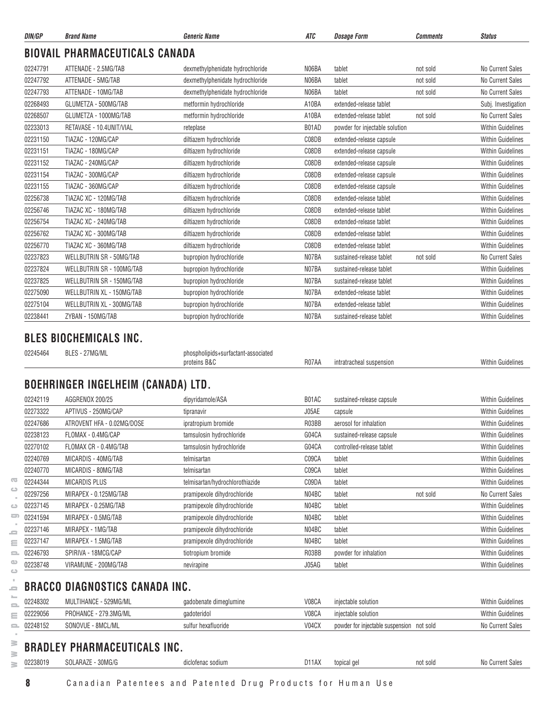| DIN/GP   | <b>Brand Name</b>                     | <b>Generic Name</b>              | ATC   | <b>Dosage Form</b>             | <b>Comments</b> | <b>Status</b>            |
|----------|---------------------------------------|----------------------------------|-------|--------------------------------|-----------------|--------------------------|
|          | <b>BIOVAIL PHARMACEUTICALS CANADA</b> |                                  |       |                                |                 |                          |
| 02247791 | ATTENADE - 2.5MG/TAB                  | dexmethylphenidate hydrochloride | N06BA | tablet                         | not sold        | No Current Sales         |
| 02247792 | ATTENADE - 5MG/TAB                    | dexmethylphenidate hydrochloride | N06BA | tablet                         | not sold        | No Current Sales         |
| 02247793 | ATTENADE - 10MG/TAB                   | dexmethylphenidate hydrochloride | N06BA | tablet                         | not sold        | No Current Sales         |
| 02268493 | GLUMETZA - 500MG/TAB                  | metformin hydrochloride          | A10BA | extended-release tablet        |                 | Subj. Investigation      |
| 02268507 | GLUMETZA - 1000MG/TAB                 | metformin hydrochloride          | A10BA | extended-release tablet        | not sold        | No Current Sales         |
| 02233013 | RETAVASE - 10.4UNIT/VIAL              | reteplase                        | B01AD | powder for injectable solution |                 | <b>Within Guidelines</b> |
| 02231150 | TIAZAC - 120MG/CAP                    | diltiazem hydrochloride          | C08DB | extended-release capsule       |                 | <b>Within Guidelines</b> |
| 02231151 | TIAZAC - 180MG/CAP                    | diltiazem hydrochloride          | C08DB | extended-release capsule       |                 | <b>Within Guidelines</b> |
| 02231152 | TIAZAC - 240MG/CAP                    | diltiazem hydrochloride          | C08DB | extended-release capsule       |                 | <b>Within Guidelines</b> |
| 02231154 | TIAZAC - 300MG/CAP                    | diltiazem hydrochloride          | C08DB | extended-release capsule       |                 | <b>Within Guidelines</b> |
| 02231155 | TIAZAC - 360MG/CAP                    | diltiazem hydrochloride          | C08DB | extended-release capsule       |                 | <b>Within Guidelines</b> |
| 02256738 | TIAZAC XC - 120MG/TAB                 | diltiazem hydrochloride          | C08DB | extended-release tablet        |                 | <b>Within Guidelines</b> |
| 02256746 | TIAZAC XC - 180MG/TAB                 | diltiazem hydrochloride          | C08DB | extended-release tablet        |                 | <b>Within Guidelines</b> |
| 02256754 | TIAZAC XC - 240MG/TAB                 | diltiazem hydrochloride          | C08DB | extended-release tablet        |                 | <b>Within Guidelines</b> |
| 02256762 | TIAZAC XC - 300MG/TAB                 | diltiazem hydrochloride          | C08DB | extended-release tablet        |                 | <b>Within Guidelines</b> |
| 02256770 | TIAZAC XC - 360MG/TAB                 | diltiazem hydrochloride          | C08DB | extended-release tablet        |                 | <b>Within Guidelines</b> |
| 02237823 | WELLBUTRIN SR - 50MG/TAB              | bupropion hydrochloride          | N07BA | sustained-release tablet       | not sold        | No Current Sales         |
| 02237824 | WELLBUTRIN SR - 100MG/TAB             | bupropion hydrochloride          | N07BA | sustained-release tablet       |                 | <b>Within Guidelines</b> |
| 02237825 | WELLBUTRIN SR - 150MG/TAB             | bupropion hydrochloride          | N07BA | sustained-release tablet       |                 | <b>Within Guidelines</b> |
| 02275090 | WELLBUTRIN XL - 150MG/TAB             | bupropion hydrochloride          | N07BA | extended-release tablet        |                 | <b>Within Guidelines</b> |
| 02275104 | WELLBUTRIN XL - 300MG/TAB             | bupropion hydrochloride          | N07BA | extended-release tablet        |                 | <b>Within Guidelines</b> |
| 02238441 | ZYBAN - 150MG/TAB                     | bupropion hydrochloride          | N07BA | sustained-release tablet       |                 | <b>Within Guidelines</b> |

#### **BLES BIOCHEMICALS INC.**

| 02245464 | DІ<br>IVIL / IVII<br>DL |                                 |       |                      |                  |
|----------|-------------------------|---------------------------------|-------|----------------------|------------------|
|          |                         | D <sub>0</sub><br>nrote<br>אמכי | R07AA | insioi<br>ıntra<br>. | Vıtl<br>$\cdots$ |
|          |                         |                                 |       |                      |                  |

### **BOEHRINGER INGELHEIM (CANADA) LTD.**

|               | 02242119 | AGGRENOX 200/25            | dipyridamole/ASA                | B01AC | sustained-release capsule |          | <b>Within Guidelines</b> |
|---------------|----------|----------------------------|---------------------------------|-------|---------------------------|----------|--------------------------|
|               | 02273322 | APTIVUS - 250MG/CAP        | tipranavir                      | J05AE | capsule                   |          | <b>Within Guidelines</b> |
|               | 02247686 | ATROVENT HFA - 0.02MG/DOSE | ipratropium bromide             | R03BB | aerosol for inhalation    |          | <b>Within Guidelines</b> |
|               | 02238123 | FLOMAX - 0.4MG/CAP         | tamsulosin hydrochloride        | G04CA | sustained-release capsule |          | <b>Within Guidelines</b> |
|               | 02270102 | FLOMAX CR - 0.4MG/TAB      | tamsulosin hydrochloride        | G04CA | controlled-release tablet |          | <b>Within Guidelines</b> |
|               | 02240769 | MICARDIS - 40MG/TAB        | telmisartan                     | C09CA | tablet                    |          | <b>Within Guidelines</b> |
|               | 02240770 | MICARDIS - 80MG/TAB        | telmisartan                     | C09CA | tablet                    |          | <b>Within Guidelines</b> |
| $\sqrt{2}$    | 02244344 | MICARDIS PLUS              | telmisartan/hydrochlorothiazide | C09DA | tablet                    |          | <b>Within Guidelines</b> |
| ت             | 02297256 | MIRAPEX - 0.125MG/TAB      | pramipexole dihydrochloride     | N04BC | tablet                    | not sold | No Current Sales         |
| $\bigcirc$    | 02237145 | MIRAPEX - 0.25MG/TAB       | pramipexole dihydrochloride     | N04BC | tablet                    |          | <b>Within Guidelines</b> |
| $\Rightarrow$ | 02241594 | MIRAPEX - 0.5MG/TAB        | pramipexole dihydrochloride     | N04BC | tablet                    |          | <b>Within Guidelines</b> |
| 0             | 02237146 | MIRAPEX - 1MG/TAB          | pramipexole dihydrochloride     | N04BC | tablet                    |          | <b>Within Guidelines</b> |
| Ξ             | 02237147 | MIRAPEX - 1.5MG/TAB        | pramipexole dihydrochloride     | N04BC | tablet                    |          | <b>Within Guidelines</b> |
| o.            | 02246793 | SPIRIVA - 18MCG/CAP        | tiotropium bromide              | R03BB | powder for inhalation     |          | <b>Within Guidelines</b> |
| Œ             | 02238748 | VIRAMUNE - 200MG/TAB       | nevirapine                      | J05AG | tablet                    |          | <b>Within Guidelines</b> |

#### **BRACCO DIAGNOSTICS CANADA INC.**

| -                        | 02248302 | MULTIHANCE - 529MG/ML | aadobenate dimealumine | V08CA | iniectable solution                       | <b>Within Guidelines</b> |
|--------------------------|----------|-----------------------|------------------------|-------|-------------------------------------------|--------------------------|
| $\sim$<br>$\sim$         | 02229056 | PROHANCE - 279.3MG/ML | gadoteridol            | V08CA | injectable solution                       | Within Guidelines        |
| $\overline{\phantom{0}}$ | 02248152 | SONOVUE - 8MCL/ML     | sulfur hexafluoride    | V04CX | powder for injectable suspension not sold | No Current Sales         |

# **BRADLEY PHARMACEUTICALS INC.**

 $\alpha$  $\equiv$  $\equiv$  $\equiv$  $\bullet$  $\qquad \qquad \Box$  $\epsilon$  $\bar{a}$ 

 $\geq$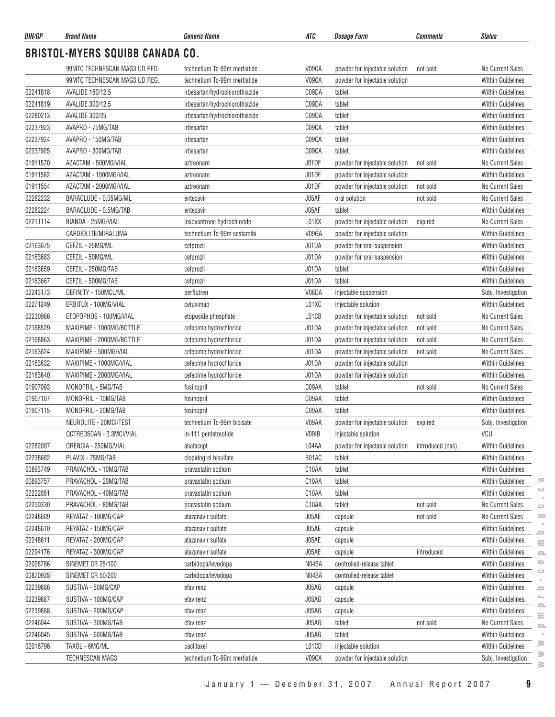| DIN/GP   | <b>Brand Name</b>                      | Generic Name                   | ATC                | <i><b>Dosage Form</b></i>      | <b>Comments</b>  | <b>Status</b>                       |
|----------|----------------------------------------|--------------------------------|--------------------|--------------------------------|------------------|-------------------------------------|
|          | <b>BRISTOL-MYERS SQUIBB CANADA CO.</b> |                                |                    |                                |                  |                                     |
|          | 99MTC TECHNESCAN MAG3 UD PED.          | technetium Tc-99m mertiatide   | V09CA              | powder for injectable solution | not sold         | No Current Sales                    |
|          | 99MTC TECHNESCAN MAG3 UD REG.          | technetium Tc-99m mertiatide   | V09CA              | powder for injectable solution |                  | <b>Within Guidelines</b>            |
| 02241818 | <b>AVALIDE 150/12.5</b>                | irbesartan/hydrochlorothiazide | C09DA              | tablet                         |                  | <b>Within Guidelines</b>            |
| 02241819 | AVALIDE 300/12.5                       | irbesartan/hydrochlorothiazide | C09DA              | tablet                         |                  | Within Guidelines                   |
| 02280213 | <b>AVALIDE 300/25</b>                  | irbesartan/hydrochlorothiazide | C09DA              | tablet                         |                  | <b>Within Guidelines</b>            |
| 02237923 | AVAPRO - 75MG/TAB                      | irbesartan                     | C09CA              | tablet                         |                  | <b>Within Guidelines</b>            |
| 02237924 | AVAPRO - 150MG/TAB                     | irbesartan                     | C09CA              | tablet                         |                  | <b>Within Guidelines</b>            |
| 02237925 | AVAPRO - 300MG/TAB                     | irbesartan                     | C09CA              | tablet                         |                  | <b>Within Guidelines</b>            |
| 01911570 | AZACTAM - 500MG/VIAL                   | aztreonam                      | J01DF              | powder for injectable solution | not sold         | <b>No Current Sales</b>             |
| 01911562 | AZACTAM - 1000MG/VIAL                  | aztreonam                      | J01DF              | powder for injectable solution |                  | <b>Within Guidelines</b>            |
| 01911554 | AZACTAM - 2000MG/VIAL                  | aztreonam                      | J01DF              | powder for injectable solution | not sold         | <b>No Current Sales</b>             |
| 02282232 | BARACLUDE - 0.05MG/ML                  | entecavir                      | J05AF              | oral solution                  | not sold         | <b>No Current Sales</b>             |
| 02282224 | BARACLUDE - 0.5MG/TAB                  | entecavir                      | J05AF              | tablet                         |                  | <b>Within Guidelines</b>            |
| 02211114 | BIANDA - 25MG/VIAL                     | losoxantrone hydrochloride     | L01XX              | powder for injectable solution | expired          | No Current Sales                    |
|          | CARDIOLITE/MIRALUMA                    | technetium Tc-99m sestamibi    | V09GA              | powder for injectable solution |                  | Within Guidelines                   |
| 02163675 | CEFZIL - 25MG/ML                       | cefprozil                      | J01DA              | powder for oral suspension     |                  | <b>Within Guidelines</b>            |
| 02163683 | CEFZIL - 50MG/ML                       | cefprozil                      | J01DA              | powder for oral suspension     |                  | <b>Within Guidelines</b>            |
| 02163659 | CEFZIL - 250MG/TAB                     | cefprozil                      | J01DA              | tablet                         |                  | <b>Within Guidelines</b>            |
| 02163667 | CEFZIL - 500MG/TAB                     | cefprozil                      | J01DA              | tablet                         |                  | Within Guidelines                   |
| 02243173 | DEFINITY - 150MCL/ML                   | perflutren                     | V08DA              | injectable suspension          |                  | Subj. Investigation                 |
| 02271249 | ERBITUX - 100MG/VIAL                   | cetuximab                      | L01XC              | injectable solution            |                  | <b>Within Guidelines</b>            |
| 02230986 | ETOPOPHOS - 100MG/VIAL                 | etoposide phosphate            | L01CB              | powder for injectable solution | not sold         | <b>No Current Sales</b>             |
| 02168529 | MAXIPIME - 1000MG/BOTTLE               | cefepime hydrochloride         | J01DA              | powder for injectable solution | not sold         | No Current Sales                    |
| 02168863 | MAXIPIME - 2000MG/BOTTLE               |                                | J01DA              | powder for injectable solution | not sold         | No Current Sales                    |
|          |                                        | cefepime hydrochloride         | J01DA              |                                |                  | No Current Sales                    |
| 02163624 | MAXIPIME - 500MG/VIAL                  | cefepime hydrochloride         |                    | powder for injectable solution | not sold         | <b>Within Guidelines</b>            |
| 02163632 | MAXIPIME - 1000MG/VIAL                 | cefepime hydrochloride         | J01DA              | powder for injectable solution |                  |                                     |
| 02163640 | MAXIPIME - 2000MG/VIAL                 | cefepime hydrochloride         | J01DA              | powder for injectable solution |                  | <b>Within Guidelines</b>            |
| 01907093 | MONOPRIL - 5MG/TAB                     | fosinopril                     | C09AA              | tablet                         | not sold         | No Current Sales                    |
| 01907107 | MONOPRIL - 10MG/TAB                    | fosinopril                     | C09AA              | tablet                         |                  | <b>Within Guidelines</b>            |
| 01907115 | MONOPRIL - 20MG/TAB                    | fosinopril                     | C09AA              | tablet                         |                  | <b>Within Guidelines</b>            |
|          | NEUROLITE - 20MCI/TEST                 | technetium Tc-99m bicisate     | V09AA              | powder for injectable solution | expired          | Subj. Investigation                 |
|          | OCTREOSCAN - 3.3MCI/VIAL               | in-111 pentetreotide           | V09IB              | injectable solution            |                  | VCU                                 |
| 02282097 | ORENCIA - 250MG/VIAL                   | abatacept                      | L04AA              | powder for injectable solution | introduced (nas) | Within Guidelines                   |
| 02238682 | PLAVIX - 75MG/TAB                      | clopidogrel bisulfate          | B01AC              | tablet                         |                  | Within Guidelines                   |
| 00893749 | PRAVACHOL - 10MG/TAB                   | pravastatin sodium             | C10AA              | tablet                         |                  | <b>Within Guidelines</b>            |
| 00893757 | PRAVACHOL - 20MG/TAB                   | pravastatin sodium             | C10AA              | tablet                         |                  | G<br>Within Guidelines<br>$\circ$   |
| 02222051 | PRAVACHOL - 40MG/TAB                   | pravastatin sodium             | C10AA              | tablet                         |                  | Within Guidelines                   |
| 02250330 | PRAVACHOL - 80MG/TAB                   | pravastatin sodium             | C <sub>10</sub> AA | tablet                         | not sold         | No Current Sales<br>$\bigcirc$      |
| 02248609 | REYATAZ - 100MG/CAP                    | atazanavir sulfate             | J05AE              | capsule                        | not sold         | $\Box$<br>No Current Sales          |
| 02248610 | REYATAZ - 150MG/CAP                    | atazanavir sulfate             | J05AE              | capsule                        |                  | Within Guidelines<br>$\blacksquare$ |
| 02248611 | REYATAZ - 200MG/CAP                    | atazanavir sulfate             | J05AE              | capsule                        |                  | Within Guidelines<br>$\equiv$       |
| 02294176 | REYATAZ - 300MG/CAP                    | atazanavir sulfate             | J05AE              | capsule                        | introduced       | Within Guidelines<br>$\equiv$       |
| 02028786 | SINEMET CR 25/100                      | carbidopa/levodopa             | N04BA              | controlled-release tablet      |                  | $\circ$<br>Within Guidelines        |
| 00870935 | SINEMET CR 50/200                      | carbidopa/levodopa             | N04BA              | controlled-release tablet      |                  | $\circ$<br>Within Guidelines        |
| 02239886 | SUSTIVA - 50MG/CAP                     | efavirenz                      | J05AG              | capsule                        |                  | Within Guidelines<br>ᆖ              |
| 02239887 | SUSTIVA - 100MG/CAP                    | efavirenz                      | J05AG              | capsule                        |                  | =<br><b>Within Guidelines</b>       |
| 02239888 | SUSTIVA - 200MG/CAP                    | efavirenz                      | J05AG              | capsule                        |                  | 으<br>Within Guidelines<br>$\equiv$  |
| 02246044 | SUSTIVA - 300MG/TAB                    | efavirenz                      | J05AG              | tablet                         | not sold         | No Current Sales<br>$\equiv$        |
| 02246045 | SUSTIVA - 600MG/TAB                    | efavirenz                      | J05AG              | tablet                         |                  | Within Guidelines                   |
| 02016796 | TAXOL - 6MG/ML                         | paclitaxel                     | L01CD              | injectable solution            |                  | ≋<br>Within Guidelines              |
|          | TECHNESCAN MAG3                        | technetium Tc-99m mertiatide   | V09CA              | powder for injectable solution |                  | ≧<br>Subj. Investigation            |

 $\geq$  $\geq$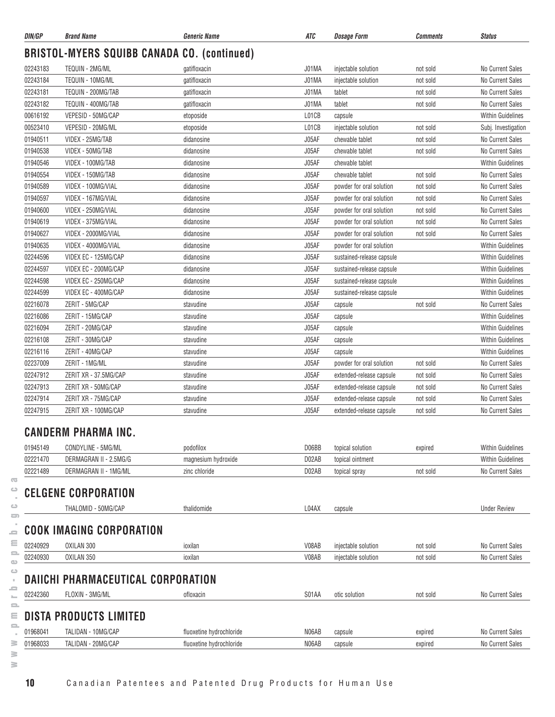| DIN/GP   | <b>Brand Name</b>                                  | Generic Name             | ATC   | <b>Dosage Form</b>        | <b>Comments</b> | <b>Status</b>            |
|----------|----------------------------------------------------|--------------------------|-------|---------------------------|-----------------|--------------------------|
|          | <b>BRISTOL-MYERS SQUIBB CANADA CO. (continued)</b> |                          |       |                           |                 |                          |
| 02243183 | TEQUIN - 2MG/ML                                    | gatifloxacin             | J01MA | injectable solution       | not sold        | No Current Sales         |
| 02243184 | TEQUIN - 10MG/ML                                   | gatifloxacin             | J01MA | injectable solution       | not sold        | No Current Sales         |
| 02243181 | TEQUIN - 200MG/TAB                                 | gatifloxacin             | J01MA | tablet                    | not sold        | No Current Sales         |
| 02243182 | TEQUIN - 400MG/TAB                                 | gatifloxacin             | J01MA | tablet                    | not sold        | No Current Sales         |
| 00616192 | VEPESID - 50MG/CAP                                 | etoposide                | L01CB | capsule                   |                 | <b>Within Guidelines</b> |
| 00523410 | VEPESID - 20MG/ML                                  | etoposide                | L01CB | injectable solution       | not sold        | Subj. Investigation      |
| 01940511 | VIDEX - 25MG/TAB                                   | didanosine               | J05AF | chewable tablet           | not sold        | No Current Sales         |
| 01940538 | VIDEX - 50MG/TAB                                   | didanosine               | J05AF | chewable tablet           | not sold        | No Current Sales         |
| 01940546 | VIDEX - 100MG/TAB                                  | didanosine               | J05AF | chewable tablet           |                 | <b>Within Guidelines</b> |
| 01940554 | VIDEX - 150MG/TAB                                  | didanosine               | J05AF | chewable tablet           | not sold        | No Current Sales         |
| 01940589 | VIDEX - 100MG/VIAL                                 | didanosine               | J05AF | powder for oral solution  | not sold        | No Current Sales         |
| 01940597 | VIDEX - 167MG/VIAL                                 | didanosine               | J05AF | powder for oral solution  | not sold        | No Current Sales         |
| 01940600 | VIDEX - 250MG/VIAL                                 | didanosine               | J05AF | powder for oral solution  | not sold        | No Current Sales         |
| 01940619 | VIDEX - 375MG/VIAL                                 | didanosine               | J05AF | powder for oral solution  | not sold        | No Current Sales         |
| 01940627 | VIDEX - 2000MG/VIAL                                | didanosine               | J05AF | powder for oral solution  | not sold        | No Current Sales         |
| 01940635 | VIDEX - 4000MG/VIAL                                | didanosine               | J05AF | powder for oral solution  |                 | <b>Within Guidelines</b> |
| 02244596 | VIDEX EC - 125MG/CAP                               | didanosine               | J05AF | sustained-release capsule |                 | <b>Within Guidelines</b> |
| 02244597 | VIDEX EC - 200MG/CAP                               | didanosine               | J05AF | sustained-release capsule |                 | <b>Within Guidelines</b> |
| 02244598 | VIDEX EC - 250MG/CAP                               | didanosine               | J05AF | sustained-release capsule |                 | <b>Within Guidelines</b> |
| 02244599 | VIDEX EC - 400MG/CAP                               | didanosine               | J05AF | sustained-release capsule |                 | <b>Within Guidelines</b> |
| 02216078 | ZERIT - 5MG/CAP                                    | stavudine                | J05AF | capsule                   | not sold        | No Current Sales         |
| 02216086 | ZERIT - 15MG/CAP                                   | stavudine                | J05AF | capsule                   |                 | <b>Within Guidelines</b> |
| 02216094 | ZERIT - 20MG/CAP                                   | stavudine                | J05AF | capsule                   |                 | <b>Within Guidelines</b> |
| 02216108 | ZERIT - 30MG/CAP                                   | stavudine                | J05AF | capsule                   |                 | <b>Within Guidelines</b> |
| 02216116 | ZERIT - 40MG/CAP                                   | stavudine                | J05AF | capsule                   |                 | <b>Within Guidelines</b> |
| 02237009 | ZERIT - 1MG/ML                                     | stavudine                | J05AF | powder for oral solution  | not sold        | No Current Sales         |
| 02247912 | ZERIT XR - 37.5MG/CAP                              | stavudine                | J05AF | extended-release capsule  | not sold        | No Current Sales         |
| 02247913 | ZERIT XR - 50MG/CAP                                | stavudine                | J05AF | extended-release capsule  | not sold        | No Current Sales         |
| 02247914 | ZERIT XR - 75MG/CAP                                | stavudine                | J05AF | extended-release capsule  | not sold        | No Current Sales         |
| 02247915 | ZERIT XR - 100MG/CAP                               | stavudine                | J05AF | extended-release capsule  | not sold        | No Current Sales         |
|          | <b>CANDERM PHARMA INC</b>                          |                          |       |                           |                 |                          |
| 01945149 | CONDYLINE - 5MG/ML                                 | podofilox                | D06BB | topical solution          | expired         | <b>Within Guidelines</b> |
| 02221470 | DERMAGRAN II - 2.5MG/G                             | magnesium hydroxide      | D02AB | topical ointment          |                 | <b>Within Guidelines</b> |
| 02221489 | DERMAGRAN II - 1MG/ML                              | zinc chloride            | D02AB | topical spray             | not sold        | No Current Sales         |
|          | <b>CELGENE CORPORATION</b>                         |                          |       |                           |                 |                          |
|          | THALOMID - 50MG/CAP                                | thalidomide              | L04AX | capsule                   |                 | <b>Under Review</b>      |
|          | <b>COOK IMAGING CORPORATION</b>                    |                          |       |                           |                 |                          |
|          |                                                    |                          |       |                           |                 |                          |
| 02240929 | OXILAN 300                                         | ioxilan                  | V08AB | injectable solution       | not sold        | No Current Sales         |
| 02240930 | OXILAN 350                                         | ioxilan                  | V08AB | injectable solution       | not sold        | No Current Sales         |
|          | <b>DAIICHI PHARMACEUTICAL CORPORATION</b>          |                          |       |                           |                 |                          |
| 02242360 | FLOXIN - 3MG/ML                                    | ofloxacin                | S01AA | otic solution             | not sold        | No Current Sales         |
|          | <b>DISTA PRODUCTS LIMITED</b>                      |                          |       |                           |                 |                          |
|          |                                                    |                          |       |                           |                 |                          |
| 01968041 | TALIDAN - 10MG/CAP                                 | fluoxetine hydrochloride | N06AB | capsule                   | expired         | No Current Sales         |

**www.pmprb-cepmb.gc.ca**

 $\sim$  $\geq$  $\geq$  $\geq$ 

 $\overline{\infty}$  $\circ$  $\sim$  $\circ$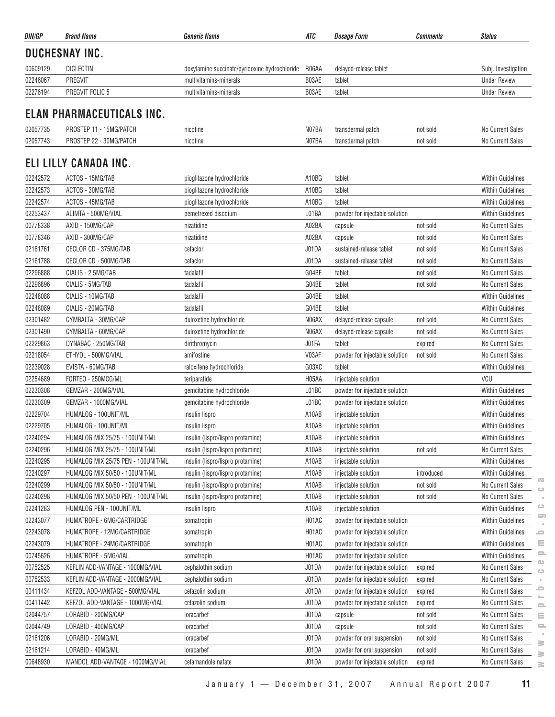| DUCHESNAY INC.<br>00609129<br><b>DICLECTIN</b><br>R06AA<br>delayed-release tablet<br>doxylamine succinate/pyridoxine hydrochloride<br>Subj. Investigation<br>02246067<br><b>PREGVIT</b><br>multivitamins-minerals<br>B03AE<br><b>Under Review</b><br>tablet<br>02276194<br>PREGVIT FOLIC 5<br>B03AE<br><b>Under Review</b><br>multivitamins-minerals<br>tablet<br>ELAN PHARMACEUTICALS INC.<br>02057735<br>PROSTEP 11 - 15MG/PATCH<br>N07BA<br>nicotine<br>No Current Sales<br>transdermal patch<br>not sold<br>02057743<br>N07BA<br>No Current Sales<br>PROSTEP 22 - 30MG/PATCH<br>transdermal patch<br>not sold<br>nicotine<br>ELI LILLY CANADA INC.<br>A10BG<br>02242572<br>ACTOS - 15MG/TAB<br>tablet<br><b>Within Guidelines</b><br>pioglitazone hydrochloride<br>02242573<br>ACTOS - 30MG/TAB<br>pioglitazone hydrochloride<br>A10BG<br><b>Within Guidelines</b><br>tablet<br>02242574<br>ACTOS - 45MG/TAB<br>pioglitazone hydrochloride<br>A10BG<br><b>Within Guidelines</b><br>tablet<br>02253437<br>ALIMTA - 500MG/VIAL<br>L01BA<br>pemetrexed disodium<br>powder for injectable solution<br><b>Within Guidelines</b><br>00778338<br>A02BA<br>AXID - 150MG/CAP<br>nizatidine<br>not sold<br>No Current Sales<br>capsule<br>00778346<br>AXID - 300MG/CAP<br>A02BA<br>No Current Sales<br>nizatidine<br>capsule<br>not sold<br>02161761<br>CECLOR CD - 375MG/TAB<br>J01DA<br>sustained-release tablet<br>No Current Sales<br>cefaclor<br>not sold<br>02161788<br>CECLOR CD - 500MG/TAB<br>J01DA<br>No Current Sales<br>cefaclor<br>sustained-release tablet<br>not sold<br>G04BE<br>02296888<br>CIALIS - 2.5MG/TAB<br>No Current Sales<br>tadalafil<br>tablet<br>not sold<br>02296896<br>G04BE<br>tablet<br>CIALIS - 5MG/TAB<br>tadalafil<br>No Current Sales<br>not sold<br>CIALIS - 10MG/TAB<br>tadalafil<br>G04BE<br>tablet<br>Within Guidelines<br>02248088<br>G04BE<br>02248089<br>CIALIS - 20MG/TAB<br><b>Within Guidelines</b><br>tadalafil<br>tablet<br>02301482<br>CYMBALTA - 30MG/CAP<br>N06AX<br>No Current Sales<br>duloxetine hydrochloride<br>delayed-release capsule<br>not sold<br>02301490<br>CYMBALTA - 60MG/CAP<br>duloxetine hydrochloride<br>N06AX<br>No Current Sales<br>delayed-release capsule<br>not sold<br>02229863<br>DYNABAC - 250MG/TAB<br>J01FA<br>tablet<br>No Current Sales<br>dirithromycin<br>expired<br>ETHYOL - 500MG/VIAL<br>V03AF<br>02218054<br>amifostine<br>powder for injectable solution<br>No Current Sales<br>not sold<br>02239028<br>EVISTA - 60MG/TAB<br>G03XC<br>raloxifene hydrochloride<br>tablet<br><b>Within Guidelines</b><br>02254689<br>FORTEO - 250MCG/ML<br>VCU<br>teriparatide<br>H05AA<br>injectable solution<br>02230308<br>GEMZAR - 200MG/VIAL<br>L01BC<br>Within Guidelines<br>gemcitabine hydrochloride<br>powder for injectable solution<br>02230309<br>GEMZAR - 1000MG/VIAL<br>gemcitabine hydrochloride<br>L01BC<br>powder for injectable solution<br>Within Guidelines<br>02229704<br>HUMALOG - 100UNIT/ML<br>insulin lispro<br>A10AB<br>injectable solution<br><b>Within Guidelines</b><br>02229705<br>HUMALOG - 100UNIT/ML<br>A10AB<br><b>Within Guidelines</b><br>injectable solution<br>insulin lispro<br>HUMALOG MIX 25/75 - 100UNIT/ML<br>insulin (lispro/lispro protamine)<br>A10AB<br>injectable solution<br>02240294<br><b>Within Guidelines</b><br>02240296<br>HUMALOG MIX 25/75 - 100UNIT/ML<br>A10AB<br>No Current Sales<br>insulin (lispro/lispro protamine)<br>injectable solution<br>not sold<br>02240295<br>HUMALOG MIX 25/75 PEN - 100UNIT/ML<br>A10AB<br>Within Guidelines<br>insulin (lispro/lispro protamine)<br>injectable solution<br>02240297<br>HUMALOG MIX 50/50 - 100UNIT/ML<br>insulin (lispro/lispro protamine)<br>A10AB<br>Within Guidelines<br>injectable solution<br>introduced<br>02240299<br>HUMALOG MIX 50/50 - 100UNIT/ML<br>insulin (lispro/lispro protamine)<br>A10AB<br>injectable solution<br>not sold<br>No Current Sales<br>$\circ$<br>02240298<br>HUMALOG MIX 50/50 PEN - 100UNIT/ML<br>insulin (lispro/lispro protamine)<br>A10AB<br>No Current Sales<br>injectable solution<br>not sold<br>02241283<br>A10AB<br>Within Guidelines<br>HUMALOG PEN - 100UNIT/ML<br>injectable solution<br>insulin lispro<br>02243077<br>HUMATROPE - 6MG/CARTRIDGE<br>H01AC<br>powder for injectable solution<br><b>Within Guidelines</b><br>somatropin<br>02243078<br>HUMATROPE - 12MG/CARTRIDGE<br>H01AC<br>Within Guidelines<br>powder for injectable solution<br>somatropin<br>02243079<br>HUMATROPE - 24MG/CARTRIDGE<br>H01AC<br>Within Guidelines<br>powder for injectable solution<br>somatropin<br>00745626<br>H01AC<br>HUMATROPE - 5MG/VIAL<br>powder for injectable solution<br><b>Within Guidelines</b><br>somatropin<br>J01DA<br>00752525<br>KEFLIN ADD-VANTAGE - 1000MG/VIAL<br>cephalothin sodium<br>expired<br>No Current Sales<br>powder for injectable solution<br>00752533<br>J01DA<br>KEFLIN ADD-VANTAGE - 2000MG/VIAL<br>cephalothin sodium<br>expired<br>No Current Sales<br>powder for injectable solution<br>00411434<br>KEFZOL ADD-VANTAGE - 500MG/VIAL<br>cefazolin sodium<br>J01DA<br>powder for injectable solution<br>No Current Sales<br>expired<br>00411442<br>KEFZOL ADD-VANTAGE - 1000MG/VIAL<br>J01DA<br>cefazolin sodium<br>powder for injectable solution<br>expired<br>No Current Sales<br>02044757<br>LORABID - 200MG/CAP<br>J01DA<br>No Current Sales<br>loracarbef<br>capsule<br>not sold<br>LORABID - 400MG/CAP<br>J01DA<br>02044749<br>loracarbef<br>not sold<br>No Current Sales<br>capsule<br>LORABID - 20MG/ML<br>J01DA<br>02161206<br>loracarbef<br>powder for oral suspension<br>not sold<br>No Current Sales<br>02161214<br>LORABID - 40MG/ML<br>J01DA<br>loracarbef<br>powder for oral suspension<br>No Current Sales<br>not sold<br>00648930<br>J01DA<br>MANDOL ADD-VANTAGE - 1000MG/VIAL<br>cefamandole nafate<br>powder for injectable solution<br>expired<br>No Current Sales | DIN/GP | <b>Brand Name</b> | Generic Name | ATC | <b>Dosage Form</b> | <b>Comments</b> | <b>Status</b>      |
|---------------------------------------------------------------------------------------------------------------------------------------------------------------------------------------------------------------------------------------------------------------------------------------------------------------------------------------------------------------------------------------------------------------------------------------------------------------------------------------------------------------------------------------------------------------------------------------------------------------------------------------------------------------------------------------------------------------------------------------------------------------------------------------------------------------------------------------------------------------------------------------------------------------------------------------------------------------------------------------------------------------------------------------------------------------------------------------------------------------------------------------------------------------------------------------------------------------------------------------------------------------------------------------------------------------------------------------------------------------------------------------------------------------------------------------------------------------------------------------------------------------------------------------------------------------------------------------------------------------------------------------------------------------------------------------------------------------------------------------------------------------------------------------------------------------------------------------------------------------------------------------------------------------------------------------------------------------------------------------------------------------------------------------------------------------------------------------------------------------------------------------------------------------------------------------------------------------------------------------------------------------------------------------------------------------------------------------------------------------------------------------------------------------------------------------------------------------------------------------------------------------------------------------------------------------------------------------------------------------------------------------------------------------------------------------------------------------------------------------------------------------------------------------------------------------------------------------------------------------------------------------------------------------------------------------------------------------------------------------------------------------------------------------------------------------------------------------------------------------------------------------------------------------------------------------------------------------------------------------------------------------------------------------------------------------------------------------------------------------------------------------------------------------------------------------------------------------------------------------------------------------------------------------------------------------------------------------------------------------------------------------------------------------------------------------------------------------------------------------------------------------------------------------------------------------------------------------------------------------------------------------------------------------------------------------------------------------------------------------------------------------------------------------------------------------------------------------------------------------------------------------------------------------------------------------------------------------------------------------------------------------------------------------------------------------------------------------------------------------------------------------------------------------------------------------------------------------------------------------------------------------------------------------------------------------------------------------------------------------------------------------------------------------------------------------------------------------------------------------------------------------------------------------------------------------------------------------------------------------------------------------------------------------------------------------------------------------------------------------------------------------------------------------------------------------------------------------------------------------------------------------------------------------------------------------------------------------------------------------------------------------------------------------------------------------------------------------------------------------------------------------------------------------------------------------------------------------------------------------------------------------------------------------------------------------------------------------------------------------------------------------------------------------------------------------------------------------------------------------------------------------------------------------------------------------------------------------------------------------------------------------------------------------------------------------|--------|-------------------|--------------|-----|--------------------|-----------------|--------------------|
|                                                                                                                                                                                                                                                                                                                                                                                                                                                                                                                                                                                                                                                                                                                                                                                                                                                                                                                                                                                                                                                                                                                                                                                                                                                                                                                                                                                                                                                                                                                                                                                                                                                                                                                                                                                                                                                                                                                                                                                                                                                                                                                                                                                                                                                                                                                                                                                                                                                                                                                                                                                                                                                                                                                                                                                                                                                                                                                                                                                                                                                                                                                                                                                                                                                                                                                                                                                                                                                                                                                                                                                                                                                                                                                                                                                                                                                                                                                                                                                                                                                                                                                                                                                                                                                                                                                                                                                                                                                                                                                                                                                                                                                                                                                                                                                                                                                                                                                                                                                                                                                                                                                                                                                                                                                                                                                                                                                                                                                                                                                                                                                                                                                                                                                                                                                                                                                                                                                                       |        |                   |              |     |                    |                 |                    |
|                                                                                                                                                                                                                                                                                                                                                                                                                                                                                                                                                                                                                                                                                                                                                                                                                                                                                                                                                                                                                                                                                                                                                                                                                                                                                                                                                                                                                                                                                                                                                                                                                                                                                                                                                                                                                                                                                                                                                                                                                                                                                                                                                                                                                                                                                                                                                                                                                                                                                                                                                                                                                                                                                                                                                                                                                                                                                                                                                                                                                                                                                                                                                                                                                                                                                                                                                                                                                                                                                                                                                                                                                                                                                                                                                                                                                                                                                                                                                                                                                                                                                                                                                                                                                                                                                                                                                                                                                                                                                                                                                                                                                                                                                                                                                                                                                                                                                                                                                                                                                                                                                                                                                                                                                                                                                                                                                                                                                                                                                                                                                                                                                                                                                                                                                                                                                                                                                                                                       |        |                   |              |     |                    |                 |                    |
|                                                                                                                                                                                                                                                                                                                                                                                                                                                                                                                                                                                                                                                                                                                                                                                                                                                                                                                                                                                                                                                                                                                                                                                                                                                                                                                                                                                                                                                                                                                                                                                                                                                                                                                                                                                                                                                                                                                                                                                                                                                                                                                                                                                                                                                                                                                                                                                                                                                                                                                                                                                                                                                                                                                                                                                                                                                                                                                                                                                                                                                                                                                                                                                                                                                                                                                                                                                                                                                                                                                                                                                                                                                                                                                                                                                                                                                                                                                                                                                                                                                                                                                                                                                                                                                                                                                                                                                                                                                                                                                                                                                                                                                                                                                                                                                                                                                                                                                                                                                                                                                                                                                                                                                                                                                                                                                                                                                                                                                                                                                                                                                                                                                                                                                                                                                                                                                                                                                                       |        |                   |              |     |                    |                 |                    |
|                                                                                                                                                                                                                                                                                                                                                                                                                                                                                                                                                                                                                                                                                                                                                                                                                                                                                                                                                                                                                                                                                                                                                                                                                                                                                                                                                                                                                                                                                                                                                                                                                                                                                                                                                                                                                                                                                                                                                                                                                                                                                                                                                                                                                                                                                                                                                                                                                                                                                                                                                                                                                                                                                                                                                                                                                                                                                                                                                                                                                                                                                                                                                                                                                                                                                                                                                                                                                                                                                                                                                                                                                                                                                                                                                                                                                                                                                                                                                                                                                                                                                                                                                                                                                                                                                                                                                                                                                                                                                                                                                                                                                                                                                                                                                                                                                                                                                                                                                                                                                                                                                                                                                                                                                                                                                                                                                                                                                                                                                                                                                                                                                                                                                                                                                                                                                                                                                                                                       |        |                   |              |     |                    |                 |                    |
|                                                                                                                                                                                                                                                                                                                                                                                                                                                                                                                                                                                                                                                                                                                                                                                                                                                                                                                                                                                                                                                                                                                                                                                                                                                                                                                                                                                                                                                                                                                                                                                                                                                                                                                                                                                                                                                                                                                                                                                                                                                                                                                                                                                                                                                                                                                                                                                                                                                                                                                                                                                                                                                                                                                                                                                                                                                                                                                                                                                                                                                                                                                                                                                                                                                                                                                                                                                                                                                                                                                                                                                                                                                                                                                                                                                                                                                                                                                                                                                                                                                                                                                                                                                                                                                                                                                                                                                                                                                                                                                                                                                                                                                                                                                                                                                                                                                                                                                                                                                                                                                                                                                                                                                                                                                                                                                                                                                                                                                                                                                                                                                                                                                                                                                                                                                                                                                                                                                                       |        |                   |              |     |                    |                 |                    |
|                                                                                                                                                                                                                                                                                                                                                                                                                                                                                                                                                                                                                                                                                                                                                                                                                                                                                                                                                                                                                                                                                                                                                                                                                                                                                                                                                                                                                                                                                                                                                                                                                                                                                                                                                                                                                                                                                                                                                                                                                                                                                                                                                                                                                                                                                                                                                                                                                                                                                                                                                                                                                                                                                                                                                                                                                                                                                                                                                                                                                                                                                                                                                                                                                                                                                                                                                                                                                                                                                                                                                                                                                                                                                                                                                                                                                                                                                                                                                                                                                                                                                                                                                                                                                                                                                                                                                                                                                                                                                                                                                                                                                                                                                                                                                                                                                                                                                                                                                                                                                                                                                                                                                                                                                                                                                                                                                                                                                                                                                                                                                                                                                                                                                                                                                                                                                                                                                                                                       |        |                   |              |     |                    |                 |                    |
|                                                                                                                                                                                                                                                                                                                                                                                                                                                                                                                                                                                                                                                                                                                                                                                                                                                                                                                                                                                                                                                                                                                                                                                                                                                                                                                                                                                                                                                                                                                                                                                                                                                                                                                                                                                                                                                                                                                                                                                                                                                                                                                                                                                                                                                                                                                                                                                                                                                                                                                                                                                                                                                                                                                                                                                                                                                                                                                                                                                                                                                                                                                                                                                                                                                                                                                                                                                                                                                                                                                                                                                                                                                                                                                                                                                                                                                                                                                                                                                                                                                                                                                                                                                                                                                                                                                                                                                                                                                                                                                                                                                                                                                                                                                                                                                                                                                                                                                                                                                                                                                                                                                                                                                                                                                                                                                                                                                                                                                                                                                                                                                                                                                                                                                                                                                                                                                                                                                                       |        |                   |              |     |                    |                 |                    |
|                                                                                                                                                                                                                                                                                                                                                                                                                                                                                                                                                                                                                                                                                                                                                                                                                                                                                                                                                                                                                                                                                                                                                                                                                                                                                                                                                                                                                                                                                                                                                                                                                                                                                                                                                                                                                                                                                                                                                                                                                                                                                                                                                                                                                                                                                                                                                                                                                                                                                                                                                                                                                                                                                                                                                                                                                                                                                                                                                                                                                                                                                                                                                                                                                                                                                                                                                                                                                                                                                                                                                                                                                                                                                                                                                                                                                                                                                                                                                                                                                                                                                                                                                                                                                                                                                                                                                                                                                                                                                                                                                                                                                                                                                                                                                                                                                                                                                                                                                                                                                                                                                                                                                                                                                                                                                                                                                                                                                                                                                                                                                                                                                                                                                                                                                                                                                                                                                                                                       |        |                   |              |     |                    |                 |                    |
|                                                                                                                                                                                                                                                                                                                                                                                                                                                                                                                                                                                                                                                                                                                                                                                                                                                                                                                                                                                                                                                                                                                                                                                                                                                                                                                                                                                                                                                                                                                                                                                                                                                                                                                                                                                                                                                                                                                                                                                                                                                                                                                                                                                                                                                                                                                                                                                                                                                                                                                                                                                                                                                                                                                                                                                                                                                                                                                                                                                                                                                                                                                                                                                                                                                                                                                                                                                                                                                                                                                                                                                                                                                                                                                                                                                                                                                                                                                                                                                                                                                                                                                                                                                                                                                                                                                                                                                                                                                                                                                                                                                                                                                                                                                                                                                                                                                                                                                                                                                                                                                                                                                                                                                                                                                                                                                                                                                                                                                                                                                                                                                                                                                                                                                                                                                                                                                                                                                                       |        |                   |              |     |                    |                 |                    |
|                                                                                                                                                                                                                                                                                                                                                                                                                                                                                                                                                                                                                                                                                                                                                                                                                                                                                                                                                                                                                                                                                                                                                                                                                                                                                                                                                                                                                                                                                                                                                                                                                                                                                                                                                                                                                                                                                                                                                                                                                                                                                                                                                                                                                                                                                                                                                                                                                                                                                                                                                                                                                                                                                                                                                                                                                                                                                                                                                                                                                                                                                                                                                                                                                                                                                                                                                                                                                                                                                                                                                                                                                                                                                                                                                                                                                                                                                                                                                                                                                                                                                                                                                                                                                                                                                                                                                                                                                                                                                                                                                                                                                                                                                                                                                                                                                                                                                                                                                                                                                                                                                                                                                                                                                                                                                                                                                                                                                                                                                                                                                                                                                                                                                                                                                                                                                                                                                                                                       |        |                   |              |     |                    |                 |                    |
|                                                                                                                                                                                                                                                                                                                                                                                                                                                                                                                                                                                                                                                                                                                                                                                                                                                                                                                                                                                                                                                                                                                                                                                                                                                                                                                                                                                                                                                                                                                                                                                                                                                                                                                                                                                                                                                                                                                                                                                                                                                                                                                                                                                                                                                                                                                                                                                                                                                                                                                                                                                                                                                                                                                                                                                                                                                                                                                                                                                                                                                                                                                                                                                                                                                                                                                                                                                                                                                                                                                                                                                                                                                                                                                                                                                                                                                                                                                                                                                                                                                                                                                                                                                                                                                                                                                                                                                                                                                                                                                                                                                                                                                                                                                                                                                                                                                                                                                                                                                                                                                                                                                                                                                                                                                                                                                                                                                                                                                                                                                                                                                                                                                                                                                                                                                                                                                                                                                                       |        |                   |              |     |                    |                 |                    |
|                                                                                                                                                                                                                                                                                                                                                                                                                                                                                                                                                                                                                                                                                                                                                                                                                                                                                                                                                                                                                                                                                                                                                                                                                                                                                                                                                                                                                                                                                                                                                                                                                                                                                                                                                                                                                                                                                                                                                                                                                                                                                                                                                                                                                                                                                                                                                                                                                                                                                                                                                                                                                                                                                                                                                                                                                                                                                                                                                                                                                                                                                                                                                                                                                                                                                                                                                                                                                                                                                                                                                                                                                                                                                                                                                                                                                                                                                                                                                                                                                                                                                                                                                                                                                                                                                                                                                                                                                                                                                                                                                                                                                                                                                                                                                                                                                                                                                                                                                                                                                                                                                                                                                                                                                                                                                                                                                                                                                                                                                                                                                                                                                                                                                                                                                                                                                                                                                                                                       |        |                   |              |     |                    |                 |                    |
|                                                                                                                                                                                                                                                                                                                                                                                                                                                                                                                                                                                                                                                                                                                                                                                                                                                                                                                                                                                                                                                                                                                                                                                                                                                                                                                                                                                                                                                                                                                                                                                                                                                                                                                                                                                                                                                                                                                                                                                                                                                                                                                                                                                                                                                                                                                                                                                                                                                                                                                                                                                                                                                                                                                                                                                                                                                                                                                                                                                                                                                                                                                                                                                                                                                                                                                                                                                                                                                                                                                                                                                                                                                                                                                                                                                                                                                                                                                                                                                                                                                                                                                                                                                                                                                                                                                                                                                                                                                                                                                                                                                                                                                                                                                                                                                                                                                                                                                                                                                                                                                                                                                                                                                                                                                                                                                                                                                                                                                                                                                                                                                                                                                                                                                                                                                                                                                                                                                                       |        |                   |              |     |                    |                 |                    |
|                                                                                                                                                                                                                                                                                                                                                                                                                                                                                                                                                                                                                                                                                                                                                                                                                                                                                                                                                                                                                                                                                                                                                                                                                                                                                                                                                                                                                                                                                                                                                                                                                                                                                                                                                                                                                                                                                                                                                                                                                                                                                                                                                                                                                                                                                                                                                                                                                                                                                                                                                                                                                                                                                                                                                                                                                                                                                                                                                                                                                                                                                                                                                                                                                                                                                                                                                                                                                                                                                                                                                                                                                                                                                                                                                                                                                                                                                                                                                                                                                                                                                                                                                                                                                                                                                                                                                                                                                                                                                                                                                                                                                                                                                                                                                                                                                                                                                                                                                                                                                                                                                                                                                                                                                                                                                                                                                                                                                                                                                                                                                                                                                                                                                                                                                                                                                                                                                                                                       |        |                   |              |     |                    |                 |                    |
|                                                                                                                                                                                                                                                                                                                                                                                                                                                                                                                                                                                                                                                                                                                                                                                                                                                                                                                                                                                                                                                                                                                                                                                                                                                                                                                                                                                                                                                                                                                                                                                                                                                                                                                                                                                                                                                                                                                                                                                                                                                                                                                                                                                                                                                                                                                                                                                                                                                                                                                                                                                                                                                                                                                                                                                                                                                                                                                                                                                                                                                                                                                                                                                                                                                                                                                                                                                                                                                                                                                                                                                                                                                                                                                                                                                                                                                                                                                                                                                                                                                                                                                                                                                                                                                                                                                                                                                                                                                                                                                                                                                                                                                                                                                                                                                                                                                                                                                                                                                                                                                                                                                                                                                                                                                                                                                                                                                                                                                                                                                                                                                                                                                                                                                                                                                                                                                                                                                                       |        |                   |              |     |                    |                 |                    |
|                                                                                                                                                                                                                                                                                                                                                                                                                                                                                                                                                                                                                                                                                                                                                                                                                                                                                                                                                                                                                                                                                                                                                                                                                                                                                                                                                                                                                                                                                                                                                                                                                                                                                                                                                                                                                                                                                                                                                                                                                                                                                                                                                                                                                                                                                                                                                                                                                                                                                                                                                                                                                                                                                                                                                                                                                                                                                                                                                                                                                                                                                                                                                                                                                                                                                                                                                                                                                                                                                                                                                                                                                                                                                                                                                                                                                                                                                                                                                                                                                                                                                                                                                                                                                                                                                                                                                                                                                                                                                                                                                                                                                                                                                                                                                                                                                                                                                                                                                                                                                                                                                                                                                                                                                                                                                                                                                                                                                                                                                                                                                                                                                                                                                                                                                                                                                                                                                                                                       |        |                   |              |     |                    |                 |                    |
|                                                                                                                                                                                                                                                                                                                                                                                                                                                                                                                                                                                                                                                                                                                                                                                                                                                                                                                                                                                                                                                                                                                                                                                                                                                                                                                                                                                                                                                                                                                                                                                                                                                                                                                                                                                                                                                                                                                                                                                                                                                                                                                                                                                                                                                                                                                                                                                                                                                                                                                                                                                                                                                                                                                                                                                                                                                                                                                                                                                                                                                                                                                                                                                                                                                                                                                                                                                                                                                                                                                                                                                                                                                                                                                                                                                                                                                                                                                                                                                                                                                                                                                                                                                                                                                                                                                                                                                                                                                                                                                                                                                                                                                                                                                                                                                                                                                                                                                                                                                                                                                                                                                                                                                                                                                                                                                                                                                                                                                                                                                                                                                                                                                                                                                                                                                                                                                                                                                                       |        |                   |              |     |                    |                 |                    |
|                                                                                                                                                                                                                                                                                                                                                                                                                                                                                                                                                                                                                                                                                                                                                                                                                                                                                                                                                                                                                                                                                                                                                                                                                                                                                                                                                                                                                                                                                                                                                                                                                                                                                                                                                                                                                                                                                                                                                                                                                                                                                                                                                                                                                                                                                                                                                                                                                                                                                                                                                                                                                                                                                                                                                                                                                                                                                                                                                                                                                                                                                                                                                                                                                                                                                                                                                                                                                                                                                                                                                                                                                                                                                                                                                                                                                                                                                                                                                                                                                                                                                                                                                                                                                                                                                                                                                                                                                                                                                                                                                                                                                                                                                                                                                                                                                                                                                                                                                                                                                                                                                                                                                                                                                                                                                                                                                                                                                                                                                                                                                                                                                                                                                                                                                                                                                                                                                                                                       |        |                   |              |     |                    |                 |                    |
|                                                                                                                                                                                                                                                                                                                                                                                                                                                                                                                                                                                                                                                                                                                                                                                                                                                                                                                                                                                                                                                                                                                                                                                                                                                                                                                                                                                                                                                                                                                                                                                                                                                                                                                                                                                                                                                                                                                                                                                                                                                                                                                                                                                                                                                                                                                                                                                                                                                                                                                                                                                                                                                                                                                                                                                                                                                                                                                                                                                                                                                                                                                                                                                                                                                                                                                                                                                                                                                                                                                                                                                                                                                                                                                                                                                                                                                                                                                                                                                                                                                                                                                                                                                                                                                                                                                                                                                                                                                                                                                                                                                                                                                                                                                                                                                                                                                                                                                                                                                                                                                                                                                                                                                                                                                                                                                                                                                                                                                                                                                                                                                                                                                                                                                                                                                                                                                                                                                                       |        |                   |              |     |                    |                 |                    |
|                                                                                                                                                                                                                                                                                                                                                                                                                                                                                                                                                                                                                                                                                                                                                                                                                                                                                                                                                                                                                                                                                                                                                                                                                                                                                                                                                                                                                                                                                                                                                                                                                                                                                                                                                                                                                                                                                                                                                                                                                                                                                                                                                                                                                                                                                                                                                                                                                                                                                                                                                                                                                                                                                                                                                                                                                                                                                                                                                                                                                                                                                                                                                                                                                                                                                                                                                                                                                                                                                                                                                                                                                                                                                                                                                                                                                                                                                                                                                                                                                                                                                                                                                                                                                                                                                                                                                                                                                                                                                                                                                                                                                                                                                                                                                                                                                                                                                                                                                                                                                                                                                                                                                                                                                                                                                                                                                                                                                                                                                                                                                                                                                                                                                                                                                                                                                                                                                                                                       |        |                   |              |     |                    |                 |                    |
|                                                                                                                                                                                                                                                                                                                                                                                                                                                                                                                                                                                                                                                                                                                                                                                                                                                                                                                                                                                                                                                                                                                                                                                                                                                                                                                                                                                                                                                                                                                                                                                                                                                                                                                                                                                                                                                                                                                                                                                                                                                                                                                                                                                                                                                                                                                                                                                                                                                                                                                                                                                                                                                                                                                                                                                                                                                                                                                                                                                                                                                                                                                                                                                                                                                                                                                                                                                                                                                                                                                                                                                                                                                                                                                                                                                                                                                                                                                                                                                                                                                                                                                                                                                                                                                                                                                                                                                                                                                                                                                                                                                                                                                                                                                                                                                                                                                                                                                                                                                                                                                                                                                                                                                                                                                                                                                                                                                                                                                                                                                                                                                                                                                                                                                                                                                                                                                                                                                                       |        |                   |              |     |                    |                 |                    |
|                                                                                                                                                                                                                                                                                                                                                                                                                                                                                                                                                                                                                                                                                                                                                                                                                                                                                                                                                                                                                                                                                                                                                                                                                                                                                                                                                                                                                                                                                                                                                                                                                                                                                                                                                                                                                                                                                                                                                                                                                                                                                                                                                                                                                                                                                                                                                                                                                                                                                                                                                                                                                                                                                                                                                                                                                                                                                                                                                                                                                                                                                                                                                                                                                                                                                                                                                                                                                                                                                                                                                                                                                                                                                                                                                                                                                                                                                                                                                                                                                                                                                                                                                                                                                                                                                                                                                                                                                                                                                                                                                                                                                                                                                                                                                                                                                                                                                                                                                                                                                                                                                                                                                                                                                                                                                                                                                                                                                                                                                                                                                                                                                                                                                                                                                                                                                                                                                                                                       |        |                   |              |     |                    |                 |                    |
|                                                                                                                                                                                                                                                                                                                                                                                                                                                                                                                                                                                                                                                                                                                                                                                                                                                                                                                                                                                                                                                                                                                                                                                                                                                                                                                                                                                                                                                                                                                                                                                                                                                                                                                                                                                                                                                                                                                                                                                                                                                                                                                                                                                                                                                                                                                                                                                                                                                                                                                                                                                                                                                                                                                                                                                                                                                                                                                                                                                                                                                                                                                                                                                                                                                                                                                                                                                                                                                                                                                                                                                                                                                                                                                                                                                                                                                                                                                                                                                                                                                                                                                                                                                                                                                                                                                                                                                                                                                                                                                                                                                                                                                                                                                                                                                                                                                                                                                                                                                                                                                                                                                                                                                                                                                                                                                                                                                                                                                                                                                                                                                                                                                                                                                                                                                                                                                                                                                                       |        |                   |              |     |                    |                 |                    |
|                                                                                                                                                                                                                                                                                                                                                                                                                                                                                                                                                                                                                                                                                                                                                                                                                                                                                                                                                                                                                                                                                                                                                                                                                                                                                                                                                                                                                                                                                                                                                                                                                                                                                                                                                                                                                                                                                                                                                                                                                                                                                                                                                                                                                                                                                                                                                                                                                                                                                                                                                                                                                                                                                                                                                                                                                                                                                                                                                                                                                                                                                                                                                                                                                                                                                                                                                                                                                                                                                                                                                                                                                                                                                                                                                                                                                                                                                                                                                                                                                                                                                                                                                                                                                                                                                                                                                                                                                                                                                                                                                                                                                                                                                                                                                                                                                                                                                                                                                                                                                                                                                                                                                                                                                                                                                                                                                                                                                                                                                                                                                                                                                                                                                                                                                                                                                                                                                                                                       |        |                   |              |     |                    |                 |                    |
|                                                                                                                                                                                                                                                                                                                                                                                                                                                                                                                                                                                                                                                                                                                                                                                                                                                                                                                                                                                                                                                                                                                                                                                                                                                                                                                                                                                                                                                                                                                                                                                                                                                                                                                                                                                                                                                                                                                                                                                                                                                                                                                                                                                                                                                                                                                                                                                                                                                                                                                                                                                                                                                                                                                                                                                                                                                                                                                                                                                                                                                                                                                                                                                                                                                                                                                                                                                                                                                                                                                                                                                                                                                                                                                                                                                                                                                                                                                                                                                                                                                                                                                                                                                                                                                                                                                                                                                                                                                                                                                                                                                                                                                                                                                                                                                                                                                                                                                                                                                                                                                                                                                                                                                                                                                                                                                                                                                                                                                                                                                                                                                                                                                                                                                                                                                                                                                                                                                                       |        |                   |              |     |                    |                 |                    |
|                                                                                                                                                                                                                                                                                                                                                                                                                                                                                                                                                                                                                                                                                                                                                                                                                                                                                                                                                                                                                                                                                                                                                                                                                                                                                                                                                                                                                                                                                                                                                                                                                                                                                                                                                                                                                                                                                                                                                                                                                                                                                                                                                                                                                                                                                                                                                                                                                                                                                                                                                                                                                                                                                                                                                                                                                                                                                                                                                                                                                                                                                                                                                                                                                                                                                                                                                                                                                                                                                                                                                                                                                                                                                                                                                                                                                                                                                                                                                                                                                                                                                                                                                                                                                                                                                                                                                                                                                                                                                                                                                                                                                                                                                                                                                                                                                                                                                                                                                                                                                                                                                                                                                                                                                                                                                                                                                                                                                                                                                                                                                                                                                                                                                                                                                                                                                                                                                                                                       |        |                   |              |     |                    |                 |                    |
|                                                                                                                                                                                                                                                                                                                                                                                                                                                                                                                                                                                                                                                                                                                                                                                                                                                                                                                                                                                                                                                                                                                                                                                                                                                                                                                                                                                                                                                                                                                                                                                                                                                                                                                                                                                                                                                                                                                                                                                                                                                                                                                                                                                                                                                                                                                                                                                                                                                                                                                                                                                                                                                                                                                                                                                                                                                                                                                                                                                                                                                                                                                                                                                                                                                                                                                                                                                                                                                                                                                                                                                                                                                                                                                                                                                                                                                                                                                                                                                                                                                                                                                                                                                                                                                                                                                                                                                                                                                                                                                                                                                                                                                                                                                                                                                                                                                                                                                                                                                                                                                                                                                                                                                                                                                                                                                                                                                                                                                                                                                                                                                                                                                                                                                                                                                                                                                                                                                                       |        |                   |              |     |                    |                 |                    |
|                                                                                                                                                                                                                                                                                                                                                                                                                                                                                                                                                                                                                                                                                                                                                                                                                                                                                                                                                                                                                                                                                                                                                                                                                                                                                                                                                                                                                                                                                                                                                                                                                                                                                                                                                                                                                                                                                                                                                                                                                                                                                                                                                                                                                                                                                                                                                                                                                                                                                                                                                                                                                                                                                                                                                                                                                                                                                                                                                                                                                                                                                                                                                                                                                                                                                                                                                                                                                                                                                                                                                                                                                                                                                                                                                                                                                                                                                                                                                                                                                                                                                                                                                                                                                                                                                                                                                                                                                                                                                                                                                                                                                                                                                                                                                                                                                                                                                                                                                                                                                                                                                                                                                                                                                                                                                                                                                                                                                                                                                                                                                                                                                                                                                                                                                                                                                                                                                                                                       |        |                   |              |     |                    |                 |                    |
|                                                                                                                                                                                                                                                                                                                                                                                                                                                                                                                                                                                                                                                                                                                                                                                                                                                                                                                                                                                                                                                                                                                                                                                                                                                                                                                                                                                                                                                                                                                                                                                                                                                                                                                                                                                                                                                                                                                                                                                                                                                                                                                                                                                                                                                                                                                                                                                                                                                                                                                                                                                                                                                                                                                                                                                                                                                                                                                                                                                                                                                                                                                                                                                                                                                                                                                                                                                                                                                                                                                                                                                                                                                                                                                                                                                                                                                                                                                                                                                                                                                                                                                                                                                                                                                                                                                                                                                                                                                                                                                                                                                                                                                                                                                                                                                                                                                                                                                                                                                                                                                                                                                                                                                                                                                                                                                                                                                                                                                                                                                                                                                                                                                                                                                                                                                                                                                                                                                                       |        |                   |              |     |                    |                 |                    |
|                                                                                                                                                                                                                                                                                                                                                                                                                                                                                                                                                                                                                                                                                                                                                                                                                                                                                                                                                                                                                                                                                                                                                                                                                                                                                                                                                                                                                                                                                                                                                                                                                                                                                                                                                                                                                                                                                                                                                                                                                                                                                                                                                                                                                                                                                                                                                                                                                                                                                                                                                                                                                                                                                                                                                                                                                                                                                                                                                                                                                                                                                                                                                                                                                                                                                                                                                                                                                                                                                                                                                                                                                                                                                                                                                                                                                                                                                                                                                                                                                                                                                                                                                                                                                                                                                                                                                                                                                                                                                                                                                                                                                                                                                                                                                                                                                                                                                                                                                                                                                                                                                                                                                                                                                                                                                                                                                                                                                                                                                                                                                                                                                                                                                                                                                                                                                                                                                                                                       |        |                   |              |     |                    |                 |                    |
|                                                                                                                                                                                                                                                                                                                                                                                                                                                                                                                                                                                                                                                                                                                                                                                                                                                                                                                                                                                                                                                                                                                                                                                                                                                                                                                                                                                                                                                                                                                                                                                                                                                                                                                                                                                                                                                                                                                                                                                                                                                                                                                                                                                                                                                                                                                                                                                                                                                                                                                                                                                                                                                                                                                                                                                                                                                                                                                                                                                                                                                                                                                                                                                                                                                                                                                                                                                                                                                                                                                                                                                                                                                                                                                                                                                                                                                                                                                                                                                                                                                                                                                                                                                                                                                                                                                                                                                                                                                                                                                                                                                                                                                                                                                                                                                                                                                                                                                                                                                                                                                                                                                                                                                                                                                                                                                                                                                                                                                                                                                                                                                                                                                                                                                                                                                                                                                                                                                                       |        |                   |              |     |                    |                 |                    |
|                                                                                                                                                                                                                                                                                                                                                                                                                                                                                                                                                                                                                                                                                                                                                                                                                                                                                                                                                                                                                                                                                                                                                                                                                                                                                                                                                                                                                                                                                                                                                                                                                                                                                                                                                                                                                                                                                                                                                                                                                                                                                                                                                                                                                                                                                                                                                                                                                                                                                                                                                                                                                                                                                                                                                                                                                                                                                                                                                                                                                                                                                                                                                                                                                                                                                                                                                                                                                                                                                                                                                                                                                                                                                                                                                                                                                                                                                                                                                                                                                                                                                                                                                                                                                                                                                                                                                                                                                                                                                                                                                                                                                                                                                                                                                                                                                                                                                                                                                                                                                                                                                                                                                                                                                                                                                                                                                                                                                                                                                                                                                                                                                                                                                                                                                                                                                                                                                                                                       |        |                   |              |     |                    |                 |                    |
|                                                                                                                                                                                                                                                                                                                                                                                                                                                                                                                                                                                                                                                                                                                                                                                                                                                                                                                                                                                                                                                                                                                                                                                                                                                                                                                                                                                                                                                                                                                                                                                                                                                                                                                                                                                                                                                                                                                                                                                                                                                                                                                                                                                                                                                                                                                                                                                                                                                                                                                                                                                                                                                                                                                                                                                                                                                                                                                                                                                                                                                                                                                                                                                                                                                                                                                                                                                                                                                                                                                                                                                                                                                                                                                                                                                                                                                                                                                                                                                                                                                                                                                                                                                                                                                                                                                                                                                                                                                                                                                                                                                                                                                                                                                                                                                                                                                                                                                                                                                                                                                                                                                                                                                                                                                                                                                                                                                                                                                                                                                                                                                                                                                                                                                                                                                                                                                                                                                                       |        |                   |              |     |                    |                 |                    |
|                                                                                                                                                                                                                                                                                                                                                                                                                                                                                                                                                                                                                                                                                                                                                                                                                                                                                                                                                                                                                                                                                                                                                                                                                                                                                                                                                                                                                                                                                                                                                                                                                                                                                                                                                                                                                                                                                                                                                                                                                                                                                                                                                                                                                                                                                                                                                                                                                                                                                                                                                                                                                                                                                                                                                                                                                                                                                                                                                                                                                                                                                                                                                                                                                                                                                                                                                                                                                                                                                                                                                                                                                                                                                                                                                                                                                                                                                                                                                                                                                                                                                                                                                                                                                                                                                                                                                                                                                                                                                                                                                                                                                                                                                                                                                                                                                                                                                                                                                                                                                                                                                                                                                                                                                                                                                                                                                                                                                                                                                                                                                                                                                                                                                                                                                                                                                                                                                                                                       |        |                   |              |     |                    |                 |                    |
|                                                                                                                                                                                                                                                                                                                                                                                                                                                                                                                                                                                                                                                                                                                                                                                                                                                                                                                                                                                                                                                                                                                                                                                                                                                                                                                                                                                                                                                                                                                                                                                                                                                                                                                                                                                                                                                                                                                                                                                                                                                                                                                                                                                                                                                                                                                                                                                                                                                                                                                                                                                                                                                                                                                                                                                                                                                                                                                                                                                                                                                                                                                                                                                                                                                                                                                                                                                                                                                                                                                                                                                                                                                                                                                                                                                                                                                                                                                                                                                                                                                                                                                                                                                                                                                                                                                                                                                                                                                                                                                                                                                                                                                                                                                                                                                                                                                                                                                                                                                                                                                                                                                                                                                                                                                                                                                                                                                                                                                                                                                                                                                                                                                                                                                                                                                                                                                                                                                                       |        |                   |              |     |                    |                 |                    |
|                                                                                                                                                                                                                                                                                                                                                                                                                                                                                                                                                                                                                                                                                                                                                                                                                                                                                                                                                                                                                                                                                                                                                                                                                                                                                                                                                                                                                                                                                                                                                                                                                                                                                                                                                                                                                                                                                                                                                                                                                                                                                                                                                                                                                                                                                                                                                                                                                                                                                                                                                                                                                                                                                                                                                                                                                                                                                                                                                                                                                                                                                                                                                                                                                                                                                                                                                                                                                                                                                                                                                                                                                                                                                                                                                                                                                                                                                                                                                                                                                                                                                                                                                                                                                                                                                                                                                                                                                                                                                                                                                                                                                                                                                                                                                                                                                                                                                                                                                                                                                                                                                                                                                                                                                                                                                                                                                                                                                                                                                                                                                                                                                                                                                                                                                                                                                                                                                                                                       |        |                   |              |     |                    |                 | Œ                  |
|                                                                                                                                                                                                                                                                                                                                                                                                                                                                                                                                                                                                                                                                                                                                                                                                                                                                                                                                                                                                                                                                                                                                                                                                                                                                                                                                                                                                                                                                                                                                                                                                                                                                                                                                                                                                                                                                                                                                                                                                                                                                                                                                                                                                                                                                                                                                                                                                                                                                                                                                                                                                                                                                                                                                                                                                                                                                                                                                                                                                                                                                                                                                                                                                                                                                                                                                                                                                                                                                                                                                                                                                                                                                                                                                                                                                                                                                                                                                                                                                                                                                                                                                                                                                                                                                                                                                                                                                                                                                                                                                                                                                                                                                                                                                                                                                                                                                                                                                                                                                                                                                                                                                                                                                                                                                                                                                                                                                                                                                                                                                                                                                                                                                                                                                                                                                                                                                                                                                       |        |                   |              |     |                    |                 |                    |
|                                                                                                                                                                                                                                                                                                                                                                                                                                                                                                                                                                                                                                                                                                                                                                                                                                                                                                                                                                                                                                                                                                                                                                                                                                                                                                                                                                                                                                                                                                                                                                                                                                                                                                                                                                                                                                                                                                                                                                                                                                                                                                                                                                                                                                                                                                                                                                                                                                                                                                                                                                                                                                                                                                                                                                                                                                                                                                                                                                                                                                                                                                                                                                                                                                                                                                                                                                                                                                                                                                                                                                                                                                                                                                                                                                                                                                                                                                                                                                                                                                                                                                                                                                                                                                                                                                                                                                                                                                                                                                                                                                                                                                                                                                                                                                                                                                                                                                                                                                                                                                                                                                                                                                                                                                                                                                                                                                                                                                                                                                                                                                                                                                                                                                                                                                                                                                                                                                                                       |        |                   |              |     |                    |                 | ت                  |
|                                                                                                                                                                                                                                                                                                                                                                                                                                                                                                                                                                                                                                                                                                                                                                                                                                                                                                                                                                                                                                                                                                                                                                                                                                                                                                                                                                                                                                                                                                                                                                                                                                                                                                                                                                                                                                                                                                                                                                                                                                                                                                                                                                                                                                                                                                                                                                                                                                                                                                                                                                                                                                                                                                                                                                                                                                                                                                                                                                                                                                                                                                                                                                                                                                                                                                                                                                                                                                                                                                                                                                                                                                                                                                                                                                                                                                                                                                                                                                                                                                                                                                                                                                                                                                                                                                                                                                                                                                                                                                                                                                                                                                                                                                                                                                                                                                                                                                                                                                                                                                                                                                                                                                                                                                                                                                                                                                                                                                                                                                                                                                                                                                                                                                                                                                                                                                                                                                                                       |        |                   |              |     |                    |                 | $\Box$             |
|                                                                                                                                                                                                                                                                                                                                                                                                                                                                                                                                                                                                                                                                                                                                                                                                                                                                                                                                                                                                                                                                                                                                                                                                                                                                                                                                                                                                                                                                                                                                                                                                                                                                                                                                                                                                                                                                                                                                                                                                                                                                                                                                                                                                                                                                                                                                                                                                                                                                                                                                                                                                                                                                                                                                                                                                                                                                                                                                                                                                                                                                                                                                                                                                                                                                                                                                                                                                                                                                                                                                                                                                                                                                                                                                                                                                                                                                                                                                                                                                                                                                                                                                                                                                                                                                                                                                                                                                                                                                                                                                                                                                                                                                                                                                                                                                                                                                                                                                                                                                                                                                                                                                                                                                                                                                                                                                                                                                                                                                                                                                                                                                                                                                                                                                                                                                                                                                                                                                       |        |                   |              |     |                    |                 | ᆖ                  |
|                                                                                                                                                                                                                                                                                                                                                                                                                                                                                                                                                                                                                                                                                                                                                                                                                                                                                                                                                                                                                                                                                                                                                                                                                                                                                                                                                                                                                                                                                                                                                                                                                                                                                                                                                                                                                                                                                                                                                                                                                                                                                                                                                                                                                                                                                                                                                                                                                                                                                                                                                                                                                                                                                                                                                                                                                                                                                                                                                                                                                                                                                                                                                                                                                                                                                                                                                                                                                                                                                                                                                                                                                                                                                                                                                                                                                                                                                                                                                                                                                                                                                                                                                                                                                                                                                                                                                                                                                                                                                                                                                                                                                                                                                                                                                                                                                                                                                                                                                                                                                                                                                                                                                                                                                                                                                                                                                                                                                                                                                                                                                                                                                                                                                                                                                                                                                                                                                                                                       |        |                   |              |     |                    |                 | Ξ                  |
|                                                                                                                                                                                                                                                                                                                                                                                                                                                                                                                                                                                                                                                                                                                                                                                                                                                                                                                                                                                                                                                                                                                                                                                                                                                                                                                                                                                                                                                                                                                                                                                                                                                                                                                                                                                                                                                                                                                                                                                                                                                                                                                                                                                                                                                                                                                                                                                                                                                                                                                                                                                                                                                                                                                                                                                                                                                                                                                                                                                                                                                                                                                                                                                                                                                                                                                                                                                                                                                                                                                                                                                                                                                                                                                                                                                                                                                                                                                                                                                                                                                                                                                                                                                                                                                                                                                                                                                                                                                                                                                                                                                                                                                                                                                                                                                                                                                                                                                                                                                                                                                                                                                                                                                                                                                                                                                                                                                                                                                                                                                                                                                                                                                                                                                                                                                                                                                                                                                                       |        |                   |              |     |                    |                 | 2                  |
|                                                                                                                                                                                                                                                                                                                                                                                                                                                                                                                                                                                                                                                                                                                                                                                                                                                                                                                                                                                                                                                                                                                                                                                                                                                                                                                                                                                                                                                                                                                                                                                                                                                                                                                                                                                                                                                                                                                                                                                                                                                                                                                                                                                                                                                                                                                                                                                                                                                                                                                                                                                                                                                                                                                                                                                                                                                                                                                                                                                                                                                                                                                                                                                                                                                                                                                                                                                                                                                                                                                                                                                                                                                                                                                                                                                                                                                                                                                                                                                                                                                                                                                                                                                                                                                                                                                                                                                                                                                                                                                                                                                                                                                                                                                                                                                                                                                                                                                                                                                                                                                                                                                                                                                                                                                                                                                                                                                                                                                                                                                                                                                                                                                                                                                                                                                                                                                                                                                                       |        |                   |              |     |                    |                 | $\circ$<br>$\circ$ |
|                                                                                                                                                                                                                                                                                                                                                                                                                                                                                                                                                                                                                                                                                                                                                                                                                                                                                                                                                                                                                                                                                                                                                                                                                                                                                                                                                                                                                                                                                                                                                                                                                                                                                                                                                                                                                                                                                                                                                                                                                                                                                                                                                                                                                                                                                                                                                                                                                                                                                                                                                                                                                                                                                                                                                                                                                                                                                                                                                                                                                                                                                                                                                                                                                                                                                                                                                                                                                                                                                                                                                                                                                                                                                                                                                                                                                                                                                                                                                                                                                                                                                                                                                                                                                                                                                                                                                                                                                                                                                                                                                                                                                                                                                                                                                                                                                                                                                                                                                                                                                                                                                                                                                                                                                                                                                                                                                                                                                                                                                                                                                                                                                                                                                                                                                                                                                                                                                                                                       |        |                   |              |     |                    |                 |                    |
|                                                                                                                                                                                                                                                                                                                                                                                                                                                                                                                                                                                                                                                                                                                                                                                                                                                                                                                                                                                                                                                                                                                                                                                                                                                                                                                                                                                                                                                                                                                                                                                                                                                                                                                                                                                                                                                                                                                                                                                                                                                                                                                                                                                                                                                                                                                                                                                                                                                                                                                                                                                                                                                                                                                                                                                                                                                                                                                                                                                                                                                                                                                                                                                                                                                                                                                                                                                                                                                                                                                                                                                                                                                                                                                                                                                                                                                                                                                                                                                                                                                                                                                                                                                                                                                                                                                                                                                                                                                                                                                                                                                                                                                                                                                                                                                                                                                                                                                                                                                                                                                                                                                                                                                                                                                                                                                                                                                                                                                                                                                                                                                                                                                                                                                                                                                                                                                                                                                                       |        |                   |              |     |                    |                 | ≘                  |
|                                                                                                                                                                                                                                                                                                                                                                                                                                                                                                                                                                                                                                                                                                                                                                                                                                                                                                                                                                                                                                                                                                                                                                                                                                                                                                                                                                                                                                                                                                                                                                                                                                                                                                                                                                                                                                                                                                                                                                                                                                                                                                                                                                                                                                                                                                                                                                                                                                                                                                                                                                                                                                                                                                                                                                                                                                                                                                                                                                                                                                                                                                                                                                                                                                                                                                                                                                                                                                                                                                                                                                                                                                                                                                                                                                                                                                                                                                                                                                                                                                                                                                                                                                                                                                                                                                                                                                                                                                                                                                                                                                                                                                                                                                                                                                                                                                                                                                                                                                                                                                                                                                                                                                                                                                                                                                                                                                                                                                                                                                                                                                                                                                                                                                                                                                                                                                                                                                                                       |        |                   |              |     |                    |                 | $\equiv$           |
|                                                                                                                                                                                                                                                                                                                                                                                                                                                                                                                                                                                                                                                                                                                                                                                                                                                                                                                                                                                                                                                                                                                                                                                                                                                                                                                                                                                                                                                                                                                                                                                                                                                                                                                                                                                                                                                                                                                                                                                                                                                                                                                                                                                                                                                                                                                                                                                                                                                                                                                                                                                                                                                                                                                                                                                                                                                                                                                                                                                                                                                                                                                                                                                                                                                                                                                                                                                                                                                                                                                                                                                                                                                                                                                                                                                                                                                                                                                                                                                                                                                                                                                                                                                                                                                                                                                                                                                                                                                                                                                                                                                                                                                                                                                                                                                                                                                                                                                                                                                                                                                                                                                                                                                                                                                                                                                                                                                                                                                                                                                                                                                                                                                                                                                                                                                                                                                                                                                                       |        |                   |              |     |                    |                 | Ξ                  |
|                                                                                                                                                                                                                                                                                                                                                                                                                                                                                                                                                                                                                                                                                                                                                                                                                                                                                                                                                                                                                                                                                                                                                                                                                                                                                                                                                                                                                                                                                                                                                                                                                                                                                                                                                                                                                                                                                                                                                                                                                                                                                                                                                                                                                                                                                                                                                                                                                                                                                                                                                                                                                                                                                                                                                                                                                                                                                                                                                                                                                                                                                                                                                                                                                                                                                                                                                                                                                                                                                                                                                                                                                                                                                                                                                                                                                                                                                                                                                                                                                                                                                                                                                                                                                                                                                                                                                                                                                                                                                                                                                                                                                                                                                                                                                                                                                                                                                                                                                                                                                                                                                                                                                                                                                                                                                                                                                                                                                                                                                                                                                                                                                                                                                                                                                                                                                                                                                                                                       |        |                   |              |     |                    |                 | e.                 |
|                                                                                                                                                                                                                                                                                                                                                                                                                                                                                                                                                                                                                                                                                                                                                                                                                                                                                                                                                                                                                                                                                                                                                                                                                                                                                                                                                                                                                                                                                                                                                                                                                                                                                                                                                                                                                                                                                                                                                                                                                                                                                                                                                                                                                                                                                                                                                                                                                                                                                                                                                                                                                                                                                                                                                                                                                                                                                                                                                                                                                                                                                                                                                                                                                                                                                                                                                                                                                                                                                                                                                                                                                                                                                                                                                                                                                                                                                                                                                                                                                                                                                                                                                                                                                                                                                                                                                                                                                                                                                                                                                                                                                                                                                                                                                                                                                                                                                                                                                                                                                                                                                                                                                                                                                                                                                                                                                                                                                                                                                                                                                                                                                                                                                                                                                                                                                                                                                                                                       |        |                   |              |     |                    |                 |                    |
|                                                                                                                                                                                                                                                                                                                                                                                                                                                                                                                                                                                                                                                                                                                                                                                                                                                                                                                                                                                                                                                                                                                                                                                                                                                                                                                                                                                                                                                                                                                                                                                                                                                                                                                                                                                                                                                                                                                                                                                                                                                                                                                                                                                                                                                                                                                                                                                                                                                                                                                                                                                                                                                                                                                                                                                                                                                                                                                                                                                                                                                                                                                                                                                                                                                                                                                                                                                                                                                                                                                                                                                                                                                                                                                                                                                                                                                                                                                                                                                                                                                                                                                                                                                                                                                                                                                                                                                                                                                                                                                                                                                                                                                                                                                                                                                                                                                                                                                                                                                                                                                                                                                                                                                                                                                                                                                                                                                                                                                                                                                                                                                                                                                                                                                                                                                                                                                                                                                                       |        |                   |              |     |                    |                 | 3<br>$\geq$        |
|                                                                                                                                                                                                                                                                                                                                                                                                                                                                                                                                                                                                                                                                                                                                                                                                                                                                                                                                                                                                                                                                                                                                                                                                                                                                                                                                                                                                                                                                                                                                                                                                                                                                                                                                                                                                                                                                                                                                                                                                                                                                                                                                                                                                                                                                                                                                                                                                                                                                                                                                                                                                                                                                                                                                                                                                                                                                                                                                                                                                                                                                                                                                                                                                                                                                                                                                                                                                                                                                                                                                                                                                                                                                                                                                                                                                                                                                                                                                                                                                                                                                                                                                                                                                                                                                                                                                                                                                                                                                                                                                                                                                                                                                                                                                                                                                                                                                                                                                                                                                                                                                                                                                                                                                                                                                                                                                                                                                                                                                                                                                                                                                                                                                                                                                                                                                                                                                                                                                       |        |                   |              |     |                    |                 | š                  |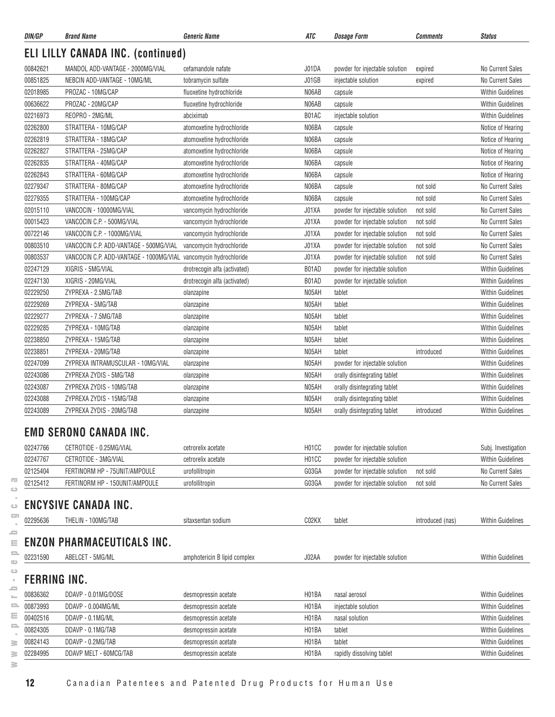| DIN/GP              | <b>Brand Name</b>                                                | <b>Generic Name</b>          | ATC                | <i><b>Dosage Form</b></i>      | Comments         | <b>Status</b>            |
|---------------------|------------------------------------------------------------------|------------------------------|--------------------|--------------------------------|------------------|--------------------------|
|                     | <b>ELI LILLY CANADA INC. (continued)</b>                         |                              |                    |                                |                  |                          |
| 00842621            | MANDOL ADD-VANTAGE - 2000MG/VIAL                                 | cefamandole nafate           | J01DA              | powder for injectable solution | expired          | No Current Sales         |
| 00851825            | NEBCIN ADD-VANTAGE - 10MG/ML                                     | tobramycin sulfate           | J01GB              | injectable solution            | expired          | <b>No Current Sales</b>  |
| 02018985            | PROZAC - 10MG/CAP                                                | fluoxetine hydrochloride     | N06AB              | capsule                        |                  | <b>Within Guidelines</b> |
| 00636622            | PROZAC - 20MG/CAP                                                | fluoxetine hydrochloride     | N06AB              | capsule                        |                  | <b>Within Guidelines</b> |
| 02216973            | REOPRO - 2MG/ML                                                  | abciximab                    | B01AC              | injectable solution            |                  | <b>Within Guidelines</b> |
| 02262800            | STRATTERA - 10MG/CAP                                             | atomoxetine hydrochloride    | N06BA              | capsule                        |                  | Notice of Hearing        |
| 02262819            | STRATTERA - 18MG/CAP                                             | atomoxetine hydrochloride    | N06BA              | capsule                        |                  | Notice of Hearing        |
| 02262827            | STRATTERA - 25MG/CAP                                             | atomoxetine hydrochloride    | N06BA              | capsule                        |                  | Notice of Hearing        |
| 02262835            | STRATTERA - 40MG/CAP                                             | atomoxetine hydrochloride    | N06BA              | capsule                        |                  | Notice of Hearing        |
| 02262843            | STRATTERA - 60MG/CAP                                             | atomoxetine hydrochloride    | N06BA              | capsule                        |                  | Notice of Hearing        |
| 02279347            | STRATTERA - 80MG/CAP                                             | atomoxetine hydrochloride    | N06BA              | capsule                        | not sold         | No Current Sales         |
| 02279355            | STRATTERA - 100MG/CAP                                            | atomoxetine hydrochloride    | N06BA              | capsule                        | not sold         | No Current Sales         |
| 02015110            | VANCOCIN - 10000MG/VIAL                                          | vancomycin hydrochloride     | J01XA              | powder for injectable solution | not sold         | No Current Sales         |
| 00015423            | VANCOCIN C.P. - 500MG/VIAL                                       | vancomycin hydrochloride     | J01XA              | powder for injectable solution | not sold         | No Current Sales         |
| 00722146            | VANCOCIN C.P. - 1000MG/VIAL                                      | vancomycin hydrochloride     | J01XA              | powder for injectable solution | not sold         | No Current Sales         |
| 00803510            | VANCOCIN C.P. ADD-VANTAGE - 500MG/VIAL                           | vancomycin hydrochloride     | J01XA              | powder for injectable solution | not sold         | No Current Sales         |
| 00803537            | VANCOCIN C.P. ADD-VANTAGE - 1000MG/VIAL vancomycin hydrochloride |                              | J01XA              | powder for injectable solution | not sold         | No Current Sales         |
| 02247129            | XIGRIS - 5MG/VIAL                                                | drotrecogin alfa (activated) | B01AD              | powder for injectable solution |                  | <b>Within Guidelines</b> |
| 02247130            | XIGRIS - 20MG/VIAL                                               | drotrecogin alfa (activated) | B01AD              | powder for injectable solution |                  | <b>Within Guidelines</b> |
| 02229250            | ZYPREXA - 2.5MG/TAB                                              | olanzapine                   | N05AH              | tablet                         |                  | <b>Within Guidelines</b> |
| 02229269            | ZYPREXA - 5MG/TAB                                                | olanzapine                   | N05AH              | tablet                         |                  | <b>Within Guidelines</b> |
| 02229277            | ZYPREXA - 7.5MG/TAB                                              | olanzapine                   | N05AH              | tablet                         |                  | <b>Within Guidelines</b> |
| 02229285            | ZYPREXA - 10MG/TAB                                               | olanzapine                   | N05AH              | tablet                         |                  | <b>Within Guidelines</b> |
| 02238850            | ZYPREXA - 15MG/TAB                                               | olanzapine                   | N05AH              | tablet                         |                  | <b>Within Guidelines</b> |
| 02238851            | ZYPREXA - 20MG/TAB                                               | olanzapine                   | N05AH              | tablet                         | introduced       | <b>Within Guidelines</b> |
| 02247099            | ZYPREXA INTRAMUSCULAR - 10MG/VIAL                                | olanzapine                   | N05AH              | powder for injectable solution |                  | <b>Within Guidelines</b> |
| 02243086            | ZYPREXA ZYDIS - 5MG/TAB                                          | olanzapine                   | N05AH              | orally disintegrating tablet   |                  | <b>Within Guidelines</b> |
| 02243087            | ZYPREXA ZYDIS - 10MG/TAB                                         | olanzapine                   | N05AH              | orally disintegrating tablet   |                  | <b>Within Guidelines</b> |
| 02243088            | ZYPREXA ZYDIS - 15MG/TAB                                         | olanzapine                   | N05AH              | orally disintegrating tablet   |                  | <b>Within Guidelines</b> |
| 02243089            | ZYPREXA ZYDIS - 20MG/TAB                                         | olanzapine                   | N05AH              | orally disintegrating tablet   | introduced       | <b>Within Guidelines</b> |
|                     | <b>EMD SERONO CANADA INC.</b>                                    |                              |                    |                                |                  |                          |
| 02247766            | CETROTIDE - 0.25MG/VIAL                                          | cetrorelix acetate           | H01CC              | powder for injectable solution |                  | Subj. Investigation      |
| 02247767            | CETROTIDE - 3MG/VIAL                                             | cetrorelix acetate           | H01CC              | powder for injectable solution |                  | <b>Within Guidelines</b> |
| 02125404            | FERTINORM HP - 75UNIT/AMPOULE                                    | urofollitropin               | G03GA              | powder for injectable solution | not sold         | No Current Sales         |
| 02125412            | FERTINORM HP - 150UNIT/AMPOULE                                   | urofollitropin               | G03GA              | powder for injectable solution | not sold         | No Current Sales         |
|                     |                                                                  |                              |                    |                                |                  |                          |
|                     | <b>ENCYSIVE CANADA INC.</b>                                      |                              |                    |                                |                  |                          |
| 02295636            | THELIN - 100MG/TAB                                               | sitaxsentan sodium           | C02KX              | tablet                         | introduced (nas) | <b>Within Guidelines</b> |
|                     | <b>ENZON PHARMACEUTICALS INC.</b>                                |                              |                    |                                |                  |                          |
| 02231590            | ABELCET - 5MG/ML                                                 | amphotericin B lipid complex | J02AA              | powder for injectable solution |                  | <b>Within Guidelines</b> |
| <b>FERRING INC.</b> |                                                                  |                              |                    |                                |                  |                          |
| 00836362            | DDAVP - 0.01MG/DOSE                                              | desmopressin acetate         | H01BA              | nasal aerosol                  |                  | <b>Within Guidelines</b> |
| 00873993            | DDAVP - 0.004MG/ML                                               | desmopressin acetate         | H01BA              | injectable solution            |                  | Within Guidelines        |
| 00402516            | DDAVP - 0.1MG/ML                                                 | desmopressin acetate         | H <sub>01</sub> BA | nasal solution                 |                  | <b>Within Guidelines</b> |
| 00824305            | DDAVP - 0.1MG/TAB                                                | desmopressin acetate         | H01BA              | tablet                         |                  | <b>Within Guidelines</b> |
| 00824143            | DDAVP - 0.2MG/TAB                                                | desmopressin acetate         | H01BA              | tablet                         |                  | <b>Within Guidelines</b> |
| 02284995            | DDAVP MELT - 60MCG/TAB                                           | desmopressin acetate         | H01BA              | rapidly dissolving tablet      |                  | <b>Within Guidelines</b> |
|                     |                                                                  |                              |                    |                                |                  |                          |

 $\overline{\infty}$  $\circ$  $\sim$  $\circ$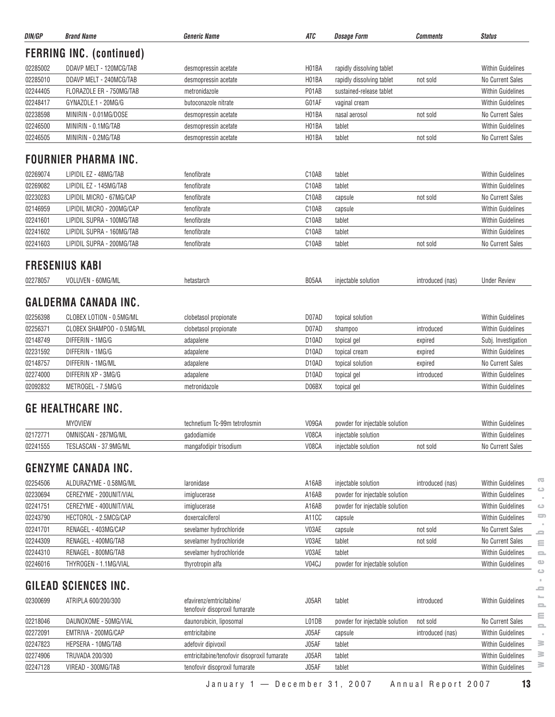|                                  | <b>Brand Name</b>               | <b>Generic Name</b>                                       | ATC                | <b>Dosage Form</b>             | <b>Comments</b>  | <b>Status</b>            |
|----------------------------------|---------------------------------|-----------------------------------------------------------|--------------------|--------------------------------|------------------|--------------------------|
|                                  | <b>FERRING INC. (continued)</b> |                                                           |                    |                                |                  |                          |
| 02285002                         | DDAVP MELT - 120MCG/TAB         | desmopressin acetate                                      | H01BA              | rapidly dissolving tablet      |                  | <b>Within Guidelines</b> |
| 02285010                         | DDAVP MELT - 240MCG/TAB         | desmopressin acetate                                      | H01BA              | rapidly dissolving tablet      | not sold         | No Current Sales         |
| 02244405                         | FLORAZOLE ER - 750MG/TAB        | metronidazole                                             | P01AB              | sustained-release tablet       |                  | <b>Within Guidelines</b> |
| 02248417                         | GYNAZOLE.1 - 20MG/G             | butoconazole nitrate                                      | G01AF              | vaginal cream                  |                  | <b>Within Guidelines</b> |
| 02238598                         | MINIRIN - 0.01MG/DOSE           | desmopressin acetate                                      | H01BA              | nasal aerosol                  | not sold         | No Current Sales         |
| 02246500                         | MINIRIN - 0.1MG/TAB             | desmopressin acetate                                      | H01BA              | tablet                         |                  | <b>Within Guidelines</b> |
| 02246505                         | MINIRIN - 0.2MG/TAB             | desmopressin acetate                                      | H01BA              | tablet                         | not sold         | No Current Sales         |
|                                  | <b>FOURNIER PHARMA INC.</b>     |                                                           |                    |                                |                  |                          |
| 02269074                         | LIPIDIL EZ - 48MG/TAB           | fenofibrate                                               | C10AB              | tablet                         |                  | <b>Within Guidelines</b> |
| 02269082                         | LIPIDIL EZ - 145MG/TAB          | fenofibrate                                               | C10AB              | tablet                         |                  | <b>Within Guidelines</b> |
| 02230283                         | LIPIDIL MICRO - 67MG/CAP        | fenofibrate                                               | C10AB              | capsule                        | not sold         | No Current Sales         |
| 02146959                         | LIPIDIL MICRO - 200MG/CAP       | fenofibrate                                               | C10AB              | capsule                        |                  | <b>Within Guidelines</b> |
| 02241601                         | LIPIDIL SUPRA - 100MG/TAB       | fenofibrate                                               | C10AB              | tablet                         |                  | <b>Within Guidelines</b> |
| 02241602                         | LIPIDIL SUPRA - 160MG/TAB       | fenofibrate                                               | C10AB              | tablet                         |                  | <b>Within Guidelines</b> |
| 02241603                         | LIPIDIL SUPRA - 200MG/TAB       | fenofibrate                                               | C10AB              | tablet                         | not sold         | No Current Sales         |
|                                  |                                 |                                                           |                    |                                |                  |                          |
|                                  | <b>FRESENIUS KABI</b>           |                                                           |                    |                                |                  |                          |
| 02278057                         | VOLUVEN - 60MG/ML               | hetastarch                                                | B05AA              | injectable solution            | introduced (nas) | <b>Under Review</b>      |
|                                  | <b>GALDERMA CANADA INC.</b>     |                                                           |                    |                                |                  |                          |
| 02256398                         | CLOBEX LOTION - 0.5MG/ML        | clobetasol propionate                                     | D07AD              | topical solution               |                  | <b>Within Guidelines</b> |
| 02256371                         | CLOBEX SHAMPOO - 0.5MG/ML       | clobetasol propionate                                     | D07AD              | shampoo                        | introduced       | <b>Within Guidelines</b> |
| 02148749                         | DIFFERIN - 1MG/G                | adapalene                                                 | D <sub>10</sub> AD | topical gel                    | expired          | Subj. Investigation      |
| 02231592                         | DIFFERIN - 1MG/G                | adapalene                                                 | D <sub>10</sub> AD | topical cream                  | expired          | <b>Within Guidelines</b> |
| 02148757                         | DIFFERIN - 1MG/ML               | adapalene                                                 | D <sub>10</sub> AD | topical solution               | expired          | No Current Sales         |
| 02274000                         | DIFFERIN XP - 3MG/G             | adapalene                                                 | D <sub>10</sub> AD | topical gel                    | introduced       | <b>Within Guidelines</b> |
| 02092832                         | METROGEL - 7.5MG/G              | metronidazole                                             | D06BX              | topical gel                    |                  | Within Guidelines        |
|                                  | <b>GE HEALTHCARE INC.</b>       |                                                           |                    |                                |                  |                          |
|                                  |                                 | technetium Tc-99m tetrofosmin                             | V09GA              | powder for injectable solution |                  | <b>Within Guidelines</b> |
|                                  |                                 |                                                           |                    |                                |                  |                          |
|                                  | <b>MYOVIEW</b>                  |                                                           |                    |                                |                  |                          |
|                                  | OMNISCAN - 287MG/ML             | gadodiamide                                               | V08CA              | injectable solution            |                  | <b>Within Guidelines</b> |
| 02172771<br>02241555             | TESLASCAN - 37.9MG/ML           | mangafodipir trisodium                                    | V08CA              | injectable solution            | not sold         | No Current Sales         |
|                                  | <b>GENZYME CANADA INC.</b>      |                                                           |                    |                                |                  |                          |
|                                  | ALDURAZYME - 0.58MG/ML          | laronidase                                                | A16AB              | injectable solution            | introduced (nas) | <b>Within Guidelines</b> |
|                                  | CEREZYME - 200UNIT/VIAL         | imiglucerase                                              | A16AB              | powder for injectable solution |                  | <b>Within Guidelines</b> |
| 02254506<br>02230694<br>02241751 | CEREZYME - 400UNIT/VIAL         | imiglucerase                                              | A16AB              | powder for injectable solution |                  | <b>Within Guidelines</b> |
| 02243790                         | HECTOROL - 2.5MCG/CAP           | doxercalciferol                                           | A11CC              | capsule                        |                  | <b>Within Guidelines</b> |
|                                  | RENAGEL - 403MG/CAP             | sevelamer hydrochloride                                   | V03AE              | capsule                        | not sold         | No Current Sales         |
| 02241701<br>02244309             | RENAGEL - 400MG/TAB             | sevelamer hydrochloride                                   | V03AE              | tablet                         | not sold         | No Current Sales         |
| 02244310                         | RENAGEL - 800MG/TAB             | sevelamer hydrochloride                                   | V03AE              | tablet                         |                  | <b>Within Guidelines</b> |
| 02246016                         | THYROGEN - 1.1MG/VIAL           | thyrotropin alfa                                          | V04CJ              | powder for injectable solution |                  | Within Guidelines        |
|                                  | GILEAD SCIENCES INC.            |                                                           |                    |                                |                  |                          |
| 02300699                         | ATRIPLA 600/200/300             | efavirenz/emtricitabine/<br>tenofovir disoproxil fumarate | J05AR              | tablet                         | introduced       | <b>Within Guidelines</b> |
| 02218046                         | DAUNOXOME - 50MG/VIAL           | daunorubicin, liposomal                                   | L01DB              | powder for injectable solution | not sold         | No Current Sales         |
| 02272091                         | EMTRIVA - 200MG/CAP             | emtricitabine                                             | J05AF              | capsule                        | introduced (nas) | <b>Within Guidelines</b> |
|                                  | HEPSERA - 10MG/TAB              | adefovir dipivoxil                                        | J05AF              | tablet                         |                  | <b>Within Guidelines</b> |
| 02247823<br>02274906             | <b>TRUVADA 200/300</b>          | emtricitabine/tenofovir disoproxil fumarate               | J05AR              | tablet                         |                  | Within Guidelines        |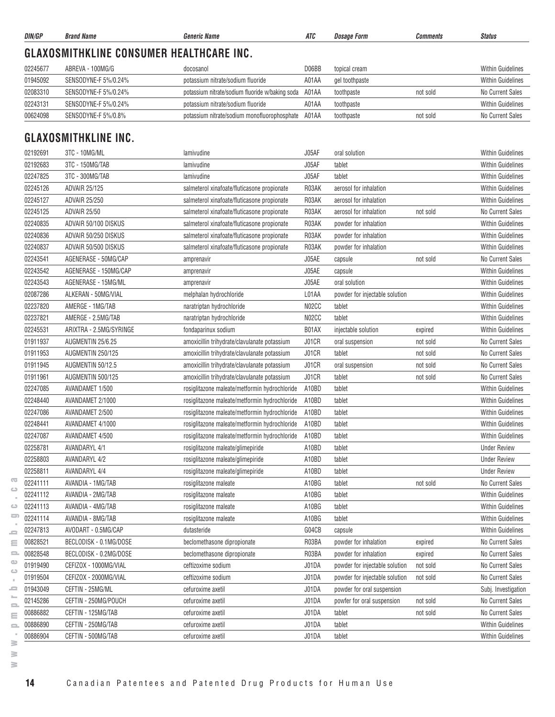|              | DIN/GP   | <b>Brand Name</b>                               | <b>Generic Name</b>                             | <b>ATC</b> | <b>Dosage Form</b>                                       | <b>Comments</b> | <b>Status</b>                           |
|--------------|----------|-------------------------------------------------|-------------------------------------------------|------------|----------------------------------------------------------|-----------------|-----------------------------------------|
|              |          | <b>GLAXOSMITHKLINE CONSUMER HEALTHCARE INC.</b> |                                                 |            |                                                          |                 |                                         |
|              | 02245677 | ABREVA - 100MG/G                                | docosanol                                       | D06BB      | topical cream                                            |                 | <b>Within Guidelines</b>                |
|              | 01945092 | SENSODYNE-F 5%/0.24%                            | potassium nitrate/sodium fluoride               | A01AA      | gel toothpaste                                           |                 | <b>Within Guidelines</b>                |
|              | 02083310 | SENSODYNE-F 5%/0.24%                            | potassium nitrate/sodium fluoride w/baking soda | A01AA      | toothpaste                                               | not sold        | No Current Sales                        |
|              | 02243131 | SENSODYNE-F 5%/0.24%                            | potassium nitrate/sodium fluoride               | A01AA      | toothpaste                                               |                 | <b>Within Guidelines</b>                |
|              | 00624098 | SENSODYNE-F 5%/0.8%                             | potassium nitrate/sodium monofluorophosphate    | A01AA      | toothpaste                                               | not sold        | No Current Sales                        |
|              |          | <b>GLAXOSMITHKLINE INC.</b>                     |                                                 |            |                                                          |                 |                                         |
|              |          |                                                 |                                                 |            |                                                          |                 |                                         |
|              | 02192691 | 3TC - 10MG/ML                                   | lamivudine                                      | J05AF      | oral solution                                            |                 | <b>Within Guidelines</b>                |
|              | 02192683 | 3TC - 150MG/TAB                                 | lamivudine                                      | J05AF      | tablet                                                   |                 | <b>Within Guidelines</b>                |
|              | 02247825 | 3TC - 300MG/TAB                                 | lamivudine                                      | J05AF      | tablet                                                   |                 | <b>Within Guidelines</b>                |
|              | 02245126 | <b>ADVAIR 25/125</b>                            | salmeterol xinafoate/fluticasone propionate     | R03AK      | aerosol for inhalation                                   |                 | <b>Within Guidelines</b>                |
|              | 02245127 | <b>ADVAIR 25/250</b>                            | salmeterol xinafoate/fluticasone propionate     | R03AK      | aerosol for inhalation                                   |                 | <b>Within Guidelines</b>                |
|              | 02245125 | <b>ADVAIR 25/50</b>                             | salmeterol xinafoate/fluticasone propionate     | R03AK      | aerosol for inhalation                                   | not sold        | No Current Sales                        |
|              | 02240835 | ADVAIR 50/100 DISKUS                            | salmeterol xinafoate/fluticasone propionate     | R03AK      | powder for inhalation                                    |                 | <b>Within Guidelines</b>                |
|              | 02240836 | ADVAIR 50/250 DISKUS                            | salmeterol xinafoate/fluticasone propionate     | R03AK      | powder for inhalation                                    |                 | <b>Within Guidelines</b>                |
|              | 02240837 | ADVAIR 50/500 DISKUS                            | salmeterol xinafoate/fluticasone propionate     | R03AK      | powder for inhalation                                    |                 | <b>Within Guidelines</b>                |
|              | 02243541 | AGENERASE - 50MG/CAP                            | amprenavir                                      | J05AE      | capsule                                                  | not sold        | No Current Sales                        |
|              | 02243542 | AGENERASE - 150MG/CAP                           | amprenavir                                      | J05AE      | capsule                                                  |                 | <b>Within Guidelines</b>                |
|              | 02243543 | AGENERASE - 15MG/ML                             | amprenavir                                      | J05AE      | oral solution                                            |                 | <b>Within Guidelines</b>                |
|              | 02087286 | ALKERAN - 50MG/VIAL                             | melphalan hydrochloride                         | L01AA      | powder for injectable solution                           |                 | <b>Within Guidelines</b>                |
|              | 02237820 | AMERGE - 1MG/TAB                                | naratriptan hydrochloride                       | N02CC      | tablet                                                   |                 | <b>Within Guidelines</b>                |
|              | 02237821 | AMERGE - 2.5MG/TAB                              | naratriptan hydrochloride                       | N02CC      | tablet                                                   |                 | <b>Within Guidelines</b>                |
|              | 02245531 | ARIXTRA - 2.5MG/SYRINGE                         | fondaparinux sodium                             | B01AX      | injectable solution                                      | expired         | <b>Within Guidelines</b>                |
|              | 01911937 | AUGMENTIN 25/6.25                               | amoxicillin trihydrate/clavulanate potassium    | J01CR      | oral suspension                                          | not sold        | No Current Sales                        |
|              | 01911953 | AUGMENTIN 250/125                               | amoxicillin trihydrate/clavulanate potassium    | J01CR      | tablet                                                   | not sold        | No Current Sales                        |
|              | 01911945 | AUGMENTIN 50/12.5                               | amoxicillin trihydrate/clavulanate potassium    | J01CR      | oral suspension                                          | not sold        | No Current Sales                        |
|              | 01911961 | AUGMENTIN 500/125                               | amoxicillin trihydrate/clavulanate potassium    | J01CR      | tablet                                                   | not sold        | No Current Sales                        |
|              | 02247085 | AVANDAMET 1/500                                 | rosiglitazone maleate/metformin hydrochloride   | A10BD      | tablet                                                   |                 | <b>Within Guidelines</b>                |
|              | 02248440 | AVANDAMET 2/1000                                | rosiglitazone maleate/metformin hydrochloride   | A10BD      | tablet                                                   |                 | <b>Within Guidelines</b>                |
|              | 02247086 | AVANDAMET 2/500                                 | rosiglitazone maleate/metformin hydrochloride   | A10BD      | tablet                                                   |                 | <b>Within Guidelines</b>                |
|              | 02248441 | AVANDAMET 4/1000                                | rosiglitazone maleate/metformin hydrochloride   | A10BD      | tablet                                                   |                 | <b>Within Guidelines</b>                |
|              | 02247087 | AVANDAMET 4/500                                 | rosiglitazone maleate/metformin hydrochloride   | A10BD      | tablet                                                   |                 | <b>Within Guidelines</b>                |
|              | 02258781 | AVANDARYL 4/1                                   | rosiglitazone maleate/glimepiride               | A10BD      | tablet                                                   |                 | <b>Under Review</b>                     |
|              | 02258803 | AVANDARYL 4/2                                   | rosiglitazone maleate/glimepiride               | A10BD      | tablet                                                   |                 | <b>Under Review</b>                     |
|              | 02258811 | <b>AVANDARYL 4/4</b>                            | rosiglitazone maleate/glimepiride               | A10BD      | tablet                                                   |                 | <b>Under Review</b>                     |
|              | 02241111 | AVANDIA - 1MG/TAB                               | rosiglitazone maleate                           | A10BG      | tablet                                                   | not sold        | No Current Sales                        |
|              | 02241112 | AVANDIA - 2MG/TAB                               | rosiglitazone maleate                           | A10BG      | tablet                                                   |                 | Within Guidelines                       |
|              | 02241113 | AVANDIA - 4MG/TAB                               | rosiglitazone maleate                           | A10BG      | tablet                                                   |                 | <b>Within Guidelines</b>                |
| $\circ$<br>ᇹ | 02241114 | AVANDIA - 8MG/TAB                               | rosiglitazone maleate                           | A10BG      | tablet                                                   |                 | <b>Within Guidelines</b>                |
|              | 02247813 | AVODART - 0.5MG/CAP                             | dutasteride                                     | G04CB      | capsule                                                  |                 | <b>Within Guidelines</b>                |
|              | 00828521 | BECLODISK - 0.1MG/DOSE                          | beclomethasone dipropionate                     | R03BA      | powder for inhalation                                    | expired         | No Current Sales                        |
| 2            | 00828548 | BECLODISK - 0.2MG/DOSE                          | beclomethasone dipropionate                     | R03BA      | powder for inhalation                                    | expired         | No Current Sales                        |
|              | 01919490 | CEFIZOX - 1000MG/VIAL                           | ceftizoxime sodium                              | J01DA      | powder for injectable solution                           | not sold        | No Current Sales                        |
| $\circ$      | 01919504 | CEFIZOX - 2000MG/VIAL                           | ceftizoxime sodium                              | J01DA      | powder for injectable solution                           | not sold        | No Current Sales                        |
| ᇰ            | 01943049 | CEFTIN - 25MG/ML                                |                                                 | J01DA      |                                                          |                 |                                         |
|              | 02145286 | CEFTIN - 250MG/POUCH                            | cefuroxime axetil<br>cefuroxime axetil          | J01DA      | powder for oral suspension<br>powfer for oral suspension | not sold        | Subj. Investigation<br>No Current Sales |
| 2            | 00886882 | CEFTIN - 125MG/TAB                              |                                                 | J01DA      |                                                          |                 | No Current Sales                        |
| ≘            |          |                                                 | cefuroxime axetil                               |            | tablet                                                   | not sold        |                                         |
| $\equiv$     | 00886890 | CEFTIN - 250MG/TAB                              | cefuroxime axetil                               | J01DA      | tablet                                                   |                 | Within Guidelines                       |
|              | 00886904 | CEFTIN - 500MG/TAB                              | cefuroxime axetil                               | J01DA      | tablet                                                   |                 | Within Guidelines                       |

**www.pmprb-cepmb.gc.ca** $\circ$  $\qquad \qquad \qquad \qquad \qquad$  $\sim$  $\equiv$  $\equiv$  $\equiv$  $\circ$  $\circ$  $\mathcal{A}$  $\equiv$  $\sim$  $\equiv$  $\equiv$  $\equiv$  $\sim$  $\geq$  $\geq$ 

 $\geq$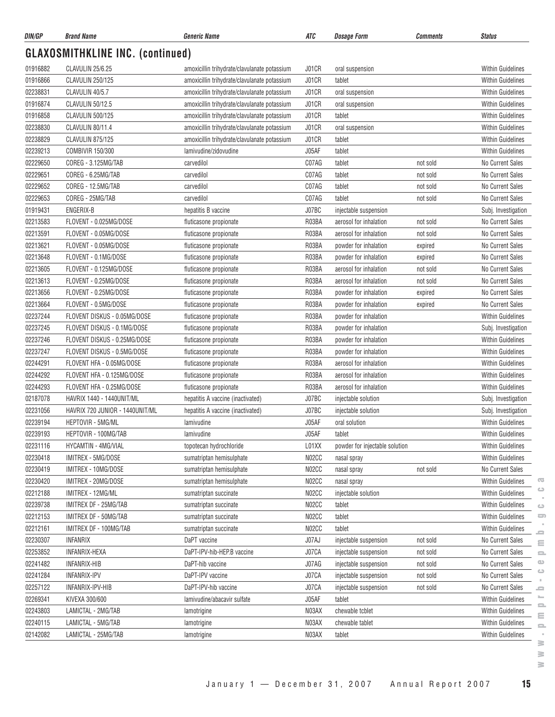| DIN/GP   | <b>Brand Name</b>                       | <b>Generic Name</b>                          | ATC   | <i><b>Dosage Form</b></i>      | Comments | <b>Status</b>            |
|----------|-----------------------------------------|----------------------------------------------|-------|--------------------------------|----------|--------------------------|
|          | <b>GLAXOSMITHKLINE INC. (continued)</b> |                                              |       |                                |          |                          |
| 01916882 | CLAVULIN 25/6.25                        | amoxicillin trihydrate/clavulanate potassium | J01CR | oral suspension                |          | <b>Within Guidelines</b> |
| 01916866 | <b>CLAVULIN 250/125</b>                 | amoxicillin trihydrate/clavulanate potassium | J01CR | tablet                         |          | <b>Within Guidelines</b> |
| 02238831 | CLAVULIN 40/5.7                         | amoxicillin trihydrate/clavulanate potassium | J01CR | oral suspension                |          | <b>Within Guidelines</b> |
| 01916874 | <b>CLAVULIN 50/12.5</b>                 | amoxicillin trihydrate/clavulanate potassium | J01CR | oral suspension                |          | <b>Within Guidelines</b> |
| 01916858 | <b>CLAVULIN 500/125</b>                 | amoxicillin trihydrate/clavulanate potassium | J01CR | tablet                         |          | <b>Within Guidelines</b> |
| 02238830 | CLAVULIN 80/11.4                        | amoxicillin trihydrate/clavulanate potassium | J01CR | oral suspension                |          | <b>Within Guidelines</b> |
| 02238829 | CLAVULIN 875/125                        | amoxicillin trihydrate/clavulanate potassium | J01CR | tablet                         |          | <b>Within Guidelines</b> |
| 02239213 | COMBIVIR 150/300                        | lamivudine/zidovudine                        | J05AF | tablet                         |          | <b>Within Guidelines</b> |
| 02229650 | COREG - 3.125MG/TAB                     | carvedilol                                   | C07AG | tablet                         | not sold | No Current Sales         |
| 02229651 | COREG - 6.25MG/TAB                      | carvedilol                                   | C07AG | tablet                         | not sold | No Current Sales         |
| 02229652 | COREG - 12.5MG/TAB                      | carvedilol                                   | C07AG | tablet                         | not sold | No Current Sales         |
| 02229653 | COREG - 25MG/TAB                        | carvedilol                                   | C07AG | tablet                         | not sold | No Current Sales         |
| 01919431 | ENGERIX-B                               | hepatitis B vaccine                          | J07BC | injectable suspension          |          | Subj. Investigation      |
| 02213583 | FLOVENT - 0.025MG/DOSE                  | fluticasone propionate                       | R03BA | aerosol for inhalation         | not sold | No Current Sales         |
| 02213591 | FLOVENT - 0.05MG/DOSE                   | fluticasone propionate                       | R03BA | aerosol for inhalation         | not sold | No Current Sales         |
| 02213621 | FLOVENT - 0.05MG/DOSE                   | fluticasone propionate                       | R03BA | powder for inhalation          | expired  | No Current Sales         |
| 02213648 | FLOVENT - 0.1MG/DOSE                    | fluticasone propionate                       | R03BA | powder for inhalation          | expired  | No Current Sales         |
| 02213605 | FLOVENT - 0.125MG/DOSE                  | fluticasone propionate                       | R03BA | aerosol for inhalation         | not sold | No Current Sales         |
| 02213613 | FLOVENT - 0.25MG/DOSE                   | fluticasone propionate                       | R03BA | aerosol for inhalation         | not sold | No Current Sales         |
| 02213656 | FLOVENT - 0.25MG/DOSE                   | fluticasone propionate                       | R03BA | powder for inhalation          | expired  | No Current Sales         |
| 02213664 | FLOVENT - 0.5MG/DOSE                    | fluticasone propionate                       | R03BA | powder for inhalation          | expired  | No Current Sales         |
| 02237244 | FLOVENT DISKUS - 0.05MG/DOSE            | fluticasone propionate                       | R03BA | powder for inhalation          |          | <b>Within Guidelines</b> |
| 02237245 | FLOVENT DISKUS - 0.1MG/DOSE             | fluticasone propionate                       | R03BA | powder for inhalation          |          | Subj. Investigation      |
| 02237246 | FLOVENT DISKUS - 0.25MG/DOSE            | fluticasone propionate                       | R03BA | powder for inhalation          |          | <b>Within Guidelines</b> |
| 02237247 | FLOVENT DISKUS - 0.5MG/DOSE             | fluticasone propionate                       | R03BA | powder for inhalation          |          | <b>Within Guidelines</b> |
| 02244291 | FLOVENT HFA - 0.05MG/DOSE               | fluticasone propionate                       | R03BA | aerosol for inhalation         |          | <b>Within Guidelines</b> |
| 02244292 | FLOVENT HFA - 0.125MG/DOSE              | fluticasone propionate                       | R03BA | aerosol for inhalation         |          | <b>Within Guidelines</b> |
| 02244293 | FLOVENT HFA - 0.25MG/DOSE               | fluticasone propionate                       | R03BA | aerosol for inhalation         |          | <b>Within Guidelines</b> |
| 02187078 | HAVRIX 1440 - 1440UNIT/ML               | hepatitis A vaccine (inactivated)            | J07BC | injectable solution            |          | Subj. Investigation      |
| 02231056 | HAVRIX 720 JUNIOR - 1440UNIT/ML         | hepatitis A vaccine (inactivated)            | J07BC | injectable solution            |          | Subj. Investigation      |
| 02239194 | HEPTOVIR - 5MG/ML                       | lamivudine                                   | J05AF | oral solution                  |          | <b>Within Guidelines</b> |
| 02239193 | HEPTOVIR - 100MG/TAB                    | lamivudine                                   | J05AF | tablet                         |          | Within Guidelines        |
| 02231116 | <b>HYCAMTIN - 4MG/VIAL</b>              | topotecan hydrochloride                      | L01XX | powder for injectable solution |          | <b>Within Guidelines</b> |
| 02230418 | IMITREX - 5MG/DOSE                      | sumatriptan hemisulphate                     | N02CC | nasal spray                    |          | <b>Within Guidelines</b> |
| 02230419 | IMITREX - 10MG/DOSE                     | sumatriptan hemisulphate                     | N02CC | nasal spray                    | not sold | No Current Sales         |
| 02230420 | IMITREX - 20MG/DOSE                     | sumatriptan hemisulphate                     | N02CC | nasal spray                    |          | <b>Within Guidelines</b> |
| 02212188 | IMITREX - 12MG/ML                       | sumatriptan succinate                        | N02CC | injectable solution            |          | Within Guidelines        |
| 02239738 | IMITREX DF - 25MG/TAB                   | sumatriptan succinate                        | N02CC | tablet                         |          | Within Guidelines        |
| 02212153 | IMITREX DF - 50MG/TAB                   | sumatriptan succinate                        | N02CC | tablet                         |          | Within Guidelines        |
| 02212161 | IMITREX DF - 100MG/TAB                  | sumatriptan succinate                        | N02CC | tablet                         |          | <b>Within Guidelines</b> |
| 02230307 | <b>INFANRIX</b>                         | DaPT vaccine                                 | J07AJ | injectable suspension          | not sold | <b>No Current Sales</b>  |
| 02253852 | INFANRIX-HEXA                           | DaPT-IPV-hib-HEP.B vaccine                   | J07CA | injectable suspension          | not sold | No Current Sales         |
| 02241482 | INFANRIX-HIB                            | DaPT-hib vaccine                             | J07AG | injectable suspension          | not sold | No Current Sales         |
| 02241284 | INFANRIX-IPV                            | DaPT-IPV vaccine                             | J07CA | injectable suspension          | not sold | No Current Sales         |
| 02257122 | INFANRIX-IPV-HIB                        | DaPT-IPV-hib vaccine                         | J07CA | injectable suspension          | not sold | No Current Sales         |
| 02269341 | KIVEXA 300/600                          | lamivudine/abacavir sulfate                  | J05AF | tablet                         |          | <b>Within Guidelines</b> |
| 02243803 | LAMICTAL - 2MG/TAB                      | lamotrigine                                  | N03AX | chewable tcblet                |          | <b>Within Guidelines</b> |
| 02240115 | LAMICTAL - 5MG/TAB                      | lamotrigine                                  | N03AX | chewable tablet                |          | <b>Within Guidelines</b> |
| 02142082 | LAMICTAL - 25MG/TAB                     | lamotrigine                                  | N03AX | tablet                         |          | <b>Within Guidelines</b> |
|          |                                         |                                              |       |                                |          |                          |

 $\overline{\mathbb{C}}$  $\circ$  $\sim$  $\circ$  $\qquad \qquad \qquad \qquad \qquad$  $\sim$  $\equiv$  $\equiv$  $\equiv$  $\circledcirc$  $\hfill\square$  $\epsilon$  $\equiv$  $\sim$  $\equiv$  $\equiv$  $\equiv$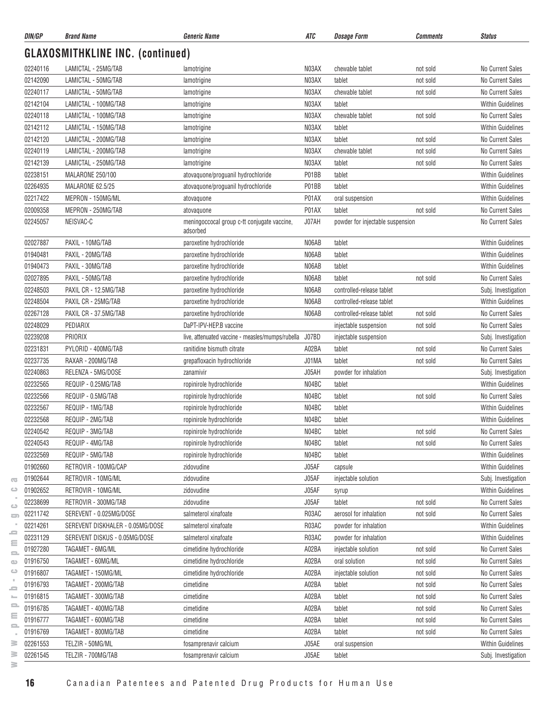| DIN/GP               | <b>Brand Name</b>                          | <i><b>Generic Name</b></i>                              | ATC   | <b>Dosage Form</b>               | <b>Comments</b> | <b>Status</b>                        |
|----------------------|--------------------------------------------|---------------------------------------------------------|-------|----------------------------------|-----------------|--------------------------------------|
|                      | <b>GLAXOSMITHKLINE INC. (continued)</b>    |                                                         |       |                                  |                 |                                      |
| 02240116             | LAMICTAL - 25MG/TAB                        | lamotrigine                                             | N03AX | chewable tablet                  | not sold        | No Current Sales                     |
| 02142090             | LAMICTAL - 50MG/TAB                        | lamotrigine                                             | N03AX | tablet                           | not sold        | No Current Sales                     |
| 02240117             | LAMICTAL - 50MG/TAB                        | lamotrigine                                             | N03AX | chewable tablet                  | not sold        | No Current Sales                     |
| 02142104             | LAMICTAL - 100MG/TAB                       | lamotrigine                                             | N03AX | tablet                           |                 | <b>Within Guidelines</b>             |
| 02240118             | LAMICTAL - 100MG/TAB                       | lamotrigine                                             | N03AX | chewable tablet                  | not sold        | No Current Sales                     |
| 02142112             | LAMICTAL - 150MG/TAB                       | lamotrigine                                             | N03AX | tablet                           |                 | <b>Within Guidelines</b>             |
| 02142120             | LAMICTAL - 200MG/TAB                       | lamotrigine                                             | N03AX | tablet                           | not sold        | No Current Sales                     |
| 02240119             | LAMICTAL - 200MG/TAB                       | lamotrigine                                             | N03AX | chewable tablet                  | not sold        | No Current Sales                     |
| 02142139             | LAMICTAL - 250MG/TAB                       | lamotrigine                                             | N03AX | tablet                           | not sold        | No Current Sales                     |
| 02238151             | MALARONE 250/100                           | atovaquone/proguanil hydrochloride                      | P01BB | tablet                           |                 | <b>Within Guidelines</b>             |
| 02264935             | MALARONE 62.5/25                           | atovaquone/proguanil hydrochloride                      | P01BB | tablet                           |                 | <b>Within Guidelines</b>             |
| 02217422             | MEPRON - 150MG/ML                          | atovaquone                                              | P01AX | oral suspension                  |                 | <b>Within Guidelines</b>             |
| 02009358             | MEPRON - 250MG/TAB                         | atovaquone                                              | P01AX | tablet                           | not sold        | No Current Sales                     |
| 02245057             | NEISVAC-C                                  | meningoccocal group c-tt conjugate vaccine,<br>adsorbed | J07AH | powder for injectable suspension |                 | No Current Sales                     |
| 02027887             | PAXIL - 10MG/TAB                           | paroxetine hydrochloride                                | N06AB | tablet                           |                 | <b>Within Guidelines</b>             |
| 01940481             | PAXIL - 20MG/TAB                           | paroxetine hydrochloride                                | N06AB | tablet                           |                 | <b>Within Guidelines</b>             |
| 01940473             | PAXIL - 30MG/TAB                           | paroxetine hydrochloride                                | N06AB | tablet                           |                 | <b>Within Guidelines</b>             |
| 02027895             | PAXIL - 50MG/TAB                           | paroxetine hydrochloride                                | N06AB | tablet                           | not sold        | No Current Sales                     |
| 02248503             | PAXIL CR - 12.5MG/TAB                      | paroxetine hydrochloride                                | N06AB | controlled-release tablet        |                 | Subj. Investigation                  |
| 02248504             | PAXIL CR - 25MG/TAB                        | paroxetine hydrochloride                                | N06AB | controlled-release tablet        |                 | <b>Within Guidelines</b>             |
| 02267128             | PAXIL CR - 37.5MG/TAB                      | paroxetine hydrochloride                                | N06AB | controlled-release tablet        | not sold        | No Current Sales                     |
| 02248029             | PEDIARIX                                   | DaPT-IPV-HEP.B vaccine                                  |       | injectable suspension            | not sold        | No Current Sales                     |
| 02239208             | PRIORIX                                    | live, attenuated vaccine - measles/mumps/rubella        | J07BD | injectable suspension            |                 | Subj. Investigation                  |
| 02231831             | PYLORID - 400MG/TAB                        | ranitidine bismuth citrate                              | A02BA | tablet                           | not sold        | No Current Sales                     |
| 02237735             | RAXAR - 200MG/TAB                          | grepafloxacin hydrochloride                             | J01MA | tablet                           | not sold        | No Current Sales                     |
| 02240863             | RELENZA - 5MG/DOSE                         | zanamivir                                               | J05AH | powder for inhalation            |                 | Subj. Investigation                  |
| 02232565             | REQUIP - 0.25MG/TAB                        | ropinirole hydrochloride                                | N04BC | tablet                           |                 | <b>Within Guidelines</b>             |
| 02232566             | REQUIP - 0.5MG/TAB                         | ropinirole hydrochloride                                | N04BC | tablet                           | not sold        | No Current Sales                     |
| 02232567             | REQUIP - 1MG/TAB                           | ropinirole hydrochloride                                | N04BC | tablet                           |                 | <b>Within Guidelines</b>             |
| 02232568             | REQUIP - 2MG/TAB                           | ropinirole hydrochloride                                | N04BC | tablet                           |                 | <b>Within Guidelines</b>             |
| 02240542             | REQUIP - 3MG/TAB                           | ropinirole hydrochloride                                | N04BC | tablet                           | not sold        | No Current Sales                     |
| 02240543             | REQUIP - 4MG/TAB                           | ropinirole hydrochloride                                | N04BC | tablet                           | not sold        | No Current Sales                     |
| 02232569             | REQUIP - 5MG/TAB                           | ropinirole hydrochloride                                | N04BC | tablet                           |                 | Within Guidelines                    |
| 01902660             | RETROVIR - 100MG/CAP                       | zidovudine                                              | J05AF | capsule                          |                 | Within Guidelines                    |
| 01902644             | RETROVIR - 10MG/ML                         | zidovudine                                              | J05AF | injectable solution              |                 | Subj. Investigation                  |
| 01902652             | RETROVIR - 10MG/ML                         | zidovudine                                              | J05AF |                                  |                 | <b>Within Guidelines</b>             |
| 02238699             | RETROVIR - 300MG/TAB                       | zidovudine                                              | J05AF | syrup<br>tablet                  | not sold        | No Current Sales                     |
| 02211742             | SEREVENT - 0.025MG/DOSE                    | salmeterol xinafoate                                    | R03AC | aerosol for inhalation           | not sold        | No Current Sales                     |
| 02214261             | SEREVENT DISKHALER - 0.05MG/DOSE           | salmeterol xinafoate                                    | R03AC | powder for inhalation            |                 | Within Guidelines                    |
| 02231129             | SEREVENT DISKUS - 0.05MG/DOSE              | salmeterol xinafoate                                    | R03AC | powder for inhalation            |                 | Within Guidelines                    |
| 01927280             | TAGAMET - 6MG/ML                           | cimetidine hydrochloride                                | A02BA | injectable solution              | not sold        | No Current Sales                     |
| 01916750             | TAGAMET - 60MG/ML                          | cimetidine hydrochloride                                | A02BA | oral solution                    | not sold        | No Current Sales                     |
| 01916807             | TAGAMET - 150MG/ML                         | cimetidine hydrochloride                                | A02BA | injectable solution              | not sold        | No Current Sales                     |
| 01916793             | TAGAMET - 200MG/TAB                        | cimetidine                                              | A02BA | tablet                           | not sold        | No Current Sales                     |
|                      |                                            |                                                         | A02BA |                                  |                 |                                      |
| 01916815             | TAGAMET - 300MG/TAB                        | cimetidine                                              |       | tablet                           | not sold        | No Current Sales                     |
| 01916785<br>01916777 | TAGAMET - 400MG/TAB<br>TAGAMET - 600MG/TAB | cimetidine                                              | A02BA | tablet                           | not sold        | No Current Sales<br>No Current Sales |
|                      |                                            | cimetidine                                              | A02BA | tablet                           | not sold        | No Current Sales                     |
| 01916769             | TAGAMET - 800MG/TAB                        | cimetidine                                              | A02BA | tablet                           | not sold        |                                      |
| 02261553             | TELZIR - 50MG/ML                           | fosamprenavir calcium                                   | J05AE | oral suspension                  |                 | <b>Within Guidelines</b>             |
| 02261545             | TELZIR - 700MG/TAB                         | fosamprenavir calcium                                   | J05AE | tablet                           |                 | Subj. Investigation                  |

 $\geq$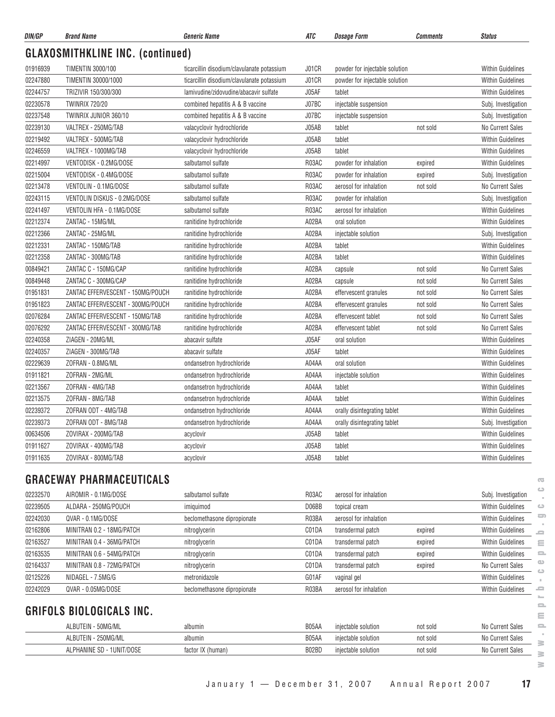| DIN/GP   | <b>Brand Name</b>                       | <b>Generic Name</b>                        | ATC   | <b>Dosage Form</b>             | Comments | <b>Status</b>                       |
|----------|-----------------------------------------|--------------------------------------------|-------|--------------------------------|----------|-------------------------------------|
|          | <b>GLAXOSMITHKLINE INC. (continued)</b> |                                            |       |                                |          |                                     |
| 01916939 | <b>TIMENTIN 3000/100</b>                | ticarcillin disodium/clavulanate potassium | J01CR | powder for injectable solution |          | <b>Within Guidelines</b>            |
| 02247880 | TIMENTIN 30000/1000                     | ticarcillin disodium/clavulanate potassium | J01CR | powder for injectable solution |          | <b>Within Guidelines</b>            |
| 02244757 | TRIZIVIR 150/300/300                    | lamivudine/zidovudine/abacavir sulfate     | J05AF | tablet                         |          | <b>Within Guidelines</b>            |
| 02230578 | <b>TWINRIX 720/20</b>                   | combined hepatitis A & B vaccine           | J07BC | injectable suspension          |          | Subj. Investigation                 |
| 02237548 | TWINRIX JUNIOR 360/10                   | combined hepatitis A & B vaccine           | J07BC | injectable suspension          |          | Subj. Investigation                 |
| 02239130 | VALTREX - 250MG/TAB                     | valacyclovir hydrochloride                 | J05AB | tablet                         | not sold | No Current Sales                    |
| 02219492 | VALTREX - 500MG/TAB                     | valacyclovir hydrochloride                 | J05AB | tablet                         |          | <b>Within Guidelines</b>            |
| 02246559 | VALTREX - 1000MG/TAB                    | valacyclovir hydrochloride                 | J05AB | tablet                         |          | <b>Within Guidelines</b>            |
| 02214997 | VENTODISK - 0.2MG/DOSE                  | salbutamol sulfate                         | R03AC | powder for inhalation          | expired  | <b>Within Guidelines</b>            |
| 02215004 | VENTODISK - 0.4MG/DOSE                  | salbutamol sulfate                         | R03AC | powder for inhalation          | expired  | Subj. Investigation                 |
| 02213478 | VENTOLIN - 0.1MG/DOSE                   | salbutamol sulfate                         | R03AC | aerosol for inhalation         | not sold | No Current Sales                    |
| 02243115 | VENTOLIN DISKUS - 0.2MG/DOSE            | salbutamol sulfate                         | R03AC | powder for inhalation          |          | Subj. Investigation                 |
| 02241497 | VENTOLIN HFA - 0.1MG/DOSE               | salbutamol sulfate                         | R03AC | aerosol for inhalation         |          | Within Guidelines                   |
| 02212374 | ZANTAC - 15MG/ML                        | ranitidine hydrochloride                   | A02BA | oral solution                  |          | <b>Within Guidelines</b>            |
| 02212366 | ZANTAC - 25MG/ML                        | ranitidine hydrochloride                   | A02BA | injectable solution            |          | Subj. Investigation                 |
| 02212331 | ZANTAC - 150MG/TAB                      | ranitidine hydrochloride                   | A02BA | tablet                         |          | Within Guidelines                   |
| 02212358 | ZANTAC - 300MG/TAB                      | ranitidine hydrochloride                   | A02BA | tablet                         |          | <b>Within Guidelines</b>            |
| 00849421 | ZANTAC C - 150MG/CAP                    | ranitidine hydrochloride                   | A02BA | capsule                        | not sold | <b>No Current Sales</b>             |
| 00849448 | ZANTAC C - 300MG/CAP                    | ranitidine hydrochloride                   | A02BA | capsule                        | not sold | No Current Sales                    |
| 01951831 | ZANTAC EFFERVESCENT - 150MG/POUCH       | ranitidine hydrochloride                   | A02BA | effervescent granules          | not sold | <b>No Current Sales</b>             |
| 01951823 | ZANTAC EFFERVESCENT - 300MG/POUCH       | ranitidine hydrochloride                   | A02BA | effervescent granules          | not sold | <b>No Current Sales</b>             |
| 02076284 | ZANTAC EFFERVESCENT - 150MG/TAB         | ranitidine hydrochloride                   | A02BA | effervescent tablet            | not sold | No Current Sales                    |
| 02076292 | ZANTAC EFFERVESCENT - 300MG/TAB         | ranitidine hydrochloride                   | A02BA | effervescent tablet            | not sold | No Current Sales                    |
| 02240358 | ZIAGEN - 20MG/ML                        | abacavir sulfate                           | J05AF | oral solution                  |          | <b>Within Guidelines</b>            |
| 02240357 | ZIAGEN - 300MG/TAB                      | abacavir sulfate                           | J05AF | tablet                         |          | Within Guidelines                   |
| 02229639 | ZOFRAN - 0.8MG/ML                       | ondansetron hydrochloride                  | A04AA | oral solution                  |          | <b>Within Guidelines</b>            |
|          | ZOFRAN - 2MG/ML                         |                                            |       |                                |          |                                     |
| 01911821 |                                         | ondansetron hydrochloride                  | A04AA | injectable solution            |          | <b>Within Guidelines</b>            |
| 02213567 | ZOFRAN - 4MG/TAB                        | ondansetron hydrochloride                  | A04AA | tablet                         |          | Within Guidelines                   |
| 02213575 | ZOFRAN - 8MG/TAB                        | ondansetron hydrochloride                  | A04AA | tablet                         |          | Within Guidelines                   |
| 02239372 | ZOFRAN ODT - 4MG/TAB                    | ondansetron hydrochloride                  | A04AA | orally disintegrating tablet   |          | <b>Within Guidelines</b>            |
| 02239373 | ZOFRAN ODT - 8MG/TAB                    | ondansetron hydrochloride                  | A04AA | orally disintegrating tablet   |          | Subj. Investigation                 |
| 00634506 | ZOVIRAX - 200MG/TAB                     | acyclovir                                  | J05AB | tablet                         |          | Within Guidelines                   |
| 01911627 | ZOVIRAX - 400MG/TAB                     | acyclovir                                  | J05AB | tablet                         |          | <b>Within Guidelines</b>            |
| 01911635 | ZOVIRAX - 800MG/TAB                     | acyclovir                                  | J05AB | tablet                         |          | <b>Within Guidelines</b>            |
|          | <b>GRACEWAY PHARMACEUTICALS</b>         |                                            |       |                                |          | $\sqrt{2}$                          |
| 02232570 | AIROMIR - 0.1MG/DOSE                    | salbutamol sulfate                         | R03AC | aerosol for inhalation         |          | ت<br>Subj. Investigation            |
| 02239505 | ALDARA - 250MG/POUCH                    | imiquimod                                  | D06BB | topical cream                  |          | <b>Within Guidelines</b><br>$\circ$ |
| 02242030 | QVAR - 0.1MG/DOSE                       | beclomethasone dipropionate                | R03BA | aerosol for inhalation         |          | ᇰ<br>Within Guidelines              |
| 02162806 | MINITRAN 0.2 - 18MG/PATCH               | nitroglycerin                              | C01DA | transdermal patch              | expired  | <b>Within Guidelines</b><br>2       |
| 02163527 | MINITRAN 0.4 - 36MG/PATCH               | nitroglycerin                              | C01DA | transdermal patch              | expired  | Within Guidelines<br>Ξ              |
| 02163535 | MINITRAN 0.6 - 54MG/PATCH               | nitroglycerin                              | C01DA | transdermal patch              | expired  | <b>Within Guidelines</b><br>2       |
| 02164337 | MINITRAN 0.8 - 72MG/PATCH               | nitroglycerin                              | C01DA | transdermal patch              | expired  | $\circ$<br>No Current Sales         |
| 02125226 | NIDAGEL - 7.5MG/G                       | metronidazole                              | G01AF | vaginal gel                    |          | ت<br><b>Within Guidelines</b>       |
| 02242029 | QVAR - 0.05MG/DOSE                      | beclomethasone dipropionate                | R03BA | aerosol for inhalation         |          | Within Guidelines<br>≘              |
|          | <b>GRIFOLS BIOLOGICALS INC.</b>         |                                            |       |                                |          | $\mathbf{=}$                        |
|          |                                         |                                            |       |                                |          | Ξ<br>$\equiv$                       |
|          | ALBUTEIN - 50MG/ML                      | albumin                                    | B05AA | injectable solution            | not sold | <b>No Current Sales</b>             |
|          | ALBUTEIN - 250MG/ML                     | albumin                                    | B05AA | injectable solution            | not sold | No Current Sales<br>3               |
|          | ALPHANINE SD - 1UNIT/DOSE               | factor IX (human)                          | B02BD | injectable solution            | not sold | No Current Sales<br>$\geq$          |

 $\geq$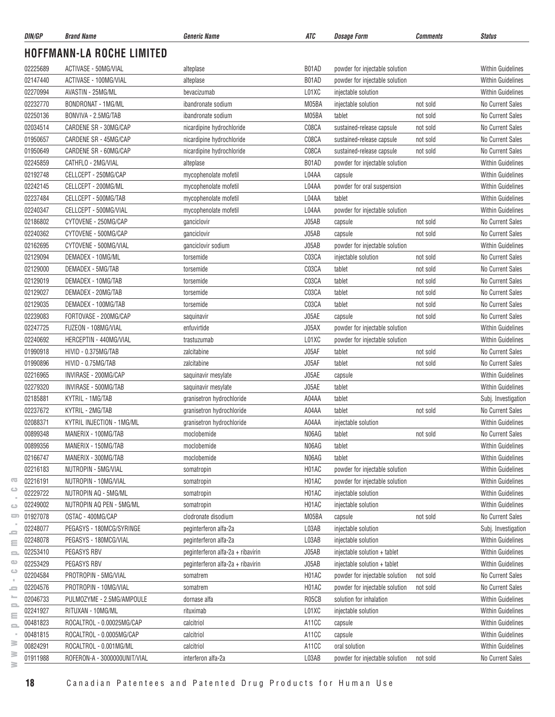| DIN/GP               | <b>Brand Name</b>                          | Generic Name                                           | ATC                | <b>Dosage Form</b>                                     | <b>Comments</b>      | <b>Status</b>                                        |
|----------------------|--------------------------------------------|--------------------------------------------------------|--------------------|--------------------------------------------------------|----------------------|------------------------------------------------------|
|                      | <b>HOFFMANN-LA ROCHE LIMITED</b>           |                                                        |                    |                                                        |                      |                                                      |
| 02225689             | ACTIVASE - 50MG/VIAL                       | alteplase                                              | B01AD              | powder for injectable solution                         |                      | <b>Within Guidelines</b>                             |
| 02147440             | ACTIVASE - 100MG/VIAL                      | alteplase                                              | B01AD              | powder for injectable solution                         |                      | <b>Within Guidelines</b>                             |
| 02270994             | AVASTIN - 25MG/ML                          | bevacizumab                                            | L01XC              | injectable solution                                    |                      | <b>Within Guidelines</b>                             |
| 02232770             | <b>BONDRONAT - 1MG/ML</b>                  | ibandronate sodium                                     | M05BA              |                                                        | not sold             | No Current Sales                                     |
| 02250136             | BONVIVA - 2.5MG/TAB                        |                                                        | M05BA              | injectable solution                                    |                      | <b>No Current Sales</b>                              |
| 02034514             | CARDENE SR - 30MG/CAP                      | ibandronate sodium                                     | C08CA              | tablet                                                 | not sold             | <b>No Current Sales</b>                              |
| 01950657             | CARDENE SR - 45MG/CAP                      | nicardipine hydrochloride<br>nicardipine hydrochloride | C08CA              | sustained-release capsule<br>sustained-release capsule | not sold<br>not sold | No Current Sales                                     |
| 01950649             | CARDENE SR - 60MG/CAP                      | nicardipine hydrochloride                              | C08CA              | sustained-release capsule                              | not sold             | No Current Sales                                     |
|                      |                                            |                                                        | B01AD              |                                                        |                      | <b>Within Guidelines</b>                             |
| 02245859             | CATHFLO - 2MG/VIAL<br>CELLCEPT - 250MG/CAP | alteplase                                              | L04AA              | powder for injectable solution                         |                      |                                                      |
| 02192748<br>02242145 | CELLCEPT - 200MG/ML                        | mycophenolate mofetil                                  | L04AA              | capsule                                                |                      | <b>Within Guidelines</b><br><b>Within Guidelines</b> |
|                      |                                            | mycophenolate mofetil                                  |                    | powder for oral suspension                             |                      |                                                      |
| 02237484             | CELLCEPT - 500MG/TAB                       | mycophenolate mofetil                                  | L04AA              | tablet                                                 |                      | <b>Within Guidelines</b>                             |
| 02240347             | CELLCEPT - 500MG/VIAL                      | mycophenolate mofetil                                  | L04AA              | powder for injectable solution                         |                      | <b>Within Guidelines</b>                             |
| 02186802             | CYTOVENE - 250MG/CAP                       | ganciclovir                                            | J05AB              | capsule                                                | not sold             | <b>No Current Sales</b>                              |
| 02240362             | CYTOVENE - 500MG/CAP                       | ganciclovir                                            | J05AB              | capsule                                                | not sold             | <b>No Current Sales</b>                              |
| 02162695             | CYTOVENE - 500MG/VIAL                      | ganciclovir sodium                                     | J05AB              | powder for injectable solution                         |                      | <b>Within Guidelines</b>                             |
| 02129094             | DEMADEX - 10MG/ML                          | torsemide                                              | C03CA              | injectable solution                                    | not sold             | No Current Sales                                     |
| 02129000             | DEMADEX - 5MG/TAB                          | torsemide                                              | C03CA              | tablet                                                 | not sold             | <b>No Current Sales</b>                              |
| 02129019             | DEMADEX - 10MG/TAB                         | torsemide                                              | C03CA              | tablet                                                 | not sold             | No Current Sales                                     |
| 02129027             | DEMADEX - 20MG/TAB                         | torsemide                                              | C03CA              | tablet                                                 | not sold             | <b>No Current Sales</b>                              |
| 02129035             | DEMADEX - 100MG/TAB                        | torsemide                                              | C03CA              | tablet                                                 | not sold             | No Current Sales                                     |
| 02239083             | FORTOVASE - 200MG/CAP                      | saquinavir                                             | J05AE              | capsule                                                | not sold             | No Current Sales                                     |
| 02247725             | FUZEON - 108MG/VIAL                        | enfuvirtide                                            | J05AX              | powder for injectable solution                         |                      | <b>Within Guidelines</b>                             |
| 02240692             | HERCEPTIN - 440MG/VIAL                     | trastuzumab                                            | L01XC              | powder for injectable solution                         |                      | <b>Within Guidelines</b>                             |
| 01990918             | HIVID - 0.375MG/TAB                        | zalcitabine                                            | J05AF              | tablet                                                 | not sold             | No Current Sales                                     |
| 01990896             | HIVID - 0.75MG/TAB                         | zalcitabine                                            | J05AF              | tablet                                                 | not sold             | No Current Sales                                     |
| 02216965             | INVIRASE - 200MG/CAP                       | saquinavir mesylate                                    | J05AE              | capsule                                                |                      | <b>Within Guidelines</b>                             |
| 02279320             | INVIRASE - 500MG/TAB                       | saquinavir mesylate                                    | J05AE              | tablet                                                 |                      | <b>Within Guidelines</b>                             |
| 02185881             | KYTRIL - 1MG/TAB                           | granisetron hydrochloride                              | A04AA              | tablet                                                 |                      | Subj. Investigation                                  |
| 02237672             | KYTRIL - 2MG/TAB                           | granisetron hydrochloride                              | A04AA              | tablet                                                 | not sold             | <b>No Current Sales</b>                              |
| 02088371             | KYTRIL INJECTION - 1MG/ML                  | granisetron hydrochloride                              | A04AA              | injectable solution                                    |                      | <b>Within Guidelines</b>                             |
| 00899348             | MANERIX - 100MG/TAB                        | moclobemide                                            | N06AG              | tablet                                                 | not sold             | No Current Sales                                     |
| 00899356             | MANERIX - 150MG/TAB                        | moclobemide                                            | N06AG              | tablet                                                 |                      | <b>Within Guidelines</b>                             |
| 02166747             | MANERIX - 300MG/TAB                        | moclobemide                                            | N06AG              | tablet                                                 |                      | <b>Within Guidelines</b>                             |
| 02216183             | NUTROPIN - 5MG/VIAL                        | somatropin                                             | H01AC              | powder for injectable solution                         |                      | <b>Within Guidelines</b>                             |
| 02216191             | NUTROPIN - 10MG/VIAL                       | somatropin                                             | H01AC              | powder for injectable solution                         |                      | <b>Within Guidelines</b>                             |
| 02229722             | NUTROPIN AQ - 5MG/ML                       | somatropin                                             | H01AC              | injectable solution                                    |                      | <b>Within Guidelines</b>                             |
| 02249002             | NUTROPIN AQ PEN - 5MG/ML                   | somatropin                                             | H01AC              | injectable solution                                    |                      | <b>Within Guidelines</b>                             |
| 01927078             | OSTAC - 400MG/CAP                          | clodronate disodium                                    | M05BA              | capsule                                                | not sold             | No Current Sales                                     |
| 02248077             | PEGASYS - 180MCG/SYRINGE                   | peginterferon alfa-2a                                  | L03AB              | injectable solution                                    |                      | Subj. Investigation                                  |
| 02248078             | PEGASYS - 180MCG/VIAL                      | peginterferon alfa-2a                                  | L03AB              | injectable solution                                    |                      | <b>Within Guidelines</b>                             |
| 02253410             | PEGASYS RBV                                | peginterferon alfa-2a + ribavirin                      | J05AB              | injectable solution + tablet                           |                      | <b>Within Guidelines</b>                             |
| 02253429             | PEGASYS RBV                                | peginterferon alfa-2a + ribavirin                      | J05AB              | injectable solution + tablet                           |                      | <b>Within Guidelines</b>                             |
| 02204584             | PROTROPIN - 5MG/VIAL                       | somatrem                                               | H01AC              | powder for injectable solution                         | not sold             | No Current Sales                                     |
| 02204576             | PROTROPIN - 10MG/VIAL                      | somatrem                                               | H01AC              | powder for injectable solution                         | not sold             | No Current Sales                                     |
| 02046733             | PULMOZYME - 2.5MG/AMPOULE                  | dornase alfa                                           | R05CB              | solution for inhalation                                |                      | <b>Within Guidelines</b>                             |
| 02241927             | RITUXAN - 10MG/ML                          | rituximab                                              | L01XC              | injectable solution                                    |                      | <b>Within Guidelines</b>                             |
| 00481823             | ROCALTROL - 0.00025MG/CAP                  | calcitriol                                             | A <sub>11</sub> CC | capsule                                                |                      | <b>Within Guidelines</b>                             |
| 00481815             | ROCALTROL - 0.0005MG/CAP                   | calcitriol                                             | A11CC              | capsule                                                |                      | <b>Within Guidelines</b>                             |
| 00824291             | ROCALTROL - 0.001MG/ML                     | calcitriol                                             | A11CC              | oral solution                                          |                      | <b>Within Guidelines</b>                             |
| 01911988             | ROFERON-A - 3000000UNIT/VIAL               | interferon alfa-2a                                     | L03AB              | powder for injectable solution                         | not sold             | No Current Sales                                     |
|                      |                                            |                                                        |                    |                                                        |                      |                                                      |

 $\geq$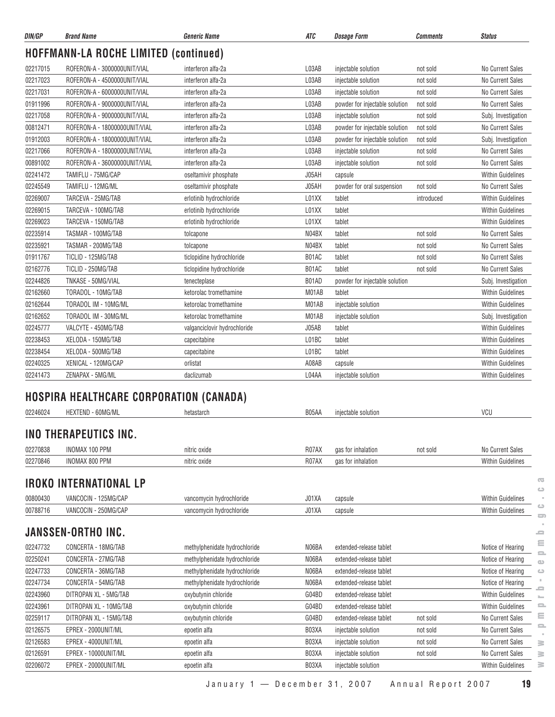| DIN/GP   | <b>Brand Name</b>                              | <b>Generic Name</b>           | ATC   | <b>Dosage Form</b>             | <b>Comments</b> | <b>Status</b>            |
|----------|------------------------------------------------|-------------------------------|-------|--------------------------------|-----------------|--------------------------|
|          | <b>HOFFMANN-LA ROCHE LIMITED (continued)</b>   |                               |       |                                |                 |                          |
| 02217015 | ROFERON-A - 3000000UNIT/VIAL                   | interferon alfa-2a            | L03AB | injectable solution            | not sold        | No Current Sales         |
| 02217023 | ROFERON-A - 4500000UNIT/VIAL                   | interferon alfa-2a            | L03AB | injectable solution            | not sold        | No Current Sales         |
| 02217031 | ROFERON-A - 6000000UNIT/VIAL                   | interferon alfa-2a            | L03AB | injectable solution            | not sold        | No Current Sales         |
| 01911996 | ROFERON-A - 9000000UNIT/VIAL                   | interferon alfa-2a            | L03AB | powder for injectable solution | not sold        | No Current Sales         |
| 02217058 | ROFERON-A - 9000000UNIT/VIAL                   | interferon alfa-2a            | L03AB | iniectable solution            | not sold        | Subj. Investigation      |
| 00812471 | ROFERON-A - 18000000UNIT/VIAL                  | interferon alfa-2a            | L03AB | powder for injectable solution | not sold        | No Current Sales         |
| 01912003 | ROFERON-A - 18000000UNIT/VIAL                  | interferon alfa-2a            | L03AB | powder for injectable solution | not sold        | Subj. Investigation      |
| 02217066 | ROFERON-A - 18000000UNIT/VIAL                  | interferon alfa-2a            | L03AB | injectable solution            | not sold        | No Current Sales         |
| 00891002 | ROFERON-A - 36000000UNIT/VIAL                  | interferon alfa-2a            | L03AB | injectable solution            | not sold        | No Current Sales         |
| 02241472 | TAMIFLU - 75MG/CAP                             | oseltamivir phosphate         | J05AH | capsule                        |                 | <b>Within Guidelines</b> |
| 02245549 | TAMIFLU - 12MG/ML                              | oseltamivir phosphate         | J05AH | powder for oral suspension     | not sold        | No Current Sales         |
| 02269007 | TARCEVA - 25MG/TAB                             | erlotinib hydrochloride       | L01XX | tablet                         | introduced      | <b>Within Guidelines</b> |
| 02269015 | TARCEVA - 100MG/TAB                            | erlotinib hydrochloride       | L01XX | tablet                         |                 | <b>Within Guidelines</b> |
| 02269023 | TARCEVA - 150MG/TAB                            | erlotinib hydrochloride       | L01XX | tablet                         |                 | <b>Within Guidelines</b> |
| 02235914 | TASMAR - 100MG/TAB                             | tolcapone                     | N04BX | tablet                         | not sold        | No Current Sales         |
| 02235921 | TASMAR - 200MG/TAB                             | tolcapone                     | N04BX | tablet                         | not sold        | No Current Sales         |
| 01911767 | TICLID - 125MG/TAB                             | ticlopidine hydrochloride     | B01AC | tablet                         | not sold        | No Current Sales         |
| 02162776 | TICLID - 250MG/TAB                             | ticlopidine hydrochloride     | B01AC | tablet                         | not sold        | No Current Sales         |
| 02244826 | TNKASE - 50MG/VIAL                             | tenecteplase                  | B01AD | powder for injectable solution |                 | Subj. Investigation      |
| 02162660 | TORADOL - 10MG/TAB                             | ketorolac tromethamine        | M01AB | tablet                         |                 | <b>Within Guidelines</b> |
| 02162644 | TORADOL IM - 10MG/ML                           | ketorolac tromethamine        | M01AB | injectable solution            |                 | <b>Within Guidelines</b> |
| 02162652 | TORADOL IM - 30MG/ML                           | ketorolac tromethamine        | M01AB | injectable solution            |                 | Subj. Investigation      |
| 02245777 | VALCYTE - 450MG/TAB                            | valganciclovir hydrochloride  | J05AB | tablet                         |                 | <b>Within Guidelines</b> |
| 02238453 | XELODA - 150MG/TAB                             | capecitabine                  | L01BC | tablet                         |                 | <b>Within Guidelines</b> |
| 02238454 | XELODA - 500MG/TAB                             | capecitabine                  | L01BC | tablet                         |                 | <b>Within Guidelines</b> |
| 02240325 | XENICAL - 120MG/CAP                            | orlistat                      | A08AB | capsule                        |                 | <b>Within Guidelines</b> |
| 02241473 | ZENAPAX - 5MG/ML                               | daclizumab                    | L04AA | injectable solution            |                 | <b>Within Guidelines</b> |
|          |                                                |                               |       |                                |                 |                          |
|          | <b>HOSPIRA HEALTHCARE CORPORATION (CANADA)</b> |                               |       |                                |                 |                          |
| 02246024 | <b>HEXTEND - 60MG/ML</b>                       | hetastarch                    | B05AA | injectable solution            |                 | VCU                      |
|          | INO THERAPEUTICS INC.                          |                               |       |                                |                 |                          |
| 02270838 | <b>INOMAX 100 PPM</b>                          | nitric oxide                  | R07AX | gas for inhalation             | not sold        | No Current Sales         |
| 02270846 | <b>INOMAX 800 PPM</b>                          | nitric oxide                  | R07AX | gas for inhalation             |                 | Within Guidelines        |
|          | <b>IROKO INTERNATIONAL LP</b>                  |                               |       |                                |                 |                          |
| 00800430 | VANCOCIN - 125MG/CAP                           | vancomycin hydrochloride      | J01XA | capsule                        |                 | <b>Within Guidelines</b> |
| 00788716 | VANCOCIN - 250MG/CAP                           | vancomycin hydrochloride      | J01XA | capsule                        |                 | <b>Within Guidelines</b> |
|          | <b>JANSSEN-ORTHO INC.</b>                      |                               |       |                                |                 |                          |
| 02247732 | CONCERTA - 18MG/TAB                            | methylphenidate hydrochloride | N06BA | extended-release tablet        |                 | Notice of Hearing        |
| 02250241 | CONCERTA - 27MG/TAB                            | methylphenidate hydrochloride | N06BA | extended-release tablet        |                 | Notice of Hearing        |
| 02247733 | CONCERTA - 36MG/TAB                            | methylphenidate hydrochloride | N06BA | extended-release tablet        |                 | Notice of Hearing        |
| 02247734 | CONCERTA - 54MG/TAB                            | methylphenidate hydrochloride | N06BA | extended-release tablet        |                 | Notice of Hearing        |
| 02243960 | DITROPAN XL - 5MG/TAB                          | oxybutynin chloride           | G04BD | extended-release tablet        |                 | <b>Within Guidelines</b> |
| 02243961 | DITROPAN XL - 10MG/TAB                         | oxybutynin chloride           | G04BD | extended-release tablet        |                 | <b>Within Guidelines</b> |
| 02259117 | DITROPAN XL - 15MG/TAB                         | oxybutynin chloride           | G04BD | extended-release tablet        | not sold        | No Current Sales         |
| 02126575 | EPREX - 2000UNIT/ML                            | epoetin alfa                  | B03XA | injectable solution            | not sold        | No Current Sales         |
| 02126583 | EPREX - 4000UNIT/ML                            | epoetin alfa                  | B03XA | injectable solution            | not sold        | No Current Sales         |
| 02126591 | EPREX - 10000UNIT/ML                           | epoetin alfa                  | B03XA | injectable solution            | not sold        | No Current Sales         |
| 02206072 | EPREX - 20000UNIT/ML                           | epoetin alfa                  | B03XA | injectable solution            |                 | Within Guidelines        |

 $\sim$  $\geq$  $\geq$  $\geq$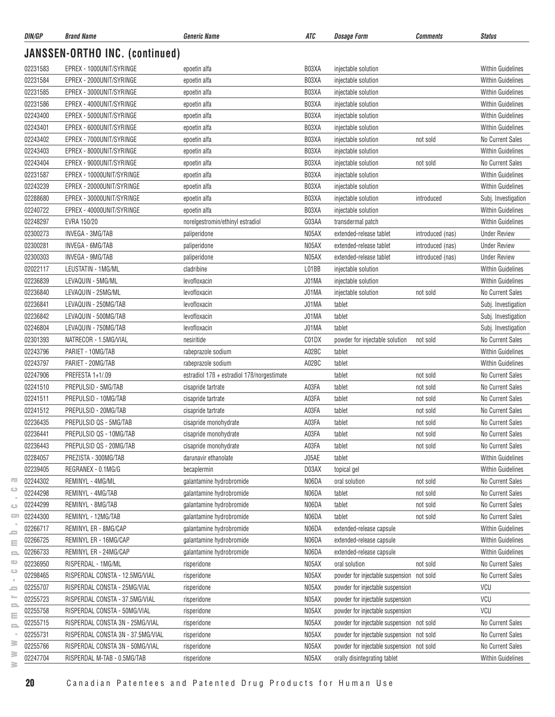| DIN/GP   | <b>Brand Name</b>                       | Generic Name                               | ATC   | <b>Dosage Form</b>                        | Comments         | <b>Status</b>            |
|----------|-----------------------------------------|--------------------------------------------|-------|-------------------------------------------|------------------|--------------------------|
|          | JANSSEN-ORTHO INC. (continued)          |                                            |       |                                           |                  |                          |
| 02231583 | EPREX - 1000UNIT/SYRINGE                | epoetin alfa                               | B03XA | injectable solution                       |                  | <b>Within Guidelines</b> |
| 02231584 | EPREX - 2000UNIT/SYRINGE                | epoetin alfa                               | B03XA | injectable solution                       |                  | <b>Within Guidelines</b> |
| 02231585 | EPREX - 3000UNIT/SYRINGE                | epoetin alfa                               | B03XA | injectable solution                       |                  | <b>Within Guidelines</b> |
| 02231586 | EPREX - 4000UNIT/SYRINGE                | epoetin alfa                               | B03XA | injectable solution                       |                  | <b>Within Guidelines</b> |
| 02243400 | EPREX - 5000UNIT/SYRINGE                | epoetin alfa                               | B03XA | injectable solution                       |                  | <b>Within Guidelines</b> |
| 02243401 | EPREX - 6000UNIT/SYRINGE                | epoetin alfa                               | B03XA | injectable solution                       |                  | <b>Within Guidelines</b> |
| 02243402 | EPREX - 7000UNIT/SYRINGE                | epoetin alfa                               | B03XA | injectable solution                       | not sold         | No Current Sales         |
| 02243403 | EPREX - 8000UNIT/SYRINGE                | epoetin alfa                               | B03XA | injectable solution                       |                  | <b>Within Guidelines</b> |
| 02243404 | EPREX - 9000UNIT/SYRINGE                | epoetin alfa                               | B03XA | injectable solution                       | not sold         | No Current Sales         |
| 02231587 | EPREX - 10000UNIT/SYRINGE               | epoetin alfa                               | B03XA | injectable solution                       |                  | <b>Within Guidelines</b> |
| 02243239 | EPREX - 20000UNIT/SYRINGE               | epoetin alfa                               | B03XA | injectable solution                       |                  | <b>Within Guidelines</b> |
| 02288680 | EPREX - 30000UNIT/SYRINGE               | epoetin alfa                               | B03XA | injectable solution                       | introduced       | Subj. Investigation      |
| 02240722 | EPREX - 40000UNIT/SYRINGE               | epoetin alfa                               | B03XA | injectable solution                       |                  | <b>Within Guidelines</b> |
| 02248297 | EVRA 150/20                             | norelgestromin/ethinyl estradiol           | G03AA | transdermal patch                         |                  | <b>Within Guidelines</b> |
| 02300273 | INVEGA - 3MG/TAB                        | paliperidone                               | N05AX | extended-release tablet                   | introduced (nas) | <b>Under Review</b>      |
| 02300281 | INVEGA - 6MG/TAB                        | paliperidone                               | N05AX | extended-release tablet                   | introduced (nas) | <b>Under Review</b>      |
| 02300303 | INVEGA - 9MG/TAB                        | paliperidone                               | N05AX | extended-release tablet                   |                  | <b>Under Review</b>      |
| 02022117 |                                         |                                            | L01BB |                                           | introduced (nas) | <b>Within Guidelines</b> |
| 02236839 | LEUSTATIN - 1MG/ML<br>LEVAQUIN - 5MG/ML | cladribine                                 | J01MA | injectable solution                       |                  | <b>Within Guidelines</b> |
|          |                                         | levofloxacin                               |       | injectable solution                       |                  |                          |
| 02236840 | LEVAQUIN - 25MG/ML                      | levofloxacin                               | J01MA | injectable solution                       | not sold         | No Current Sales         |
| 02236841 | LEVAQUIN - 250MG/TAB                    | levofloxacin                               | J01MA | tablet                                    |                  | Subj. Investigation      |
| 02236842 | LEVAQUIN - 500MG/TAB                    | levofloxacin                               | J01MA | tablet                                    |                  | Subj. Investigation      |
| 02246804 | LEVAQUIN - 750MG/TAB                    | levofloxacin                               | J01MA | tablet                                    |                  | Subj. Investigation      |
| 02301393 | NATRECOR - 1.5MG/VIAL                   | nesiritide                                 | C01DX | powder for injectable solution            | not sold         | No Current Sales         |
| 02243796 | PARIET - 10MG/TAB                       | rabeprazole sodium                         | A02BC | tablet                                    |                  | <b>Within Guidelines</b> |
| 02243797 | PARIET - 20MG/TAB                       | rabeprazole sodium                         | A02BC | tablet                                    |                  | <b>Within Guidelines</b> |
| 02247906 | PREFESTA 1+1/.09                        | estradiol 17B + estradiol 17B/norgestimate |       | tablet                                    | not sold         | No Current Sales         |
| 02241510 | PREPULSID - 5MG/TAB                     | cisapride tartrate                         | A03FA | tablet                                    | not sold         | No Current Sales         |
| 02241511 | PREPULSID - 10MG/TAB                    | cisapride tartrate                         | A03FA | tablet                                    | not sold         | No Current Sales         |
| 02241512 | PREPULSID - 20MG/TAB                    | cisapride tartrate                         | A03FA | tablet                                    | not sold         | No Current Sales         |
| 02236435 | PREPULSID QS - 5MG/TAB                  | cisapride monohydrate                      | A03FA | tablet                                    | not sold         | No Current Sales         |
| 02236441 | PREPULSID QS - 10MG/TAB                 | cisapride monohydrate                      | A03FA | tablet                                    | not sold         | No Current Sales         |
| 02236443 | PREPULSID QS - 20MG/TAB                 | cisapride monohydrate                      | A03FA | tablet                                    | not sold         | No Current Sales         |
| 02284057 | PREZISTA - 300MG/TAB                    | darunavir ethanolate                       | J05AE | tablet                                    |                  | <b>Within Guidelines</b> |
| 02239405 | REGRANEX - 0.1MG/G                      | becaplermin                                | D03AX | topical gel                               |                  | <b>Within Guidelines</b> |
| 02244302 | REMINYL - 4MG/ML                        | galantamine hydrobromide                   | N06DA | oral solution                             | not sold         | No Current Sales         |
| 02244298 | REMINYL - 4MG/TAB                       | galantamine hydrobromide                   | N06DA | tablet                                    | not sold         | No Current Sales         |
| 02244299 | REMINYL - 8MG/TAB                       | galantamine hydrobromide                   | N06DA | tablet                                    | not sold         | No Current Sales         |
| 02244300 | REMINYL - 12MG/TAB                      | galantamine hydrobromide                   | N06DA | tablet                                    | not sold         | No Current Sales         |
| 02266717 | REMINYL ER - 8MG/CAP                    | galantamine hydrobromide                   | N06DA | extended-release capsule                  |                  | <b>Within Guidelines</b> |
| 02266725 | REMINYL ER - 16MG/CAP                   | galantamine hydrobromide                   | N06DA | extended-release capsule                  |                  | <b>Within Guidelines</b> |
| 02266733 | REMINYL ER - 24MG/CAP                   | galantamine hydrobromide                   | N06DA | extended-release capsule                  |                  | Within Guidelines        |
| 02236950 | RISPERDAL - 1MG/ML                      | risperidone                                | N05AX | oral solution                             | not sold         | No Current Sales         |
| 02298465 | RISPERDAL CONSTA - 12.5MG/VIAL          | risperidone                                | N05AX | powder for injectable suspension not sold |                  | No Current Sales         |
| 02255707 | RISPERDAL CONSTA - 25MG/VIAL            | risperidone                                | N05AX | powder for injectable suspension          |                  | VCU                      |
| 02255723 | RISPERDAL CONSTA - 37.5MG/VIAL          | risperidone                                | N05AX | powder for injectable suspension          |                  | VCU                      |
| 02255758 | RISPERDAL CONSTA - 50MG/VIAL            | risperidone                                | N05AX | powder for injectable suspension          |                  | VCU                      |
| 02255715 | RISPERDAL CONSTA 3N - 25MG/VIAL         | risperidone                                | N05AX | powder for injectable suspension not sold |                  | No Current Sales         |
| 02255731 | RISPERDAL CONSTA 3N - 37.5MG/VIAL       | risperidone                                | N05AX | powder for injectable suspension not sold |                  | No Current Sales         |
| 02255766 | RISPERDAL CONSTA 3N - 50MG/VIAL         | risperidone                                | N05AX | powder for injectable suspension not sold |                  | No Current Sales         |
| 02247704 | RISPERDAL M-TAB - 0.5MG/TAB             | risperidone                                | N05AX | orally disintegrating tablet              |                  | Within Guidelines        |
|          |                                         |                                            |       |                                           |                  |                          |

 $\geq$ 

**20** Canadian Patentees and Patented Drug Products for Human Use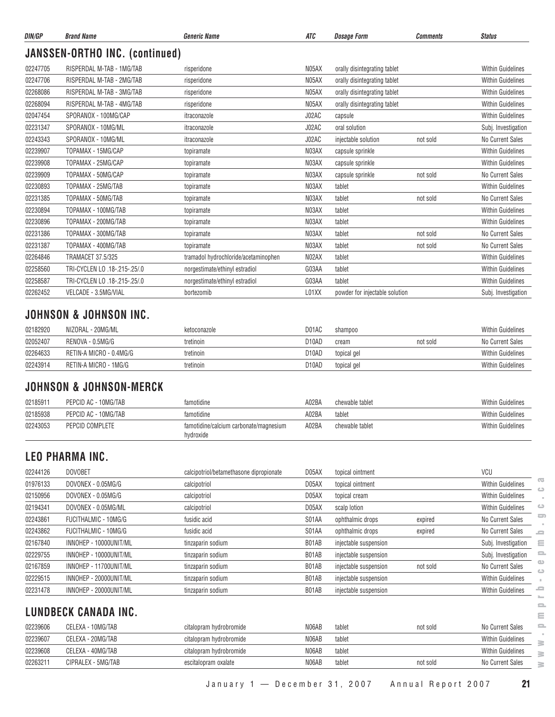| DIN/GP   | <b>Brand Name</b>              | <b>Generic Name</b>                  | <b>ATC</b> | <b>Dosage Form</b>             | <b>Comments</b> | <b>Status</b>            |
|----------|--------------------------------|--------------------------------------|------------|--------------------------------|-----------------|--------------------------|
|          | JANSSEN-ORTHO INC. (continued) |                                      |            |                                |                 |                          |
| 02247705 | RISPERDAL M-TAB - 1MG/TAB      | risperidone                          | N05AX      | orally disintegrating tablet   |                 | <b>Within Guidelines</b> |
| 02247706 | RISPERDAL M-TAB - 2MG/TAB      | risperidone                          | N05AX      | orally disintegrating tablet   |                 | <b>Within Guidelines</b> |
| 02268086 | RISPERDAL M-TAB - 3MG/TAB      | risperidone                          | N05AX      | orally disintegrating tablet   |                 | <b>Within Guidelines</b> |
| 02268094 | RISPERDAL M-TAB - 4MG/TAB      | risperidone                          | N05AX      | orally disintegrating tablet   |                 | <b>Within Guidelines</b> |
| 02047454 | SPORANOX - 100MG/CAP           | itraconazole                         | J02AC      | capsule                        |                 | <b>Within Guidelines</b> |
| 02231347 | SPORANOX - 10MG/ML             | itraconazole                         | J02AC      | oral solution                  |                 | Subj. Investigation      |
| 02243343 | SPORANOX - 10MG/ML             | itraconazole                         | J02AC      | injectable solution            | not sold        | <b>No Current Sales</b>  |
| 02239907 | TOPAMAX - 15MG/CAP             | topiramate                           | N03AX      | capsule sprinkle               |                 | <b>Within Guidelines</b> |
| 02239908 | TOPAMAX - 25MG/CAP             | topiramate                           | N03AX      | capsule sprinkle               |                 | <b>Within Guidelines</b> |
| 02239909 | TOPAMAX - 50MG/CAP             | topiramate                           | N03AX      | capsule sprinkle               | not sold        | <b>No Current Sales</b>  |
| 02230893 | TOPAMAX - 25MG/TAB             | topiramate                           | N03AX      | tablet                         |                 | <b>Within Guidelines</b> |
| 02231385 | TOPAMAX - 50MG/TAB             | topiramate                           | N03AX      | tablet                         | not sold        | <b>No Current Sales</b>  |
| 02230894 | TOPAMAX - 100MG/TAB            | topiramate                           | N03AX      | tablet                         |                 | <b>Within Guidelines</b> |
| 02230896 | TOPAMAX - 200MG/TAB            | topiramate                           | N03AX      | tablet                         |                 | <b>Within Guidelines</b> |
| 02231386 | TOPAMAX - 300MG/TAB            | topiramate                           | N03AX      | tablet                         | not sold        | No Current Sales         |
| 02231387 | TOPAMAX - 400MG/TAB            | topiramate                           | N03AX      | tablet                         | not sold        | No Current Sales         |
| 02264846 | <b>TRAMACET 37.5/325</b>       | tramadol hydrochloride/acetaminophen | N02AX      | tablet                         |                 | <b>Within Guidelines</b> |
| 02258560 | TRI-CYCLEN LO .18-.215-.25/.0  | norgestimate/ethinyl estradiol       | G03AA      | tablet                         |                 | <b>Within Guidelines</b> |
| 02258587 | TRI-CYCLEN LO .18-.215-.25/.0  | norgestimate/ethinyl estradiol       | G03AA      | tablet                         |                 | <b>Within Guidelines</b> |
| 02262452 | VELCADE - 3.5MG/VIAL           | bortezomib                           | L01XX      | powder for injectable solution |                 | Subj. Investigation      |

#### **JOHNSON & JOHNSON INC.**

| 02182920 | NIZORAL - 20MG/ML       | ketoconazole | D01AC | shampoo     |          | <b>Within Guidelines</b> |
|----------|-------------------------|--------------|-------|-------------|----------|--------------------------|
| 02052407 | RENOVA - 0.5MG/G        | tretinoin    | D10AD | cream       | not sold | No Current Sales         |
| 02264633 | RETIN-A MICRO - 0.4MG/G | tretinoin    | D10AD | topical gel |          | <b>Within Guidelines</b> |
| 02243914 | RETIN-A MICRO - 1MG/G   | tretinoin    | D10AD | topical gel |          | <b>Within Guidelines</b> |

# **JOHNSON & JOHNSON-MERCK**

| 0218591  | PEPCID AC - 10MG/TAB | famotidine                                          | A02BA | chewable tablet | <b>Within Guidelines</b> |
|----------|----------------------|-----------------------------------------------------|-------|-----------------|--------------------------|
| 02185938 | PEPCID AC - 10MG/TAB | famotidine                                          | A02BA | tablet          | <b>Within Guidelines</b> |
| 02243053 | PEPCID COMPLETE      | famotidine/calcium carbonate/magnesium<br>hydroxide | A02BA | chewable tablet | <b>Within Guidelines</b> |

# **LEO PHARMA INC.**

| 02244126 | <b>DOVOBET</b>         | calcipotriol/betamethasone dipropionate | D05AX | topical ointment      |          | VCU                      |                |
|----------|------------------------|-----------------------------------------|-------|-----------------------|----------|--------------------------|----------------|
| 01976133 | DOVONEX - 0.05MG/G     | calcipotriol                            | D05AX | topical ointment      |          | <b>Within Guidelines</b> | $\overline{a}$ |
| 02150956 | DOVONEX - 0.05MG/G     | calcipotriol                            | D05AX | topical cream         |          | <b>Within Guidelines</b> | ده             |
| 02194341 | DOVONEX - 0.05MG/ML    | calcipotriol                            | D05AX | scalp lotion          |          | <b>Within Guidelines</b> | ت              |
| 02243861 | FUCITHALMIC - 10MG/G   | fusidic acid                            | S01AA | ophthalmic drops      | expired  | No Current Sales         | 5              |
| 02243862 | FUCITHALMIC - 10MG/G   | fusidic acid                            | S01AA | ophthalmic drops      | expired  | No Current Sales         | 5              |
| 02167840 | INNOHEP - 10000UNIT/ML | tinzaparin sodium                       | B01AB | injectable suspension |          | Subj. Investigation      | Ξ              |
| 02229755 | INNOHEP - 10000UNIT/ML | tinzaparin sodium                       | B01AB | injectable suspension |          | Subj. Investigation      | $\equiv$       |
| 02167859 | INNOHEP - 11700UNIT/ML | tinzaparin sodium                       | B01AB | injectable suspension | not sold | No Current Sales         | œ              |
| 02229515 | INNOHEP - 20000UNIT/ML | tinzaparin sodium                       | B01AB | injectable suspension |          | <b>Within Guidelines</b> | ت              |
| 02231478 | INNOHEP - 20000UNIT/ML | tinzaparin sodium                       | B01AB | injectable suspension |          | <b>Within Guidelines</b> | ᇰ<br>$\sim$    |
|          | LUNDBECK CANADA INC.   |                                         |       |                       |          |                          | 2<br>Ξ         |
| 02239606 | CELEXA - 10MG/TAB      | citalopram hydrobromide                 | N06AB | tablet                | not sold | No Current Sales         | $\equiv$       |
| 02239607 | CELEXA - 20MG/TAB      | citalopram hydrobromide                 | N06AB | tablet                |          | <b>Within Guidelines</b> | ≧              |
| 02239608 | CELEXA - 40MG/TAB      | citalopram hydrobromide                 | N06AB | tablet                |          | <b>Within Guidelines</b> | ≧              |
| 02263211 | CIPRALEX - 5MG/TAB     | escitalopram oxalate                    | N06AB | tablet                | not sold | No Current Sales         | ≧              |

| 02239606 | CELEXA - 10MG/TAB  | citalopram hydrobromide | N06AB<br>tablet | not sold | <u>_</u><br>No Current Sales       |  |
|----------|--------------------|-------------------------|-----------------|----------|------------------------------------|--|
| 02239607 | CELEXA - 20MG/TAB  | citalopram hydrobromide | N06AB<br>tablet |          | <b>Within Guidelines</b>           |  |
| 02239608 | CELEXA - 40MG/TAB  | citalopram hydrobromide | N06AB<br>tablet |          | <b>Within Guidelines</b><br>$\geq$ |  |
| 0226321  | CIPRALEX - 5MG/TAB | escitalopram oxalate    | N06AB<br>tablet | not sold | No Current Sales<br>$\geq$         |  |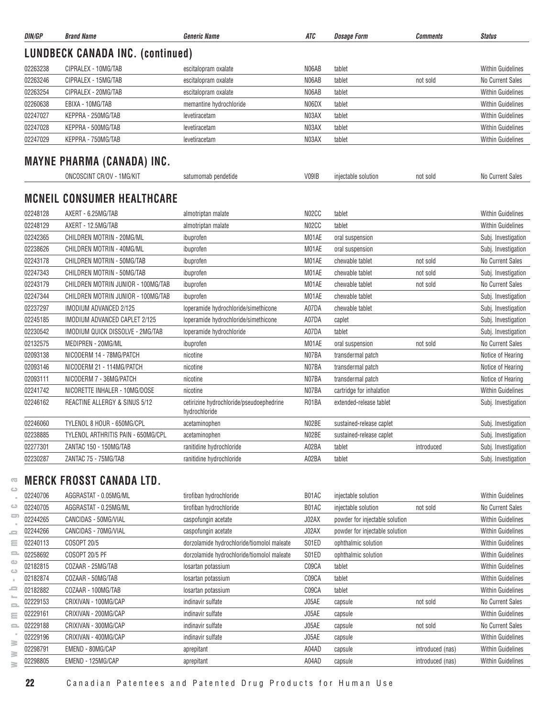| DIN/GP   | <b>Brand Name</b>                       | <b>Generic Name</b>                                       | ATC   | <b>Dosage Form</b>             | <b>Comments</b> | <b>Status</b>            |
|----------|-----------------------------------------|-----------------------------------------------------------|-------|--------------------------------|-----------------|--------------------------|
|          | <b>LUNDBECK CANADA INC. (continued)</b> |                                                           |       |                                |                 |                          |
| 02263238 | CIPRALEX - 10MG/TAB                     | escitalopram oxalate                                      | N06AB | tablet                         |                 | <b>Within Guidelines</b> |
| 02263246 | CIPRALEX - 15MG/TAB                     | escitalopram oxalate                                      | N06AB | tablet                         | not sold        | No Current Sales         |
| 02263254 | CIPRALEX - 20MG/TAB                     | escitalopram oxalate                                      | N06AB | tablet                         |                 | <b>Within Guidelines</b> |
| 02260638 | EBIXA - 10MG/TAB                        | memantine hydrochloride                                   | N06DX | tablet                         |                 | <b>Within Guidelines</b> |
| 02247027 | KEPPRA - 250MG/TAB                      | levetiracetam                                             | N03AX | tablet                         |                 | <b>Within Guidelines</b> |
| 02247028 | KEPPRA - 500MG/TAB                      | levetiracetam                                             | N03AX | tablet                         |                 | <b>Within Guidelines</b> |
| 02247029 | KEPPRA - 750MG/TAB                      | levetiracetam                                             | N03AX | tablet                         |                 | <b>Within Guidelines</b> |
|          | <b>MAYNE PHARMA (CANADA) INC.</b>       |                                                           |       |                                |                 |                          |
|          | ONCOSCINT CR/OV - 1MG/KIT               | satumomab pendetide                                       | V09IB | injectable solution            | not sold        | No Current Sales         |
|          | <b>MCNEIL CONSUMER HEALTHCARE</b>       |                                                           |       |                                |                 |                          |
| 02248128 | AXERT - 6.25MG/TAB                      | almotriptan malate                                        | N02CC | tablet                         |                 | <b>Within Guidelines</b> |
| 02248129 | AXERT - 12.5MG/TAB                      | almotriptan malate                                        | N02CC | tablet                         |                 | <b>Within Guidelines</b> |
| 02242365 | CHILDREN MOTRIN - 20MG/ML               | ibuprofen                                                 | M01AE | oral suspension                |                 | Subj. Investigation      |
| 02238626 | CHILDREN MOTRIN - 40MG/ML               | ibuprofen                                                 | M01AE | oral suspension                |                 | Subj. Investigation      |
| 02243178 | CHILDREN MOTRIN - 50MG/TAB              | ibuprofen                                                 | M01AE | chewable tablet                | not sold        | No Current Sales         |
| 02247343 | CHILDREN MOTRIN - 50MG/TAB              | ibuprofen                                                 | M01AE | chewable tablet                | not sold        | Subj. Investigation      |
| 02243179 | CHILDREN MOTRIN JUNIOR - 100MG/TAB      | ibuprofen                                                 | M01AE | chewable tablet                | not sold        | No Current Sales         |
| 02247344 | CHILDREN MOTRIN JUNIOR - 100MG/TAB      | ibuprofen                                                 | M01AE | chewable tablet                |                 | Subj. Investigation      |
| 02237297 | IMODIUM ADVANCED 2/125                  | loperamide hydrochloride/simethicone                      | A07DA | chewable tablet                |                 | Subj. Investigation      |
| 02245185 | IMODIUM ADVANCED CAPLET 2/125           | loperamide hydrochloride/simethicone                      | A07DA | caplet                         |                 | Subj. Investigation      |
| 02230542 | IMODIUM QUICK DISSOLVE - 2MG/TAB        | loperamide hydrochloride                                  | A07DA | tablet                         |                 | Subj. Investigation      |
| 02132575 | MEDIPREN - 20MG/ML                      | ibuprofen                                                 | M01AE | oral suspension                | not sold        | No Current Sales         |
| 02093138 | NICODERM 14 - 78MG/PATCH                | nicotine                                                  | N07BA | transdermal patch              |                 | Notice of Hearing        |
| 02093146 | NICODERM 21 - 114MG/PATCH               | nicotine                                                  | N07BA | transdermal patch              |                 | Notice of Hearing        |
| 02093111 | NICODERM 7 - 36MG/PATCH                 | nicotine                                                  | N07BA | transdermal patch              |                 | Notice of Hearing        |
| 02241742 | NICORETTE INHALER - 10MG/DOSE           | nicotine                                                  | N07BA | cartridge for inhalation       |                 | <b>Within Guidelines</b> |
| 02246162 | REACTINE ALLERGY & SINUS 5/12           | cetirizine hydrochloride/pseudoephedrine<br>hydrochloride | R01BA | extended-release tablet        |                 | Subj. Investigation      |
| 02246060 | TYLENOL 8 HOUR - 650MG/CPL              | acetaminophen                                             | N02BE | sustained-release caplet       |                 | Subj. Investigation      |
| 02238885 | TYLENOL ARTHRITIS PAIN - 650MG/CPL      | acetaminophen                                             | N02BE | sustained-release caplet       |                 | Subj. Investigation      |
| 02277301 | ZANTAC 150 - 150MG/TAB                  | ranitidine hydrochloride                                  | A02BA | tablet                         | introduced      | Subj. Investigation      |
| 02230287 | ZANTAC 75 - 75MG/TAB                    | ranitidine hydrochloride                                  | A02BA | tablet                         |                 | Subj. Investigation      |
|          | <b>MERCK FROSST CANADA LTD.</b>         |                                                           |       |                                |                 |                          |
| 02240706 | AGGRASTAT - 0.05MG/ML                   | tirofiban hydrochloride                                   | B01AC | injectable solution            |                 | <b>Within Guidelines</b> |
| 02240705 | AGGRASTAT - 0.25MG/ML                   | tirofiban hydrochloride                                   | B01AC | injectable solution            | not sold        | No Current Sales         |
|          |                                         |                                                           |       |                                |                 |                          |
| 02244265 | CANCIDAS - 50MG/VIAL                    | caspofungin acetate                                       | J02AX | powder for injectable solution |                 | Within Guidelines        |
| 02244266 | CANCIDAS - 70MG/VIAL                    | caspofungin acetate                                       | J02AX | powder for injectable solution |                 | <b>Within Guidelines</b> |
| 02240113 | COSOPT 20/5                             | dorzolamide hydrochloride/tiomolol maleate                | S01ED | ophthalmic solution            |                 | <b>Within Guidelines</b> |

| ൹                                |          | MEKUK FRUSSI UANADA LID. |                                            |       |                                |                  |                          |
|----------------------------------|----------|--------------------------|--------------------------------------------|-------|--------------------------------|------------------|--------------------------|
| د                                | 02240706 | AGGRASTAT - 0.05MG/ML    | tirofiban hydrochloride                    | B01AC | injectable solution            |                  | <b>Within Guidelines</b> |
| ت                                | 02240705 | AGGRASTAT - 0.25MG/ML    | tirofiban hydrochloride                    | B01AC | injectable solution            | not sold         | No Current Sales         |
| $\Rightarrow$                    | 02244265 | CANCIDAS - 50MG/VIAL     | caspofungin acetate                        | J02AX | powder for injectable solution |                  | <b>Within Guidelines</b> |
| $\qquad \qquad =$                | 02244266 | CANCIDAS - 70MG/VIAL     | caspofungin acetate                        | J02AX | powder for injectable solution |                  | <b>Within Guidelines</b> |
| $\equiv$                         | 02240113 | COSOPT 20/5              | dorzolamide hydrochloride/tiomolol maleate | S01ED | ophthalmic solution            |                  | <b>Within Guidelines</b> |
| 2                                | 02258692 | COSOPT 20/5 PF           | dorzolamide hydrochloride/tiomolol maleate | S01ED | ophthalmic solution            |                  | <b>Within Guidelines</b> |
| œ<br>$\bigcirc$                  | 02182815 | COZAAR - 25MG/TAB        | losartan potassium                         | C09CA | tablet                         |                  | <b>Within Guidelines</b> |
|                                  | 02182874 | COZAAR - 50MG/TAB        | losartan potassium                         | C09CA | tablet                         |                  | <b>Within Guidelines</b> |
| ᆖ                                | 02182882 | COZAAR - 100MG/TAB       | losartan potassium                         | C09CA | tablet                         |                  | <b>Within Guidelines</b> |
| ∸<br>$\qquad \qquad \qquad \Box$ | 02229153 | CRIXIVAN - 100MG/CAP     | indinavir sulfate                          | J05AE | capsule                        | not sold         | No Current Sales         |
| $\equiv$                         | 02229161 | CRIXIVAN - 200MG/CAP     | indinavir sulfate                          | J05AE | capsule                        |                  | <b>Within Guidelines</b> |
| $\mathbf{r}$                     | 02229188 | CRIXIVAN - 300MG/CAP     | indinavir sulfate                          | J05AE | capsule                        | not sold         | No Current Sales         |
| ≧                                | 02229196 | CRIXIVAN - 400MG/CAP     | indinavir sulfate                          | J05AE | capsule                        |                  | <b>Within Guidelines</b> |
| ≧                                | 02298791 | EMEND - 80MG/CAP         | aprepitant                                 | A04AD | capsule                        | introduced (nas) | <b>Within Guidelines</b> |
| ≧                                | 02298805 | EMEND - 125MG/CAP        | aprepitant                                 | A04AD | capsule                        | introduced (nas) | <b>Within Guidelines</b> |
|                                  |          |                          |                                            |       |                                |                  |                          |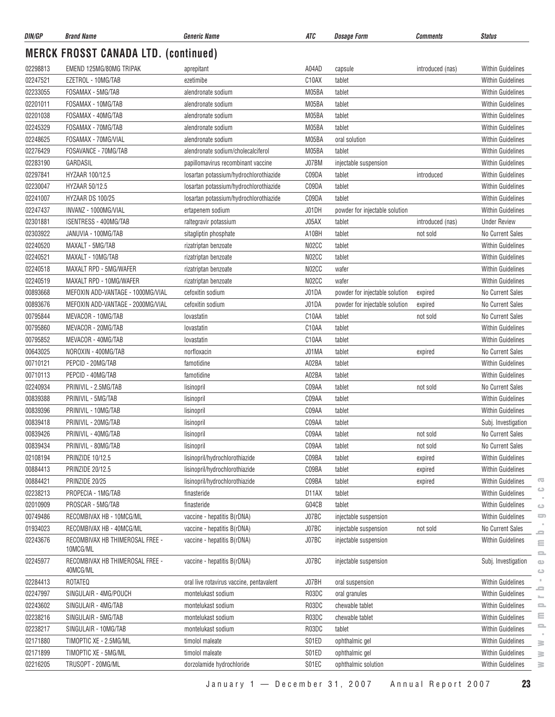| DIN/GP   | <b>Brand Name</b>                           | <b>Generic Name</b>                      | ATC                | <b>Dosage Form</b>             | <b>Comments</b>  | <b>Status</b>                                                        |
|----------|---------------------------------------------|------------------------------------------|--------------------|--------------------------------|------------------|----------------------------------------------------------------------|
|          | <b>MERCK FROSST CANADA LTD. (continued)</b> |                                          |                    |                                |                  |                                                                      |
| 02298813 | EMEND 125MG/80MG TRIPAK                     | aprepitant                               | A04AD              | capsule                        | introduced (nas) | <b>Within Guidelines</b>                                             |
| 02247521 | EZETROL - 10MG/TAB                          | ezetimibe                                | C10AX              | tablet                         |                  | <b>Within Guidelines</b>                                             |
| 02233055 | FOSAMAX - 5MG/TAB                           | alendronate sodium                       | M05BA              | tablet                         |                  | <b>Within Guidelines</b>                                             |
| 02201011 | FOSAMAX - 10MG/TAB                          | alendronate sodium                       | M05BA              | tablet                         |                  | <b>Within Guidelines</b>                                             |
| 02201038 | FOSAMAX - 40MG/TAB                          | alendronate sodium                       | M05BA              | tablet                         |                  | <b>Within Guidelines</b>                                             |
| 02245329 | FOSAMAX - 70MG/TAB                          | alendronate sodium                       | M05BA              | tablet                         |                  | Within Guidelines                                                    |
| 02248625 | FOSAMAX - 70MG/VIAL                         | alendronate sodium                       | M05BA              | oral solution                  |                  | <b>Within Guidelines</b>                                             |
| 02276429 | FOSAVANCE - 70MG/TAB                        | alendronate sodium/cholecalciferol       | M05BA              | tablet                         |                  | <b>Within Guidelines</b>                                             |
| 02283190 | GARDASIL                                    | papillomavirus recombinant vaccine       | J07BM              | injectable suspension          |                  | <b>Within Guidelines</b>                                             |
| 02297841 | HYZAAR 100/12.5                             | losartan potassium/hydrochlorothiazide   | C09DA              | tablet                         | introduced       | <b>Within Guidelines</b>                                             |
| 02230047 | HYZAAR 50/12.5                              | losartan potassium/hydrochlorothiazide   | C09DA              | tablet                         |                  | <b>Within Guidelines</b>                                             |
| 02241007 | HYZAAR DS 100/25                            | losartan potassium/hydrochlorothiazide   | C09DA              | tablet                         |                  | <b>Within Guidelines</b>                                             |
| 02247437 | INVANZ - 1000MG/VIAL                        | ertapenem sodium                         | J01DH              | powder for injectable solution |                  | <b>Within Guidelines</b>                                             |
| 02301881 | ISENTRESS - 400MG/TAB                       | raltegravir potassium                    | J05AX              | tablet                         | introduced (nas) | <b>Under Review</b>                                                  |
| 02303922 | JANUVIA - 100MG/TAB                         | sitagliptin phosphate                    | A10BH              | tablet                         | not sold         | No Current Sales                                                     |
| 02240520 | MAXALT - 5MG/TAB                            | rizatriptan benzoate                     | N02CC              | tablet                         |                  | <b>Within Guidelines</b>                                             |
| 02240521 | MAXALT - 10MG/TAB                           | rizatriptan benzoate                     | N02CC              | tablet                         |                  | Within Guidelines                                                    |
| 02240518 | MAXALT RPD - 5MG/WAFER                      | rizatriptan benzoate                     | N02CC              | wafer                          |                  | <b>Within Guidelines</b>                                             |
| 02240519 | MAXALT RPD - 10MG/WAFER                     | rizatriptan benzoate                     | N02CC              | wafer                          |                  | <b>Within Guidelines</b>                                             |
| 00893668 | MEFOXIN ADD-VANTAGE - 1000MG/VIAL           | cefoxitin sodium                         | J01DA              | powder for injectable solution | expired          | No Current Sales                                                     |
| 00893676 | MEFOXIN ADD-VANTAGE - 2000MG/VIAL           | cefoxitin sodium                         | J01DA              | powder for injectable solution | expired          | No Current Sales                                                     |
| 00795844 | MEVACOR - 10MG/TAB                          | lovastatin                               | C <sub>10</sub> AA | tablet                         | not sold         | <b>No Current Sales</b>                                              |
| 00795860 | MEVACOR - 20MG/TAB                          | lovastatin                               | C10AA              | tablet                         |                  | Within Guidelines                                                    |
| 00795852 | MEVACOR - 40MG/TAB                          | lovastatin                               | C10AA              | tablet                         |                  | <b>Within Guidelines</b>                                             |
| 00643025 | NOROXIN - 400MG/TAB                         | norfloxacin                              | J01MA              | tablet                         | expired          | <b>No Current Sales</b>                                              |
| 00710121 | PEPCID - 20MG/TAB                           | famotidine                               | A02BA              | tablet                         |                  | <b>Within Guidelines</b>                                             |
| 00710113 | PEPCID - 40MG/TAB                           | famotidine                               | A02BA              | tablet                         |                  | <b>Within Guidelines</b>                                             |
| 02240934 | PRINIVIL - 2.5MG/TAB                        | lisinopril                               | C09AA              | tablet                         | not sold         | No Current Sales                                                     |
| 00839388 | PRINIVIL - 5MG/TAB                          | lisinopril                               | C09AA              | tablet                         |                  | <b>Within Guidelines</b>                                             |
| 00839396 | PRINIVIL - 10MG/TAB                         | lisinopril                               | C09AA              | tablet                         |                  | Within Guidelines                                                    |
| 00839418 | PRINIVIL - 20MG/TAB                         | lisinopril                               | C09AA              | tablet                         |                  | Subj. Investigation                                                  |
| 00839426 | PRINIVIL - 40MG/TAB                         | lisinopril                               | C09AA              | tablet                         | not sold         | No Current Sales                                                     |
| 00839434 | PRINIVIL - 80MG/TAB                         | lisinopril                               | C09AA              | tablet                         | not sold         | No Current Sales                                                     |
| 02108194 | <b>PRINZIDE 10/12.5</b>                     | lisinopril/hydrochlorothiazide           | C09BA              | tablet                         | expired          | Within Guidelines                                                    |
| 00884413 | PRINZIDE 20/12.5                            | lisinopril/hydrochlorothiazide           | C09BA              | tablet                         | expired          | Within Guidelines                                                    |
| 00884421 | PRINZIDE 20/25                              | lisinopril/hydrochlorothiazide           | C09BA              | tablet                         | expired          | Within Guidelines<br>G                                               |
| 02238213 | PROPECIA - 1MG/TAB                          | finasteride                              | D11AX              | tablet                         |                  | $\circ$<br>Within Guidelines                                         |
| 02010909 | PROSCAR - 5MG/TAB                           | finasteride                              | G04CB              | tablet                         |                  | <b>Within Guidelines</b>                                             |
| 00749486 | RECOMBIVAX HB - 10MCG/ML                    | vaccine - hepatitis B(rDNA)              | J07BC              | injectable suspension          |                  | $\circ$<br>5<br><b>Within Guidelines</b>                             |
| 01934023 | RECOMBIVAX HB - 40MCG/ML                    | vaccine - hepatitis B(rDNA)              | J07BC              | injectable suspension          | not sold         | No Current Sales                                                     |
| 02243676 | RECOMBIVAX HB THIMEROSAL FREE -             | vaccine - hepatitis B(rDNA)              | J07BC              | injectable suspension          |                  | 2<br><b>Within Guidelines</b>                                        |
|          | 10MCG/ML                                    |                                          |                    |                                |                  | $\equiv$<br>$\equiv$                                                 |
| 02245977 | RECOMBIVAX HB THIMEROSAL FREE -<br>40MCG/ML | vaccine - hepatitis B(rDNA)              | J07BC              | injectable suspension          |                  | Subj. Investigation<br>$\qquad \qquad \qquad \qquad \Box$<br>$\circ$ |
| 02284413 | <b>ROTATEQ</b>                              | oral live rotavirus vaccine, pentavalent | J07BH              | oral suspension                |                  | Within Guidelines                                                    |
| 02247997 | SINGULAIR - 4MG/POUCH                       | montelukast sodium                       | R03DC              | oral granules                  |                  | ≘<br>Within Guidelines<br>i.                                         |
| 02243602 | SINGULAIR - 4MG/TAB                         | montelukast sodium                       | R03DC              | chewable tablet                |                  | Within Guidelines<br>$\equiv$                                        |
| 02238216 | SINGULAIR - 5MG/TAB                         | montelukast sodium                       | R03DC              | chewable tablet                |                  | Ξ<br>Within Guidelines                                               |
| 02238217 | SINGULAIR - 10MG/TAB                        | montelukast sodium                       | R03DC              | tablet                         |                  | $\equiv$<br>Within Guidelines                                        |
| 02171880 | TIMOPTIC XE - 2.5MG/ML                      | timolol maleate                          | S01ED              | ophthalmic gel                 |                  | <b>Within Guidelines</b><br>≧                                        |
| 02171899 | TIMOPTIC XE - 5MG/ML                        | timolol maleate                          | S01ED              | ophthalmic gel                 |                  | <b>Within Guidelines</b><br>≧                                        |
| 02216205 | TRUSOPT - 20MG/ML                           | dorzolamide hydrochloride                | S01EC              | ophthalmic solution            |                  | Within Guidelines<br>≧                                               |
|          |                                             |                                          |                    |                                |                  |                                                                      |

 $\sim$  $\circ$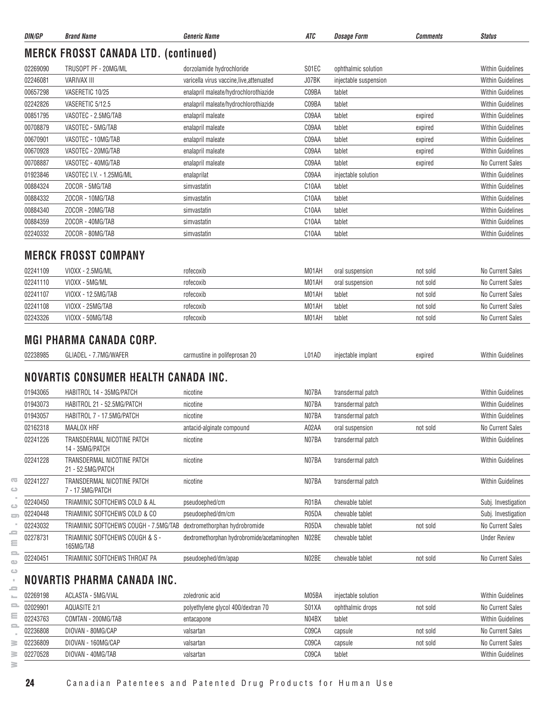| DIN/GP   | <b>Brand Name</b>                               | <b>Generic Name</b>                         | ATC                | <i><b>Dosage Form</b></i> | <b>Comments</b> | <b>Status</b>            |
|----------|-------------------------------------------------|---------------------------------------------|--------------------|---------------------------|-----------------|--------------------------|
|          | <b>MERCK FROSST CANADA LTD. (continued)</b>     |                                             |                    |                           |                 |                          |
| 02269090 | TRUSOPT PF - 20MG/ML                            | dorzolamide hydrochloride                   | S01EC              | ophthalmic solution       |                 | <b>Within Guidelines</b> |
| 02246081 | <b>VARIVAX III</b>                              | varicella virus vaccine, live, attenuated   | J07BK              | injectable suspension     |                 | <b>Within Guidelines</b> |
| 00657298 | VASERETIC 10/25                                 | enalapril maleate/hydrochlorothiazide       | C09BA              | tablet                    |                 | <b>Within Guidelines</b> |
| 02242826 | VASERETIC 5/12.5                                | enalapril maleate/hydrochlorothiazide       | C09BA              | tablet                    |                 | <b>Within Guidelines</b> |
| 00851795 | VASOTEC - 2.5MG/TAB                             | enalapril maleate                           | C09AA              | tablet                    | expired         | <b>Within Guidelines</b> |
| 00708879 | VASOTEC - 5MG/TAB                               | enalapril maleate                           | C09AA              | tablet                    | expired         | <b>Within Guidelines</b> |
| 00670901 | VASOTEC - 10MG/TAB                              | enalapril maleate                           | C09AA              | tablet                    | expired         | <b>Within Guidelines</b> |
| 00670928 | VASOTEC - 20MG/TAB                              | enalapril maleate                           | C09AA              | tablet                    | expired         | <b>Within Guidelines</b> |
| 00708887 | VASOTEC - 40MG/TAB                              | enalapril maleate                           | C09AA              | tablet                    | expired         | No Current Sales         |
| 01923846 | VASOTEC I.V. - 1.25MG/ML                        | enalaprilat                                 | C09AA              | injectable solution       |                 | <b>Within Guidelines</b> |
| 00884324 | ZOCOR - 5MG/TAB                                 | simvastatin                                 | C10AA              | tablet                    |                 | <b>Within Guidelines</b> |
| 00884332 | ZOCOR - 10MG/TAB                                | simvastatin                                 | C <sub>10</sub> AA | tablet                    |                 | <b>Within Guidelines</b> |
| 00884340 | ZOCOR - 20MG/TAB                                | simvastatin                                 | C <sub>10</sub> AA | tablet                    |                 | <b>Within Guidelines</b> |
| 00884359 | ZOCOR - 40MG/TAB                                | simvastatin                                 | C10AA              | tablet                    |                 | <b>Within Guidelines</b> |
| 02240332 | ZOCOR - 80MG/TAB                                | simvastatin                                 | C <sub>10</sub> AA | tablet                    |                 | <b>Within Guidelines</b> |
|          | <b>MERCK FROSST COMPANY</b>                     |                                             |                    |                           |                 |                          |
| 02241109 | VIOXX - 2.5MG/ML                                | rofecoxib                                   | M01AH              | oral suspension           | not sold        | No Current Sales         |
| 02241110 | VIOXX - 5MG/ML                                  | rofecoxib                                   | M01AH              | oral suspension           | not sold        | No Current Sales         |
| 02241107 | VIOXX - 12.5MG/TAB                              | rofecoxib                                   | M01AH              | tablet                    | not sold        | No Current Sales         |
| 02241108 | VIOXX - 25MG/TAB                                | rofecoxib                                   | M01AH              | tablet                    | not sold        | No Current Sales         |
| 02243326 | VIOXX - 50MG/TAB                                | rofecoxib                                   | M01AH              | tablet                    | not sold        | No Current Sales         |
|          | <b>MGI PHARMA CANADA CORP.</b>                  |                                             |                    |                           |                 |                          |
| 02238985 | GLIADEL - 7.7MG/WAFER                           | carmustine in polifeprosan 20               | L01AD              | injectable implant        | expired         | <b>Within Guidelines</b> |
|          | NOVARTIS CONSUMER HEALTH CANADA INC.            |                                             |                    |                           |                 |                          |
| 01943065 | HABITROL 14 - 35MG/PATCH                        | nicotine                                    | N07BA              | transdermal patch         |                 | <b>Within Guidelines</b> |
| 01943073 | HABITROL 21 - 52.5MG/PATCH                      | nicotine                                    | N07BA              | transdermal patch         |                 | <b>Within Guidelines</b> |
| 01943057 | HABITROL 7 - 17.5MG/PATCH                       | nicotine                                    | N07BA              | transdermal patch         |                 | <b>Within Guidelines</b> |
| 02162318 | <b>MAALOX HRF</b>                               | antacid-alginate compound                   | A02AA              | oral suspension           | not sold        | No Current Sales         |
| 02241226 | TRANSDERMAL NICOTINE PATCH<br>14 - 35MG/PATCH   | nicotine                                    | N07BA              | transdermal patch         |                 | <b>Within Guidelines</b> |
| 02241228 | TRANSDERMAL NICOTINE PATCH<br>21 - 52.5MG/PATCH | nicotine                                    | N07BA              | transdermal patch         |                 | <b>Within Guidelines</b> |
| 02241227 | TRANSDERMAL NICOTINE PATCH<br>7 - 17.5MG/PATCH  | nicotine                                    | N07BA              | transdermal patch         |                 | Within Guidelines        |
| 02240450 | TRIAMINIC SOFTCHEWS COLD & AL                   | pseudoephed/cm                              | R01BA              | chewable tablet           |                 | Subj. Investigation      |
| 02240448 | TRIAMINIC SOFTCHEWS COLD & CO                   | pseudoephed/dm/cm                           | R05DA              | chewable tablet           |                 | Subj. Investigation      |
| 02243032 | TRIAMINIC SOFTCHEWS COUGH - 7.5MG/TAB           | dextromethorphan hydrobromide               | R05DA              | chewable tablet           | not sold        | No Current Sales         |
| 02278731 | TRIAMINIC SOFTCHEWS COUGH & S -<br>165MG/TAB    | dextromethorphan hydrobromide/acetaminophen | N02BE              | chewable tablet           |                 | <b>Under Review</b>      |
| 02240451 | TRIAMINIC SOFTCHEWS THROAT PA                   | pseudoephed/dm/apap                         | N02BE              | chewable tablet           | not sold        | No Current Sales         |
|          | NOVARTIS PHARMA CANADA INC.                     |                                             |                    |                           |                 |                          |
| 02269198 | ACLASTA - 5MG/VIAL                              | zoledronic acid                             | M05BA              | injectable solution       |                 | <b>Within Guidelines</b> |
| 02029901 | <b>AQUASITE 2/1</b>                             | polyethylene glycol 400/dextran 70          | S01XA              | ophthalmic drops          | not sold        | No Current Sales         |
|          |                                                 |                                             |                    |                           |                 |                          |

**www.pmprb-cepmb.gc.ca** $\equiv$  $\equiv$ 02243763 COMTAN - 200MG/TAB entacapone entacapone next entact Mithin Guidelines  $\equiv$ 02236808 DIOVAN - 80MG/CAP valsartan valsartan CO9CA capsule not sold not sold No Current Sales  $\sim$ 02236809 DIOVAN - 160MG/CAP valsartan valsartan control control capsule capsule not sold No Current Sales  $\geq$  $\geq$ 02270528 DIOVAN - 40MG/TAB valsartan C09CA tablet Within Guidelines

 $\geq$ 

 $\overline{\infty}$  $\hfill\square$  $\alpha$  $\hfill\ensuremath{\mathrel{\mathop{\cup}}\nolimits}$  $\qquad \qquad \qquad \qquad \qquad$ ×  $\equiv$  $\equiv$  $\equiv$  $\bar{\Xi}$  $\qquad \qquad \Box$  $\bar{z}$  $=$  $\overline{\phantom{a}}$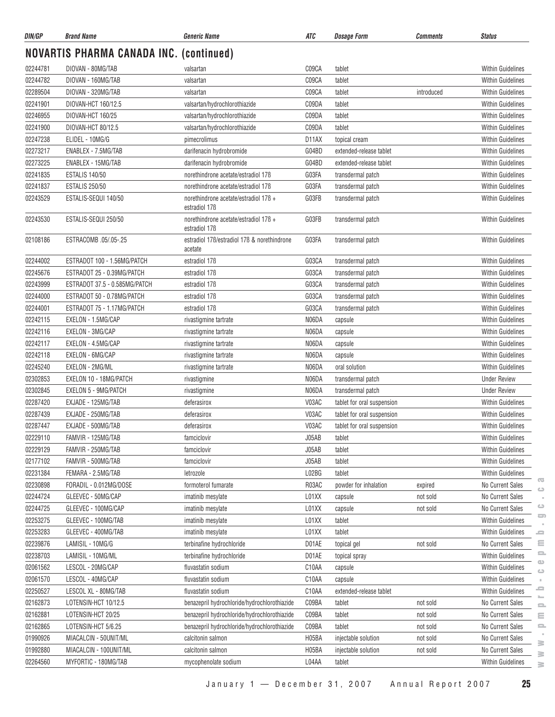| DIN/GP   | <b>Brand Name</b>                              | <b>Generic Name</b>                                                | ATC   | Dosage Form                | Comments   | <b>Status</b>                               |
|----------|------------------------------------------------|--------------------------------------------------------------------|-------|----------------------------|------------|---------------------------------------------|
|          | <b>NOVARTIS PHARMA CANADA INC. (continued)</b> |                                                                    |       |                            |            |                                             |
| 02244781 | DIOVAN - 80MG/TAB                              | valsartan                                                          | C09CA | tablet                     |            | <b>Within Guidelines</b>                    |
| 02244782 | DIOVAN - 160MG/TAB                             | valsartan                                                          | C09CA | tablet                     |            | <b>Within Guidelines</b>                    |
| 02289504 | DIOVAN - 320MG/TAB                             | valsartan                                                          | C09CA | tablet                     | introduced | <b>Within Guidelines</b>                    |
| 02241901 | DIOVAN-HCT 160/12.5                            | valsartan/hydrochlorothiazide                                      | C09DA | tablet                     |            | Within Guidelines                           |
| 02246955 | DIOVAN-HCT 160/25                              | valsartan/hydrochlorothiazide                                      | C09DA | tablet                     |            | <b>Within Guidelines</b>                    |
| 02241900 | DIOVAN-HCT 80/12.5                             | valsartan/hydrochlorothiazide                                      | C09DA | tablet                     |            | <b>Within Guidelines</b>                    |
| 02247238 | ELIDEL - 10MG/G                                | pimecrolimus                                                       | D11AX | topical cream              |            | <b>Within Guidelines</b>                    |
| 02273217 | ENABLEX - 7.5MG/TAB                            | darifenacin hydrobromide                                           | G04BD | extended-release tablet    |            | Within Guidelines                           |
| 02273225 | ENABLEX - 15MG/TAB                             | darifenacin hydrobromide                                           | G04BD | extended-release tablet    |            | <b>Within Guidelines</b>                    |
| 02241835 | <b>ESTALIS 140/50</b>                          | norethindrone acetate/estradiol 17B                                | G03FA | transdermal patch          |            | Within Guidelines                           |
| 02241837 | <b>ESTALIS 250/50</b>                          | norethindrone acetate/estradiol 17B                                | G03FA | transdermal patch          |            | <b>Within Guidelines</b>                    |
| 02243529 | ESTALIS-SEQUI 140/50                           | norethindrone acetate/estradiol 176 +<br>estradiol 17 <sub>B</sub> | G03FB | transdermal patch          |            | <b>Within Guidelines</b>                    |
| 02243530 | ESTALIS-SEQUI 250/50                           | norethindrone acetate/estradiol 176 +<br>estradiol 17 <sub>B</sub> | G03FB | transdermal patch          |            | <b>Within Guidelines</b>                    |
| 02108186 | ESTRACOMB .05/.05-.25                          | estradiol 17B/estradiol 17B & norethindrone<br>acetate             | G03FA | transdermal patch          |            | <b>Within Guidelines</b>                    |
| 02244002 | ESTRADOT 100 - 1.56MG/PATCH                    | estradiol 17 <sub>B</sub>                                          | G03CA | transdermal patch          |            | <b>Within Guidelines</b>                    |
| 02245676 | ESTRADOT 25 - 0.39MG/PATCH                     | estradiol 17 <sub>B</sub>                                          | G03CA | transdermal patch          |            | Within Guidelines                           |
| 02243999 | ESTRADOT 37.5 - 0.585MG/PATCH                  | estradiol 17 <sub>B</sub>                                          | G03CA | transdermal patch          |            | <b>Within Guidelines</b>                    |
| 02244000 | ESTRADOT 50 - 0.78MG/PATCH                     | estradiol 17 <sub>B</sub>                                          | G03CA | transdermal patch          |            | <b>Within Guidelines</b>                    |
| 02244001 | ESTRADOT 75 - 1.17MG/PATCH                     | estradiol 17 <sub>B</sub>                                          | G03CA | transdermal patch          |            | Within Guidelines                           |
| 02242115 | EXELON - 1.5MG/CAP                             | rivastigmine tartrate                                              | N06DA | capsule                    |            | <b>Within Guidelines</b>                    |
| 02242116 | EXELON - 3MG/CAP                               | rivastigmine tartrate                                              | N06DA | capsule                    |            | <b>Within Guidelines</b>                    |
| 02242117 | EXELON - 4.5MG/CAP                             | rivastigmine tartrate                                              | N06DA | capsule                    |            | Within Guidelines                           |
| 02242118 | EXELON - 6MG/CAP                               | rivastigmine tartrate                                              | N06DA | capsule                    |            | <b>Within Guidelines</b>                    |
| 02245240 | EXELON - 2MG/ML                                | rivastigmine tartrate                                              | N06DA | oral solution              |            | <b>Within Guidelines</b>                    |
| 02302853 | EXELON 10 - 18MG/PATCH                         | rivastigmine                                                       | N06DA | transdermal patch          |            | <b>Under Review</b>                         |
| 02302845 | <b>EXELON 5 - 9MG/PATCH</b>                    | rivastigmine                                                       | N06DA | transdermal patch          |            | <b>Under Review</b>                         |
| 02287420 | EXJADE - 125MG/TAB                             | deferasirox                                                        | V03AC | tablet for oral suspension |            | Within Guidelines                           |
| 02287439 | EXJADE - 250MG/TAB                             | deferasirox                                                        | V03AC | tablet for oral suspension |            | <b>Within Guidelines</b>                    |
| 02287447 | EXJADE - 500MG/TAB                             | deferasirox                                                        | V03AC | tablet for oral suspension |            | <b>Within Guidelines</b>                    |
| 02229110 | FAMVIR - 125MG/TAB                             | famciclovir                                                        | J05AB | tablet                     |            | Within Guidelines                           |
| 02229129 | FAMVIR - 250MG/TAB                             | famciclovir                                                        | J05AB | tablet                     |            | Within Guidelines                           |
| 02177102 | FAMVIR - 500MG/TAB                             | famciclovir                                                        | J05AB | tablet                     |            | Within Guidelines                           |
| 02231384 | FEMARA - 2.5MG/TAB                             | letrozole                                                          | L02BG | tablet                     |            | Within Guidelines                           |
| 02230898 | FORADIL - 0.012MG/DOSE                         | formoterol fumarate                                                | R03AC | powder for inhalation      | expired    | $\overline{\mathbf{C}}$<br>No Current Sales |
| 02244724 | GLEEVEC - 50MG/CAP                             | imatinib mesylate                                                  | L01XX | capsule                    | not sold   | $\bigcirc$<br>No Current Sales              |
| 02244725 | GLEEVEC - 100MG/CAP                            | imatinib mesylate                                                  | L01XX | capsule                    | not sold   | $\circ$<br>No Current Sales                 |
| 02253275 | GLEEVEC - 100MG/TAB                            | imatinib mesylate                                                  | L01XX | tablet                     |            | 5<br><b>Within Guidelines</b>               |
| 02253283 | GLEEVEC - 400MG/TAB                            | imatinib mesylate                                                  | L01XX | tablet                     |            | <b>Within Guidelines</b><br>=               |
| 02239876 | LAMISIL - 10MG/G                               | terbinafine hydrochloride                                          | D01AE | topical gel                | not sold   | ≘<br>No Current Sales                       |
| 02238703 | LAMISIL - 10MG/ML                              | terbinafine hydrochloride                                          | D01AE | topical spray              |            | $\equiv$<br>Within Guidelines               |
| 02061562 | LESCOL - 20MG/CAP                              | fluvastatin sodium                                                 | C10AA | capsule                    |            | $\bigcirc$<br>Within Guidelines             |
| 02061570 | LESCOL - 40MG/CAP                              | fluvastatin sodium                                                 | C10AA | capsule                    |            | $\circ$<br>Within Guidelines<br>×.          |
| 02250527 | LESCOL XL - 80MG/TAB                           | fluvastatin sodium                                                 | C10AA | extended-release tablet    |            | 2<br>Within Guidelines                      |
| 02162873 | LOTENSIN-HCT 10/12.5                           | benazepril hydrochloride/hydrochlorothiazide                       | C09BA | tablet                     | not sold   | No Current Sales                            |
| 02162881 | LOTENSIN-HCT 20/25                             | benazepril hydrochloride/hydrochlorothiazide                       | C09BA | tablet                     | not sold   | $\equiv$<br>No Current Sales<br>$\equiv$    |
| 02162865 | LOTENSIN-HCT 5/6.25                            | benazepril hydrochloride/hydrochlorothiazide                       | C09BA | tablet                     | not sold   | No Current Sales<br>으                       |
| 01990926 | MIACALCIN - 50UNIT/ML                          | calcitonin salmon                                                  | H05BA | injectable solution        | not sold   | No Current Sales                            |
| 01992880 | MIACALCIN - 100UNIT/ML                         | calcitonin salmon                                                  | H05BA | injectable solution        | not sold   | ≧<br>No Current Sales                       |
| 02264560 | MYFORTIC - 180MG/TAB                           | mycophenolate sodium                                               | L04AA | tablet                     |            | $\geq$<br><b>Within Guidelines</b>          |
|          |                                                |                                                                    |       |                            |            | ≧                                           |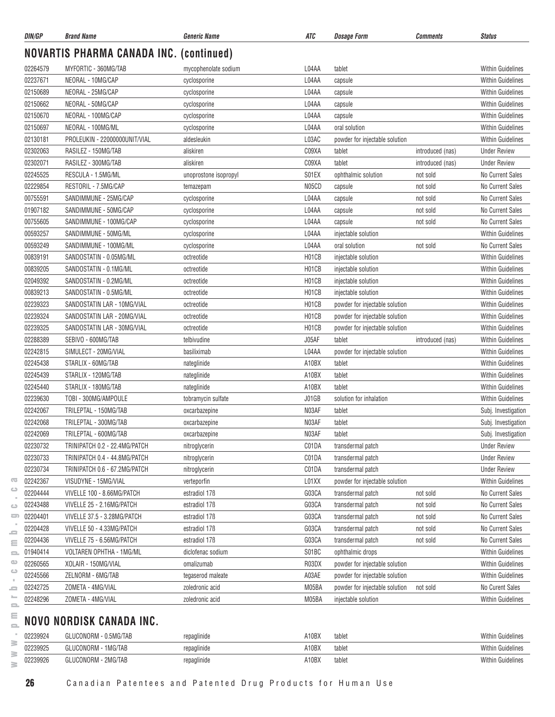| DIN/GP   | <b>Brand Name</b>                              | <b>Generic Name</b>       | ATC   | <b>Dosage Form</b>             | <b>Comments</b>  | <b>Status</b>            |
|----------|------------------------------------------------|---------------------------|-------|--------------------------------|------------------|--------------------------|
|          | <b>NOVARTIS PHARMA CANADA INC. (continued)</b> |                           |       |                                |                  |                          |
| 02264579 | MYFORTIC - 360MG/TAB                           | mycophenolate sodium      | L04AA | tablet                         |                  | <b>Within Guidelines</b> |
| 02237671 | NEORAL - 10MG/CAP                              | cyclosporine              | L04AA | capsule                        |                  | <b>Within Guidelines</b> |
| 02150689 | NEORAL - 25MG/CAP                              | cyclosporine              | L04AA | capsule                        |                  | <b>Within Guidelines</b> |
| 02150662 | NEORAL - 50MG/CAP                              | cyclosporine              | L04AA | capsule                        |                  | <b>Within Guidelines</b> |
| 02150670 | NEORAL - 100MG/CAP                             | cyclosporine              | L04AA | capsule                        |                  | <b>Within Guidelines</b> |
| 02150697 | NEORAL - 100MG/ML                              | cyclosporine              | L04AA | oral solution                  |                  | <b>Within Guidelines</b> |
| 02130181 | PROLEUKIN - 22000000UNIT/VIAL                  | aldesleukin               | L03AC | powder for injectable solution |                  | <b>Within Guidelines</b> |
| 02302063 | RASILEZ - 150MG/TAB                            | aliskiren                 | C09XA | tablet                         | introduced (nas) | <b>Under Review</b>      |
| 02302071 | RASILEZ - 300MG/TAB                            | aliskiren                 | C09XA | tablet                         | introduced (nas) | <b>Under Review</b>      |
| 02245525 | RESCULA - 1.5MG/ML                             | unoprostone isopropyl     | S01EX | ophthalmic solution            | not sold         | No Current Sales         |
| 02229854 | RESTORIL - 7.5MG/CAP                           | temazepam                 | N05CD | capsule                        | not sold         | No Current Sales         |
| 00755591 | SANDIMMUNE - 25MG/CAP                          | cyclosporine              | L04AA | capsule                        | not sold         | No Current Sales         |
| 01907182 | SANDIMMUNE - 50MG/CAP                          | cyclosporine              | L04AA | capsule                        | not sold         | No Current Sales         |
| 00755605 | SANDIMMUNE - 100MG/CAP                         | cyclosporine              | L04AA | capsule                        | not sold         | No Current Sales         |
| 00593257 | SANDIMMUNE - 50MG/ML                           | cyclosporine              | L04AA | injectable solution            |                  | <b>Within Guidelines</b> |
| 00593249 | SANDIMMUNE - 100MG/ML                          | cyclosporine              | L04AA | oral solution                  | not sold         | No Current Sales         |
| 00839191 | SANDOSTATIN - 0.05MG/ML                        | octreotide                | H01CB | injectable solution            |                  | <b>Within Guidelines</b> |
| 00839205 | SANDOSTATIN - 0.1MG/ML                         | octreotide                | H01CB | injectable solution            |                  | Within Guidelines        |
| 02049392 | SANDOSTATIN - 0.2MG/ML                         | octreotide                | H01CB | injectable solution            |                  | <b>Within Guidelines</b> |
| 00839213 | SANDOSTATIN - 0.5MG/ML                         | octreotide                | H01CB | injectable solution            |                  | <b>Within Guidelines</b> |
| 02239323 | SANDOSTATIN LAR - 10MG/VIAL                    | octreotide                | H01CB | powder for injectable solution |                  | <b>Within Guidelines</b> |
| 02239324 | SANDOSTATIN LAR - 20MG/VIAL                    | octreotide                | H01CB | powder for injectable solution |                  | <b>Within Guidelines</b> |
| 02239325 | SANDOSTATIN LAR - 30MG/VIAL                    | octreotide                | H01CB | powder for injectable solution |                  | <b>Within Guidelines</b> |
| 02288389 | SEBIVO - 600MG/TAB                             | telbivudine               | J05AF | tablet                         | introduced (nas) | Within Guidelines        |
| 02242815 | SIMULECT - 20MG/VIAL                           | basiliximab               | L04AA | powder for injectable solution |                  | <b>Within Guidelines</b> |
| 02245438 | STARLIX - 60MG/TAB                             | nateglinide               | A10BX | tablet                         |                  | <b>Within Guidelines</b> |
| 02245439 | STARLIX - 120MG/TAB                            | nateglinide               | A10BX | tablet                         |                  | <b>Within Guidelines</b> |
| 02245440 | STARLIX - 180MG/TAB                            | nateglinide               | A10BX | tablet                         |                  | Within Guidelines        |
| 02239630 | TOBI - 300MG/AMPOULE                           | tobramycin sulfate        | J01GB | solution for inhalation        |                  | <b>Within Guidelines</b> |
| 02242067 | TRILEPTAL - 150MG/TAB                          | oxcarbazepine             | N03AF | tablet                         |                  | Subj. Investigation      |
| 02242068 | TRILEPTAL - 300MG/TAB                          | oxcarbazepine             | N03AF | tablet                         |                  | Subj. Investigation      |
| 02242069 | TRILEPTAL - 600MG/TAB                          | oxcarbazepine             | N03AF | tablet                         |                  | Subj. Investigation      |
| 02230732 | TRINIPATCH 0.2 - 22.4MG/PATCH                  | nitroglycerin             | C01DA | transdermal patch              |                  | <b>Under Review</b>      |
| 02230733 | TRINIPATCH 0.4 - 44.8MG/PATCH                  | nitroglycerin             | C01DA | transdermal patch              |                  | <b>Under Review</b>      |
| 02230734 | TRINIPATCH 0.6 - 67.2MG/PATCH                  | nitroglycerin             | C01DA | transdermal patch              |                  | <b>Under Review</b>      |
| 02242367 | VISUDYNE - 15MG/VIAL                           | verteporfin               | L01XX | powder for injectable solution |                  | Within Guidelines        |
| 02204444 | VIVELLE 100 - 8.66MG/PATCH                     | estradiol 17 <sub>B</sub> | G03CA | transdermal patch              | not sold         | No Current Sales         |
| 02243488 | VIVELLE 25 - 2.16MG/PATCH                      | estradiol 17 <sub>B</sub> | G03CA | transdermal patch              | not sold         | No Current Sales         |
| 02204401 | VIVELLE 37.5 - 3.28MG/PATCH                    | estradiol 17 <sub>B</sub> | G03CA | transdermal patch              | not sold         | No Current Sales         |
| 02204428 | VIVELLE 50 - 4.33MG/PATCH                      | estradiol 17 <sub>B</sub> | G03CA | transdermal patch              | not sold         | No Current Sales         |
| 02204436 | VIVELLE 75 - 6.56MG/PATCH                      | estradiol 17 <sub>B</sub> | G03CA | transdermal patch              | not sold         | No Current Sales         |
| 01940414 | VOLTAREN OPHTHA - 1MG/ML                       | diclofenac sodium         | S01BC | ophthalmic drops               |                  | Within Guidelines        |
| 02260565 | XOLAIR - 150MG/VIAL                            | omalizumab                | R03DX | powder for injectable solution |                  | <b>Within Guidelines</b> |
| 02245566 | ZELNORM - 6MG/TAB                              | tegaserod maleate         | A03AE | powder for injectable solution |                  | <b>Within Guidelines</b> |
| 02242725 | ZOMETA - 4MG/VIAL                              | zoledronic acid           | M05BA | powder for injectable solution | not sold         | No Curent Sales          |
| 02248296 | ZOMETA - 4MG/VIAL                              | zoledronic acid           | M05BA | injectable solution            |                  | <b>Within Guidelines</b> |
|          |                                                |                           |       |                                |                  |                          |

# $\subseteq$  NOVO NORDISK CANADA INC.

| 02239924 | GLUCONORM<br>$-0.5MG/TAB$ | repaglinide | A10BX | tablet | <b>Within Guidelines</b> |
|----------|---------------------------|-------------|-------|--------|--------------------------|
| 02239925 | GLUCONORM - 1MG/TAB       | repaglinide | A10BX | tablet | <b>Within Guidelines</b> |
| 02239926 | GLUCONORM - 2MG/TAB       | repaglinide | A10BX | tablet | <b>Within Guidelines</b> |

 $\sim$  $\equiv$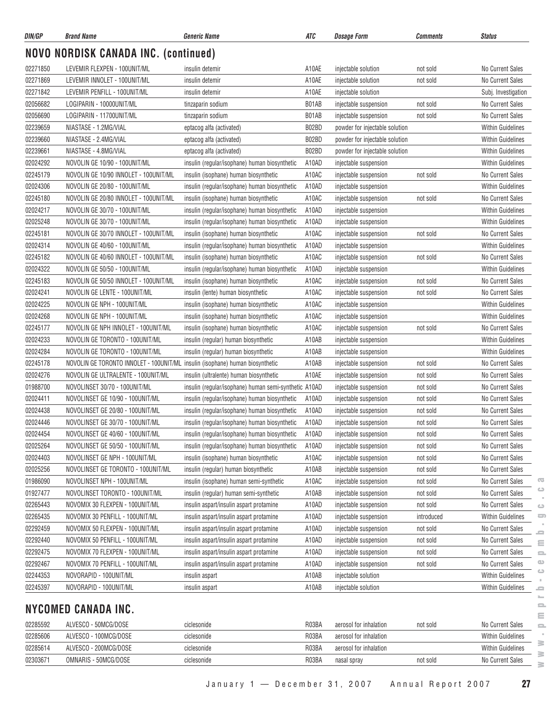| DIN/GP               | <b>Brand Name</b>                                                             | <b>Generic Name</b>                                                               | ATC            | <i><b>Dosage Form</b></i>                      | <b>Comments</b>      | <b>Status</b>                               |
|----------------------|-------------------------------------------------------------------------------|-----------------------------------------------------------------------------------|----------------|------------------------------------------------|----------------------|---------------------------------------------|
|                      | <b>NOVO NORDISK CANADA INC. (continued)</b>                                   |                                                                                   |                |                                                |                      |                                             |
| 02271850             | LEVEMIR FLEXPEN - 100UNIT/ML                                                  | insulin detemir                                                                   | A10AE          | injectable solution                            | not sold             | No Current Sales                            |
| 02271869             | LEVEMIR INNOLET - 100UNIT/ML                                                  | insulin detemin                                                                   | A10AE          | injectable solution                            | not sold             | No Current Sales                            |
| 02271842             | LEVEMIR PENFILL - 100UNIT/ML                                                  | insulin detemir                                                                   | A10AE          | injectable solution                            |                      | Subj. Investigation                         |
| 02056682             | LOGIPARIN - 10000UNIT/ML                                                      | tinzaparin sodium                                                                 | B01AB          | injectable suspension                          | not sold             | No Current Sales                            |
| 02056690             | LOGIPARIN - 11700UNIT/ML                                                      | tinzaparin sodium                                                                 | B01AB          | injectable suspension                          | not sold             | <b>No Current Sales</b>                     |
| 02239659             | NIASTASE - 1.2MG/VIAL                                                         | eptacog alfa (activated)                                                          | B02BD          | powder for injectable solution                 |                      | <b>Within Guidelines</b>                    |
| 02239660             | NIASTASE - 2.4MG/VIAL                                                         | eptacog alfa (activated)                                                          | B02BD          | powder for injectable solution                 |                      | <b>Within Guidelines</b>                    |
| 02239661             | NIASTASE - 4.8MG/VIAL                                                         | eptacog alfa (activated)                                                          | B02BD          | powder for injectable solution                 |                      | <b>Within Guidelines</b>                    |
| 02024292             | NOVOLIN GE 10/90 - 100UNIT/ML                                                 | insulin (regular/isophane) human biosynthetic                                     | A10AD          | injectable suspension                          |                      | <b>Within Guidelines</b>                    |
| 02245179             | NOVOLIN GE 10/90 INNOLET - 100UNIT/ML                                         | insulin (isophane) human biosynthetic                                             | A10AC          | injectable suspension                          | not sold             | No Current Sales                            |
| 02024306             | NOVOLIN GE 20/80 - 100UNIT/ML                                                 | insulin (regular/isophane) human biosynthetic                                     | A10AD          | injectable suspension                          |                      | <b>Within Guidelines</b>                    |
| 02245180             | NOVOLIN GE 20/80 INNOLET - 100UNIT/ML                                         | insulin (isophane) human biosynthetic                                             | A10AC          | injectable suspension                          | not sold             | No Current Sales                            |
| 02024217             | NOVOLIN GE 30/70 - 100UNIT/ML                                                 | insulin (regular/isophane) human biosynthetic                                     | A10AD          | injectable suspension                          |                      | <b>Within Guidelines</b>                    |
| 02025248             | NOVOLIN GE 30/70 - 100UNIT/ML                                                 | insulin (regular/isophane) human biosynthetic                                     | A10AD          | injectable suspension                          |                      | <b>Within Guidelines</b>                    |
| 02245181             | NOVOLIN GE 30/70 INNOLET - 100UNIT/ML                                         | insulin (isophane) human biosynthetic                                             | A10AC          | injectable suspension                          | not sold             | No Current Sales                            |
| 02024314             | NOVOLIN GE 40/60 - 100UNIT/ML                                                 | insulin (regular/isophane) human biosynthetic                                     | A10AD          | injectable suspension                          |                      | <b>Within Guidelines</b>                    |
| 02245182             | NOVOLIN GE 40/60 INNOLET - 100UNIT/ML                                         | insulin (isophane) human biosynthetic                                             | A10AC          | injectable suspension                          | not sold             | <b>No Current Sales</b>                     |
| 02024322             | NOVOLIN GE 50/50 - 100UNIT/ML                                                 | insulin (regular/isophane) human biosynthetic                                     | A10AD          | injectable suspension                          |                      | <b>Within Guidelines</b>                    |
| 02245183             | NOVOLIN GE 50/50 INNOLET - 100UNIT/ML                                         | insulin (isophane) human biosynthetic                                             | A10AC          | injectable suspension                          | not sold             | No Current Sales                            |
| 02024241             | NOVOLIN GE LENTE - 100UNIT/ML                                                 | insulin (lente) human biosynthetic                                                | A10AC          | injectable suspension                          | not sold             | No Current Sales                            |
| 02024225             | NOVOLIN GE NPH - 100UNIT/ML                                                   | insulin (isophane) human biosynthetic                                             | A10AC          | injectable suspension                          |                      | <b>Within Guidelines</b>                    |
| 02024268             | NOVOLIN GE NPH - 100UNIT/ML                                                   | insulin (isophane) human biosynthetic                                             | A10AC          | injectable suspension                          |                      | <b>Within Guidelines</b>                    |
| 02245177             | NOVOLIN GE NPH INNOLET - 100UNIT/ML                                           | insulin (isophane) human biosynthetic                                             | A10AC          | injectable suspension                          | not sold             | <b>No Current Sales</b>                     |
| 02024233             | NOVOLIN GE TORONTO - 100UNIT/ML                                               | insulin (regular) human biosynthetic                                              | A10AB          | injectable suspension                          |                      | <b>Within Guidelines</b>                    |
| 02024284             | NOVOLIN GE TORONTO - 100UNIT/ML                                               | insulin (regular) human biosynthetic                                              | A10AB          | injectable suspension                          |                      | <b>Within Guidelines</b>                    |
| 02245178             | NOVOLIN GE TORONTO INNOLET - 100UNIT/ML insulin (isophane) human biosynthetic |                                                                                   | A10AB          | injectable suspension                          | not sold             | <b>No Current Sales</b>                     |
| 02024276             | NOVOLIN GE ULTRALENTE - 100UNIT/ML                                            | insulin (ultralente) human biosynthetic                                           | A10AE          | injectable suspension                          | not sold             | No Current Sales                            |
| 01988700             | NOVOLINSET 30/70 - 100UNIT/ML                                                 | insulin (regular/isophane) human semi-synthetic A10AD                             |                | injectable suspension                          | not sold             | <b>No Current Sales</b>                     |
| 02024411             | NOVOLINSET GE 10/90 - 100UNIT/ML                                              | insulin (regular/isophane) human biosynthetic                                     | A10AD          | injectable suspension                          | not sold             | No Current Sales                            |
| 02024438             | NOVOLINSET GE 20/80 - 100UNIT/ML                                              | insulin (regular/isophane) human biosynthetic                                     | A10AD          | injectable suspension                          | not sold             | No Current Sales                            |
| 02024446             | NOVOLINSET GE 30/70 - 100UNIT/ML                                              | insulin (regular/isophane) human biosynthetic                                     | A10AD          | injectable suspension                          | not sold             | No Current Sales                            |
| 02024454             | NOVOLINSET GE 40/60 - 100UNIT/ML                                              | insulin (regular/isophane) human biosynthetic                                     | A10AD          | injectable suspension                          | not sold             | No Current Sales                            |
| 02025264             | NOVOLINSET GE 50/50 - 100UNIT/ML                                              | insulin (regular/isophane) human biosynthetic                                     | A10AD          | injectable suspension                          | not sold             | No Current Sales                            |
| 02024403             | NOVOLINSET GE NPH - 100UNIT/ML                                                | insulin (isophane) human biosynthetic                                             | A10AC          |                                                |                      | <b>No Current Sales</b>                     |
|                      | NOVOLINSET GE TORONTO - 100UNIT/ML                                            |                                                                                   |                | injectable suspension                          | not sold             | No Current Sales                            |
| 02025256             |                                                                               | insulin (regular) human biosynthetic                                              | A10AB          | injectable suspension                          | not sold             | No Current Sales                            |
| 01986090<br>01927477 | NOVOLINSET NPH - 100UNIT/ML<br>NOVOLINSET TORONTO - 100UNIT/ML                | insulin (isophane) human semi-synthetic<br>insulin (regular) human semi-synthetic | A10AC<br>A10AB | injectable suspension<br>injectable suspension | not sold<br>not sold | No Current Sales                            |
| 02265443             | NOVOMIX 30 FLEXPEN - 100UNIT/ML                                               | insulin aspart/insulin aspart protamine                                           | A10AD          | injectable suspension                          |                      | No Current Sales                            |
|                      |                                                                               |                                                                                   |                | injectable suspension                          | not sold             |                                             |
| 02265435             | NOVOMIX 30 PENFILL - 100UNIT/ML                                               | insulin aspart/insulin aspart protamine                                           | A10AD          |                                                | introduced           | <b>Within Guidelines</b>                    |
| 02292459             | NOVOMIX 50 FLEXPEN - 100UNIT/ML<br>NOVOMIX 50 PENFILL - 100UNIT/ML            | insulin aspart/insulin aspart protamine                                           | A10AD          | injectable suspension                          | not sold             | <b>No Current Sales</b><br>No Current Sales |
| 02292440             |                                                                               | insulin aspart/insulin aspart protamine                                           | A10AD          | injectable suspension                          | not sold             |                                             |
| 02292475             | NOVOMIX 70 FLEXPEN - 100UNIT/ML                                               | insulin aspart/insulin aspart protamine                                           | A10AD          | injectable suspension                          | not sold             | No Current Sales                            |
| 02292467             | NOVOMIX 70 PENFILL - 100UNIT/ML                                               | insulin aspart/insulin aspart protamine                                           | A10AD          | injectable suspension                          | not sold             | <b>No Current Sales</b>                     |
| 02244353             | NOVORAPID - 100UNIT/ML                                                        | insulin aspart                                                                    | A10AB          | injectable solution                            |                      | <b>Within Guidelines</b>                    |
| 02245397             | NOVORAPID - 100UNIT/ML                                                        | insulin aspart                                                                    | A10AB          | injectable solution                            |                      | <b>Within Guidelines</b>                    |
|                      | <b>NYCOMED CANADA INC.</b>                                                    |                                                                                   |                |                                                |                      |                                             |
| 02285592             | ALVESCO - 50MCG/DOSE                                                          | ciclesonide                                                                       | R03BA          | aerosol for inhalation                         | not sold             | No Current Sales                            |
| 02285606             | ALVESCO - 100MCG/DOSE                                                         | ciclesonide                                                                       | R03BA          | aerosol for inhalation                         |                      | <b>Within Guidelines</b>                    |
| 02285614             | ALVESCO - 200MCG/DOSE                                                         | ciclesonide                                                                       | R03BA          | aerosol for inhalation                         |                      | <b>Within Guidelines</b>                    |
| 02303671             | OMNARIS - 50MCG/DOSE                                                          | ciclesonide                                                                       | R03BA          | nasal spray                                    | not sold             | No Current Sales                            |

 $\overline{\text{C}}$  $\qquad \qquad \qquad \qquad \Box$  $\sim$ 

 $\geq$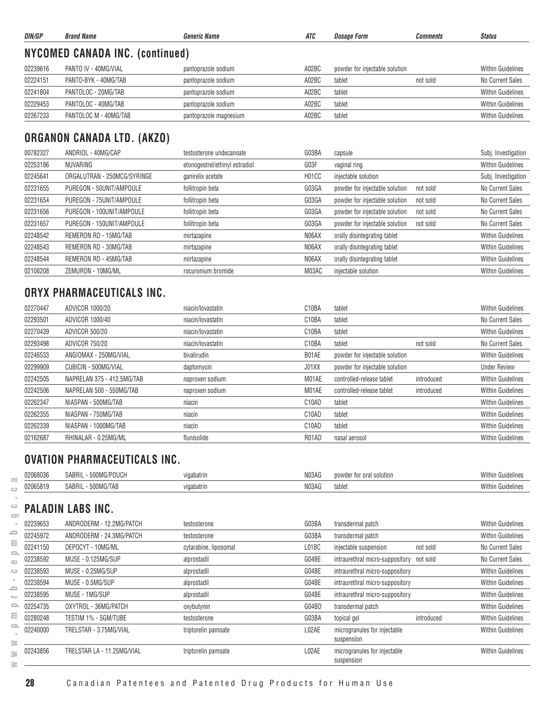| DIN/GP                          | <b>Brand Name</b>     | <b>Generic Name</b>    | ATC   | <b>Dosage Form</b>             | <b>Comments</b> | <b>Status</b>            |  |
|---------------------------------|-----------------------|------------------------|-------|--------------------------------|-----------------|--------------------------|--|
| NYCOMED CANADA INC. (continued) |                       |                        |       |                                |                 |                          |  |
| 02239616                        | PANTO IV - 40MG/VIAL  | pantoprazole sodium    | A02BC | powder for injectable solution |                 | <b>Within Guidelines</b> |  |
| 02224151                        | PANTO-BYK - 40MG/TAB  | pantoprazole sodium    | A02BC | tablet                         | not sold        | No Current Sales         |  |
| 02241804                        | PANTOLOC - 20MG/TAB   | pantoprazole sodium    | A02BC | tablet                         |                 | <b>Within Guidelines</b> |  |
| 02229453                        | PANTOLOC - 40MG/TAB   | pantoprazole sodium    | A02BC | tablet                         |                 | <b>Within Guidelines</b> |  |
| 02267233                        | PANTOLOC M - 40MG/TAB | pantoprazole magnesium | A02BC | tablet                         |                 | <b>Within Guidelines</b> |  |

## **ORGANON CANADA LTD. (AKZO)**

| 00782327 | ANDRIOL - 40MG/CAP          | testosterone undecanoate       | G03BA                          | capsule                                    | Subj. Investigation      |
|----------|-----------------------------|--------------------------------|--------------------------------|--------------------------------------------|--------------------------|
| 02253186 | NUVARING                    | etonogestrel/ethinyl estradiol | G03F                           | vaginal ring                               | <b>Within Guidelines</b> |
| 02245641 | ORGALUTRAN - 250MCG/SYRINGE | ganirelix acetate              | H <sub>0</sub> 1 <sub>CC</sub> | injectable solution                        | Subj. Investigation      |
| 02231655 | PUREGON - 50UNIT/AMPOULE    | follitropin beta               | G03GA                          | powder for injectable solution<br>not sold | No Current Sales         |
| 02231654 | PUREGON - 75UNIT/AMPOULE    | follitropin beta               | G03GA                          | powder for injectable solution<br>not sold | No Current Sales         |
| 02231656 | PUREGON - 100UNIT/AMPOULE   | follitropin beta               | G03GA                          | powder for injectable solution<br>not sold | No Current Sales         |
| 02231657 | PUREGON - 150UNIT/AMPOULE   | follitropin beta               | G03GA                          | powder for injectable solution<br>not sold | No Current Sales         |
| 02248542 | REMERON RD - 15MG/TAB       | mirtazapine                    | N06AX                          | orally disintegrating tablet               | <b>Within Guidelines</b> |
| 02248543 | REMERON RD - 30MG/TAB       | mirtazapine                    | N06AX                          | orally disintegrating tablet               | <b>Within Guidelines</b> |
| 02248544 | REMERON RD - 45MG/TAB       | mirtazapine                    | N06AX                          | orally disintegrating tablet               | <b>Within Guidelines</b> |
| 02108208 | ZEMURON - 10MG/ML           | rocuronium bromide             | M03AC                          | injectable solution                        | <b>Within Guidelines</b> |

## **ORYX PHARMACEUTICALS INC.**

| 02270447 | ADVICOR 1000/20            | niacin/lovastatin | C <sub>10</sub> BA | tablet                         |            | <b>Within Guidelines</b> |
|----------|----------------------------|-------------------|--------------------|--------------------------------|------------|--------------------------|
| 02293501 | ADVICOR 1000/40            | niacin/lovastatin | C <sub>10</sub> BA | tablet                         |            | No Current Sales         |
| 02270439 | ADVICOR 500/20             | niacin/lovastatin | C <sub>10</sub> BA | tablet                         |            | <b>Within Guidelines</b> |
| 02293498 | ADVICOR 750/20             | niacin/lovastatin | C <sub>10</sub> BA | tablet                         | not sold   | No Current Sales         |
| 02246533 | ANGIOMAX - 250MG/VIAL      | bivalirudin       | B01AE              | powder for injectable solution |            | <b>Within Guidelines</b> |
| 02299909 | CUBICIN - 500MG/VIAL       | daptomycin        | J01XX              | powder for injectable solution |            | <b>Under Review</b>      |
| 02242505 | NAPRELAN 375 - 412.5MG/TAB | naproxen sodium   | M01AE              | controlled-release tablet      | introduced | <b>Within Guidelines</b> |
| 02242506 | NAPRELAN 500 - 550MG/TAB   | naproxen sodium   | M01AE              | controlled-release tablet      | introduced | <b>Within Guidelines</b> |
| 02262347 | NIASPAN - 500MG/TAB        | niacin            | C <sub>10</sub> AD | tablet                         |            | <b>Within Guidelines</b> |
| 02262355 | NIASPAN - 750MG/TAB        | niacin            | C <sub>10</sub> AD | tablet                         |            | <b>Within Guidelines</b> |
| 02262339 | NIASPAN - 1000MG/TAB       | niacin            | C <sub>10</sub> AD | tablet                         |            | <b>Within Guidelines</b> |
| 02162687 | RHINALAR - 0.25MG/ML       | flunisolide       | R01AD              | nasal aerosol                  |            | <b>Within Guidelines</b> |

#### **OVATION PHARMACEUTICALS INC.**

| 02068036 | 500MG/POUCH<br>SABRIL | vidabatrin  | N03AG | powder for oral solution | Within Guidelines |
|----------|-----------------------|-------------|-------|--------------------------|-------------------|
| 02065819 | 500MG/TAB<br>SABRIL   | vigabatrir. | N03AG | tablet                   | Within Guidelines |

# **PALADIN LABS INC.**

| 02239653 | ANDRODERM - 12.2MG/PATCH   | testosterone          | G03BA | transdermal patch                          |            | <b>Within Guidelines</b> |
|----------|----------------------------|-----------------------|-------|--------------------------------------------|------------|--------------------------|
| 02245972 | ANDRODERM - 24.3MG/PATCH   | testosterone          | G03BA | transdermal patch                          |            | <b>Within Guidelines</b> |
| 02241150 | DEPOCYT - 10MG/ML          | cytarabine, liposomal | L01BC | injectable suspension                      | not sold   | No Current Sales         |
| 02238592 | MUSE - 0.125MG/SUP         | alprostadil           | G04BE | intraurethral micro-suppository not sold   |            | No Current Sales         |
| 02238593 | MUSE - 0.25MG/SUP          | alprostadil           | G04BE | intraurethral micro-suppository            |            | <b>Within Guidelines</b> |
| 02238594 | MUSE - 0.5MG/SUP           | alprostadil           | G04BE | intraurethral micro-suppository            |            | <b>Within Guidelines</b> |
| 02238595 | MUSE - 1MG/SUP             | alprostadil           | G04BE | intraurethral micro-suppository            |            | <b>Within Guidelines</b> |
| 02254735 | OXYTROL - 36MG/PATCH       | oxybutynin            | G04BD | transdermal patch                          |            | <b>Within Guidelines</b> |
| 02280248 | TESTIM 1% - 5GM/TUBE       | testosterone          | G03BA | topical gel                                | introduced | <b>Within Guidelines</b> |
| 02240000 | TRELSTAR - 3.75MG/VIAL     | triptorelin pamoate   | L02AE | microgranules for injectable<br>suspension |            | <b>Within Guidelines</b> |
| 02243856 | TRELSTAR LA - 11.25MG/VIAL | triptorelin pamoate   | L02AE | microgranules for injectable<br>suspension |            | <b>Within Guidelines</b> |

 $\overline{\text{C}}$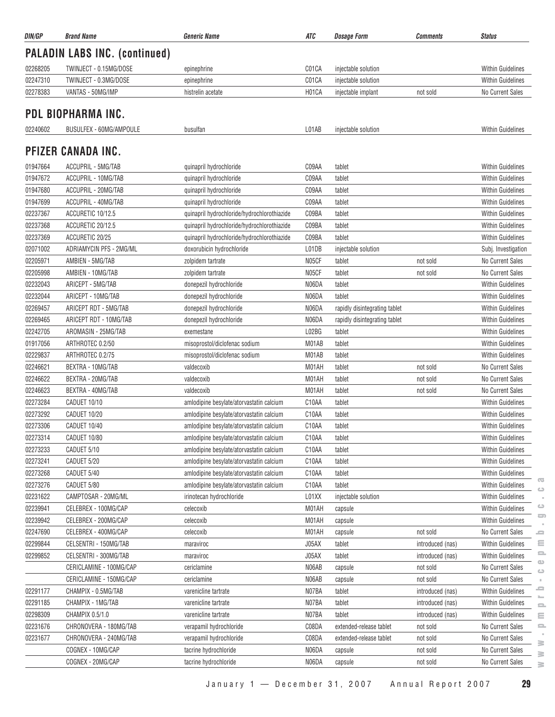| DIN/GP   | <b>Brand Name</b>                    | <b>Generic Name</b>                         | ATC                | <b>Dosage Form</b>            | Comments         | <b>Status</b>                                |
|----------|--------------------------------------|---------------------------------------------|--------------------|-------------------------------|------------------|----------------------------------------------|
|          | <b>PALADIN LABS INC. (continued)</b> |                                             |                    |                               |                  |                                              |
| 02268205 | TWINJECT - 0.15MG/DOSE               | epinephrine                                 | C01CA              | injectable solution           |                  | <b>Within Guidelines</b>                     |
| 02247310 | TWINJECT - 0.3MG/DOSE                | epinephrine                                 | C01CA              | injectable solution           |                  | <b>Within Guidelines</b>                     |
| 02278383 | VANTAS - 50MG/IMP                    | histrelin acetate                           | H01CA              | injectable implant            | not sold         | No Current Sales                             |
|          |                                      |                                             |                    |                               |                  |                                              |
|          | PDL BIOPHARMA INC.                   |                                             |                    |                               |                  |                                              |
| 02240602 | BUSULFEX - 60MG/AMPOULE              | busulfan                                    | L01AB              | injectable solution           |                  | Within Guidelines                            |
|          | PFIZER CANADA INC.                   |                                             |                    |                               |                  |                                              |
| 01947664 | ACCUPRIL - 5MG/TAB                   | quinapril hydrochloride                     | C09AA              | tablet                        |                  | Within Guidelines                            |
| 01947672 | ACCUPRIL - 10MG/TAB                  | quinapril hydrochloride                     | C09AA              | tablet                        |                  | <b>Within Guidelines</b>                     |
| 01947680 | ACCUPRIL - 20MG/TAB                  | quinapril hydrochloride                     | C09AA              | tablet                        |                  | <b>Within Guidelines</b>                     |
| 01947699 | ACCUPRIL - 40MG/TAB                  | quinapril hydrochloride                     | C09AA              | tablet                        |                  | <b>Within Guidelines</b>                     |
| 02237367 | ACCURETIC 10/12.5                    | quinapril hydrochloride/hydrochlorothiazide | C09BA              | tablet                        |                  | <b>Within Guidelines</b>                     |
| 02237368 | ACCURETIC 20/12.5                    | quinapril hydrochloride/hydrochlorothiazide | C09BA              | tablet                        |                  | Within Guidelines                            |
| 02237369 | ACCURETIC 20/25                      | quinapril hydrochloride/hydrochlorothiazide | C09BA              | tablet                        |                  | Within Guidelines                            |
| 02071002 | ADRIAMYCIN PFS - 2MG/ML              | doxorubicin hydrochloride                   | L01DB              | injectable solution           |                  | Subj. Investigation                          |
| 02205971 | AMBIEN - 5MG/TAB                     | zolpidem tartrate                           | N05CF              | tablet                        | not sold         | No Current Sales                             |
| 02205998 | AMBIEN - 10MG/TAB                    | zolpidem tartrate                           | N05CF              | tablet                        | not sold         | No Current Sales                             |
| 02232043 | ARICEPT - 5MG/TAB                    | donepezil hydrochloride                     | N06DA              | tablet                        |                  | Within Guidelines                            |
| 02232044 | ARICEPT - 10MG/TAB                   | donepezil hydrochloride                     | N06DA              | tablet                        |                  | <b>Within Guidelines</b>                     |
| 02269457 | ARICEPT RDT - 5MG/TAB                | donepezil hydrochloride                     | N06DA              | rapidly disintegrating tablet |                  | Within Guidelines                            |
| 02269465 | ARICEPT RDT - 10MG/TAB               | donepezil hydrochloride                     | N06DA              | rapidly disintegrating tablet |                  | <b>Within Guidelines</b>                     |
| 02242705 | AROMASIN - 25MG/TAB                  | exemestane                                  | L02BG              | tablet                        |                  | <b>Within Guidelines</b>                     |
| 01917056 | ARTHROTEC 0.2/50                     | misoprostol/diclofenac sodium               | M01AB              | tablet                        |                  | <b>Within Guidelines</b>                     |
| 02229837 | ARTHROTEC 0.2/75                     | misoprostol/diclofenac sodium               | M01AB              | tablet                        |                  | Within Guidelines                            |
| 02246621 | BEXTRA - 10MG/TAB                    | valdecoxib                                  | M01AH              | tablet                        | not sold         | <b>No Current Sales</b>                      |
| 02246622 | BEXTRA - 20MG/TAB                    | valdecoxib                                  | M01AH              | tablet                        | not sold         | No Current Sales                             |
| 02246623 | BEXTRA - 40MG/TAB                    | valdecoxib                                  | M01AH              | tablet                        | not sold         | <b>No Current Sales</b>                      |
| 02273284 | CADUET 10/10                         | amlodipine besylate/atorvastatin calcium    | C10AA              | tablet                        |                  | <b>Within Guidelines</b>                     |
| 02273292 | CADUET 10/20                         | amlodipine besylate/atorvastatin calcium    | C10AA              | tablet                        |                  | <b>Within Guidelines</b>                     |
| 02273306 | CADUET 10/40                         | amlodipine besylate/atorvastatin calcium    | C10AA              | tablet                        |                  | <b>Within Guidelines</b>                     |
| 02273314 | CADUET 10/80                         | amlodipine besylate/atorvastatin calcium    | C <sub>10</sub> AA | tablet                        |                  | Within Guidelines                            |
| 02273233 | CADUET 5/10                          | amlodipine besylate/atorvastatin calcium    | C10AA              | tablet                        |                  | Within Guidelines                            |
| 02273241 | CADUET 5/20                          | amlodipine besylate/atorvastatin calcium    | C10AA              | tablet                        |                  | Within Guidelines                            |
| 02273268 | CADUET 5/40                          | amlodipine besylate/atorvastatin calcium    | C10AA              | tablet                        |                  | <b>Within Guidelines</b>                     |
| 02273276 | CADUET 5/80                          | amlodipine besylate/atorvastatin calcium    | C10AA              | tablet                        |                  | $\overline{\mathbf{C}}$<br>Within Guidelines |
| 02231622 | CAMPTOSAR - 20MG/ML                  | irinotecan hydrochloride                    | L01XX              | injectable solution           |                  | ت<br>Within Guidelines                       |
| 02239941 | CELEBREX - 100MG/CAP                 | celecoxib                                   | M01AH              | capsule                       |                  | $\circ$<br>Within Guidelines                 |
| 02239942 | CELEBREX - 200MG/CAP                 | celecoxib                                   | M01AH              | capsule                       |                  | $\Box$<br>Within Guidelines                  |
| 02247690 | CELEBREX - 400MG/CAP                 | celecoxib                                   | M01AH              | capsule                       | not sold         | No Current Sales<br>ᆖ                        |
| 02299844 | CELSENTRI - 150MG/TAB                | maraviroc                                   | J05AX              | tablet                        | introduced (nas) | ≘<br><b>Within Guidelines</b>                |
| 02299852 | CELSENTRI - 300MG/TAB                | maraviroc                                   | J05AX              | tablet                        | introduced (nas) | 으<br><b>Within Guidelines</b>                |
|          | CERICLAMINE - 100MG/CAP              | cericlamine                                 | N06AB              | capsule                       | not sold         | $\bigcirc$<br>No Current Sales               |
|          | CERICLAMINE - 150MG/CAP              | cericlamine                                 | N06AB              | capsule                       | not sold         | $\circ$<br>No Current Sales<br>×             |
| 02291177 | CHAMPIX - 0.5MG/TAB                  | varenicline tartrate                        | N07BA              | tablet                        | introduced (nas) | ≘<br>Within Guidelines                       |
| 02291185 | CHAMPIX - 1MG/TAB                    | varenicline tartrate                        | N07BA              | tablet                        | introduced (nas) | <b>Within Guidelines</b>                     |
| 02298309 | CHAMPIX 0.5/1.0                      | varenicline tartrate                        | N07BA              | tablet                        | introduced (nas) | 으<br><b>Within Guidelines</b><br>Ξ           |
| 02231676 | CHRONOVERA - 180MG/TAB               | verapamil hydrochloride                     | C08DA              | extended-release tablet       | not sold         | No Current Sales<br>ᆖ                        |
| 02231677 | CHRONOVERA - 240MG/TAB               | verapamil hydrochloride                     | C08DA              | extended-release tablet       | not sold         | No Current Sales                             |
|          | COGNEX - 10MG/CAP                    | tacrine hydrochloride                       | N06DA              | capsule                       | not sold         | 3<br>No Current Sales                        |
|          | COGNEX - 20MG/CAP                    | tacrine hydrochloride                       | N06DA              | capsule                       | not sold         | $\geq$<br>No Current Sales                   |
|          |                                      |                                             |                    |                               |                  | $\geq$                                       |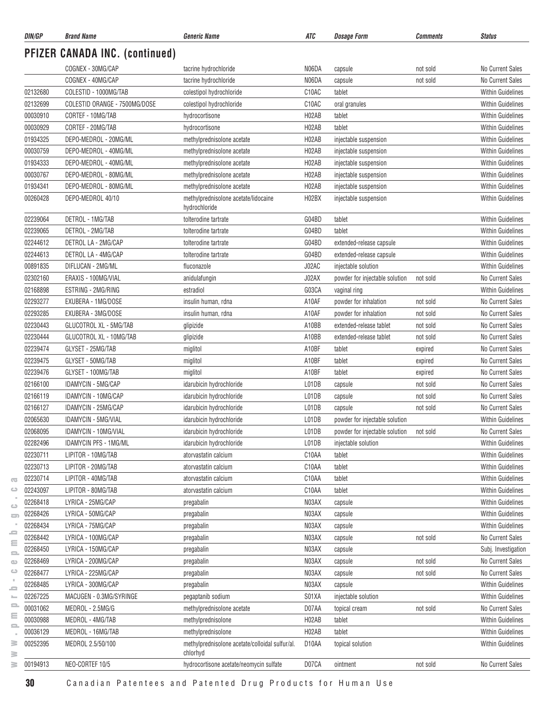| DIN/GP               | <b>Brand Name</b>                        | <b>Generic Name</b>                                   | ATC                | <b>Dosage Form</b>             | Comments             | <b>Status</b>                                |
|----------------------|------------------------------------------|-------------------------------------------------------|--------------------|--------------------------------|----------------------|----------------------------------------------|
|                      | <b>PFIZER CANADA INC. (continued)</b>    |                                                       |                    |                                |                      |                                              |
|                      | COGNEX - 30MG/CAP                        | tacrine hydrochloride                                 | N06DA              | capsule                        | not sold             | No Current Sales                             |
|                      | COGNEX - 40MG/CAP                        | tacrine hydrochloride                                 | N06DA              | capsule                        | not sold             | No Current Sales                             |
| 02132680             | COLESTID - 1000MG/TAB                    | colestipol hydrochloride                              | C10AC              | tablet                         |                      | <b>Within Guidelines</b>                     |
| 02132699             | COLESTID ORANGE - 7500MG/DOSE            | colestipol hydrochloride                              | C10AC              | oral granules                  |                      | <b>Within Guidelines</b>                     |
| 00030910             | CORTEF - 10MG/TAB                        | hydrocortisone                                        | H02AB              | tablet                         |                      | <b>Within Guidelines</b>                     |
| 00030929             | CORTEF - 20MG/TAB                        | hydrocortisone                                        | H02AB              | tablet                         |                      | <b>Within Guidelines</b>                     |
| 01934325             | DEPO-MEDROL - 20MG/ML                    | methylprednisolone acetate                            | H02AB              | injectable suspension          |                      | <b>Within Guidelines</b>                     |
| 00030759             | DEPO-MEDROL - 40MG/ML                    | methylprednisolone acetate                            | H02AB              | injectable suspension          |                      | <b>Within Guidelines</b>                     |
| 01934333             | DEPO-MEDROL - 40MG/ML                    | methylprednisolone acetate                            | H <sub>02</sub> AB | injectable suspension          |                      | <b>Within Guidelines</b>                     |
| 00030767             | DEPO-MEDROL - 80MG/ML                    | methylprednisolone acetate                            | H <sub>02</sub> AB | injectable suspension          |                      | <b>Within Guidelines</b>                     |
| 01934341             | DEPO-MEDROL - 80MG/ML                    | methylprednisolone acetate                            | H02AB              | injectable suspension          |                      | <b>Within Guidelines</b>                     |
| 00260428             | DEPO-MEDROL 40/10                        | methylprednisolone acetate/lidocaine<br>hydrochloride | H <sub>02</sub> BX | injectable suspension          |                      | <b>Within Guidelines</b>                     |
| 02239064             | DETROL - 1MG/TAB                         | tolterodine tartrate                                  | G04BD              | tablet                         |                      | <b>Within Guidelines</b>                     |
| 02239065             | DETROL - 2MG/TAB                         | tolterodine tartrate                                  | G04BD              | tablet                         |                      | <b>Within Guidelines</b>                     |
| 02244612             | DETROL LA - 2MG/CAP                      | tolterodine tartrate                                  | G04BD              | extended-release capsule       |                      | <b>Within Guidelines</b>                     |
| 02244613             | DETROL LA - 4MG/CAP                      | tolterodine tartrate                                  | G04BD              | extended-release capsule       |                      | <b>Within Guidelines</b>                     |
| 00891835             | DIFLUCAN - 2MG/ML                        | fluconazole                                           | J02AC              | injectable solution            |                      | <b>Within Guidelines</b>                     |
| 02302160             | ERAXIS - 100MG/VIAL                      | anidulafungin                                         | J02AX              | powder for injectable solution | not sold             | <b>No Current Sales</b>                      |
| 02168898             | ESTRING - 2MG/RING                       | estradiol                                             | G03CA              | vaginal ring                   |                      | <b>Within Guidelines</b>                     |
| 02293277             | EXUBERA - 1MG/DOSE                       | insulin human, rdna                                   | A10AF              | powder for inhalation          | not sold             | No Current Sales                             |
| 02293285             | EXUBERA - 3MG/DOSE                       | insulin human, rdna                                   | A10AF              | powder for inhalation          | not sold             | <b>No Current Sales</b>                      |
| 02230443             | GLUCOTROL XL - 5MG/TAB                   | glipizide                                             | A10BB              | extended-release tablet        | not sold             | No Current Sales                             |
| 02230444             | GLUCOTROL XL - 10MG/TAB                  | glipizide                                             | A10BB              | extended-release tablet        | not sold             | No Current Sales                             |
| 02239474             | GLYSET - 25MG/TAB                        | miglitol                                              | A10BF              | tablet                         | expired              | No Current Sales                             |
| 02239475             | GLYSET - 50MG/TAB                        | miglitol                                              | A10BF              | tablet                         | expired              | No Current Sales                             |
| 02239476             | GLYSET - 100MG/TAB                       | miglitol                                              | A10BF              | tablet                         | expired              | No Current Sales                             |
| 02166100             | IDAMYCIN - 5MG/CAP                       | idarubicin hydrochloride                              | L01DB              | capsule                        | not sold             | No Current Sales                             |
| 02166119             | IDAMYCIN - 10MG/CAP                      | idarubicin hydrochloride                              | L01DB              | capsule                        | not sold             | No Current Sales                             |
| 02166127             | IDAMYCIN - 25MG/CAP                      | idarubicin hydrochloride                              | L01DB              | capsule                        | not sold             | No Current Sales                             |
| 02065630             | IDAMYCIN - 5MG/VIAL                      | idarubicin hydrochloride                              | L01DB              | powder for injectable solution |                      | <b>Within Guidelines</b>                     |
| 02068095             | IDAMYCIN - 10MG/VIAL                     | idarubicin hydrochloride                              | L01DB              | powder for injectable solution | not sold             | No Current Sales                             |
| 02282496             | <b>IDAMYCIN PFS - 1MG/ML</b>             | idarubicin hydrochloride                              | L01DB              | injectable solution            |                      | <b>Within Guidelines</b>                     |
| 02230711             | LIPITOR - 10MG/TAB                       | atorvastatin calcium                                  | C10AA              | tablet                         |                      | <b>Within Guidelines</b>                     |
| 02230713             | LIPITOR - 20MG/TAB                       | atorvastatin calcium                                  | C10AA              | tablet                         |                      | <b>Within Guidelines</b>                     |
| 02230714             | LIPITOR - 40MG/TAB                       | atorvastatin calcium                                  | C10AA              | tablet                         |                      | <b>Within Guidelines</b>                     |
| 02243097             | LIPITOR - 80MG/TAB                       | atorvastatin calcium                                  | C10AA              | tablet                         |                      | <b>Within Guidelines</b>                     |
| 02268418             | LYRICA - 25MG/CAP                        | pregabalin                                            | N03AX              | capsule                        |                      | Within Guidelines                            |
| 02268426             | LYRICA - 50MG/CAP                        | pregabalin                                            | N03AX              | capsule                        |                      | <b>Within Guidelines</b>                     |
| 02268434             | LYRICA - 75MG/CAP                        | pregabalin                                            | N03AX              | capsule                        |                      | <b>Within Guidelines</b>                     |
| 02268442             | LYRICA - 100MG/CAP                       | pregabalin                                            | N03AX              | capsule                        | not sold             | No Current Sales                             |
| 02268450             | LYRICA - 150MG/CAP                       | pregabalin                                            | N03AX              | capsule                        |                      | Subj. Investigation                          |
| 02268469<br>02268477 | LYRICA - 200MG/CAP<br>LYRICA - 225MG/CAP | pregabalin                                            | N03AX<br>N03AX     | capsule                        | not sold<br>not sold | No Current Sales<br>No Current Sales         |
| 02268485             | LYRICA - 300MG/CAP                       | pregabalin                                            | N03AX              | capsule                        |                      | <b>Within Guidelines</b>                     |
|                      |                                          | pregabalin                                            |                    | capsule                        |                      |                                              |
| 02267225             | MACUGEN - 0.3MG/SYRINGE                  | pegaptanib sodium                                     | S01XA              | injectable solution            |                      | <b>Within Guidelines</b>                     |
| 00031062<br>00030988 | MEDROL - 2.5MG/G<br>MEDROL - 4MG/TAB     | methylprednisolone acetate<br>methylprednisolone      | D07AA<br>H02AB     | topical cream                  | not sold             | No Current Sales<br><b>Within Guidelines</b> |
| 00036129             | MEDROL - 16MG/TAB                        | methylprednisolone                                    | H02AB              | tablet<br>tablet               |                      | Within Guidelines                            |
| 00252395             | MEDROL 2.5/50/100                        | methylprednisolone acetate/colloidal sulfur/al.       | D10AA              | topical solution               |                      | <b>Within Guidelines</b>                     |
|                      |                                          | chlorhyd                                              |                    |                                |                      |                                              |
| 00194913             | NEO-CORTEF 10/5                          | hydrocortisone acetate/neomycin sulfate               | D07CA              | ointment                       | not sold             | No Current Sales                             |

 $\geq$ 

 $\overline{\infty}$  $\circ$  $\sim$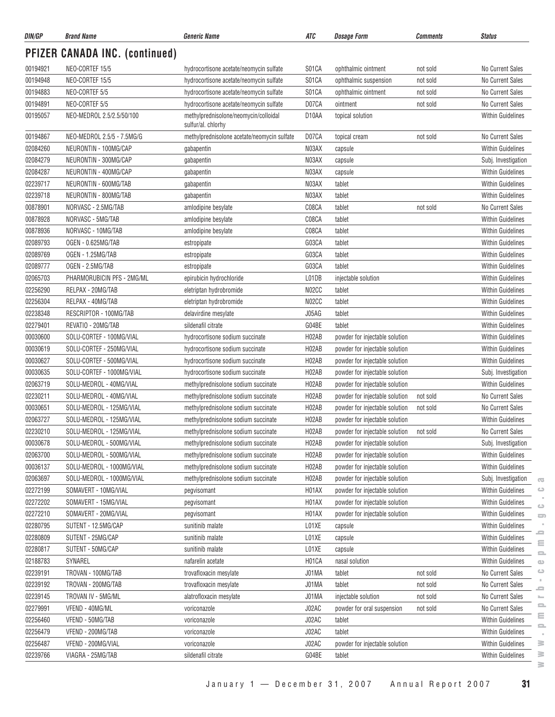| DIN/GP   | <b>Brand Name</b>                     | <b>Generic Name</b>                                         | ATC                | <b>Dosage Form</b>                      | <b>Comments</b> | <b>Status</b>                                    |
|----------|---------------------------------------|-------------------------------------------------------------|--------------------|-----------------------------------------|-----------------|--------------------------------------------------|
|          | <b>PFIZER CANADA INC. (continued)</b> |                                                             |                    |                                         |                 |                                                  |
| 00194921 | NEO-CORTEF 15/5                       | hydrocortisone acetate/neomycin sulfate                     | S01CA              | ophthalmic ointment                     | not sold        | No Current Sales                                 |
| 00194948 | NEO-CORTEF 15/5                       | hydrocortisone acetate/neomycin sulfate                     | S01CA              | ophthalmic suspension                   | not sold        | No Current Sales                                 |
| 00194883 | NEO-CORTEF 5/5                        | hydrocortisone acetate/neomycin sulfate                     | S01CA              | ophthalmic ointment                     | not sold        | No Current Sales                                 |
| 00194891 | NEO-CORTEF 5/5                        | hydrocortisone acetate/neomycin sulfate                     | D07CA              | ointment                                | not sold        | No Current Sales                                 |
| 00195057 | NEO-MEDROL 2.5/2.5/50/100             | methylprednisolone/neomycin/colloidal<br>sulfur/al. chlorhy | D10AA              | topical solution                        |                 | <b>Within Guidelines</b>                         |
| 00194867 | NEO-MEDROL 2.5/5 - 7.5MG/G            | methylprednisolone acetate/neomycin sulfate                 | D07CA              | topical cream                           | not sold        | No Current Sales                                 |
| 02084260 | NEURONTIN - 100MG/CAP                 | gabapentin                                                  | N03AX              | capsule                                 |                 | <b>Within Guidelines</b>                         |
| 02084279 | NEURONTIN - 300MG/CAP                 | gabapentin                                                  | N03AX              | capsule                                 |                 | Subj. Investigation                              |
| 02084287 | NEURONTIN - 400MG/CAP                 | gabapentin                                                  | N03AX              | capsule                                 |                 | Within Guidelines                                |
| 02239717 | NEURONTIN - 600MG/TAB                 | gabapentin                                                  | N03AX              | tablet                                  |                 | Within Guidelines                                |
| 02239718 | NEURONTIN - 800MG/TAB                 | gabapentin                                                  | N03AX              | tablet                                  |                 | <b>Within Guidelines</b>                         |
| 00878901 | NORVASC - 2.5MG/TAB                   | amlodipine besylate                                         | C08CA              | tablet                                  | not sold        | No Current Sales                                 |
| 00878928 | NORVASC - 5MG/TAB                     | amlodipine besylate                                         | C08CA              | tablet                                  |                 | <b>Within Guidelines</b>                         |
| 00878936 | NORVASC - 10MG/TAB                    | amlodipine besylate                                         | C08CA              | tablet                                  |                 | <b>Within Guidelines</b>                         |
| 02089793 | OGEN - 0.625MG/TAB                    | estropipate                                                 | G03CA              | tablet                                  |                 | <b>Within Guidelines</b>                         |
| 02089769 | OGEN - 1.25MG/TAB                     | estropipate                                                 | G03CA              | tablet                                  |                 | <b>Within Guidelines</b>                         |
| 02089777 | OGEN - 2.5MG/TAB                      | estropipate                                                 | G03CA              | tablet                                  |                 | <b>Within Guidelines</b>                         |
| 02065703 | PHARMORUBICIN PFS - 2MG/ML            | epirubicin hydrochloride                                    | L01DB              | injectable solution                     |                 | <b>Within Guidelines</b>                         |
| 02256290 | RELPAX - 20MG/TAB                     | eletriptan hydrobromide                                     | N02CC              | tablet                                  |                 | <b>Within Guidelines</b>                         |
| 02256304 | RELPAX - 40MG/TAB                     | eletriptan hydrobromide                                     | N02CC              | tablet                                  |                 | <b>Within Guidelines</b>                         |
| 02238348 | RESCRIPTOR - 100MG/TAB                | delavirdine mesylate                                        | J05AG              | tablet                                  |                 | <b>Within Guidelines</b>                         |
| 02279401 | REVATIO - 20MG/TAB                    | sildenafil citrate                                          | G04BE              | tablet                                  |                 | <b>Within Guidelines</b>                         |
| 00030600 | SOLU-CORTEF - 100MG/VIAL              | hydrocortisone sodium succinate                             | H <sub>02</sub> AB | powder for injectable solution          |                 | Within Guidelines                                |
| 00030619 | SOLU-CORTEF - 250MG/VIAL              | hydrocortisone sodium succinate                             | H <sub>02</sub> AB | powder for injectable solution          |                 | <b>Within Guidelines</b>                         |
| 00030627 | SOLU-CORTEF - 500MG/VIAL              | hydrocortisone sodium succinate                             | H02AB              | powder for injectable solution          |                 | <b>Within Guidelines</b>                         |
| 00030635 | SOLU-CORTEF - 1000MG/VIAL             | hydrocortisone sodium succinate                             | H02AB              | powder for injectable solution          |                 | Subj. Investigation                              |
| 02063719 | SOLU-MEDROL - 40MG/VIAL               | methylprednisolone sodium succinate                         | H02AB              | powder for injectable solution          |                 | <b>Within Guidelines</b>                         |
| 02230211 | SOLU-MEDROL - 40MG/VIAL               | methylprednisolone sodium succinate                         | H02AB              |                                         | not sold        | No Current Sales                                 |
| 00030651 | SOLU-MEDROL - 125MG/VIAL              |                                                             | H02AB              | powder for injectable solution          | not sold        | No Current Sales                                 |
| 02063727 | SOLU-MEDROL - 125MG/VIAL              | methylprednisolone sodium succinate                         | H02AB              | powder for injectable solution          |                 | <b>Within Guidelines</b>                         |
|          |                                       | methylprednisolone sodium succinate                         |                    | powder for injectable solution          |                 |                                                  |
| 02230210 | SOLU-MEDROL - 125MG/VIAL              | methylprednisolone sodium succinate                         | H02AB              | powder for injectable solution not sold |                 | No Current Sales                                 |
| 00030678 | SOLU-MEDROL - 500MG/VIAL              | methylprednisolone sodium succinate                         | H <sub>02</sub> AB | powder for injectable solution          |                 | Subj. Investigation                              |
| 02063700 | SOLU-MEDROL - 500MG/VIAL              | methylprednisolone sodium succinate                         | H02AB              | powder for injectable solution          |                 | Within Guidelines                                |
| 00036137 | SOLU-MEDROL - 1000MG/VIAL             | methylprednisolone sodium succinate                         | H02AB              | powder for injectable solution          |                 | <b>Within Guidelines</b>                         |
| 02063697 | SOLU-MEDROL - 1000MG/VIAL             | methylprednisolone sodium succinate                         | H02AB              | powder for injectable solution          |                 | Subj. Investigation<br>$\overline{\mathbb{C}}$   |
| 02272199 | SOMAVERT - 10MG/VIAL                  | pegvisomant                                                 | H01AX              | powder for injectable solution          |                 | Within Guidelines<br>$\circ$                     |
| 02272202 | SOMAVERT - 15MG/VIAL                  | pegvisomant                                                 | H01AX              | powder for injectable solution          |                 | <b>Within Guidelines</b><br>$\circ$              |
| 02272210 | SOMAVERT - 20MG/VIAL                  | pegvisomant                                                 | H01AX              | powder for injectable solution          |                 | <b>Within Guidelines</b><br>$\Box$               |
| 02280795 | SUTENT - 12.5MG/CAP                   | sunitinib malate                                            | L01XE              | capsule                                 |                 | Within Guidelines<br>⋍                           |
| 02280809 | SUTENT - 25MG/CAP                     | sunitinib malate                                            | L01XE              | capsule                                 |                 | Within Guidelines<br>$\equiv$                    |
| 02280817 | SUTENT - 50MG/CAP                     | sunitinib malate                                            | L01XE              | capsule                                 |                 | Within Guidelines<br>$\equiv$                    |
| 02188783 | SYNAREL                               | nafarelin acetate                                           | H01CA              | nasal solution                          |                 | Within Guidelines<br>$\qquad \qquad \qquad \Box$ |
| 02239191 | TROVAN - 100MG/TAB                    | trovafloxacin mesylate                                      | J01MA              | tablet                                  | not sold        | $\circ$<br>No Current Sales                      |
| 02239192 | TROVAN - 200MG/TAB                    | trovafloxacin mesylate                                      | J01MA              | tablet                                  | not sold        | No Current Sales<br>≘                            |
| 02239145 | TROVAN IV - 5MG/ML                    | alatrofloxacin mesylate                                     | J01MA              | injectable solution                     | not sold        | No Current Sales<br>$\mathbb{R}^n$               |
| 02279991 | VFEND - 40MG/ML                       | voriconazole                                                | J02AC              | powder for oral suspension              | not sold        | $\equiv$<br>No Current Sales                     |
| 02256460 | VFEND - 50MG/TAB                      | voriconazole                                                | J02AC              | tablet                                  |                 | ≘<br>Within Guidelines<br>으                      |
| 02256479 | VFEND - 200MG/TAB                     | voriconazole                                                | J02AC              | tablet                                  |                 | Within Guidelines                                |
| 02256487 | VFEND - 200MG/VIAL                    | voriconazole                                                | J02AC              | powder for injectable solution          |                 | <b>Within Guidelines</b><br>≧                    |
| 02239766 | VIAGRA - 25MG/TAB                     | sildenafil citrate                                          | G04BE              | tablet                                  |                 | 3<br><b>Within Guidelines</b>                    |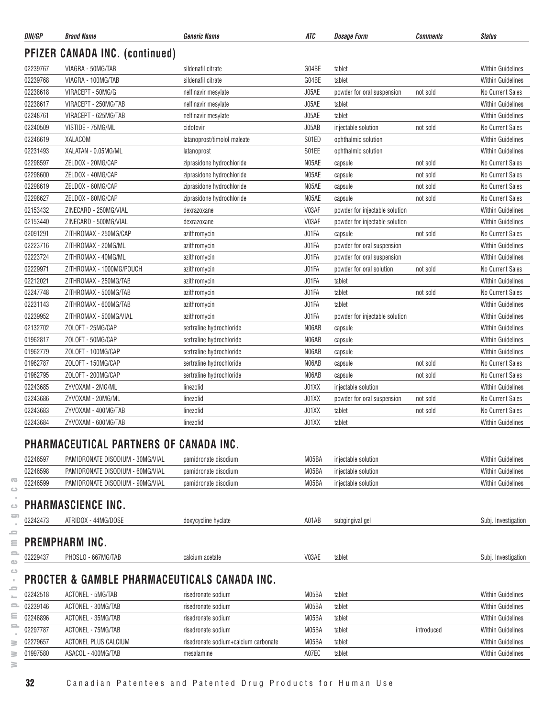| DIN/GP   | <b>Brand Name</b>                                       | <i><b>Generic Name</b></i>           | ATC   | <b>Dosage Form</b>             | Comments   | <b>Status</b>            |
|----------|---------------------------------------------------------|--------------------------------------|-------|--------------------------------|------------|--------------------------|
|          | <b>PFIZER CANADA INC. (continued)</b>                   |                                      |       |                                |            |                          |
| 02239767 | VIAGRA - 50MG/TAB                                       | sildenafil citrate                   | G04BE | tablet                         |            | <b>Within Guidelines</b> |
| 02239768 | VIAGRA - 100MG/TAB                                      | sildenafil citrate                   | G04BE | tablet                         |            | <b>Within Guidelines</b> |
| 02238618 | VIRACEPT - 50MG/G                                       | nelfinavir mesylate                  | J05AE | powder for oral suspension     | not sold   | No Current Sales         |
| 02238617 | VIRACEPT - 250MG/TAB                                    | nelfinavir mesylate                  | J05AE | tablet                         |            | <b>Within Guidelines</b> |
| 02248761 | VIRACEPT - 625MG/TAB                                    | nelfinavir mesylate                  | J05AE | tablet                         |            | <b>Within Guidelines</b> |
| 02240509 | VISTIDE - 75MG/ML                                       | cidofovir                            | J05AB | injectable solution            | not sold   | No Current Sales         |
| 02246619 | XALACOM                                                 | latanoprost/timolol maleate          | S01ED | ophthalmic solution            |            | <b>Within Guidelines</b> |
| 02231493 | XALATAN - 0.05MG/ML                                     | latanoprost                          | S01EE | ophthalmic solution            |            | <b>Within Guidelines</b> |
| 02298597 | ZELDOX - 20MG/CAP                                       | ziprasidone hydrochloride            | N05AE | capsule                        | not sold   | No Current Sales         |
| 02298600 | ZELDOX - 40MG/CAP                                       | ziprasidone hydrochloride            | N05AE | capsule                        | not sold   | <b>No Current Sales</b>  |
| 02298619 | ZELDOX - 60MG/CAP                                       | ziprasidone hydrochloride            | N05AE | capsule                        | not sold   | No Current Sales         |
| 02298627 | ZELDOX - 80MG/CAP                                       | ziprasidone hydrochloride            | N05AE | capsule                        | not sold   | <b>No Current Sales</b>  |
| 02153432 | ZINECARD - 250MG/VIAL                                   | dexrazoxane                          | V03AF | powder for injectable solution |            | <b>Within Guidelines</b> |
| 02153440 | ZINECARD - 500MG/VIAL                                   | dexrazoxane                          | V03AF | powder for injectable solution |            | <b>Within Guidelines</b> |
| 02091291 | ZITHROMAX - 250MG/CAP                                   | azithromycin                         | J01FA | capsule                        | not sold   | No Current Sales         |
| 02223716 | ZITHROMAX - 20MG/ML                                     | azithromycin                         | J01FA | powder for oral suspension     |            | <b>Within Guidelines</b> |
| 02223724 | ZITHROMAX - 40MG/ML                                     | azithromycin                         | J01FA | powder for oral suspension     |            | <b>Within Guidelines</b> |
| 02229971 | ZITHROMAX - 1000MG/POUCH                                | azithromycin                         | J01FA | powder for oral solution       | not sold   | No Current Sales         |
| 02212021 | ZITHROMAX - 250MG/TAB                                   | azithromycin                         | J01FA | tablet                         |            | <b>Within Guidelines</b> |
| 02247748 | ZITHROMAX - 500MG/TAB                                   | azithromycin                         | J01FA | tablet                         | not sold   | No Current Sales         |
| 02231143 | ZITHROMAX - 600MG/TAB                                   | azithromycin                         | J01FA | tablet                         |            | <b>Within Guidelines</b> |
| 02239952 | ZITHROMAX - 500MG/VIAL                                  | azithromycin                         | J01FA | powder for injectable solution |            | <b>Within Guidelines</b> |
| 02132702 | ZOLOFT - 25MG/CAP                                       | sertraline hydrochloride             | N06AB | capsule                        |            | <b>Within Guidelines</b> |
| 01962817 | ZOLOFT - 50MG/CAP                                       | sertraline hydrochloride             | N06AB | capsule                        |            | <b>Within Guidelines</b> |
| 01962779 | ZOLOFT - 100MG/CAP                                      | sertraline hydrochloride             | N06AB | capsule                        |            | <b>Within Guidelines</b> |
| 01962787 | ZOLOFT - 150MG/CAP                                      | sertraline hydrochloride             | N06AB | capsule                        | not sold   | No Current Sales         |
| 01962795 | ZOLOFT - 200MG/CAP                                      | sertraline hydrochloride             | N06AB | capsule                        | not sold   | No Current Sales         |
| 02243685 | ZYVOXAM - 2MG/ML                                        | linezolid                            | J01XX | injectable solution            |            | <b>Within Guidelines</b> |
| 02243686 | ZYVOXAM - 20MG/ML                                       | linezolid                            | J01XX | powder for oral suspension     | not sold   | No Current Sales         |
| 02243683 | ZYVOXAM - 400MG/TAB                                     | linezolid                            | J01XX | tablet                         | not sold   | <b>No Current Sales</b>  |
| 02243684 | ZYVOXAM - 600MG/TAB                                     | linezolid                            | J01XX | tablet                         |            | <b>Within Guidelines</b> |
|          |                                                         |                                      |       |                                |            |                          |
|          | <b>PHARMACEUTICAL PARTNERS OF CANADA INC.</b>           |                                      |       |                                |            |                          |
| 02246597 | PAMIDRONATE DISODIUM - 30MG/VIAL                        | pamidronate disodium                 | M05BA | injectable solution            |            | <b>Within Guidelines</b> |
| 02246598 | PAMIDRONATE DISODIUM - 60MG/VIAL                        | pamidronate disodium                 | M05BA | injectable solution            |            | <b>Within Guidelines</b> |
| 02246599 | PAMIDRONATE DISODIUM - 90MG/VIAL                        | pamidronate disodium                 | M05BA | injectable solution            |            | <b>Within Guidelines</b> |
|          | <b>PHARMASCIENCE INC.</b>                               |                                      |       |                                |            |                          |
|          |                                                         |                                      |       |                                |            |                          |
| 02242473 | ATRIDOX - 44MG/DOSE                                     | doxycycline hyclate                  | A01AB | subgingival gel                |            | Subj. Investigation      |
|          | PREMPHARM INC.                                          |                                      |       |                                |            |                          |
| 02229437 | PHOSLO - 667MG/TAB                                      | calcium acetate                      | V03AE | tablet                         |            | Subj. Investigation      |
|          | <b>PROCTER &amp; GAMBLE PHARMACEUTICALS CANADA INC.</b> |                                      |       |                                |            |                          |
| 02242518 | ACTONEL - 5MG/TAB                                       | risedronate sodium                   | M05BA | tablet                         |            | <b>Within Guidelines</b> |
| 02239146 | ACTONEL - 30MG/TAB                                      | risedronate sodium                   | M05BA | tablet                         |            | <b>Within Guidelines</b> |
| 02246896 | ACTONEL - 35MG/TAB                                      | risedronate sodium                   | M05BA | tablet                         |            | <b>Within Guidelines</b> |
| 02297787 | ACTONEL - 75MG/TAB                                      | risedronate sodium                   | M05BA | tablet                         | introduced | <b>Within Guidelines</b> |
| 02279657 | ACTONEL PLUS CALCIUM                                    | risedronate sodium+calcium carbonate | M05BA | tablet                         |            | <b>Within Guidelines</b> |

 $\overline{\text{C}}$  $\qquad \qquad \qquad \qquad \Box$ 

 $\geq$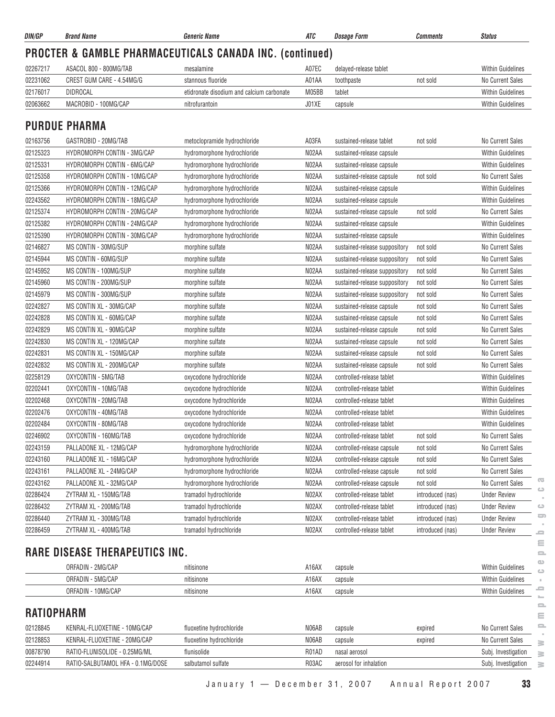| DIN/GP            | <b>Brand Name</b>                     | <b>Generic Name</b>                                                 | ATC   | <b>Dosage Form</b>            | <b>Comments</b>  | <b>Status</b>            |
|-------------------|---------------------------------------|---------------------------------------------------------------------|-------|-------------------------------|------------------|--------------------------|
|                   |                                       | <b>PROCTER &amp; GAMBLE PHARMACEUTICALS CANADA INC. (continued)</b> |       |                               |                  |                          |
| 02267217          | ASACOL 800 - 800MG/TAB                | mesalamine                                                          | A07EC | delayed-release tablet        |                  | <b>Within Guidelines</b> |
| 02231062          | CREST GUM CARE - 4.54MG/G             | stannous fluoride                                                   | A01AA | toothpaste                    | not sold         | No Current Sales         |
| 02176017          | <b>DIDROCAL</b>                       | etidronate disodium and calcium carbonate                           | M05BB | tablet                        |                  | <b>Within Guidelines</b> |
| 02063662          | MACROBID - 100MG/CAP                  | nitrofurantoin                                                      | J01XE | capsule                       |                  | Within Guidelines        |
|                   |                                       |                                                                     |       |                               |                  |                          |
|                   | <b>PURDUE PHARMA</b>                  |                                                                     |       |                               |                  |                          |
| 02163756          | GASTROBID - 20MG/TAB                  | metoclopramide hydrochloride                                        | A03FA | sustained-release tablet      | not sold         | No Current Sales         |
| 02125323          | HYDROMORPH CONTIN - 3MG/CAP           | hydromorphone hydrochloride                                         | N02AA | sustained-release capsule     |                  | <b>Within Guidelines</b> |
| 02125331          | <b>HYDROMORPH CONTIN - 6MG/CAP</b>    | hydromorphone hydrochloride                                         | N02AA | sustained-release capsule     |                  | <b>Within Guidelines</b> |
| 02125358          | HYDROMORPH CONTIN - 10MG/CAP          | hydromorphone hydrochloride                                         | N02AA | sustained-release capsule     | not sold         | No Current Sales         |
| 02125366          | HYDROMORPH CONTIN - 12MG/CAP          | hydromorphone hydrochloride                                         | N02AA | sustained-release capsule     |                  | <b>Within Guidelines</b> |
| 02243562          | HYDROMORPH CONTIN - 18MG/CAP          | hydromorphone hydrochloride                                         | N02AA | sustained-release capsule     |                  | <b>Within Guidelines</b> |
| 02125374          | HYDROMORPH CONTIN - 20MG/CAP          | hydromorphone hydrochloride                                         | N02AA | sustained-release capsule     | not sold         | No Current Sales         |
| 02125382          | HYDROMORPH CONTIN - 24MG/CAP          | hydromorphone hydrochloride                                         | N02AA | sustained-release capsule     |                  | <b>Within Guidelines</b> |
| 02125390          | HYDROMORPH CONTIN - 30MG/CAP          | hydromorphone hydrochloride                                         | N02AA | sustained-release capsule     |                  | Within Guidelines        |
| 02146827          | MS CONTIN - 30MG/SUP                  | morphine sulfate                                                    | N02AA | sustained-release suppository | not sold         | No Current Sales         |
| 02145944          | MS CONTIN - 60MG/SUP                  | morphine sulfate                                                    | N02AA | sustained-release suppository | not sold         | No Current Sales         |
| 02145952          | MS CONTIN - 100MG/SUP                 | morphine sulfate                                                    | N02AA | sustained-release suppository | not sold         | No Current Sales         |
| 02145960          | MS CONTIN - 200MG/SUP                 | morphine sulfate                                                    | N02AA | sustained-release suppository | not sold         | No Current Sales         |
| 02145979          | MS CONTIN - 300MG/SUP                 | morphine sulfate                                                    | N02AA | sustained-release suppository | not sold         | <b>No Current Sales</b>  |
| 02242827          | MS CONTIN XL - 30MG/CAP               | morphine sulfate                                                    | N02AA | sustained-release capsule     | not sold         | No Current Sales         |
| 02242828          | MS CONTIN XL - 60MG/CAP               | morphine sulfate                                                    | N02AA | sustained-release capsule     | not sold         | No Current Sales         |
| 02242829          | MS CONTIN XL - 90MG/CAP               | morphine sulfate                                                    | N02AA | sustained-release capsule     | not sold         | No Current Sales         |
| 02242830          | MS CONTIN XL - 120MG/CAP              | morphine sulfate                                                    | N02AA | sustained-release capsule     | not sold         | No Current Sales         |
| 02242831          | MS CONTIN XL - 150MG/CAP              | morphine sulfate                                                    | N02AA | sustained-release capsule     | not sold         | No Current Sales         |
| 02242832          | MS CONTIN XL - 200MG/CAP              | morphine sulfate                                                    | N02AA | sustained-release capsule     | not sold         | No Current Sales         |
| 02258129          | OXYCONTIN - 5MG/TAB                   | oxycodone hydrochloride                                             | N02AA | controlled-release tablet     |                  | Within Guidelines        |
| 02202441          | OXYCONTIN - 10MG/TAB                  | oxycodone hydrochloride                                             | N02AA | controlled-release tablet     |                  | <b>Within Guidelines</b> |
| 02202468          | OXYCONTIN - 20MG/TAB                  | oxycodone hydrochloride                                             | N02AA | controlled-release tablet     |                  | <b>Within Guidelines</b> |
| 02202476          | OXYCONTIN - 40MG/TAB                  | oxycodone hydrochloride                                             | N02AA | controlled-release tablet     |                  | <b>Within Guidelines</b> |
| 02202484          | OXYCONTIN - 80MG/TAB                  | oxycodone hydrochloride                                             | N02AA | controlled-release tablet     |                  | <b>Within Guidelines</b> |
| 02246902          | OXYCONTIN - 160MG/TAB                 | oxycodone hydrochloride                                             | N02AA | controlled-release tablet     | not sold         | No Current Sales         |
| 02243159          | PALLADONE XL - 12MG/CAP               | hydromorphone hydrochloride                                         | N02AA | controlled-release capsule    | not sold         | No Current Sales         |
| 02243160          | PALLADONE XL - 16MG/CAP               | hydromorphone hydrochloride                                         | N02AA | controlled-release capsule    | not sold         | No Current Sales         |
| 02243161          | PALLADONE XL - 24MG/CAP               | hydromorphone hydrochloride                                         | N02AA | controlled-release capsule    | not sold         | No Current Sales         |
| 02243162          | PALLADONE XL - 32MG/CAP               | hydromorphone hydrochloride                                         | N02AA | controlled-release capsule    | not sold         | No Current Sales         |
| 02286424          | ZYTRAM XL - 150MG/TAB                 | tramadol hydrochloride                                              | N02AX | controlled-release tablet     | introduced (nas) | <b>Under Review</b>      |
| 02286432          | ZYTRAM XL - 200MG/TAB                 | tramadol hydrochloride                                              | N02AX | controlled-release tablet     | introduced (nas) | <b>Under Review</b>      |
| 02286440          | ZYTRAM XL - 300MG/TAB                 | tramadol hydrochloride                                              | N02AX | controlled-release tablet     | introduced (nas) | <b>Under Review</b>      |
| 02286459          | ZYTRAM XL - 400MG/TAB                 | tramadol hydrochloride                                              | N02AX | controlled-release tablet     | introduced (nas) | <b>Under Review</b>      |
|                   |                                       |                                                                     |       |                               |                  |                          |
|                   | <b>RARE DISEASE THERAPEUTICS INC.</b> |                                                                     |       |                               |                  |                          |
|                   | ORFADIN - 2MG/CAP                     | nitisinone                                                          | A16AX | capsule                       |                  | Within Guidelines        |
|                   | ORFADIN - 5MG/CAP                     | nitisinone                                                          | A16AX | capsule                       |                  | Within Guidelines        |
|                   | ORFADIN - 10MG/CAP                    | nitisinone                                                          | A16AX |                               |                  | Within Guidelines        |
|                   |                                       |                                                                     |       | capsule                       |                  |                          |
| <b>RATIOPHARM</b> |                                       |                                                                     |       |                               |                  |                          |
| 02128845          | KENRAL-FLUOXETINE - 10MG/CAP          | fluoxetine hydrochloride                                            | N06AB | capsule                       | expired          | No Current Sales         |
| 02128853          | KENRAL-FLUOXETINE - 20MG/CAP          | fluoxetine hydrochloride                                            | N06AB | capsule                       | expired          | No Current Sales         |
| 00878790          | RATIO-FLUNISOLIDE - 0.25MG/ML         | flunisolide                                                         | R01AD | nasal aerosol                 |                  | Subj. Investigation      |
| 02244914          | RATIO-SALBUTAMOL HFA - 0.1MG/DOSE     | salbutamol sulfate                                                  | R03AC | aerosol for inhalation        |                  | Subj. Investigation      |
|                   |                                       |                                                                     |       |                               |                  |                          |

**www.pmprb-cepmb.gc.ca** $\circ$  $\qquad \qquad \qquad \qquad \qquad$  $\sim$  $\equiv$  $\equiv$  $\equiv$  $\circledcirc$  $\circ$  $\epsilon$  $\equiv$  $\sim$  $\equiv$  $\equiv$  $\equiv$  $\sim$  $\geq$ 

January 1 — December 31, 2007 Annual Report 2007 **33**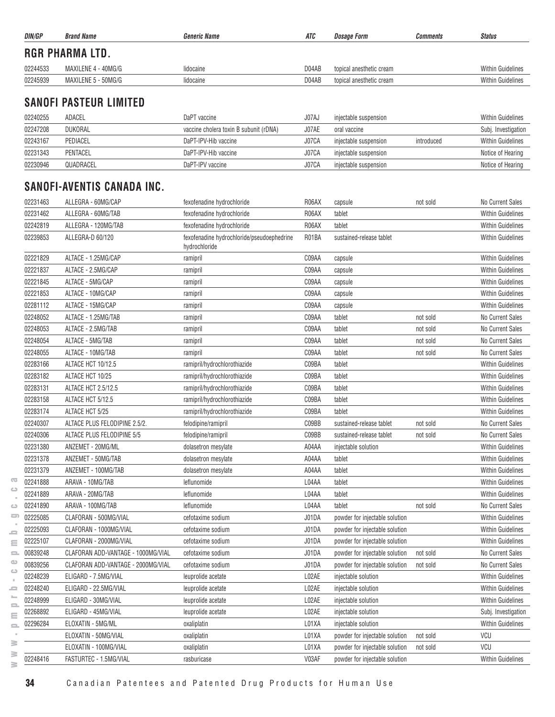| DIN/GP   | <b>Brand Name</b>      | <b>Generic Name</b> | ATC   | <i><b>Dosage Form</b></i> | Comments | <b>Status</b>            |
|----------|------------------------|---------------------|-------|---------------------------|----------|--------------------------|
|          | <b>RGR PHARMA LTD.</b> |                     |       |                           |          |                          |
| 02244533 | MAXILENE 4 - 40MG/G    | lidocaine           | D04AB | topical anesthetic cream  |          | <b>Within Guidelines</b> |
| 02245939 | MAXILENE 5 - 50MG/G    | lidocaine           | D04AB | topical anesthetic cream  |          | <b>Within Guidelines</b> |
|          |                        |                     |       |                           |          |                          |

# **SANOFI PASTEUR LIMITED**

| 02240255 | ADACEL    | DaPT vaccine                           | J07A. | injectable suspension |            | <b>Within Guidelines</b> |
|----------|-----------|----------------------------------------|-------|-----------------------|------------|--------------------------|
| 02247208 | DUKORAL   | vaccine cholera toxin B subunit (rDNA) | J07AE | oral vaccine          |            | Subj. Investigation      |
| 02243167 | PEDIACEL  | DaPT-IPV-Hib vaccine                   | J07CA | injectable suspension | introduced | <b>Within Guidelines</b> |
| 02231343 | PENTACEL  | DaPT-IPV-Hib vaccine                   | J07CA | injectable suspension |            | Notice of Hearing        |
| 02230946 | QUADRACEL | DaPT-IPV vaccine                       | J07CA | injectable suspension |            | Notice of Hearing        |

## **SANOFI-AVENTIS CANADA INC.**

| 02231463 | ALLEGRA - 60MG/CAP                 | fexofenadine hydrochloride                                  | R06AX | capsule                        | not sold | No Current Sales         |
|----------|------------------------------------|-------------------------------------------------------------|-------|--------------------------------|----------|--------------------------|
| 02231462 | ALLEGRA - 60MG/TAB                 | fexofenadine hydrochloride                                  | R06AX | tablet                         |          | <b>Within Guidelines</b> |
| 02242819 | ALLEGRA - 120MG/TAB                | fexofenadine hydrochloride                                  | R06AX | tablet                         |          | <b>Within Guidelines</b> |
| 02239853 | ALLEGRA-D 60/120                   | fexofenadine hydrochloride/pseudoephedrine<br>hydrochloride | R01BA | sustained-release tablet       |          | <b>Within Guidelines</b> |
| 02221829 | ALTACE - 1.25MG/CAP                | ramipril                                                    | C09AA | capsule                        |          | <b>Within Guidelines</b> |
| 02221837 | ALTACE - 2.5MG/CAP                 | ramipril                                                    | C09AA | capsule                        |          | <b>Within Guidelines</b> |
| 02221845 | ALTACE - 5MG/CAP                   | ramipril                                                    | C09AA | capsule                        |          | <b>Within Guidelines</b> |
| 02221853 | ALTACE - 10MG/CAP                  | ramipril                                                    | C09AA | capsule                        |          | <b>Within Guidelines</b> |
| 02281112 | ALTACE - 15MG/CAP                  | ramipril                                                    | C09AA | capsule                        |          | <b>Within Guidelines</b> |
| 02248052 | ALTACE - 1.25MG/TAB                | ramipril                                                    | C09AA | tablet                         | not sold | No Current Sales         |
| 02248053 | ALTACE - 2.5MG/TAB                 | ramipril                                                    | C09AA | tablet                         | not sold | No Current Sales         |
| 02248054 | ALTACE - 5MG/TAB                   | ramipril                                                    | C09AA | tablet                         | not sold | No Current Sales         |
| 02248055 | ALTACE - 10MG/TAB                  | ramipril                                                    | C09AA | tablet                         | not sold | No Current Sales         |
| 02283166 | ALTACE HCT 10/12.5                 | ramipril/hydrochlorothiazide                                | C09BA | tablet                         |          | <b>Within Guidelines</b> |
| 02283182 | ALTACE HCT 10/25                   | ramipril/hydrochlorothiazide                                | C09BA | tablet                         |          | <b>Within Guidelines</b> |
| 02283131 | ALTACE HCT 2.5/12.5                | ramipril/hydrochlorothiazide                                | C09BA | tablet                         |          | <b>Within Guidelines</b> |
| 02283158 | ALTACE HCT 5/12.5                  | ramipril/hydrochlorothiazide                                | C09BA | tablet                         |          | <b>Within Guidelines</b> |
| 02283174 | ALTACE HCT 5/25                    | ramipril/hydrochlorothiazide                                | C09BA | tablet                         |          | <b>Within Guidelines</b> |
| 02240307 | ALTACE PLUS FELODIPINE 2.5/2.      | felodipine/ramipril                                         | C09BB | sustained-release tablet       | not sold | No Current Sales         |
| 02240306 | ALTACE PLUS FELODIPINE 5/5         | felodipine/ramipril                                         | C09BB | sustained-release tablet       | not sold | No Current Sales         |
| 02231380 | ANZEMET - 20MG/ML                  | dolasetron mesylate                                         | A04AA | injectable solution            |          | <b>Within Guidelines</b> |
| 02231378 | ANZEMET - 50MG/TAB                 | dolasetron mesylate                                         | A04AA | tablet                         |          | <b>Within Guidelines</b> |
| 02231379 | ANZEMET - 100MG/TAB                | dolasetron mesylate                                         | A04AA | tablet                         |          | <b>Within Guidelines</b> |
| 02241888 | ARAVA - 10MG/TAB                   | leflunomide                                                 | L04AA | tablet                         |          | <b>Within Guidelines</b> |
| 02241889 | ARAVA - 20MG/TAB                   | leflunomide                                                 | L04AA | tablet                         |          | <b>Within Guidelines</b> |
| 02241890 | ARAVA - 100MG/TAB                  | leflunomide                                                 | L04AA | tablet                         | not sold | No Current Sales         |
| 02225085 | CLAFORAN - 500MG/VIAL              | cefotaxime sodium                                           | J01DA | powder for injectable solution |          | <b>Within Guidelines</b> |
| 02225093 | CLAFORAN - 1000MG/VIAL             | cefotaxime sodium                                           | J01DA | powder for injectable solution |          | <b>Within Guidelines</b> |
| 02225107 | CLAFORAN - 2000MG/VIAL             | cefotaxime sodium                                           | J01DA | powder for injectable solution |          | <b>Within Guidelines</b> |
| 00839248 | CLAFORAN ADD-VANTAGE - 1000MG/VIAL | cefotaxime sodium                                           | J01DA | powder for injectable solution | not sold | No Current Sales         |
| 00839256 | CLAFORAN ADD-VANTAGE - 2000MG/VIAL | cefotaxime sodium                                           | J01DA | powder for injectable solution | not sold | No Current Sales         |
| 02248239 | ELIGARD - 7.5MG/VIAL               | leuprolide acetate                                          | L02AE | injectable solution            |          | <b>Within Guidelines</b> |
| 02248240 | ELIGARD - 22.5MG/VIAL              | leuprolide acetate                                          | L02AE | injectable solution            |          | <b>Within Guidelines</b> |
| 02248999 | ELIGARD - 30MG/VIAL                | leuprolide acetate                                          | L02AE | injectable solution            |          | <b>Within Guidelines</b> |
| 02268892 | ELIGARD - 45MG/VIAL                | leuprolide acetate                                          | L02AE | injectable solution            |          | Subj. Investigation      |
| 02296284 | ELOXATIN - 5MG/ML                  | oxaliplatin                                                 | L01XA | injectable solution            |          | <b>Within Guidelines</b> |
|          | ELOXATIN - 50MG/VIAL               | oxaliplatin                                                 | L01XA | powder for injectable solution | not sold | VCU                      |
|          | ELOXATIN - 100MG/VIAL              | oxaliplatin                                                 | L01XA | powder for injectable solution | not sold | VCU                      |
| 02248416 | FASTURTEC - 1.5MG/VIAL             | rasburicase                                                 | V03AF | powder for injectable solution |          | <b>Within Guidelines</b> |

 $\overline{\text{C}}$  $\circlearrowright$  $\sim$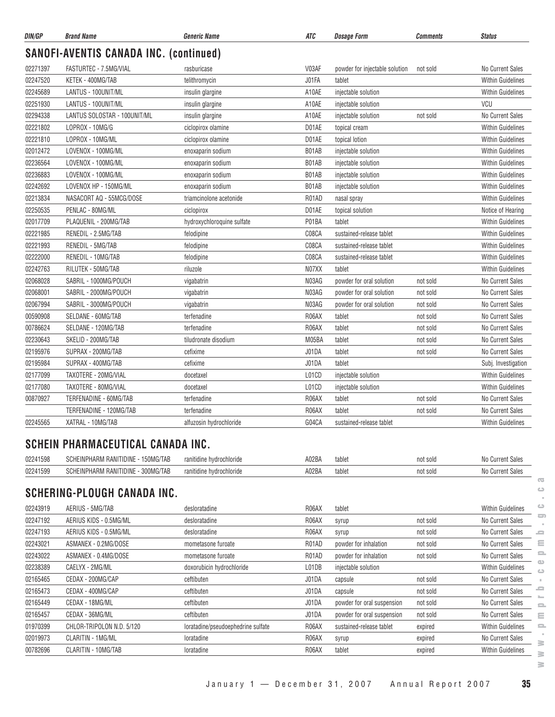| DIN/GP   | <b>Brand Name</b>                             | <b>Generic Name</b>        | ATC   | <b>Dosage Form</b>             | <b>Comments</b> | <b>Status</b>            |
|----------|-----------------------------------------------|----------------------------|-------|--------------------------------|-----------------|--------------------------|
|          | <b>SANOFI-AVENTIS CANADA INC. (continued)</b> |                            |       |                                |                 |                          |
| 02271397 | FASTURTEC - 7.5MG/VIAL                        | rasburicase                | V03AF | powder for injectable solution | not sold        | No Current Sales         |
| 02247520 | KETEK - 400MG/TAB                             | telithromycin              | J01FA | tablet                         |                 | <b>Within Guidelines</b> |
| 02245689 | LANTUS - 100UNIT/ML                           | insulin glargine           | A10AE | injectable solution            |                 | <b>Within Guidelines</b> |
| 02251930 | LANTUS - 100UNIT/ML                           | insulin glargine           | A10AE | injectable solution            |                 | <b>VCU</b>               |
| 02294338 | LANTUS SOLOSTAR - 100UNIT/ML                  | insulin glargine           | A10AE | injectable solution            | not sold        | <b>No Current Sales</b>  |
| 02221802 | LOPROX - 10MG/G                               | ciclopirox olamine         | D01AE | topical cream                  |                 | <b>Within Guidelines</b> |
| 02221810 | LOPROX - 10MG/ML                              | ciclopirox olamine         | D01AE | topical lotion                 |                 | <b>Within Guidelines</b> |
| 02012472 | LOVENOX - 100MG/ML                            | enoxaparin sodium          | B01AB | injectable solution            |                 | <b>Within Guidelines</b> |
| 02236564 | LOVENOX - 100MG/ML                            | enoxaparin sodium          | B01AB | injectable solution            |                 | <b>Within Guidelines</b> |
| 02236883 | LOVENOX - 100MG/ML                            | enoxaparin sodium          | B01AB | injectable solution            |                 | <b>Within Guidelines</b> |
| 02242692 | LOVENOX HP - 150MG/ML                         | enoxaparin sodium          | B01AB | injectable solution            |                 | <b>Within Guidelines</b> |
| 02213834 | NASACORT AQ - 55MCG/DOSE                      | triamcinolone acetonide    | R01AD | nasal spray                    |                 | <b>Within Guidelines</b> |
| 02250535 | PENLAC - 80MG/ML                              | ciclopirox                 | D01AE | topical solution               |                 | Notice of Hearing        |
| 02017709 | PLAQUENIL - 200MG/TAB                         | hydroxychloroquine sulfate | P01BA | tablet                         |                 | <b>Within Guidelines</b> |
| 02221985 | RENEDIL - 2.5MG/TAB                           | felodipine                 | C08CA | sustained-release tablet       |                 | <b>Within Guidelines</b> |
| 02221993 | RENEDIL - 5MG/TAB                             | felodipine                 | C08CA | sustained-release tablet       |                 | <b>Within Guidelines</b> |
| 02222000 | RENEDIL - 10MG/TAB                            | felodipine                 | C08CA | sustained-release tablet       |                 | <b>Within Guidelines</b> |
| 02242763 | RILUTEK - 50MG/TAB                            | riluzole                   | N07XX | tablet                         |                 | <b>Within Guidelines</b> |
| 02068028 | SABRIL - 1000MG/POUCH                         | vigabatrin                 | N03AG | powder for oral solution       | not sold        | <b>No Current Sales</b>  |
| 02068001 | SABRIL - 2000MG/POUCH                         | vigabatrin                 | N03AG | powder for oral solution       | not sold        | No Current Sales         |
| 02067994 | SABRIL - 3000MG/POUCH                         | vigabatrin                 | N03AG | powder for oral solution       | not sold        | <b>No Current Sales</b>  |
| 00590908 | SELDANE - 60MG/TAB                            | terfenadine                | R06AX | tablet                         | not sold        | <b>No Current Sales</b>  |
| 00786624 | SELDANE - 120MG/TAB                           | terfenadine                | R06AX | tablet                         | not sold        | <b>No Current Sales</b>  |
| 02230643 | SKELID - 200MG/TAB                            | tiludronate disodium       | M05BA | tablet                         | not sold        | <b>No Current Sales</b>  |
| 02195976 | SUPRAX - 200MG/TAB                            | cefixime                   | J01DA | tablet                         | not sold        | <b>No Current Sales</b>  |
| 02195984 | SUPRAX - 400MG/TAB                            | cefixime                   | J01DA | tablet                         |                 | Subj. Investigation      |
| 02177099 | TAXOTERE - 20MG/VIAL                          | docetaxel                  | L01CD | injectable solution            |                 | <b>Within Guidelines</b> |
| 02177080 | TAXOTERE - 80MG/VIAL                          | docetaxel                  | L01CD | injectable solution            |                 | <b>Within Guidelines</b> |
| 00870927 | TERFENADINE - 60MG/TAB                        | terfenadine                | R06AX | tablet                         | not sold        | <b>No Current Sales</b>  |
|          | TERFENADINE - 120MG/TAB                       | terfenadine                | R06AX | tablet                         | not sold        | <b>No Current Sales</b>  |
| 02245565 | XATRAL - 10MG/TAB                             | alfuzosin hydrochloride    | G04CA | sustained-release tablet       |                 | <b>Within Guidelines</b> |

#### **SCHEIN PHARMACEUTICAL CANADA INC.**

| 02241598 | 150MG/TAB<br>ור INE<br>n n<br>I RANITI<br>.NPHAR'              | ranitidine hydrochloride | A02BA | tablet | not sold | <b>Current Sales</b> |
|----------|----------------------------------------------------------------|--------------------------|-------|--------|----------|----------------------|
| 02241599 | 300MG/TAB<br><b>1 RANITIDINE</b><br>001<br>.IEINPHARM<br>งบทยเ | ranitidine hydrochloride | A02BA | tablet | not solo | No Current Sales     |
|          |                                                                |                          |       |        |          |                      |

#### **SCHERING-PLOUGH CANADA INC.**

| 02243919 | AERIUS - 5MG/TAB          | desloratadine                      | R06AX | tablet                     |          | ت<br><b>Within Guidelines</b>                            |
|----------|---------------------------|------------------------------------|-------|----------------------------|----------|----------------------------------------------------------|
| 02247192 | AERIUS KIDS - 0.5MG/ML    | desloratadine                      | R06AX | syrup                      | not sold | ᅮ<br>No Current Sales                                    |
| 02247193 | AERIUS KIDS - 0.5MG/ML    | desloratadine                      | R06AX | syrup                      | not sold | No Current Sales<br><b>S</b>                             |
| 02243021 | ASMANEX - 0.2MG/DOSE      | mometasone furoate                 | R01AD | powder for inhalation      | not sold | Ξ<br>No Current Sales                                    |
| 02243022 | ASMANEX - 0.4MG/DOSE      | mometasone furoate                 | R01AD | powder for inhalation      | not sold | $\equiv$<br>No Current Sales                             |
| 02238389 | CAELYX - 2MG/ML           | doxorubicin hydrochloride          | L01DB | injectable solution        |          | മ<br><b>Within Guidelines</b><br>$\triangle$             |
| 02165465 | CEDAX - 200MG/CAP         | ceftibuten                         | J01DA | capsule                    | not sold | No Current Sales                                         |
| 02165473 | CEDAX - 400MG/CAP         | ceftibuten                         | J01DA | capsule                    | not sold | د<br>No Current Sales                                    |
| 02165449 | CEDAX - 18MG/ML           | ceftibuten                         | J01DA | powder for oral suspension | not sold | No Current Sales<br>$\qquad \qquad \blacksquare$         |
| 02165457 | CEDAX - 36MG/ML           | ceftibuten                         | J01DA | powder for oral suspension | not sold | No Current Sales<br>Ξ                                    |
| 01970399 | CHLOR-TRIPOLON N.D. 5/120 | loratadine/pseudoephedrine sulfate | R06AX | sustained-release tablet   | expired  | <b>Within Guidelines</b><br>$\qquad \qquad \blacksquare$ |
| 02019973 | CLARITIN - 1MG/ML         | loratadine                         | R06AX | syrup                      | expired  | No Current Sales<br>$\geq$                               |
| 00782696 | CLARITIN - 10MG/TAB       | loratadine                         | R06AX | tablet                     | expired  | <b>Within Guidelines</b><br>≧                            |

 $\geq$ 

 $\hfill\square$  $\sim$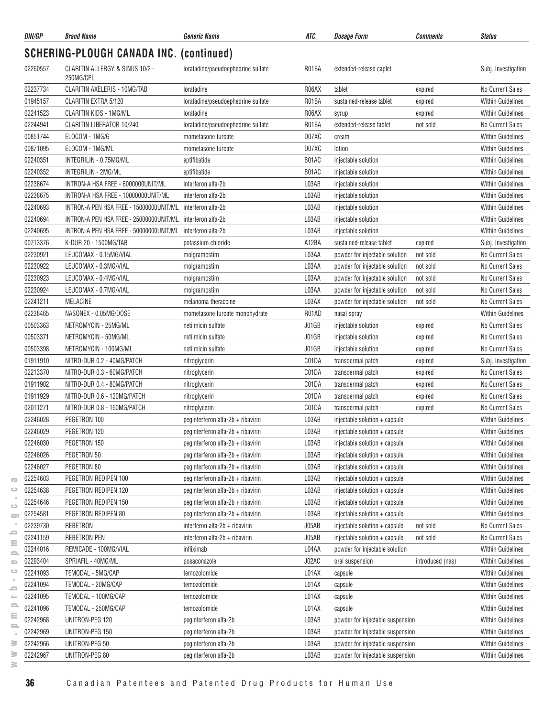| DIN/GP   | <b>Brand Name</b>                                          | <b>Generic Name</b>                | ATC   | <b>Dosage Form</b>               | <i><b>Comments</b></i> | <b>Status</b>            |
|----------|------------------------------------------------------------|------------------------------------|-------|----------------------------------|------------------------|--------------------------|
|          | <b>SCHERING-PLOUGH CANADA INC. (continued)</b>             |                                    |       |                                  |                        |                          |
| 02260557 | CLARITIN ALLERGY & SINUS 10/2 -<br>250MG/CPL               | loratadine/pseudoephedrine sulfate | R01BA | extended-release caplet          |                        | Subj. Investigation      |
| 02237734 | CLARITIN AXELERIS - 10MG/TAB                               | loratadine                         | R06AX | tablet                           | expired                | No Current Sales         |
| 01945157 | CLARITIN EXTRA 5/120                                       | loratadine/pseudoephedrine sulfate | R01BA | sustained-release tablet         | expired                | <b>Within Guidelines</b> |
| 02241523 | CLARITIN KIDS - 1MG/ML                                     | loratadine                         | R06AX | syrup                            | expired                | <b>Within Guidelines</b> |
| 02244941 | <b>CLARITIN LIBERATOR 10/240</b>                           | loratadine/pseudoephedrine sulfate | R01BA | extended-release tablet          | not sold               | No Current Sales         |
| 00851744 | ELOCOM - 1MG/G                                             | mometasone furoate                 | D07XC | cream                            |                        | <b>Within Guidelines</b> |
| 00871095 | ELOCOM - 1MG/ML                                            | mometasone furoate                 | D07XC | lotion                           |                        | <b>Within Guidelines</b> |
| 02240351 | INTEGRILIN - 0.75MG/ML                                     | eptifibatide                       | B01AC | injectable solution              |                        | <b>Within Guidelines</b> |
| 02240352 | INTEGRILIN - 2MG/ML                                        | eptifibatide                       | B01AC | injectable solution              |                        | <b>Within Guidelines</b> |
| 02238674 | INTRON-A HSA FREE - 6000000UNIT/ML                         | interferon alfa-2b                 | L03AB | injectable solution              |                        | <b>Within Guidelines</b> |
| 02238675 | INTRON-A HSA FREE - 10000000UNIT/ML                        | interferon alfa-2b                 | L03AB | injectable solution              |                        | <b>Within Guidelines</b> |
| 02240693 | INTRON-A PEN HSA FREE - 15000000UNIT/ML                    | interferon alfa-2b                 | L03AB | injectable solution              |                        | <b>Within Guidelines</b> |
| 02240694 | INTRON-A PEN HSA FREE - 25000000UNIT/ML interferon alfa-2b |                                    | L03AB | injectable solution              |                        | <b>Within Guidelines</b> |
| 02240695 | INTRON-A PEN HSA FREE - 50000000UNIT/ML                    | interferon alfa-2b                 | L03AB | injectable solution              |                        | <b>Within Guidelines</b> |
| 00713376 | K-DUR 20 - 1500MG/TAB                                      | potassium chloride                 | A12BA | sustained-release tablet         | expired                | Subj. Investigation      |
| 02230921 | LEUCOMAX - 0.15MG/VIAL                                     | molgramostim                       | L03AA | powder for injectable solution   | not sold               | No Current Sales         |
| 02230922 | LEUCOMAX - 0.3MG/VIAL                                      | molgramostim                       | L03AA | powder for injectable solution   | not sold               | No Current Sales         |
| 02230923 | LEUCOMAX - 0.4MG/VIAL                                      | molgramostim                       | L03AA | powder for injectable solution   | not sold               | No Current Sales         |
| 02230924 | LEUCOMAX - 0.7MG/VIAL                                      | molgramostim                       | L03AA | powder for injectable solution   | not sold               | No Current Sales         |
| 02241211 | <b>MELACINE</b>                                            | melanoma theraccine                | L03AX | powder for injectable solution   | not sold               | No Current Sales         |
| 02238465 | NASONEX - 0.05MG/DOSE                                      | mometasone furoate monohydrate     | R01AD | nasal spray                      |                        | <b>Within Guidelines</b> |
| 00503363 | NETROMYCIN - 25MG/ML                                       | netilmicin sulfate                 | J01GB | injectable solution              | expired                | No Current Sales         |
| 00503371 | NETROMYCIN - 50MG/ML                                       | netilmicin sulfate                 | J01GB | injectable solution              | expired                | No Current Sales         |
| 00503398 | NETROMYCIN - 100MG/ML                                      | netilmicin sulfate                 | J01GB | injectable solution              | expired                | No Current Sales         |
| 01911910 | NITRO-DUR 0.2 - 40MG/PATCH                                 | nitroglycerin                      | C01DA | transdermal patch                | expired                | Subj. Investigation      |
| 02213370 | NITRO-DUR 0.3 - 60MG/PATCH                                 | nitroglycerin                      | C01DA | transdermal patch                | expired                | No Current Sales         |
| 01911902 | NITRO-DUR 0.4 - 80MG/PATCH                                 | nitroglycerin                      | C01DA | transdermal patch                | expired                | No Current Sales         |
| 01911929 | NITRO-DUR 0.6 - 120MG/PATCH                                | nitroglycerin                      | C01DA | transdermal patch                | expired                | No Current Sales         |
| 02011271 | NITRO-DUR 0.8 - 160MG/PATCH                                | nitroglycerin                      | C01DA | transdermal patch                | expired                | No Current Sales         |
| 02246028 | PEGETRON 100                                               | peginterferon alfa-2b + ribavirin  | L03AB | injectable solution + capsule    |                        | Within Guidelines        |
| 02246029 | PEGETRON 120                                               | peginterferon alfa-2b + ribavirin  | L03AB | injectable solution + capsule    |                        | Within Guidelines        |
| 02246030 | PEGETRON 150                                               | peginterferon alfa-2b + ribavirin  | L03AB | injectable solution + capsule    |                        | <b>Within Guidelines</b> |
| 02246026 | PEGETRON 50                                                | peginterferon alfa-2b + ribavirin  | L03AB | injectable solution + capsule    |                        | <b>Within Guidelines</b> |
| 02246027 | PEGETRON 80                                                | peginterferon alfa-2b + ribavirin  | L03AB | injectable solution + capsule    |                        | <b>Within Guidelines</b> |
| 02254603 | PEGETRON REDIPEN 100                                       | peginterferon alfa-2b + ribavirin  | L03AB | injectable solution + capsule    |                        | <b>Within Guidelines</b> |
| 02254638 | PEGETRON REDIPEN 120                                       | peginterferon alfa-2b + ribavirin  | L03AB | injectable solution + capsule    |                        | <b>Within Guidelines</b> |
| 02254646 | PEGETRON REDIPEN 150                                       | peginterferon alfa-2b + ribavirin  | L03AB | injectable solution + capsule    |                        | <b>Within Guidelines</b> |
| 02254581 | PEGETRON REDIPEN 80                                        | peginterferon alfa-2b + ribavirin  | L03AB | injectable solution + capsule    |                        | <b>Within Guidelines</b> |
| 02239730 | REBETRON                                                   | interferon alfa-2b + ribavirin     | J05AB | injectable solution + capsule    | not sold               | No Current Sales         |
| 02241159 | REBETRON PEN                                               | interferon alfa-2b + ribavirin     | J05AB | injectable solution + capsule    | not sold               | No Current Sales         |
| 02244016 | REMICADE - 100MG/VIAL                                      | infliximab                         | L04AA | powder for injectable solution   |                        | <b>Within Guidelines</b> |
| 02293404 | SPRIAFIL - 40MG/ML                                         | posaconazole                       | J02AC | oral suspension                  | introduced (nas)       | Within Guidelines        |
| 02241093 | TEMODAL - 5MG/CAP                                          | temozolomide                       | L01AX | capsule                          |                        | Within Guidelines        |
| 02241094 | TEMODAL - 20MG/CAP                                         | temozolomide                       | L01AX | capsule                          |                        | Within Guidelines        |
| 02241095 | TEMODAL - 100MG/CAP                                        | temozolomide                       | L01AX | capsule                          |                        | <b>Within Guidelines</b> |
| 02241096 | TEMODAL - 250MG/CAP                                        | temozolomide                       | L01AX | capsule                          |                        | <b>Within Guidelines</b> |
| 02242968 | UNITRON-PEG 120                                            | peginterferon alfa-2b              | L03AB | powder for injectable suspension |                        | <b>Within Guidelines</b> |
| 02242969 | UNITRON-PEG 150                                            | peginterferon alfa-2b              | L03AB | powder for injectable suspension |                        | <b>Within Guidelines</b> |
| 02242966 | UNITRON-PEG 50                                             | peginterferon alfa-2b              | L03AB | powder for injectable suspension |                        | Within Guidelines        |
| 02242967 | UNITRON-PEG 80                                             | peginterferon alfa-2b              | L03AB | powder for injectable suspension |                        | Within Guidelines        |
|          |                                                            |                                    |       |                                  |                        |                          |

 $\geq$ 

 $\overline{\infty}$  $\circ$  $\sim$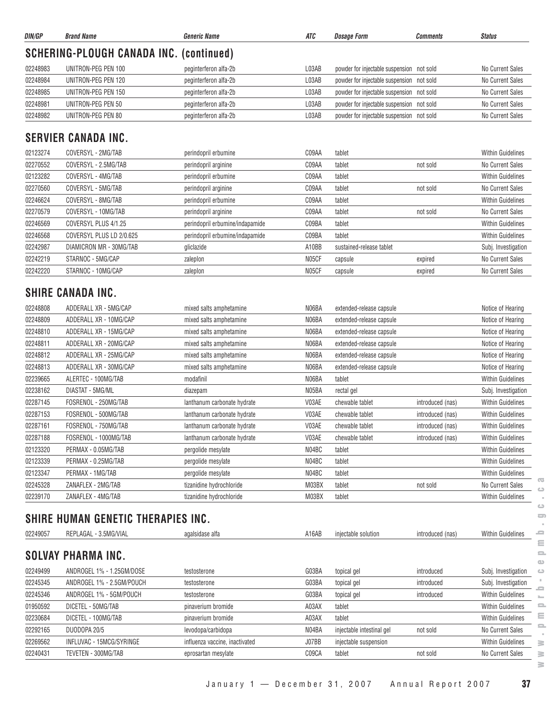| DIN/GP   | <b>Brand Name</b>                              | <b>Generic Name</b>             | ATC   | <b>Dosage Form</b>                        | <b>Comments</b>  | <b>Status</b>            |
|----------|------------------------------------------------|---------------------------------|-------|-------------------------------------------|------------------|--------------------------|
|          | <b>SCHERING-PLOUGH CANADA INC. (continued)</b> |                                 |       |                                           |                  |                          |
| 02248983 | UNITRON-PEG PEN 100                            | peginterferon alfa-2b           | L03AB | powder for injectable suspension not sold |                  | No Current Sales         |
| 02248984 | UNITRON-PEG PEN 120                            | peginterferon alfa-2b           | L03AB | powder for injectable suspension not sold |                  | No Current Sales         |
| 02248985 | UNITRON-PEG PEN 150                            | peginterferon alfa-2b           | L03AB | powder for injectable suspension not sold |                  | No Current Sales         |
| 02248981 | UNITRON-PEG PEN 50                             | peginterferon alfa-2b           | L03AB | powder for injectable suspension not sold |                  | No Current Sales         |
| 02248982 | UNITRON-PEG PEN 80                             | peginterferon alfa-2b           | L03AB | powder for injectable suspension not sold |                  | No Current Sales         |
|          | <b>SERVIER CANADA INC.</b>                     |                                 |       |                                           |                  |                          |
| 02123274 | COVERSYL - 2MG/TAB                             | perindopril erbumine            | C09AA | tablet                                    |                  | <b>Within Guidelines</b> |
| 02270552 | COVERSYL - 2.5MG/TAB                           | perindopril arginine            | C09AA | tablet                                    | not sold         | No Current Sales         |
| 02123282 | COVERSYL - 4MG/TAB                             | perindopril erbumine            | C09AA | tablet                                    |                  | <b>Within Guidelines</b> |
| 02270560 | COVERSYL - 5MG/TAB                             | perindopril arginine            | C09AA | tablet                                    | not sold         | No Current Sales         |
| 02246624 | COVERSYL - 8MG/TAB                             | perindopril erbumine            | C09AA | tablet                                    |                  | <b>Within Guidelines</b> |
| 02270579 | COVERSYL - 10MG/TAB                            | perindopril arginine            | C09AA | tablet                                    | not sold         | No Current Sales         |
| 02246569 | COVERSYL PLUS 4/1.25                           | perindopril erbumine/indapamide | C09BA | tablet                                    |                  | <b>Within Guidelines</b> |
| 02246568 | COVERSYL PLUS LD 2/0.625                       | perindopril erbumine/indapamide | C09BA | tablet                                    |                  | <b>Within Guidelines</b> |
| 02242987 | DIAMICRON MR - 30MG/TAB                        | gliclazide                      | A10BB | sustained-release tablet                  |                  | Subj. Investigation      |
| 02242219 | STARNOC - 5MG/CAP                              | zaleplon                        | N05CF | capsule                                   | expired          | <b>No Current Sales</b>  |
| 02242220 | STARNOC - 10MG/CAP                             | zaleplon                        | N05CF | capsule                                   | expired          | No Current Sales         |
|          | <b>SHIRE CANADA INC.</b>                       |                                 |       |                                           |                  |                          |
|          |                                                |                                 |       |                                           |                  |                          |
| 02248808 | ADDERALL XR - 5MG/CAP                          | mixed salts amphetamine         | N06BA | extended-release capsule                  |                  | Notice of Hearing        |
| 02248809 | ADDERALL XR - 10MG/CAP                         | mixed salts amphetamine         | N06BA | extended-release capsule                  |                  | Notice of Hearing        |
| 02248810 | ADDERALL XR - 15MG/CAP                         | mixed salts amphetamine         | N06BA | extended-release capsule                  |                  | Notice of Hearing        |
| 02248811 | ADDERALL XR - 20MG/CAP                         | mixed salts amphetamine         | N06BA | extended-release capsule                  |                  | Notice of Hearing        |
| 02248812 | ADDERALL XR - 25MG/CAP                         | mixed salts amphetamine         | N06BA | extended-release capsule                  |                  | Notice of Hearing        |
| 02248813 | ADDERALL XR - 30MG/CAP                         | mixed salts amphetamine         | N06BA | extended-release capsule                  |                  | Notice of Hearing        |
| 02239665 | ALERTEC - 100MG/TAB                            | modafinil                       | N06BA | tablet                                    |                  | <b>Within Guidelines</b> |
| 02238162 | DIASTAT - 5MG/ML                               | diazepam                        | N05BA | rectal gel                                |                  | Subj. Investigation      |
| 02287145 | FOSRENOL - 250MG/TAB                           | lanthanum carbonate hydrate     | V03AE | chewable tablet                           | introduced (nas) | <b>Within Guidelines</b> |
| 02287153 | FOSRENOL - 500MG/TAB                           | lanthanum carbonate hydrate     | V03AE | chewable tablet                           | introduced (nas) | <b>Within Guidelines</b> |
| 02287161 | FOSRENOL - 750MG/TAB                           | lanthanum carbonate hydrate     | V03AE | chewable tablet                           | introduced (nas) | <b>Within Guidelines</b> |
| 02287188 | FOSRENOL - 1000MG/TAB                          | lanthanum carbonate hydrate     | V03AE | chewable tablet                           | introduced (nas) | <b>Within Guidelines</b> |
| 02123320 | PERMAX - 0.05MG/TAB                            | pergolide mesylate              | N04BC | tablet                                    |                  | Within Guidelines        |
| 02123339 | PERMAX - 0.25MG/TAB                            | pergolide mesylate              | N04BC | tablet                                    |                  | <b>Within Guidelines</b> |
| 02123347 | PERMAX - 1MG/TAB                               | pergolide mesylate              | N04BC | tablet                                    |                  | <b>Within Guidelines</b> |
| 02245328 | ZANAFLEX - 2MG/TAB                             | tizanidine hydrochloride        | M03BX | tablet                                    | not sold         | No Current Sales         |
| 02239170 | ZANAFLEX - 4MG/TAB                             | tizanidine hydrochloride        | M03BX | tablet                                    |                  | Within Guidelines        |
|          | <b>SHIRE HUMAN GENETIC THERAPIES INC.</b>      |                                 |       |                                           |                  |                          |
| 02249057 | REPLAGAL - 3.5MG/VIAL                          | agalsidase alfa                 | A16AB | injectable solution                       | introduced (nas) | <b>Within Guidelines</b> |
|          | <b>SOLVAY PHARMA INC.</b>                      |                                 |       |                                           |                  |                          |
| 02249499 | ANDROGEL 1% - 1.25GM/DOSE                      |                                 | G03BA |                                           | introduced       |                          |
|          | ANDROGEL 1% - 2.5GM/POUCH                      | testosterone                    | G03BA | topical gel                               |                  | Subj. Investigation      |
| 02245345 |                                                | testosterone                    |       | topical gel                               | introduced       | Subj. Investigation      |
| 02245346 | ANDROGEL 1% - 5GM/POUCH                        | testosterone                    | G03BA | topical gel                               | introduced       | Within Guidelines        |
| 01950592 | DICETEL - 50MG/TAB                             | pinaverium bromide              | A03AX | tablet                                    |                  | <b>Within Guidelines</b> |
| 02230684 | DICETEL - 100MG/TAB                            | pinaverium bromide              | A03AX | tablet                                    |                  | <b>Within Guidelines</b> |
| 02292165 | DUODOPA 20/5                                   | levodopa/carbidopa              | N04BA | injectable intestinal gel                 | not sold         | No Current Sales         |
| 02269562 | INFLUVAC - 15MCG/SYRINGE                       | influenza vaccine, inactivated  | J07BB | injectable suspension                     |                  | <b>Within Guidelines</b> |
| 02240431 | TEVETEN - 300MG/TAB                            | eprosartan mesylate             | C09CA | tablet                                    | not sold         | No Current Sales         |

 $\geq$ 

January 1 — December 31, 2007 Annual Report 2007 **37**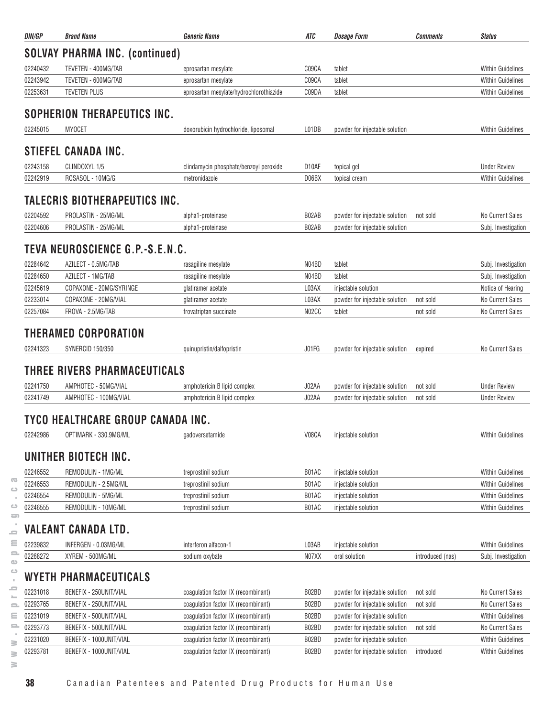| DIN/GP   | <b>Brand Name</b>                               | <b>Generic Name</b>                     | ATC                | <b>Dosage Form</b>             | <b>Comments</b>  | <b>Status</b>            |
|----------|-------------------------------------------------|-----------------------------------------|--------------------|--------------------------------|------------------|--------------------------|
|          | <b>SOLVAY PHARMA INC. (continued)</b>           |                                         |                    |                                |                  |                          |
| 02240432 | TEVETEN - 400MG/TAB                             | eprosartan mesylate                     | C09CA              | tablet                         |                  | <b>Within Guidelines</b> |
| 02243942 | TEVETEN - 600MG/TAB                             | eprosartan mesylate                     | C09CA              | tablet                         |                  | <b>Within Guidelines</b> |
| 02253631 | <b>TEVETEN PLUS</b>                             | eprosartan mesylate/hydrochlorothiazide | C09DA              | tablet                         |                  | <b>Within Guidelines</b> |
|          | SOPHERION THERAPEUTICS INC.                     |                                         |                    |                                |                  |                          |
| 02245015 | <b>MYOCET</b>                                   | doxorubicin hydrochloride, liposomal    | L01DB              | powder for injectable solution |                  | <b>Within Guidelines</b> |
|          | <b>STIEFEL CANADA INC.</b>                      |                                         |                    |                                |                  |                          |
| 02243158 | CLINDOXYL 1/5                                   | clindamycin phosphate/benzoyl peroxide  | D <sub>10</sub> AF | topical gel                    |                  | <b>Under Review</b>      |
| 02242919 | ROSASOL - 10MG/G                                | metronidazole                           | D06BX              | topical cream                  |                  | <b>Within Guidelines</b> |
|          |                                                 |                                         |                    |                                |                  |                          |
|          | TALECRIS BIOTHERAPEUTICS INC.                   |                                         |                    |                                |                  |                          |
| 02204592 | PROLASTIN - 25MG/ML                             | alpha1-proteinase                       | B02AB              | powder for injectable solution | not sold         | No Current Sales         |
| 02204606 | PROLASTIN - 25MG/ML                             | alpha1-proteinase                       | B02AB              | powder for injectable solution |                  | Subj. Investigation      |
|          | TEVA NEUROSCIENCE G.P.-S.E.N.C.                 |                                         |                    |                                |                  |                          |
| 02284642 | AZILECT - 0.5MG/TAB                             | rasagiline mesylate                     | N04BD              | tablet                         |                  | Subj. Investigation      |
| 02284650 | AZILECT - 1MG/TAB                               | rasagiline mesylate                     | N04BD              | tablet                         |                  | Subj. Investigation      |
| 02245619 | COPAXONE - 20MG/SYRINGE                         | glatiramer acetate                      | L03AX              | injectable solution            |                  | Notice of Hearing        |
| 02233014 | COPAXONE - 20MG/VIAL                            | glatiramer acetate                      | L03AX              | powder for injectable solution | not sold         | No Current Sales         |
| 02257084 | FROVA - 2.5MG/TAB                               | frovatriptan succinate                  | N02CC              | tablet                         | not sold         | No Current Sales         |
| 02241323 | THERAMED CORPORATION<br><b>SYNERCID 150/350</b> | quinupristin/dalfopristin               | J01FG              | powder for injectable solution | expired          | No Current Sales         |
|          | THREE RIVERS PHARMACEUTICALS                    |                                         |                    |                                |                  |                          |
| 02241750 | AMPHOTEC - 50MG/VIAL                            | amphotericin B lipid complex            | J02AA              | powder for injectable solution | not sold         | <b>Under Review</b>      |
| 02241749 | AMPHOTEC - 100MG/VIAL                           | amphotericin B lipid complex            | J02AA              | powder for injectable solution | not sold         | <b>Under Review</b>      |
|          | TYCO HEALTHCARE GROUP CANADA INC.               |                                         |                    |                                |                  |                          |
| 02242986 | OPTIMARK - 330.9MG/ML                           | gadoversetamide                         | V08CA              | injectable solution            |                  | <b>Within Guidelines</b> |
|          |                                                 |                                         |                    |                                |                  |                          |
|          | UNITHER BIOTECH INC.                            |                                         |                    |                                |                  |                          |
| 02246552 | REMODULIN - 1MG/ML                              | treprostinil sodium                     | B01AC              | injectable solution            |                  | <b>Within Guidelines</b> |
| 02246553 | REMODULIN - 2.5MG/ML                            | treprostinil sodium                     | B01AC              | injectable solution            |                  | <b>Within Guidelines</b> |
| 02246554 | REMODULIN - 5MG/ML                              | treprostinil sodium                     | B01AC              | injectable solution            |                  | <b>Within Guidelines</b> |
| 02246555 | REMODULIN - 10MG/ML                             | treprostinil sodium                     | B01AC              | injectable solution            |                  | Within Guidelines        |
|          | VALEANT CANADA LTD.                             |                                         |                    |                                |                  |                          |
| 02239832 | INFERGEN - 0.03MG/ML                            | interferon alfacon-1                    | L03AB              | injectable solution            |                  | <b>Within Guidelines</b> |
| 02268272 | XYREM - 500MG/ML                                | sodium oxybate                          | N07XX              | oral solution                  | introduced (nas) | Subj. Investigation      |
|          | WYETH PHARMACEUTICALS                           |                                         |                    |                                |                  |                          |
| 02231018 | BENEFIX - 250UNIT/VIAL                          | coagulation factor IX (recombinant)     | B02BD              | powder for injectable solution | not sold         | No Current Sales         |
| 02293765 | BENEFIX - 250UNIT/VIAL                          | coagulation factor IX (recombinant)     | B02BD              | powder for injectable solution | not sold         | No Current Sales         |
| 02231019 | BENEFIX - 500UNIT/VIAL                          | coagulation factor IX (recombinant)     | B02BD              | powder for injectable solution |                  | <b>Within Guidelines</b> |
| 02293773 | BENEFIX - 500UNIT/VIAL                          | coagulation factor IX (recombinant)     | B02BD              | powder for injectable solution | not sold         | No Current Sales         |
| 02231020 | BENEFIX - 1000UNIT/VIAL                         | coagulation factor IX (recombinant)     | B02BD              | powder for injectable solution |                  | <b>Within Guidelines</b> |
| 02293781 | BENEFIX - 1000UNIT/VIAL                         | coagulation factor IX (recombinant)     | B02BD              | powder for injectable solution | introduced       | <b>Within Guidelines</b> |
|          |                                                 |                                         |                    |                                |                  |                          |

 $\sim$  $\geq$  $\geq$  $\geq$